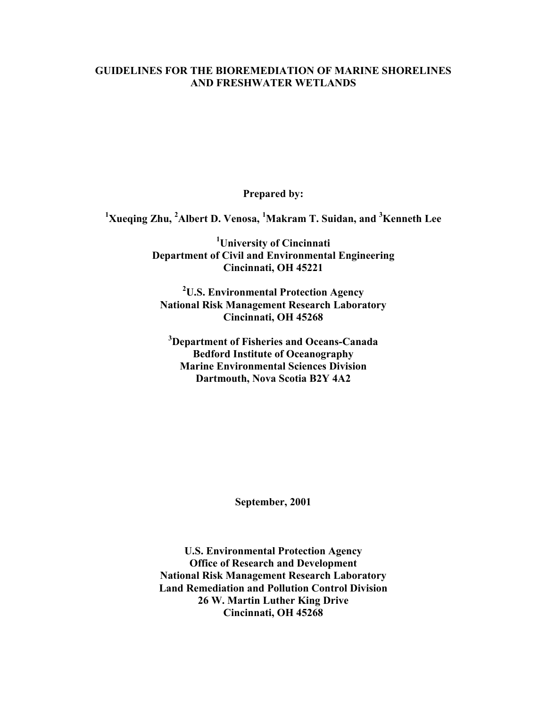# **GUIDELINES FOR THE BIOREMEDIATION OF MARINE SHORELINES AND FRESHWATER WETLANDS**

**Prepared by:** 

**1 Xueqing Zhu, 2 Albert D. Venosa, 1 Makram T. Suidan, and <sup>3</sup> Kenneth Lee** 

**1 University of Cincinnati Department of Civil and Environmental Engineering Cincinnati, OH 45221** 

**2 U.S. Environmental Protection Agency National Risk Management Research Laboratory Cincinnati, OH 45268** 

**3 Department of Fisheries and Oceans-Canada Bedford Institute of Oceanography Marine Environmental Sciences Division Dartmouth, Nova Scotia B2Y 4A2** 

**September, 2001** 

**U.S. Environmental Protection Agency Office of Research and Development National Risk Management Research Laboratory Land Remediation and Pollution Control Division 26 W. Martin Luther King Drive Cincinnati, OH 45268**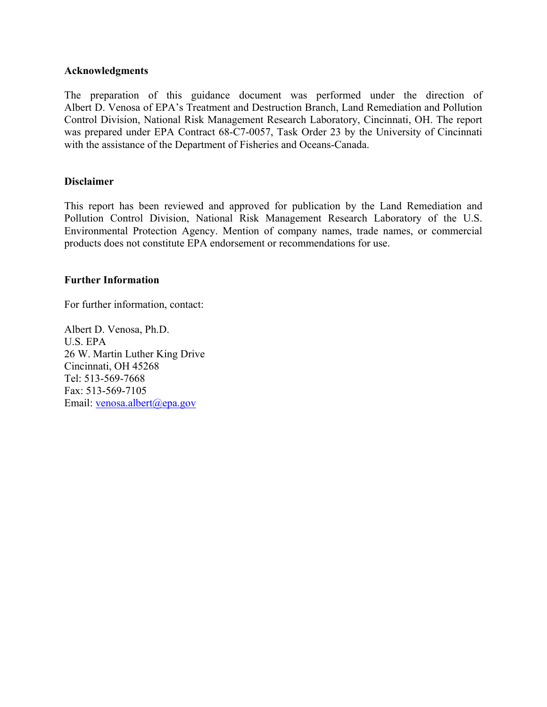# **Acknowledgments**

The preparation of this guidance document was performed under the direction of Albert D. Venosa of EPA's Treatment and Destruction Branch, Land Remediation and Pollution Control Division, National Risk Management Research Laboratory, Cincinnati, OH. The report was prepared under EPA Contract 68-C7-0057, Task Order 23 by the University of Cincinnati with the assistance of the Department of Fisheries and Oceans-Canada.

### **Disclaimer**

This report has been reviewed and approved for publication by the Land Remediation and Pollution Control Division, National Risk Management Research Laboratory of the U.S. Environmental Protection Agency. Mention of company names, trade names, or commercial products does not constitute EPA endorsement or recommendations for use.

### **Further Information**

For further information, contact:

Albert D. Venosa, Ph.D. U.S. EPA 26 W. Martin Luther King Drive Cincinnati, OH 45268 Tel: 513-569-7668 Fax: 513-569-7105 Email: venosa.albert@epa.gov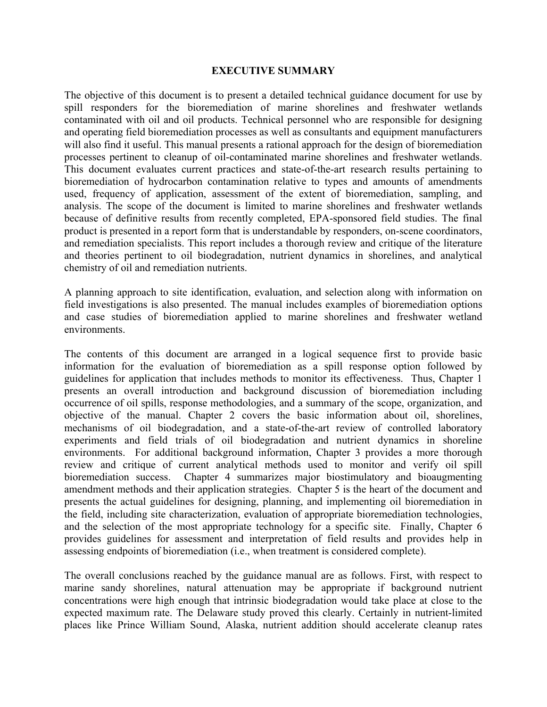#### **EXECUTIVE SUMMARY**

The objective of this document is to present a detailed technical guidance document for use by spill responders for the bioremediation of marine shorelines and freshwater wetlands contaminated with oil and oil products. Technical personnel who are responsible for designing and operating field bioremediation processes as well as consultants and equipment manufacturers will also find it useful. This manual presents a rational approach for the design of bioremediation processes pertinent to cleanup of oil-contaminated marine shorelines and freshwater wetlands. This document evaluates current practices and state-of-the-art research results pertaining to bioremediation of hydrocarbon contamination relative to types and amounts of amendments used, frequency of application, assessment of the extent of bioremediation, sampling, and analysis. The scope of the document is limited to marine shorelines and freshwater wetlands because of definitive results from recently completed, EPA-sponsored field studies. The final product is presented in a report form that is understandable by responders, on-scene coordinators, and remediation specialists. This report includes a thorough review and critique of the literature and theories pertinent to oil biodegradation, nutrient dynamics in shorelines, and analytical chemistry of oil and remediation nutrients.

A planning approach to site identification, evaluation, and selection along with information on field investigations is also presented. The manual includes examples of bioremediation options and case studies of bioremediation applied to marine shorelines and freshwater wetland environments.

The contents of this document are arranged in a logical sequence first to provide basic information for the evaluation of bioremediation as a spill response option followed by guidelines for application that includes methods to monitor its effectiveness. Thus, Chapter 1 presents an overall introduction and background discussion of bioremediation including occurrence of oil spills, response methodologies, and a summary of the scope, organization, and objective of the manual. Chapter 2 covers the basic information about oil, shorelines, mechanisms of oil biodegradation, and a state-of-the-art review of controlled laboratory experiments and field trials of oil biodegradation and nutrient dynamics in shoreline environments. For additional background information, Chapter 3 provides a more thorough review and critique of current analytical methods used to monitor and verify oil spill bioremediation success. Chapter 4 summarizes major biostimulatory and bioaugmenting amendment methods and their application strategies. Chapter 5 is the heart of the document and presents the actual guidelines for designing, planning, and implementing oil bioremediation in the field, including site characterization, evaluation of appropriate bioremediation technologies, and the selection of the most appropriate technology for a specific site. Finally, Chapter 6 provides guidelines for assessment and interpretation of field results and provides help in assessing endpoints of bioremediation (i.e., when treatment is considered complete).

The overall conclusions reached by the guidance manual are as follows. First, with respect to marine sandy shorelines, natural attenuation may be appropriate if background nutrient concentrations were high enough that intrinsic biodegradation would take place at close to the expected maximum rate. The Delaware study proved this clearly. Certainly in nutrient-limited places like Prince William Sound, Alaska, nutrient addition should accelerate cleanup rates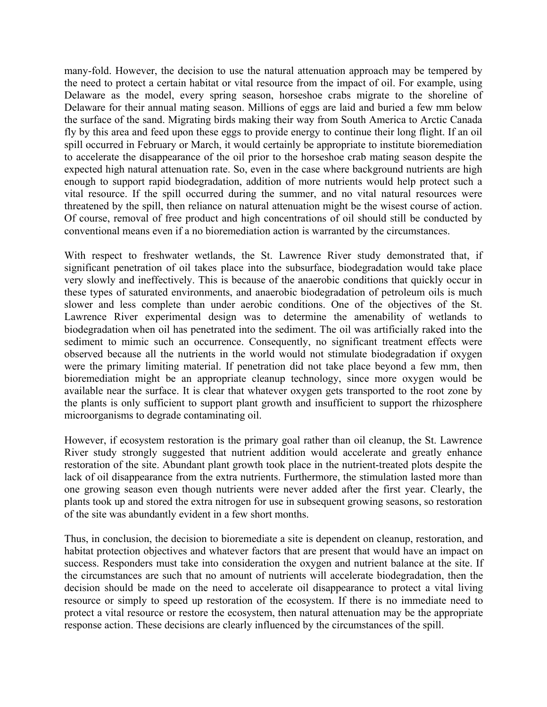many-fold. However, the decision to use the natural attenuation approach may be tempered by the need to protect a certain habitat or vital resource from the impact of oil. For example, using Delaware as the model, every spring season, horseshoe crabs migrate to the shoreline of Delaware for their annual mating season. Millions of eggs are laid and buried a few mm below the surface of the sand. Migrating birds making their way from South America to Arctic Canada fly by this area and feed upon these eggs to provide energy to continue their long flight. If an oil spill occurred in February or March, it would certainly be appropriate to institute bioremediation to accelerate the disappearance of the oil prior to the horseshoe crab mating season despite the expected high natural attenuation rate. So, even in the case where background nutrients are high enough to support rapid biodegradation, addition of more nutrients would help protect such a vital resource. If the spill occurred during the summer, and no vital natural resources were threatened by the spill, then reliance on natural attenuation might be the wisest course of action. Of course, removal of free product and high concentrations of oil should still be conducted by conventional means even if a no bioremediation action is warranted by the circumstances.

With respect to freshwater wetlands, the St. Lawrence River study demonstrated that, if significant penetration of oil takes place into the subsurface, biodegradation would take place very slowly and ineffectively. This is because of the anaerobic conditions that quickly occur in these types of saturated environments, and anaerobic biodegradation of petroleum oils is much slower and less complete than under aerobic conditions. One of the objectives of the St. Lawrence River experimental design was to determine the amenability of wetlands to biodegradation when oil has penetrated into the sediment. The oil was artificially raked into the sediment to mimic such an occurrence. Consequently, no significant treatment effects were observed because all the nutrients in the world would not stimulate biodegradation if oxygen were the primary limiting material. If penetration did not take place beyond a few mm, then bioremediation might be an appropriate cleanup technology, since more oxygen would be available near the surface. It is clear that whatever oxygen gets transported to the root zone by the plants is only sufficient to support plant growth and insufficient to support the rhizosphere microorganisms to degrade contaminating oil.

However, if ecosystem restoration is the primary goal rather than oil cleanup, the St. Lawrence River study strongly suggested that nutrient addition would accelerate and greatly enhance restoration of the site. Abundant plant growth took place in the nutrient-treated plots despite the lack of oil disappearance from the extra nutrients. Furthermore, the stimulation lasted more than one growing season even though nutrients were never added after the first year. Clearly, the plants took up and stored the extra nitrogen for use in subsequent growing seasons, so restoration of the site was abundantly evident in a few short months.

Thus, in conclusion, the decision to bioremediate a site is dependent on cleanup, restoration, and habitat protection objectives and whatever factors that are present that would have an impact on success. Responders must take into consideration the oxygen and nutrient balance at the site. If the circumstances are such that no amount of nutrients will accelerate biodegradation, then the decision should be made on the need to accelerate oil disappearance to protect a vital living resource or simply to speed up restoration of the ecosystem. If there is no immediate need to protect a vital resource or restore the ecosystem, then natural attenuation may be the appropriate response action. These decisions are clearly influenced by the circumstances of the spill.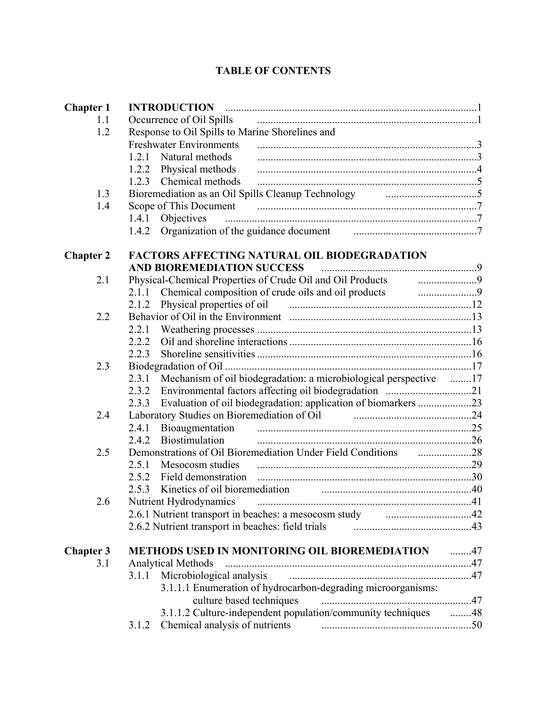# **TABLE OF CONTENTS**

| <b>Chapter 1</b> |                                                                                                                                                                                                                                         |  |
|------------------|-----------------------------------------------------------------------------------------------------------------------------------------------------------------------------------------------------------------------------------------|--|
| 1.1              | Occurrence of Oil Spills <b>Contained a Contract Contained A</b> Contract Contained a Leonard December 2014                                                                                                                             |  |
| 1.2              | Response to Oil Spills to Marine Shorelines and                                                                                                                                                                                         |  |
|                  | <b>Freshwater Environments</b>                                                                                                                                                                                                          |  |
|                  | Natural methods<br>1.2.1                                                                                                                                                                                                                |  |
|                  | 1.2.2 Physical methods                                                                                                                                                                                                                  |  |
|                  | 1.2.3 Chemical methods                                                                                                                                                                                                                  |  |
| 1.3              | Bioremediation as an Oil Spills Cleanup Technology manufactured as an Oil Spills Cleanup Technology                                                                                                                                     |  |
| 1.4              |                                                                                                                                                                                                                                         |  |
|                  | 1.4.1<br>Objectives                                                                                                                                                                                                                     |  |
|                  | Organization of the guidance document manufactured and manufactured and manufactured and manufactured and manufactured and manufactured and manufactured and manufactured and manufactured and manufactured and manufactured a<br>1.4.2 |  |
| <b>Chapter 2</b> | <b>FACTORS AFFECTING NATURAL OIL BIODEGRADATION</b>                                                                                                                                                                                     |  |
|                  | <b>AND BIOREMEDIATION SUCCESS</b>                                                                                                                                                                                                       |  |
| 2.1              | Physical-Chemical Properties of Crude Oil and Oil Products manufactured.9                                                                                                                                                               |  |
|                  |                                                                                                                                                                                                                                         |  |
|                  | 2.1.2 Physical properties of oil                                                                                                                                                                                                        |  |
| 2.2              |                                                                                                                                                                                                                                         |  |
|                  | 2.2.1                                                                                                                                                                                                                                   |  |
|                  | 2.2.2                                                                                                                                                                                                                                   |  |
|                  | 2.2.3                                                                                                                                                                                                                                   |  |
| 2.3              |                                                                                                                                                                                                                                         |  |
|                  | 2.3.1 Mechanism of oil biodegradation: a microbiological perspective 17                                                                                                                                                                 |  |
|                  | 2.3.2                                                                                                                                                                                                                                   |  |
|                  | Evaluation of oil biodegradation: application of biomarkers 23<br>2.3.3                                                                                                                                                                 |  |
| 2.4              | Laboratory Studies on Bioremediation of Oil manufacturers and 24                                                                                                                                                                        |  |
|                  | 2.4.1<br>Bioaugmentation                                                                                                                                                                                                                |  |
|                  | Biostimulation<br>2.4.2                                                                                                                                                                                                                 |  |
| 2.5              | Demonstrations of Oil Bioremediation Under Field Conditions <b>Example 28</b>                                                                                                                                                           |  |
|                  | 2.5.1 Mesocosm studies                                                                                                                                                                                                                  |  |
|                  | 2.5.2                                                                                                                                                                                                                                   |  |
|                  | Kinetics of oil bioremediation manufacturers and the set of oil bioremediation<br>2.5.3                                                                                                                                                 |  |
| 2.6              | Nutrient Hydrodynamics <b>contract to the contract of the contract of the contract of the contract of the contract of the contract of the contract of the contract of the contract of the contract of the contract of the contra</b>    |  |
|                  | 2.6.1 Nutrient transport in beaches: a mesocosm study manufactured manufactured $42$                                                                                                                                                    |  |
|                  | 2.6.2 Nutrient transport in beaches: field trials manufactured and 43                                                                                                                                                                   |  |
| <b>Chapter 3</b> | <b>METHODS USED IN MONITORING OIL BIOREMEDIATION FIG. 47</b>                                                                                                                                                                            |  |
| 3.1              | <b>Analytical Methods</b>                                                                                                                                                                                                               |  |
|                  |                                                                                                                                                                                                                                         |  |
|                  | 3.1.1.1 Enumeration of hydrocarbon-degrading microorganisms:                                                                                                                                                                            |  |
|                  | culture based techniques                                                                                                                                                                                                                |  |
|                  | 3.1.1.2 Culture-independent population/community techniques manual 48                                                                                                                                                                   |  |
|                  | 3.1.2                                                                                                                                                                                                                                   |  |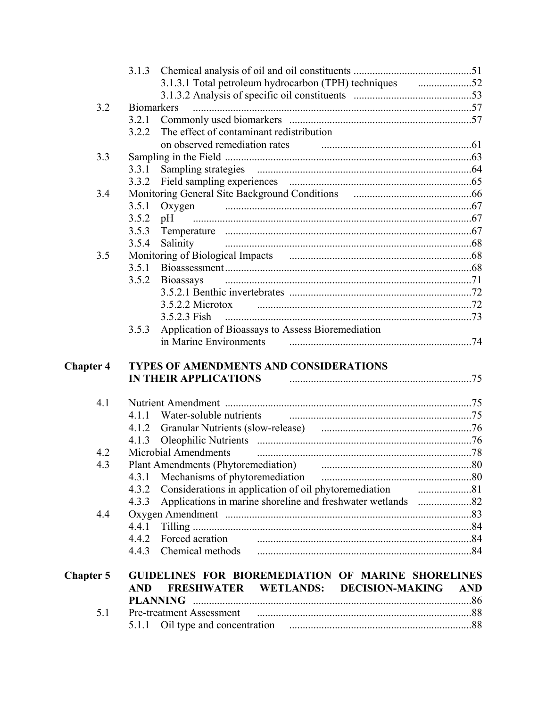|                  | 3.1.3.1 Total petroleum hydrocarbon (TPH) techniques <i>machines</i> 52                                                                                                                                                                 |     |
|------------------|-----------------------------------------------------------------------------------------------------------------------------------------------------------------------------------------------------------------------------------------|-----|
|                  |                                                                                                                                                                                                                                         |     |
| 3.2              | <b>Biomarkers</b>                                                                                                                                                                                                                       |     |
|                  | 3.2.1                                                                                                                                                                                                                                   |     |
|                  | The effect of contaminant redistribution<br>3.2.2                                                                                                                                                                                       |     |
|                  | on observed remediation rates manufactured results and series of 1                                                                                                                                                                      |     |
| 3.3              |                                                                                                                                                                                                                                         |     |
|                  | 3.3.1                                                                                                                                                                                                                                   |     |
|                  |                                                                                                                                                                                                                                         |     |
| 3.4              |                                                                                                                                                                                                                                         |     |
|                  | 3.5.1<br>Oxygen                                                                                                                                                                                                                         |     |
|                  | 3.5.2<br>pH                                                                                                                                                                                                                             |     |
|                  | 3.5.3                                                                                                                                                                                                                                   |     |
|                  | 3.5.4<br>Salinity                                                                                                                                                                                                                       |     |
| 3.5              |                                                                                                                                                                                                                                         |     |
|                  | 3.5.1                                                                                                                                                                                                                                   |     |
|                  | 3.5.2<br><b>Bioassays</b>                                                                                                                                                                                                               |     |
|                  |                                                                                                                                                                                                                                         |     |
|                  |                                                                                                                                                                                                                                         |     |
|                  | 3.5.2.3 Fish                                                                                                                                                                                                                            |     |
|                  | Application of Bioassays to Assess Bioremediation<br>3.5.3                                                                                                                                                                              |     |
|                  |                                                                                                                                                                                                                                         |     |
|                  |                                                                                                                                                                                                                                         |     |
| <b>Chapter 4</b> | TYPES OF AMENDMENTS AND CONSIDERATIONS<br><b>IN THEIR APPLICATIONS</b>                                                                                                                                                                  |     |
|                  |                                                                                                                                                                                                                                         |     |
| 4.1              |                                                                                                                                                                                                                                         |     |
|                  | 4.1.1                                                                                                                                                                                                                                   |     |
|                  |                                                                                                                                                                                                                                         |     |
|                  |                                                                                                                                                                                                                                         |     |
| 4.2              | <b>Microbial Amendments</b>                                                                                                                                                                                                             |     |
| 4.3              | Plant Amendments (Phytoremediation) manufactured and all the set of the set of the set of the set of the set of the set of the set of the set of the set of the set of the set of the set of the set of the set of the set of           |     |
|                  | 4.3.1                                                                                                                                                                                                                                   |     |
|                  | Considerations in application of oil phytoremediation manufacturers. 81<br>4.3.2<br>4.3.3                                                                                                                                               |     |
| 4.4              |                                                                                                                                                                                                                                         |     |
|                  | 4.4.1                                                                                                                                                                                                                                   |     |
|                  | 4.4.2 Forced aeration                                                                                                                                                                                                                   |     |
|                  |                                                                                                                                                                                                                                         |     |
| <b>Chapter 5</b> | GUIDELINES FOR BIOREMEDIATION OF MARINE SHORELINES                                                                                                                                                                                      |     |
|                  | FRESHWATER WETLANDS: DECISION-MAKING<br><b>AND</b>                                                                                                                                                                                      | AND |
|                  |                                                                                                                                                                                                                                         |     |
| 5.1              | Pre-treatment Assessment manufacturer and the contract of the set of the set of the set of the set of the set of the set of the set of the set of the set of the set of the set of the set of the set of the set of the set of<br>5.1.1 |     |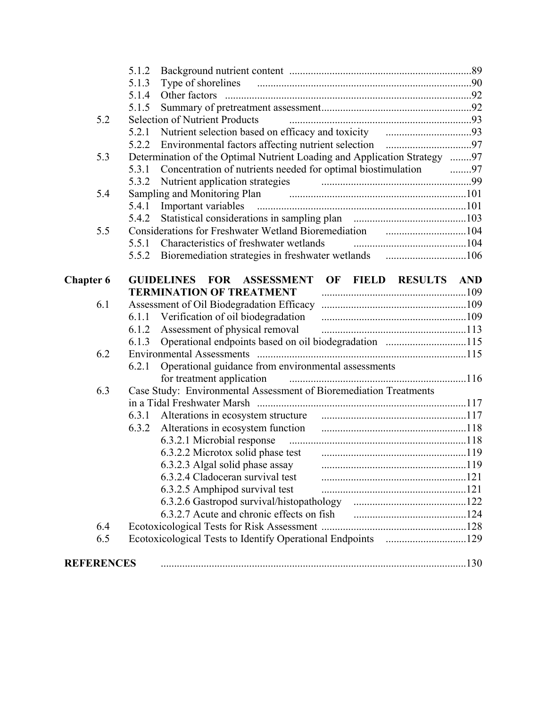|                   | 5.1.2                                                                                    |  |
|-------------------|------------------------------------------------------------------------------------------|--|
|                   | 5.1.3                                                                                    |  |
|                   | 5.1.4                                                                                    |  |
|                   | 5.1.5                                                                                    |  |
| 5.2               | <b>Selection of Nutrient Products</b>                                                    |  |
|                   | Nutrient selection based on efficacy and toxicity manufactured and 100 minutes.<br>5.2.1 |  |
|                   |                                                                                          |  |
| 5.3               | Determination of the Optimal Nutrient Loading and Application Strategy 97                |  |
|                   | Concentration of nutrients needed for optimal biostimulation 97<br>5.3.1                 |  |
|                   |                                                                                          |  |
| 5.4               |                                                                                          |  |
|                   |                                                                                          |  |
|                   |                                                                                          |  |
| 5.5               | Considerations for Freshwater Wetland Bioremediation manufactured 104                    |  |
|                   | Characteristics of freshwater wetlands<br>5.5.1                                          |  |
|                   |                                                                                          |  |
| <b>Chapter 6</b>  | OF FIELD RESULTS AND<br><b>GUIDELINES</b><br><b>FOR</b><br><b>ASSESSMENT</b>             |  |
|                   | <b>TERMINATION OF TREATMENT</b>                                                          |  |
| 6.1               |                                                                                          |  |
|                   | 6.1.1 Verification of oil biodegradation                                                 |  |
|                   | 6.1.2 Assessment of physical removal manufacturers and 113                               |  |
|                   | Operational endpoints based on oil biodegradation 115<br>6.1.3                           |  |
| 6.2               |                                                                                          |  |
|                   | Operational guidance from environmental assessments<br>6.2.1                             |  |
|                   | for treatment application                                                                |  |
| 6.3               | Case Study: Environmental Assessment of Bioremediation Treatments                        |  |
|                   |                                                                                          |  |
|                   | 6.3.2                                                                                    |  |
|                   |                                                                                          |  |
|                   |                                                                                          |  |
|                   | 6.3.2.3 Algal solid phase assay manufactured and the state of 119                        |  |
|                   | 6.3.2.4 Cladoceran survival test                                                         |  |
|                   | 6.3.2.5 Amphipod survival test                                                           |  |
|                   |                                                                                          |  |
|                   |                                                                                          |  |
| 6.4               |                                                                                          |  |
| 6.5               |                                                                                          |  |
|                   |                                                                                          |  |
| <b>REFERENCES</b> |                                                                                          |  |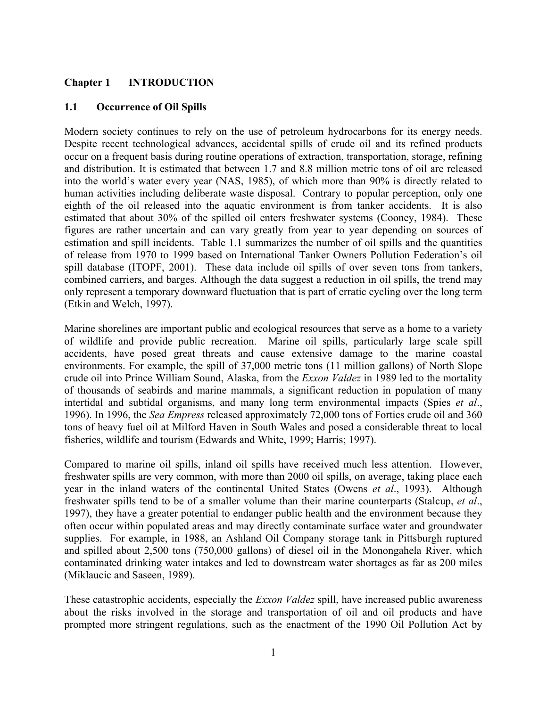# **Chapter 1 INTRODUCTION**

# **1.1 Occurrence of Oil Spills**

Modern society continues to rely on the use of petroleum hydrocarbons for its energy needs. Despite recent technological advances, accidental spills of crude oil and its refined products occur on a frequent basis during routine operations of extraction, transportation, storage, refining and distribution. It is estimated that between 1.7 and 8.8 million metric tons of oil are released into the world's water every year (NAS, 1985), of which more than 90% is directly related to human activities including deliberate waste disposal. Contrary to popular perception, only one eighth of the oil released into the aquatic environment is from tanker accidents. It is also estimated that about 30% of the spilled oil enters freshwater systems (Cooney, 1984). These figures are rather uncertain and can vary greatly from year to year depending on sources of estimation and spill incidents. Table 1.1 summarizes the number of oil spills and the quantities of release from 1970 to 1999 based on International Tanker Owners Pollution Federation's oil spill database (ITOPF, 2001). These data include oil spills of over seven tons from tankers, combined carriers, and barges. Although the data suggest a reduction in oil spills, the trend may only represent a temporary downward fluctuation that is part of erratic cycling over the long term (Etkin and Welch, 1997).

Marine shorelines are important public and ecological resources that serve as a home to a variety of wildlife and provide public recreation. Marine oil spills, particularly large scale spill accidents, have posed great threats and cause extensive damage to the marine coastal environments. For example, the spill of 37,000 metric tons (11 million gallons) of North Slope crude oil into Prince William Sound, Alaska, from the *Exxon Valdez* in 1989 led to the mortality of thousands of seabirds and marine mammals, a significant reduction in population of many intertidal and subtidal organisms, and many long term environmental impacts (Spies *et al*., 1996). In 1996, the *Sea Empress* released approximately 72,000 tons of Forties crude oil and 360 tons of heavy fuel oil at Milford Haven in South Wales and posed a considerable threat to local fisheries, wildlife and tourism (Edwards and White, 1999; Harris; 1997).

Compared to marine oil spills, inland oil spills have received much less attention. However, freshwater spills are very common, with more than 2000 oil spills, on average, taking place each year in the inland waters of the continental United States (Owens *et al*., 1993). Although freshwater spills tend to be of a smaller volume than their marine counterparts (Stalcup, *et al*., 1997), they have a greater potential to endanger public health and the environment because they often occur within populated areas and may directly contaminate surface water and groundwater supplies. For example, in 1988, an Ashland Oil Company storage tank in Pittsburgh ruptured and spilled about 2,500 tons (750,000 gallons) of diesel oil in the Monongahela River, which contaminated drinking water intakes and led to downstream water shortages as far as 200 miles (Miklaucic and Saseen, 1989).

These catastrophic accidents, especially the *Exxon Valdez* spill, have increased public awareness about the risks involved in the storage and transportation of oil and oil products and have prompted more stringent regulations, such as the enactment of the 1990 Oil Pollution Act by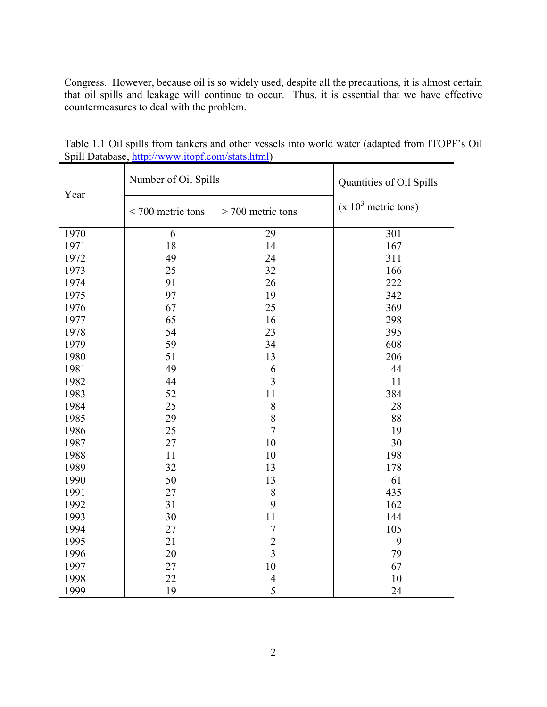Congress. However, because oil is so widely used, despite all the precautions, it is almost certain that oil spills and leakage will continue to occur. Thus, it is essential that we have effective countermeasures to deal with the problem.

|      | Number of Oil Spills |                     | Quantities of Oil Spills |
|------|----------------------|---------------------|--------------------------|
| Year | $<$ 700 metric tons  | $>$ 700 metric tons | $(x 103$ metric tons)    |
| 1970 | 6                    | 29                  | 301                      |
| 1971 | 18                   | 14                  | 167                      |
| 1972 | 49                   | 24                  | 311                      |
| 1973 | 25                   | 32                  | 166                      |
| 1974 | 91                   | 26                  | 222                      |
| 1975 | 97                   | 19                  | 342                      |
| 1976 | 67                   | 25                  | 369                      |
| 1977 | 65                   | 16                  | 298                      |
| 1978 | 54                   | 23                  | 395                      |
| 1979 | 59                   | 34                  | 608                      |
| 1980 | 51                   | 13                  | 206                      |
| 1981 | 49                   | 6                   | 44                       |
| 1982 | 44                   | $\overline{3}$      | 11                       |
| 1983 | 52                   | 11                  | 384                      |
| 1984 | 25                   | $\, 8$              | 28                       |
| 1985 | 29                   | 8                   | 88                       |
| 1986 | 25                   | $\overline{7}$      | 19                       |
| 1987 | 27                   | 10                  | 30                       |
| 1988 | 11                   | 10                  | 198                      |
| 1989 | 32                   | 13                  | 178                      |
| 1990 | 50                   | 13                  | 61                       |
| 1991 | 27                   | $\,$ $\,$           | 435                      |
| 1992 | 31                   | 9                   | 162                      |
| 1993 | 30                   | 11                  | 144                      |
| 1994 | 27                   | $\sqrt{ }$          | 105                      |
| 1995 | 21                   | $\frac{2}{3}$       | 9                        |
| 1996 | 20                   |                     | 79                       |
| 1997 | 27                   | $10\,$              | 67                       |
| 1998 | 22                   | $\overline{4}$      | 10                       |
| 1999 | 19                   | 5                   | 24                       |

Table 1.1 Oil spills from tankers and other vessels into world water (adapted from ITOPF's Oil Spill Database, http://www.itopf.com/stats.html)  $\mathsf{T}$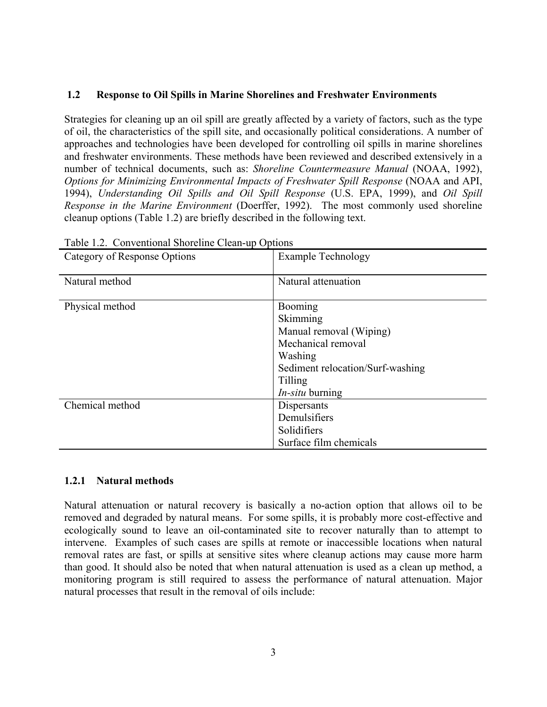# **1.2 Response to Oil Spills in Marine Shorelines and Freshwater Environments**

Strategies for cleaning up an oil spill are greatly affected by a variety of factors, such as the type of oil, the characteristics of the spill site, and occasionally political considerations. A number of approaches and technologies have been developed for controlling oil spills in marine shorelines and freshwater environments. These methods have been reviewed and described extensively in a number of technical documents, such as: *Shoreline Countermeasure Manual* (NOAA, 1992), *Options for Minimizing Environmental Impacts of Freshwater Spill Response* (NOAA and API, 1994), *Understanding Oil Spills and Oil Spill Response* (U.S. EPA, 1999), and *Oil Spill Response in the Marine Environment* (Doerffer, 1992). The most commonly used shoreline cleanup options (Table 1.2) are briefly described in the following text.

| Table 1.2. Conventional shoreline Clean-up Options |                                  |  |
|----------------------------------------------------|----------------------------------|--|
| Category of Response Options                       | <b>Example Technology</b>        |  |
| Natural method                                     | Natural attenuation              |  |
| Physical method                                    | <b>Booming</b>                   |  |
|                                                    | Skimming                         |  |
|                                                    | Manual removal (Wiping)          |  |
|                                                    | Mechanical removal               |  |
|                                                    | Washing                          |  |
|                                                    | Sediment relocation/Surf-washing |  |
|                                                    | Tilling                          |  |
|                                                    | <i>In-situ</i> burning           |  |
| Chemical method                                    | Dispersants                      |  |
|                                                    | Demulsifiers                     |  |
|                                                    | Solidifiers                      |  |
|                                                    | Surface film chemicals           |  |

| Table 1.2. Conventional Shoreline Clean-up Options |  |
|----------------------------------------------------|--|
|----------------------------------------------------|--|

# **1.2.1 Natural methods**

Natural attenuation or natural recovery is basically a no-action option that allows oil to be removed and degraded by natural means. For some spills, it is probably more cost-effective and ecologically sound to leave an oil-contaminated site to recover naturally than to attempt to intervene. Examples of such cases are spills at remote or inaccessible locations when natural removal rates are fast, or spills at sensitive sites where cleanup actions may cause more harm than good. It should also be noted that when natural attenuation is used as a clean up method, a monitoring program is still required to assess the performance of natural attenuation. Major natural processes that result in the removal of oils include: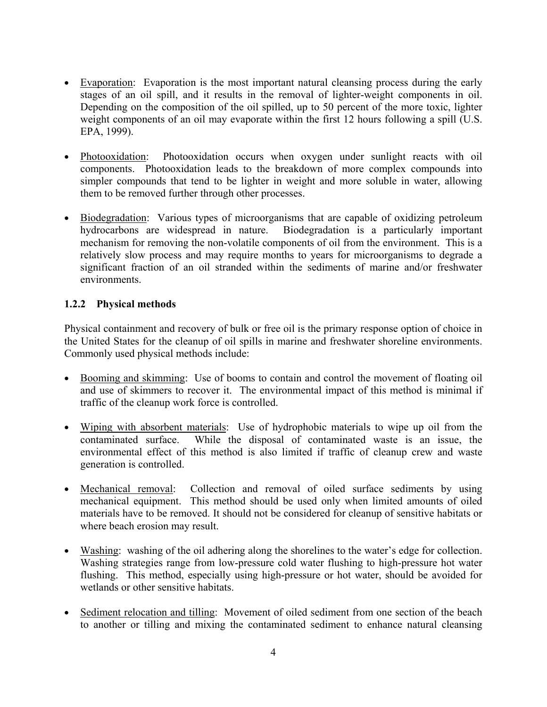- Evaporation: Evaporation is the most important natural cleansing process during the early stages of an oil spill, and it results in the removal of lighter-weight components in oil. Depending on the composition of the oil spilled, up to 50 percent of the more toxic, lighter weight components of an oil may evaporate within the first 12 hours following a spill (U.S. EPA, 1999).
- Photooxidation: Photooxidation occurs when oxygen under sunlight reacts with oil components. Photooxidation leads to the breakdown of more complex compounds into simpler compounds that tend to be lighter in weight and more soluble in water, allowing them to be removed further through other processes.
- Biodegradation: Various types of microorganisms that are capable of oxidizing petroleum hydrocarbons are widespread in nature. Biodegradation is a particularly important mechanism for removing the non-volatile components of oil from the environment. This is a relatively slow process and may require months to years for microorganisms to degrade a significant fraction of an oil stranded within the sediments of marine and/or freshwater environments.

# **1.2.2 Physical methods**

Physical containment and recovery of bulk or free oil is the primary response option of choice in the United States for the cleanup of oil spills in marine and freshwater shoreline environments. Commonly used physical methods include:

- Booming and skimming: Use of booms to contain and control the movement of floating oil and use of skimmers to recover it. The environmental impact of this method is minimal if traffic of the cleanup work force is controlled.
- Wiping with absorbent materials: Use of hydrophobic materials to wipe up oil from the contaminated surface. While the disposal of contaminated waste is an issue, the environmental effect of this method is also limited if traffic of cleanup crew and waste generation is controlled.
- Mechanical removal: Collection and removal of oiled surface sediments by using mechanical equipment. This method should be used only when limited amounts of oiled materials have to be removed. It should not be considered for cleanup of sensitive habitats or where beach erosion may result.
- Washing: washing of the oil adhering along the shorelines to the water's edge for collection. Washing strategies range from low-pressure cold water flushing to high-pressure hot water flushing. This method, especially using high-pressure or hot water, should be avoided for wetlands or other sensitive habitats.
- Sediment relocation and tilling: Movement of oiled sediment from one section of the beach to another or tilling and mixing the contaminated sediment to enhance natural cleansing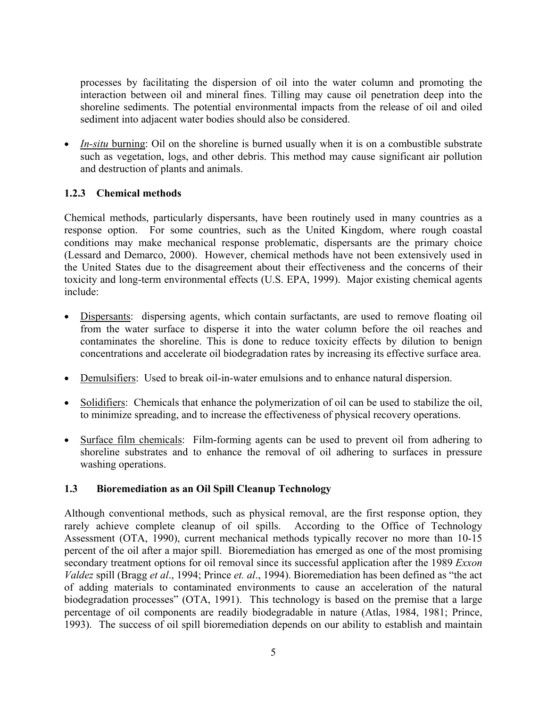processes by facilitating the dispersion of oil into the water column and promoting the interaction between oil and mineral fines. Tilling may cause oil penetration deep into the shoreline sediments. The potential environmental impacts from the release of oil and oiled sediment into adjacent water bodies should also be considered.

• *In-situ* burning: Oil on the shoreline is burned usually when it is on a combustible substrate such as vegetation, logs, and other debris. This method may cause significant air pollution and destruction of plants and animals.

# **1.2.3 Chemical methods**

Chemical methods, particularly dispersants, have been routinely used in many countries as a response option. For some countries, such as the United Kingdom, where rough coastal conditions may make mechanical response problematic, dispersants are the primary choice (Lessard and Demarco, 2000). However, chemical methods have not been extensively used in the United States due to the disagreement about their effectiveness and the concerns of their toxicity and long-term environmental effects (U.S. EPA, 1999). Major existing chemical agents include:

- Dispersants: dispersing agents, which contain surfactants, are used to remove floating oil from the water surface to disperse it into the water column before the oil reaches and contaminates the shoreline. This is done to reduce toxicity effects by dilution to benign concentrations and accelerate oil biodegradation rates by increasing its effective surface area.
- Demulsifiers: Used to break oil-in-water emulsions and to enhance natural dispersion.
- Solidifiers: Chemicals that enhance the polymerization of oil can be used to stabilize the oil, to minimize spreading, and to increase the effectiveness of physical recovery operations.
- Surface film chemicals: Film-forming agents can be used to prevent oil from adhering to shoreline substrates and to enhance the removal of oil adhering to surfaces in pressure washing operations.

# **1.3 Bioremediation as an Oil Spill Cleanup Technology**

Although conventional methods, such as physical removal, are the first response option, they rarely achieve complete cleanup of oil spills. According to the Office of Technology Assessment (OTA, 1990), current mechanical methods typically recover no more than 10-15 percent of the oil after a major spill. Bioremediation has emerged as one of the most promising secondary treatment options for oil removal since its successful application after the 1989 *Exxon Valdez* spill (Bragg *et al*., 1994; Prince *et. al*., 1994). Bioremediation has been defined as "the act of adding materials to contaminated environments to cause an acceleration of the natural biodegradation processes" (OTA, 1991). This technology is based on the premise that a large percentage of oil components are readily biodegradable in nature (Atlas, 1984, 1981; Prince, 1993). The success of oil spill bioremediation depends on our ability to establish and maintain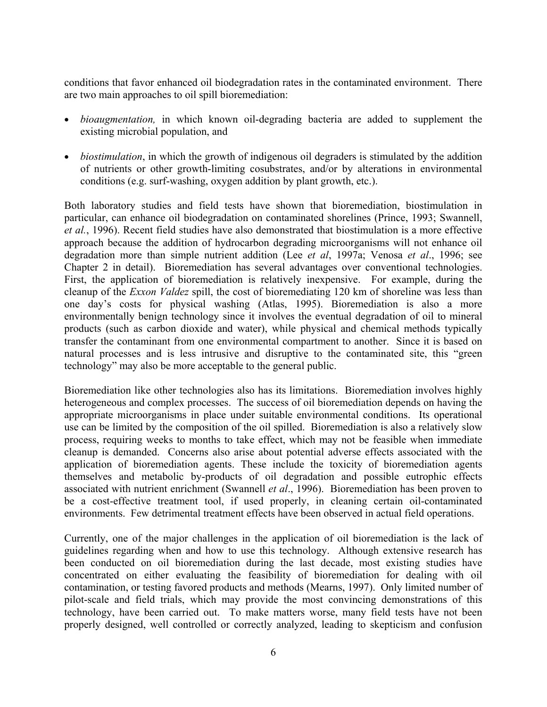conditions that favor enhanced oil biodegradation rates in the contaminated environment. There are two main approaches to oil spill bioremediation:

- *bioaugmentation*, in which known oil-degrading bacteria are added to supplement the existing microbial population, and
- *biostimulation*, in which the growth of indigenous oil degraders is stimulated by the addition of nutrients or other growth-limiting cosubstrates, and/or by alterations in environmental conditions (e.g. surf-washing, oxygen addition by plant growth, etc.).

Both laboratory studies and field tests have shown that bioremediation, biostimulation in particular, can enhance oil biodegradation on contaminated shorelines (Prince, 1993; Swannell, *et al.*, 1996). Recent field studies have also demonstrated that biostimulation is a more effective approach because the addition of hydrocarbon degrading microorganisms will not enhance oil degradation more than simple nutrient addition (Lee *et al*, 1997a; Venosa *et al*., 1996; see Chapter 2 in detail). Bioremediation has several advantages over conventional technologies. First, the application of bioremediation is relatively inexpensive. For example, during the cleanup of the *Exxon Valdez* spill, the cost of bioremediating 120 km of shoreline was less than one day's costs for physical washing (Atlas, 1995). Bioremediation is also a more environmentally benign technology since it involves the eventual degradation of oil to mineral products (such as carbon dioxide and water), while physical and chemical methods typically transfer the contaminant from one environmental compartment to another. Since it is based on natural processes and is less intrusive and disruptive to the contaminated site, this "green technology" may also be more acceptable to the general public.

Bioremediation like other technologies also has its limitations. Bioremediation involves highly heterogeneous and complex processes. The success of oil bioremediation depends on having the appropriate microorganisms in place under suitable environmental conditions. Its operational use can be limited by the composition of the oil spilled. Bioremediation is also a relatively slow process, requiring weeks to months to take effect, which may not be feasible when immediate cleanup is demanded. Concerns also arise about potential adverse effects associated with the application of bioremediation agents. These include the toxicity of bioremediation agents themselves and metabolic by-products of oil degradation and possible eutrophic effects associated with nutrient enrichment (Swannell *et al*., 1996). Bioremediation has been proven to be a cost-effective treatment tool, if used properly, in cleaning certain oil-contaminated environments. Few detrimental treatment effects have been observed in actual field operations.

Currently, one of the major challenges in the application of oil bioremediation is the lack of guidelines regarding when and how to use this technology. Although extensive research has been conducted on oil bioremediation during the last decade, most existing studies have concentrated on either evaluating the feasibility of bioremediation for dealing with oil contamination, or testing favored products and methods (Mearns, 1997). Only limited number of pilot-scale and field trials, which may provide the most convincing demonstrations of this technology, have been carried out. To make matters worse, many field tests have not been properly designed, well controlled or correctly analyzed, leading to skepticism and confusion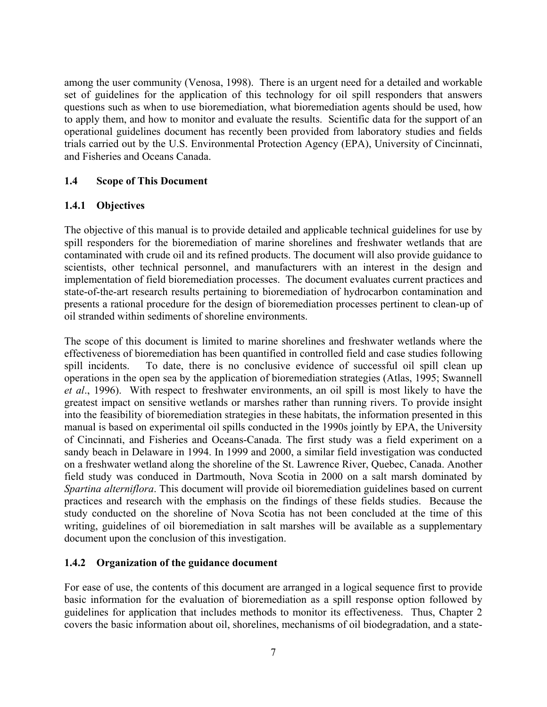among the user community (Venosa, 1998). There is an urgent need for a detailed and workable set of guidelines for the application of this technology for oil spill responders that answers questions such as when to use bioremediation, what bioremediation agents should be used, how to apply them, and how to monitor and evaluate the results. Scientific data for the support of an operational guidelines document has recently been provided from laboratory studies and fields trials carried out by the U.S. Environmental Protection Agency (EPA), University of Cincinnati, and Fisheries and Oceans Canada.

# **1.4 Scope of This Document**

# **1.4.1 Objectives**

The objective of this manual is to provide detailed and applicable technical guidelines for use by spill responders for the bioremediation of marine shorelines and freshwater wetlands that are contaminated with crude oil and its refined products. The document will also provide guidance to scientists, other technical personnel, and manufacturers with an interest in the design and implementation of field bioremediation processes. The document evaluates current practices and state-of-the-art research results pertaining to bioremediation of hydrocarbon contamination and presents a rational procedure for the design of bioremediation processes pertinent to clean-up of oil stranded within sediments of shoreline environments.

The scope of this document is limited to marine shorelines and freshwater wetlands where the effectiveness of bioremediation has been quantified in controlled field and case studies following spill incidents. To date, there is no conclusive evidence of successful oil spill clean up operations in the open sea by the application of bioremediation strategies (Atlas, 1995; Swannell *et al*., 1996). With respect to freshwater environments, an oil spill is most likely to have the greatest impact on sensitive wetlands or marshes rather than running rivers. To provide insight into the feasibility of bioremediation strategies in these habitats, the information presented in this manual is based on experimental oil spills conducted in the 1990s jointly by EPA, the University of Cincinnati, and Fisheries and Oceans-Canada. The first study was a field experiment on a sandy beach in Delaware in 1994. In 1999 and 2000, a similar field investigation was conducted on a freshwater wetland along the shoreline of the St. Lawrence River, Quebec, Canada. Another field study was conduced in Dartmouth, Nova Scotia in 2000 on a salt marsh dominated by *Spartina alterniflora*. This document will provide oil bioremediation guidelines based on current practices and research with the emphasis on the findings of these fields studies. Because the study conducted on the shoreline of Nova Scotia has not been concluded at the time of this writing, guidelines of oil bioremediation in salt marshes will be available as a supplementary document upon the conclusion of this investigation.

# **1.4.2 Organization of the guidance document**

For ease of use, the contents of this document are arranged in a logical sequence first to provide basic information for the evaluation of bioremediation as a spill response option followed by guidelines for application that includes methods to monitor its effectiveness. Thus, Chapter 2 covers the basic information about oil, shorelines, mechanisms of oil biodegradation, and a state-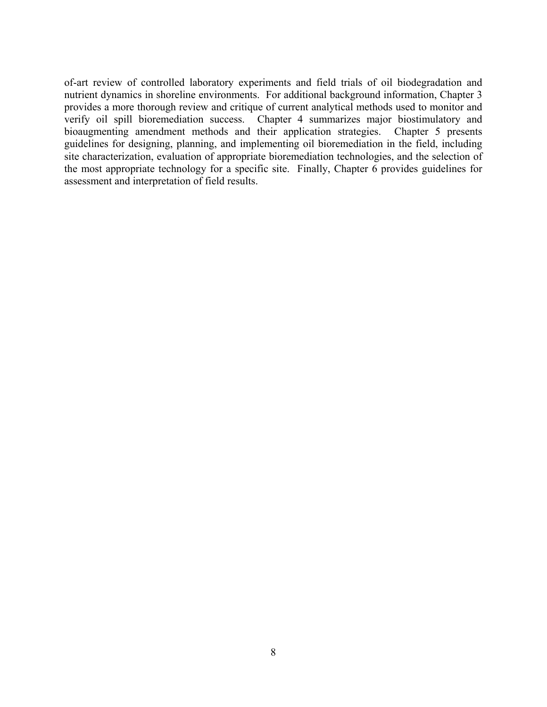of-art review of controlled laboratory experiments and field trials of oil biodegradation and nutrient dynamics in shoreline environments. For additional background information, Chapter 3 provides a more thorough review and critique of current analytical methods used to monitor and verify oil spill bioremediation success. Chapter 4 summarizes major biostimulatory and bioaugmenting amendment methods and their application strategies. Chapter 5 presents guidelines for designing, planning, and implementing oil bioremediation in the field, including site characterization, evaluation of appropriate bioremediation technologies, and the selection of the most appropriate technology for a specific site. Finally, Chapter 6 provides guidelines for assessment and interpretation of field results.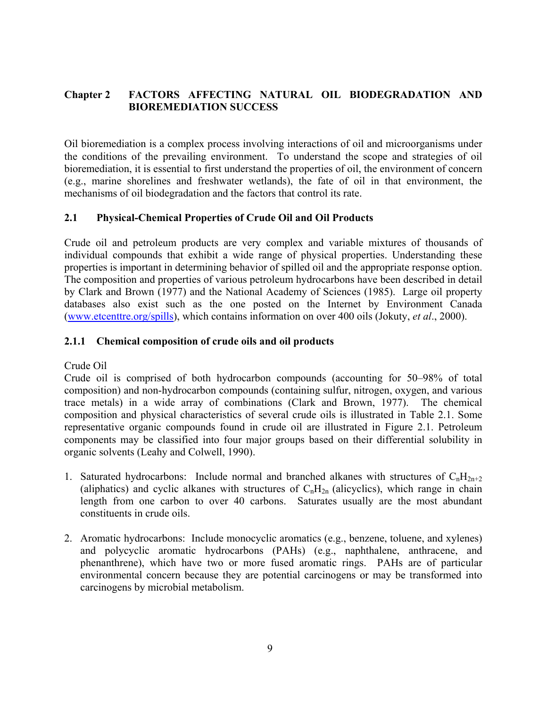# **Chapter 2 FACTORS AFFECTING NATURAL OIL BIODEGRADATION AND BIOREMEDIATION SUCCESS**

Oil bioremediation is a complex process involving interactions of oil and microorganisms under the conditions of the prevailing environment. To understand the scope and strategies of oil bioremediation, it is essential to first understand the properties of oil, the environment of concern (e.g., marine shorelines and freshwater wetlands), the fate of oil in that environment, the mechanisms of oil biodegradation and the factors that control its rate.

# **2.1 Physical-Chemical Properties of Crude Oil and Oil Products**

Crude oil and petroleum products are very complex and variable mixtures of thousands of individual compounds that exhibit a wide range of physical properties. Understanding these properties is important in determining behavior of spilled oil and the appropriate response option. The composition and properties of various petroleum hydrocarbons have been described in detail by Clark and Brown (1977) and the National Academy of Sciences (1985). Large oil property databases also exist such as the one posted on the Internet by Environment Canada (www.etcenttre.org/spills), which contains information on over 400 oils (Jokuty, *et al*., 2000).

# **2.1.1 Chemical composition of crude oils and oil products**

Crude Oil

Crude oil is comprised of both hydrocarbon compounds (accounting for 50–98% of total composition) and non-hydrocarbon compounds (containing sulfur, nitrogen, oxygen, and various trace metals) in a wide array of combinations (Clark and Brown, 1977). The chemical composition and physical characteristics of several crude oils is illustrated in Table 2.1. Some representative organic compounds found in crude oil are illustrated in Figure 2.1. Petroleum components may be classified into four major groups based on their differential solubility in organic solvents (Leahy and Colwell, 1990).

- 1. Saturated hydrocarbons: Include normal and branched alkanes with structures of  $C_nH_{2n+2}$ (aliphatics) and cyclic alkanes with structures of  $C_nH_{2n}$  (alicyclics), which range in chain length from one carbon to over 40 carbons. Saturates usually are the most abundant constituents in crude oils.
- 2. Aromatic hydrocarbons: Include monocyclic aromatics (e.g., benzene, toluene, and xylenes) and polycyclic aromatic hydrocarbons (PAHs) (e.g., naphthalene, anthracene, and phenanthrene), which have two or more fused aromatic rings. PAHs are of particular environmental concern because they are potential carcinogens or may be transformed into carcinogens by microbial metabolism.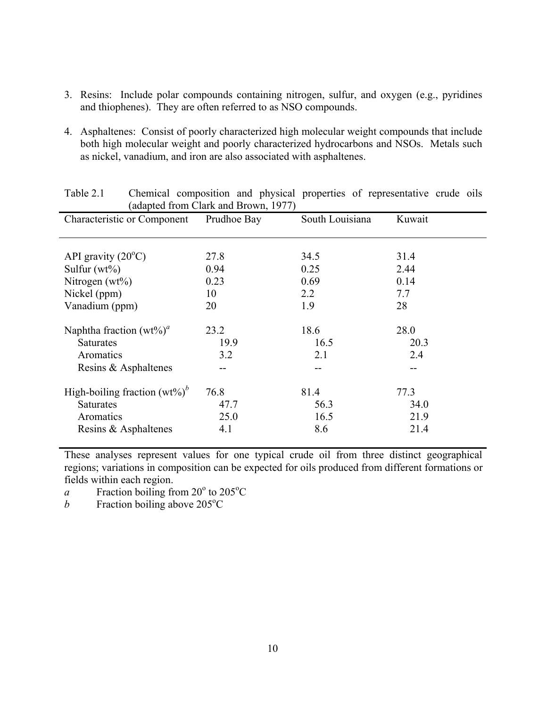- 3. Resins: Include polar compounds containing nitrogen, sulfur, and oxygen (e.g., pyridines and thiophenes). They are often referred to as NSO compounds.
- 4. Asphaltenes: Consist of poorly characterized high molecular weight compounds that include both high molecular weight and poorly characterized hydrocarbons and NSOs. Metals such as nickel, vanadium, and iron are also associated with asphaltenes.

| (adapted from Clark and Brown, 1977)    |      |                 |        |
|-----------------------------------------|------|-----------------|--------|
| Characteristic or Component Prudhoe Bay |      | South Louisiana | Kuwait |
| API gravity $(20^{\circ}C)$             | 27.8 | 34.5            | 31.4   |
| Sulfur $(wt\%)$                         | 0.94 | 0.25            | 2.44   |
| Nitrogen $(wt\%)$                       | 0.23 | 0.69            | 0.14   |
| Nickel (ppm)                            | 10   | 2.2             | 7.7    |
| Vanadium (ppm)                          | 20   | 1.9             | 28     |
| Naphtha fraction $(wt\%)^d$             | 23.2 | 18.6            | 28.0   |
| <b>Saturates</b>                        | 19.9 | 16.5            | 20.3   |
| Aromatics                               | 3.2  | 2.1             | 2.4    |
| Resins & Asphaltenes                    |      |                 |        |
| High-boiling fraction $(w t\%)^b$       | 76.8 | 81.4            | 77.3   |
| Saturates                               | 47.7 | 56.3            | 34.0   |
| Aromatics                               | 25.0 | 16.5            | 21.9   |
| Resins & Asphaltenes                    | 4.1  | 8.6             | 21.4   |

Table 2.1 Chemical composition and physical properties of representative crude oils

These analyses represent values for one typical crude oil from three distinct geographical regions; variations in composition can be expected for oils produced from different formations or fields within each region.

a Fraction boiling from  $20^{\circ}$  to  $205^{\circ}$ C

 $b$  Fraction boiling above 205 $\degree$ C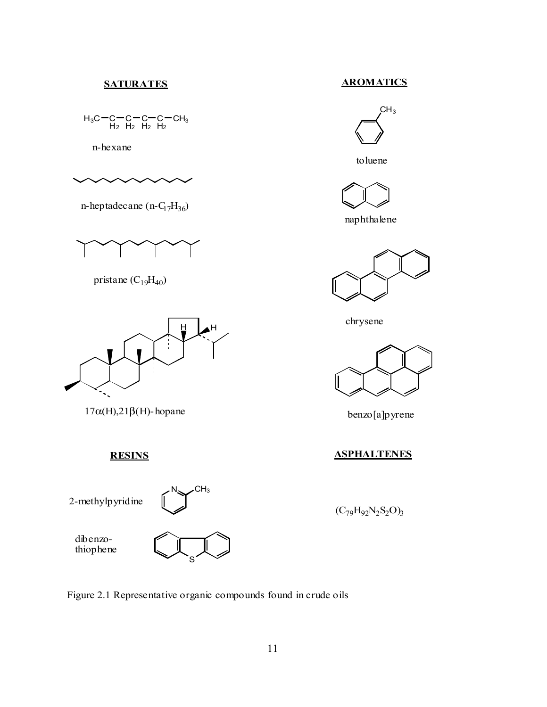H3CC C C C CH3 H2 H2 H2 H2

n-hexane

n-heptadecane (n- $C_1$ 7 $H_{36}$ )



pristane  $(C_1 9H_{40})$ 



17α(H),21β(H)-hopane

**RESINS** 



# Figure 2.1 Representative organic compounds found in crude oils

# **SATURATES** AROMATICS



toluene



naphthalene



chrysene



benzo[a]pyrene

# **ASPHALTENES**

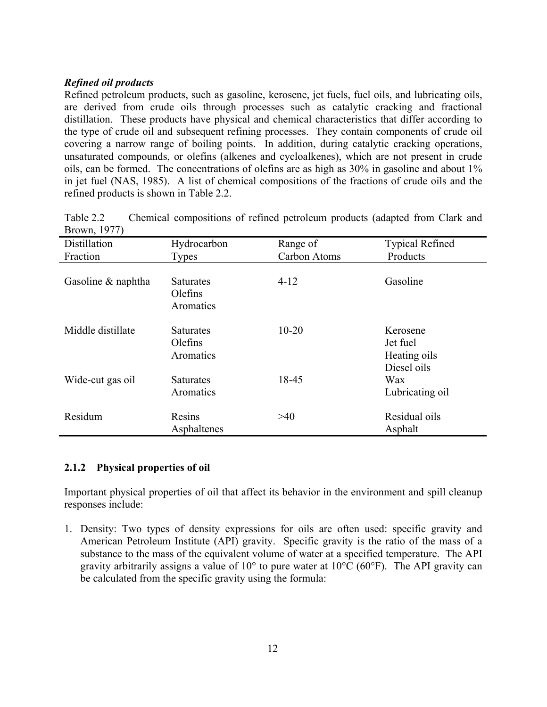# *Refined oil products*

Refined petroleum products, such as gasoline, kerosene, jet fuels, fuel oils, and lubricating oils, are derived from crude oils through processes such as catalytic cracking and fractional distillation. These products have physical and chemical characteristics that differ according to the type of crude oil and subsequent refining processes. They contain components of crude oil covering a narrow range of boiling points. In addition, during catalytic cracking operations, unsaturated compounds, or olefins (alkenes and cycloalkenes), which are not present in crude oils, can be formed. The concentrations of olefins are as high as 30% in gasoline and about 1% in jet fuel (NAS, 1985). A list of chemical compositions of the fractions of crude oils and the refined products is shown in Table 2.2.

| Table 2.2    | Chemical compositions of refined petroleum products (adapted from Clark and |  |  |  |  |
|--------------|-----------------------------------------------------------------------------|--|--|--|--|
| Brown, 1977) |                                                                             |  |  |  |  |

| Distillation         | Hydrocarbon                              | Range of     | <b>Typical Refined</b>                              |
|----------------------|------------------------------------------|--------------|-----------------------------------------------------|
| Fraction             | <b>Types</b>                             | Carbon Atoms | Products                                            |
| Gasoline $&$ naphtha | <b>Saturates</b><br>Olefins<br>Aromatics | $4 - 12$     | Gasoline                                            |
| Middle distillate    | <b>Saturates</b><br>Olefins<br>Aromatics | $10 - 20$    | Kerosene<br>Jet fuel<br>Heating oils<br>Diesel oils |
| Wide-cut gas oil     | <b>Saturates</b><br>Aromatics            | 18-45        | Wax<br>Lubricating oil                              |
| Residum              | Resins<br>Asphaltenes                    | >40          | Residual oils<br>Asphalt                            |

# **2.1.2 Physical properties of oil**

Important physical properties of oil that affect its behavior in the environment and spill cleanup responses include:

1. Density: Two types of density expressions for oils are often used: specific gravity and American Petroleum Institute (API) gravity. Specific gravity is the ratio of the mass of a substance to the mass of the equivalent volume of water at a specified temperature. The API gravity arbitrarily assigns a value of  $10^{\circ}$  to pure water at  $10^{\circ}$ C (60°F). The API gravity can be calculated from the specific gravity using the formula: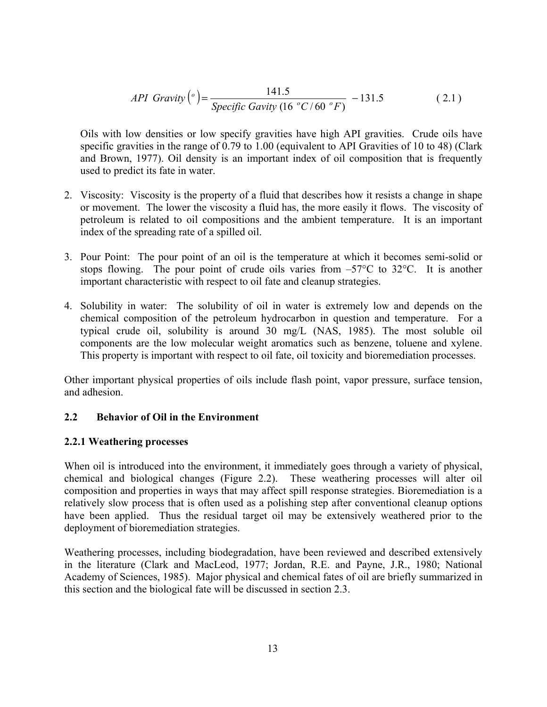$$
API\; Gravity\left(\text{°}\right) = \frac{141.5}{Specific\;Gavity\left(16\text{ °C}/60\text{ °F}\right)} - 131.5\tag{2.1}
$$

Oils with low densities or low specify gravities have high API gravities. Crude oils have specific gravities in the range of 0.79 to 1.00 (equivalent to API Gravities of 10 to 48) (Clark and Brown, 1977). Oil density is an important index of oil composition that is frequently used to predict its fate in water.

- 2. Viscosity: Viscosity is the property of a fluid that describes how it resists a change in shape or movement. The lower the viscosity a fluid has, the more easily it flows. The viscosity of petroleum is related to oil compositions and the ambient temperature. It is an important index of the spreading rate of a spilled oil.
- 3. Pour Point: The pour point of an oil is the temperature at which it becomes semi-solid or stops flowing. The pour point of crude oils varies from  $-57^{\circ}$ C to  $32^{\circ}$ C. It is another important characteristic with respect to oil fate and cleanup strategies.
- 4. Solubility in water: The solubility of oil in water is extremely low and depends on the chemical composition of the petroleum hydrocarbon in question and temperature. For a typical crude oil, solubility is around 30 mg/L (NAS, 1985). The most soluble oil components are the low molecular weight aromatics such as benzene, toluene and xylene. This property is important with respect to oil fate, oil toxicity and bioremediation processes.

Other important physical properties of oils include flash point, vapor pressure, surface tension, and adhesion.

# **2.2 Behavior of Oil in the Environment**

# **2.2.1 Weathering processes**

When oil is introduced into the environment, it immediately goes through a variety of physical, chemical and biological changes (Figure 2.2). These weathering processes will alter oil composition and properties in ways that may affect spill response strategies. Bioremediation is a relatively slow process that is often used as a polishing step after conventional cleanup options have been applied. Thus the residual target oil may be extensively weathered prior to the deployment of bioremediation strategies.

Weathering processes, including biodegradation, have been reviewed and described extensively in the literature (Clark and MacLeod, 1977; Jordan, R.E. and Payne, J.R., 1980; National Academy of Sciences, 1985). Major physical and chemical fates of oil are briefly summarized in this section and the biological fate will be discussed in section 2.3.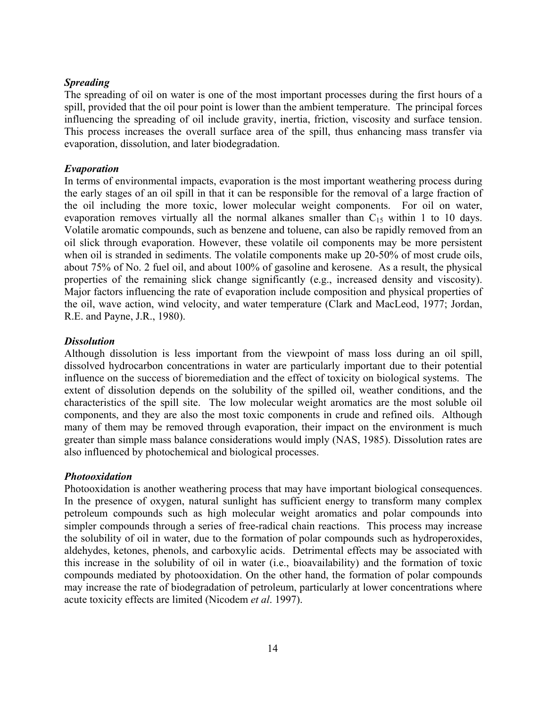### *Spreading*

The spreading of oil on water is one of the most important processes during the first hours of a spill, provided that the oil pour point is lower than the ambient temperature. The principal forces influencing the spreading of oil include gravity, inertia, friction, viscosity and surface tension. This process increases the overall surface area of the spill, thus enhancing mass transfer via evaporation, dissolution, and later biodegradation.

### *Evaporation*

In terms of environmental impacts, evaporation is the most important weathering process during the early stages of an oil spill in that it can be responsible for the removal of a large fraction of the oil including the more toxic, lower molecular weight components. For oil on water, evaporation removes virtually all the normal alkanes smaller than  $C_{15}$  within 1 to 10 days. Volatile aromatic compounds, such as benzene and toluene, can also be rapidly removed from an oil slick through evaporation. However, these volatile oil components may be more persistent when oil is stranded in sediments. The volatile components make up 20-50% of most crude oils, about 75% of No. 2 fuel oil, and about 100% of gasoline and kerosene. As a result, the physical properties of the remaining slick change significantly (e.g., increased density and viscosity). Major factors influencing the rate of evaporation include composition and physical properties of the oil, wave action, wind velocity, and water temperature (Clark and MacLeod, 1977; Jordan, R.E. and Payne, J.R., 1980).

### *Dissolution*

Although dissolution is less important from the viewpoint of mass loss during an oil spill, dissolved hydrocarbon concentrations in water are particularly important due to their potential influence on the success of bioremediation and the effect of toxicity on biological systems. The extent of dissolution depends on the solubility of the spilled oil, weather conditions, and the characteristics of the spill site. The low molecular weight aromatics are the most soluble oil components, and they are also the most toxic components in crude and refined oils. Although many of them may be removed through evaporation, their impact on the environment is much greater than simple mass balance considerations would imply (NAS, 1985). Dissolution rates are also influenced by photochemical and biological processes.

# *Photooxidation*

Photooxidation is another weathering process that may have important biological consequences. In the presence of oxygen, natural sunlight has sufficient energy to transform many complex petroleum compounds such as high molecular weight aromatics and polar compounds into simpler compounds through a series of free-radical chain reactions. This process may increase the solubility of oil in water, due to the formation of polar compounds such as hydroperoxides, aldehydes, ketones, phenols, and carboxylic acids. Detrimental effects may be associated with this increase in the solubility of oil in water (i.e., bioavailability) and the formation of toxic compounds mediated by photooxidation. On the other hand, the formation of polar compounds may increase the rate of biodegradation of petroleum, particularly at lower concentrations where acute toxicity effects are limited (Nicodem *et al*. 1997).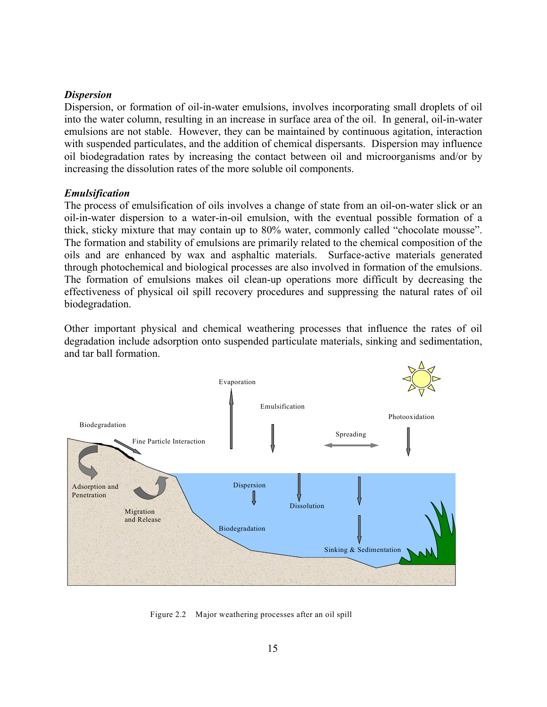### *Dispersion*

Dispersion, or formation of oil-in-water emulsions, involves incorporating small droplets of oil into the water column, resulting in an increase in surface area of the oil. In general, oil-in-water emulsions are not stable. However, they can be maintained by continuous agitation, interaction with suspended particulates, and the addition of chemical dispersants. Dispersion may influence oil biodegradation rates by increasing the contact between oil and microorganisms and/or by increasing the dissolution rates of the more soluble oil components.

# *Emulsification*

The process of emulsification of oils involves a change of state from an oil-on-water slick or an oil-in-water dispersion to a water-in-oil emulsion, with the eventual possible formation of a thick, sticky mixture that may contain up to 80% water, commonly called "chocolate mousse". The formation and stability of emulsions are primarily related to the chemical composition of the oils and are enhanced by wax and asphaltic materials. Surface-active materials generated through photochemical and biological processes are also involved in formation of the emulsions. The formation of emulsions makes oil clean-up operations more difficult by decreasing the effectiveness of physical oil spill recovery procedures and suppressing the natural rates of oil biodegradation.

Other important physical and chemical weathering processes that influence the rates of oil degradation include adsorption onto suspended particulate materials, sinking and sedimentation, and tar ball formation.



Figure 2.2 Major weathering processes after an oil spill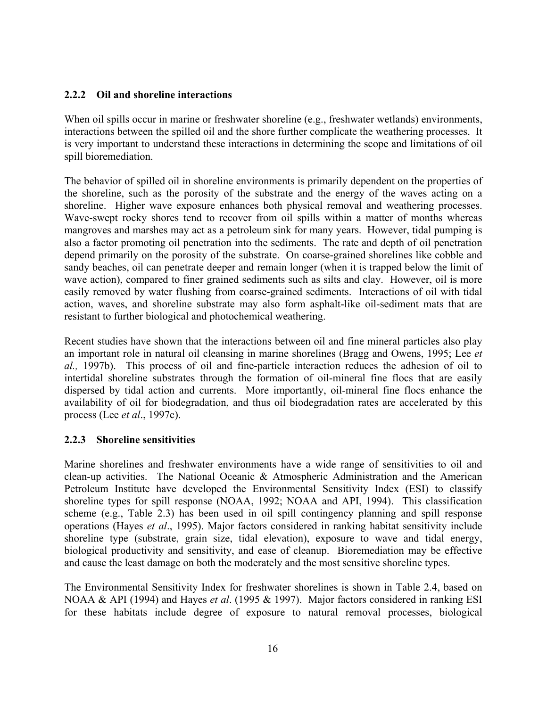# **2.2.2 Oil and shoreline interactions**

When oil spills occur in marine or freshwater shoreline (e.g., freshwater wetlands) environments, interactions between the spilled oil and the shore further complicate the weathering processes. It is very important to understand these interactions in determining the scope and limitations of oil spill bioremediation.

The behavior of spilled oil in shoreline environments is primarily dependent on the properties of the shoreline, such as the porosity of the substrate and the energy of the waves acting on a shoreline. Higher wave exposure enhances both physical removal and weathering processes. Wave-swept rocky shores tend to recover from oil spills within a matter of months whereas mangroves and marshes may act as a petroleum sink for many years. However, tidal pumping is also a factor promoting oil penetration into the sediments. The rate and depth of oil penetration depend primarily on the porosity of the substrate. On coarse-grained shorelines like cobble and sandy beaches, oil can penetrate deeper and remain longer (when it is trapped below the limit of wave action), compared to finer grained sediments such as silts and clay. However, oil is more easily removed by water flushing from coarse-grained sediments. Interactions of oil with tidal action, waves, and shoreline substrate may also form asphalt-like oil-sediment mats that are resistant to further biological and photochemical weathering.

Recent studies have shown that the interactions between oil and fine mineral particles also play an important role in natural oil cleansing in marine shorelines (Bragg and Owens, 1995; Lee *et al.,* 1997b). This process of oil and fine-particle interaction reduces the adhesion of oil to intertidal shoreline substrates through the formation of oil-mineral fine flocs that are easily dispersed by tidal action and currents. More importantly, oil-mineral fine flocs enhance the availability of oil for biodegradation, and thus oil biodegradation rates are accelerated by this process (Lee *et al*., 1997c).

# **2.2.3 Shoreline sensitivities**

Marine shorelines and freshwater environments have a wide range of sensitivities to oil and clean-up activities. The National Oceanic & Atmospheric Administration and the American Petroleum Institute have developed the Environmental Sensitivity Index (ESI) to classify shoreline types for spill response (NOAA, 1992; NOAA and API, 1994). This classification scheme (e.g., Table 2.3) has been used in oil spill contingency planning and spill response operations (Hayes *et al*., 1995). Major factors considered in ranking habitat sensitivity include shoreline type (substrate, grain size, tidal elevation), exposure to wave and tidal energy, biological productivity and sensitivity, and ease of cleanup. Bioremediation may be effective and cause the least damage on both the moderately and the most sensitive shoreline types.

The Environmental Sensitivity Index for freshwater shorelines is shown in Table 2.4, based on NOAA & API (1994) and Hayes *et al*. (1995 & 1997). Major factors considered in ranking ESI for these habitats include degree of exposure to natural removal processes, biological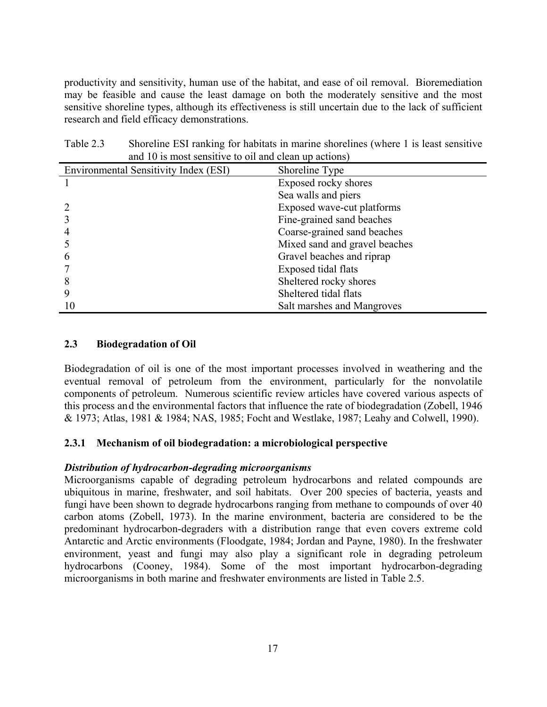productivity and sensitivity, human use of the habitat, and ease of oil removal. Bioremediation may be feasible and cause the least damage on both the moderately sensitive and the most sensitive shoreline types, although its effectiveness is still uncertain due to the lack of sufficient research and field efficacy demonstrations.

| Table 2.3 | Shoreline ESI ranking for habitats in marine shorelines (where 1 is least sensitive |
|-----------|-------------------------------------------------------------------------------------|
|           | and 10 is most sensitive to oil and clean up actions)                               |

| Environmental Sensitivity Index (ESI) | Shoreline Type                |
|---------------------------------------|-------------------------------|
|                                       | Exposed rocky shores          |
|                                       | Sea walls and piers           |
|                                       | Exposed wave-cut platforms    |
|                                       | Fine-grained sand beaches     |
|                                       | Coarse-grained sand beaches   |
|                                       | Mixed sand and gravel beaches |
| $\mathfrak b$                         | Gravel beaches and riprap     |
|                                       | Exposed tidal flats           |
| 8                                     | Sheltered rocky shores        |
|                                       | Sheltered tidal flats         |
|                                       | Salt marshes and Mangroves    |

# **2.3 Biodegradation of Oil**

Biodegradation of oil is one of the most important processes involved in weathering and the eventual removal of petroleum from the environment, particularly for the nonvolatile components of petroleum. Numerous scientific review articles have covered various aspects of this process an d the environmental factors that influence the rate of biodegradation (Zobell, 1946 & 1973; Atlas, 1981 & 1984; NAS, 1985; Focht and Westlake, 1987; Leahy and Colwell, 1990).

# **2.3.1 Mechanism of oil biodegradation: a microbiological perspective**

# *Distribution of hydrocarbon-degrading microorganisms*

Microorganisms capable of degrading petroleum hydrocarbons and related compounds are ubiquitous in marine, freshwater, and soil habitats. Over 200 species of bacteria, yeasts and fungi have been shown to degrade hydrocarbons ranging from methane to compounds of over 40 carbon atoms (Zobell, 1973). In the marine environment, bacteria are considered to be the predominant hydrocarbon-degraders with a distribution range that even covers extreme cold Antarctic and Arctic environments (Floodgate, 1984; Jordan and Payne, 1980). In the freshwater environment, yeast and fungi may also play a significant role in degrading petroleum hydrocarbons (Cooney, 1984). Some of the most important hydrocarbon-degrading microorganisms in both marine and freshwater environments are listed in Table 2.5.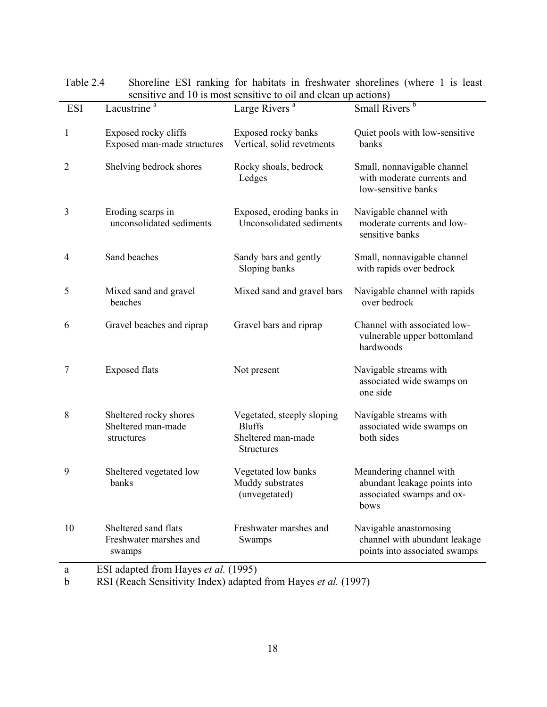| <b>ESI</b>     | Lacustrine <sup>a</sup>                                    | Large Rivers <sup>a</sup>                                                              | Small Rivers <sup>b</sup>                                                                    |
|----------------|------------------------------------------------------------|----------------------------------------------------------------------------------------|----------------------------------------------------------------------------------------------|
| $\mathbf{1}$   | Exposed rocky cliffs<br>Exposed man-made structures        | Exposed rocky banks<br>Vertical, solid revetments                                      | Quiet pools with low-sensitive<br>banks                                                      |
| $\overline{2}$ | Shelving bedrock shores                                    | Rocky shoals, bedrock<br>Ledges                                                        | Small, nonnavigable channel<br>with moderate currents and<br>low-sensitive banks             |
| 3              | Eroding scarps in<br>unconsolidated sediments              | Exposed, eroding banks in<br>Unconsolidated sediments                                  | Navigable channel with<br>moderate currents and low-<br>sensitive banks                      |
| 4              | Sand beaches                                               | Sandy bars and gently<br>Sloping banks                                                 | Small, nonnavigable channel<br>with rapids over bedrock                                      |
| 5              | Mixed sand and gravel<br>beaches                           | Mixed sand and gravel bars                                                             | Navigable channel with rapids<br>over bedrock                                                |
| 6              | Gravel beaches and riprap                                  | Gravel bars and riprap                                                                 | Channel with associated low-<br>vulnerable upper bottomland<br>hardwoods                     |
| 7              | <b>Exposed flats</b>                                       | Not present                                                                            | Navigable streams with<br>associated wide swamps on<br>one side                              |
| 8              | Sheltered rocky shores<br>Sheltered man-made<br>structures | Vegetated, steeply sloping<br><b>Bluffs</b><br>Sheltered man-made<br><b>Structures</b> | Navigable streams with<br>associated wide swamps on<br>both sides                            |
| 9              | Sheltered vegetated low<br>banks                           | Vegetated low banks<br>Muddy substrates<br>(unvegetated)                               | Meandering channel with<br>abundant leakage points into<br>associated swamps and ox-<br>bows |
| 10             | Sheltered sand flats<br>Freshwater marshes and<br>swamps   | Freshwater marshes and<br>Swamps                                                       | Navigable anastomosing<br>channel with abundant leakage<br>points into associated swamps     |

Table 2.4 Shoreline ESI ranking for habitats in freshwater shorelines (where 1 is least sensitive and 10 is most sensitive to oil and clean up actions)

a ESI adapted from Hayes *et al.* (1995)

b RSI (Reach Sensitivity Index) adapted from Hayes *et al.* (1997)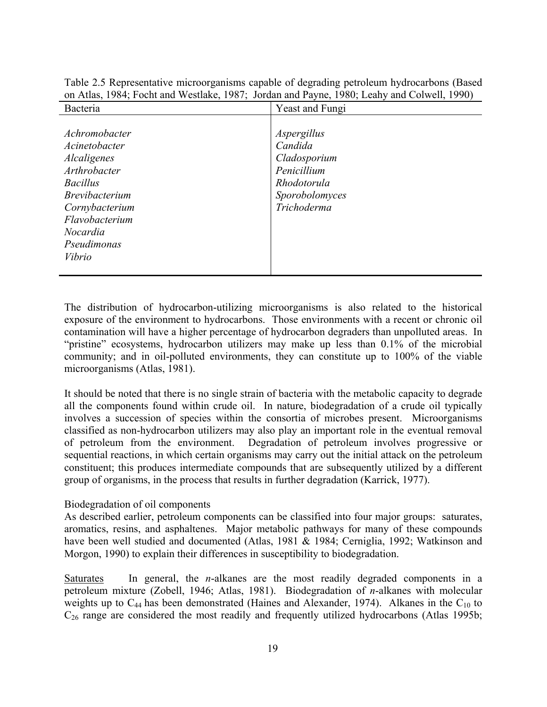| on Atlas, 1984; Focht and Westlake, 1987; Jordan and Payne, 1980; Leahy and Colwell, 1990) |                 |
|--------------------------------------------------------------------------------------------|-----------------|
| Bacteria                                                                                   | Yeast and Fungi |
|                                                                                            |                 |
| Achromobacter                                                                              | Aspergillus     |
| Acinetobacter                                                                              | Candida         |
| Alcaligenes                                                                                | Cladosporium    |
| Arthrobacter                                                                               | Penicillium     |
| <b>Bacillus</b>                                                                            | Rhodotorula     |
| <b>Brevibacterium</b>                                                                      | Sporobolomyces  |
| Cornybacterium                                                                             | Trichoderma     |

Table 2.5 Representative microorganisms capable of degrading petroleum hydrocarbons (Based on Atlas, 1984; Focht and Westlake, 1987; Jordan and Payne, 1980; Leahy and Colwell, 1990)

The distribution of hydrocarbon-utilizing microorganisms is also related to the historical exposure of the environment to hydrocarbons. Those environments with a recent or chronic oil contamination will have a higher percentage of hydrocarbon degraders than unpolluted areas. In "pristine" ecosystems, hydrocarbon utilizers may make up less than 0.1% of the microbial community; and in oil-polluted environments, they can constitute up to 100% of the viable microorganisms (Atlas, 1981).

It should be noted that there is no single strain of bacteria with the metabolic capacity to degrade all the components found within crude oil. In nature, biodegradation of a crude oil typically involves a succession of species within the consortia of microbes present. Microorganisms classified as non-hydrocarbon utilizers may also play an important role in the eventual removal of petroleum from the environment. Degradation of petroleum involves progressive or sequential reactions, in which certain organisms may carry out the initial attack on the petroleum constituent; this produces intermediate compounds that are subsequently utilized by a different group of organisms, in the process that results in further degradation (Karrick, 1977).

# Biodegradation of oil components

*Flavobacterium* 

*Nocardia Pseudimonas* 

*Vibrio* 

As described earlier, petroleum components can be classified into four major groups: saturates, aromatics, resins, and asphaltenes. Major metabolic pathways for many of these compounds have been well studied and documented (Atlas, 1981 & 1984; Cerniglia, 1992; Watkinson and Morgon, 1990) to explain their differences in susceptibility to biodegradation.

Saturates In general, the *n*-alkanes are the most readily degraded components in a petroleum mixture (Zobell, 1946; Atlas, 1981). Biodegradation of *n*-alkanes with molecular weights up to  $C_{44}$  has been demonstrated (Haines and Alexander, 1974). Alkanes in the  $C_{10}$  to  $C_{26}$  range are considered the most readily and frequently utilized hydrocarbons (Atlas 1995b;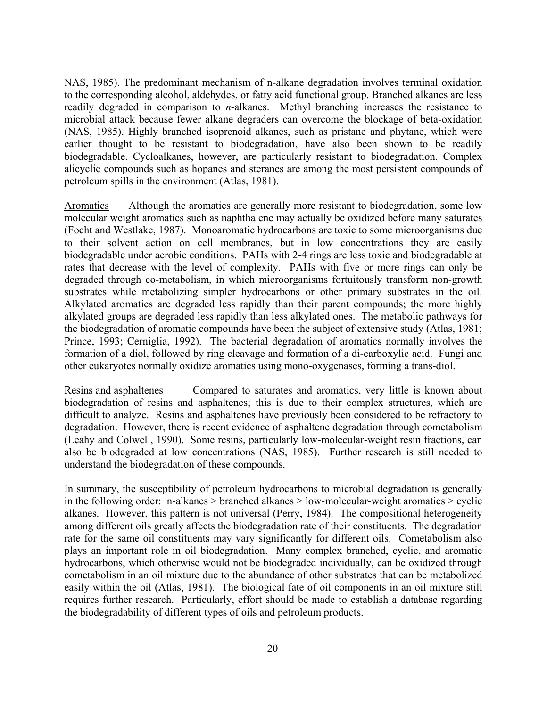NAS, 1985). The predominant mechanism of n-alkane degradation involves terminal oxidation to the corresponding alcohol, aldehydes, or fatty acid functional group. Branched alkanes are less readily degraded in comparison to *n*-alkanes. Methyl branching increases the resistance to microbial attack because fewer alkane degraders can overcome the blockage of beta-oxidation (NAS, 1985). Highly branched isoprenoid alkanes, such as pristane and phytane, which were earlier thought to be resistant to biodegradation, have also been shown to be readily biodegradable. Cycloalkanes, however, are particularly resistant to biodegradation. Complex alicyclic compounds such as hopanes and steranes are among the most persistent compounds of petroleum spills in the environment (Atlas, 1981).

Aromatics Although the aromatics are generally more resistant to biodegradation, some low molecular weight aromatics such as naphthalene may actually be oxidized before many saturates (Focht and Westlake, 1987). Monoaromatic hydrocarbons are toxic to some microorganisms due to their solvent action on cell membranes, but in low concentrations they are easily biodegradable under aerobic conditions. PAHs with 2-4 rings are less toxic and biodegradable at rates that decrease with the level of complexity. PAHs with five or more rings can only be degraded through co-metabolism, in which microorganisms fortuitously transform non-growth substrates while metabolizing simpler hydrocarbons or other primary substrates in the oil. Alkylated aromatics are degraded less rapidly than their parent compounds; the more highly alkylated groups are degraded less rapidly than less alkylated ones. The metabolic pathways for the biodegradation of aromatic compounds have been the subject of extensive study (Atlas, 1981; Prince, 1993; Cerniglia, 1992). The bacterial degradation of aromatics normally involves the formation of a diol, followed by ring cleavage and formation of a di-carboxylic acid. Fungi and other eukaryotes normally oxidize aromatics using mono-oxygenases, forming a trans-diol.

Resins and asphaltenes Compared to saturates and aromatics, very little is known about biodegradation of resins and asphaltenes; this is due to their complex structures, which are difficult to analyze. Resins and asphaltenes have previously been considered to be refractory to degradation. However, there is recent evidence of asphaltene degradation through cometabolism (Leahy and Colwell, 1990). Some resins, particularly low-molecular-weight resin fractions, can also be biodegraded at low concentrations (NAS, 1985). Further research is still needed to understand the biodegradation of these compounds.

In summary, the susceptibility of petroleum hydrocarbons to microbial degradation is generally in the following order: n-alkanes > branched alkanes > low-molecular-weight aromatics > cyclic alkanes. However, this pattern is not universal (Perry, 1984). The compositional heterogeneity among different oils greatly affects the biodegradation rate of their constituents. The degradation rate for the same oil constituents may vary significantly for different oils. Cometabolism also plays an important role in oil biodegradation. Many complex branched, cyclic, and aromatic hydrocarbons, which otherwise would not be biodegraded individually, can be oxidized through cometabolism in an oil mixture due to the abundance of other substrates that can be metabolized easily within the oil (Atlas, 1981). The biological fate of oil components in an oil mixture still requires further research. Particularly, effort should be made to establish a database regarding the biodegradability of different types of oils and petroleum products.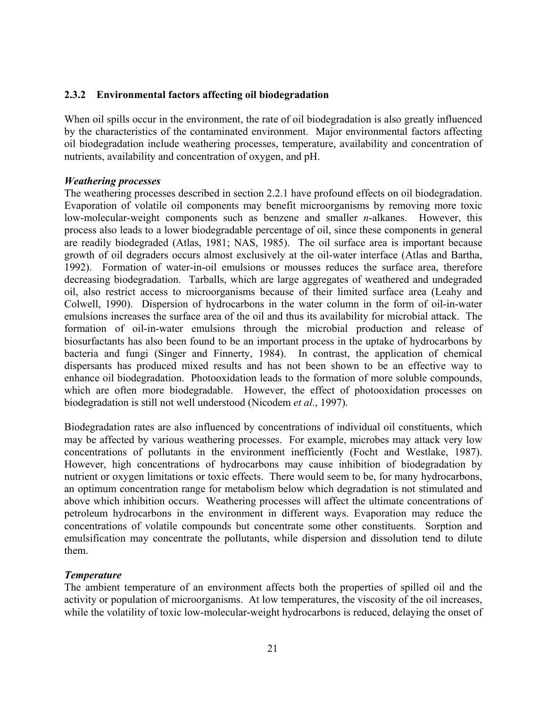# **2.3.2 Environmental factors affecting oil biodegradation**

When oil spills occur in the environment, the rate of oil biodegradation is also greatly influenced by the characteristics of the contaminated environment. Major environmental factors affecting oil biodegradation include weathering processes, temperature, availability and concentration of nutrients, availability and concentration of oxygen, and pH.

### *Weathering processes*

The weathering processes described in section 2.2.1 have profound effects on oil biodegradation. Evaporation of volatile oil components may benefit microorganisms by removing more toxic low-molecular-weight components such as benzene and smaller *n*-alkanes. However, this process also leads to a lower biodegradable percentage of oil, since these components in general are readily biodegraded (Atlas, 1981; NAS, 1985). The oil surface area is important because growth of oil degraders occurs almost exclusively at the oil-water interface (Atlas and Bartha, 1992). Formation of water-in-oil emulsions or mousses reduces the surface area, therefore decreasing biodegradation. Tarballs, which are large aggregates of weathered and undegraded oil, also restrict access to microorganisms because of their limited surface area (Leahy and Colwell, 1990). Dispersion of hydrocarbons in the water column in the form of oil-in-water emulsions increases the surface area of the oil and thus its availability for microbial attack. The formation of oil-in-water emulsions through the microbial production and release of biosurfactants has also been found to be an important process in the uptake of hydrocarbons by bacteria and fungi (Singer and Finnerty, 1984). In contrast, the application of chemical dispersants has produced mixed results and has not been shown to be an effective way to enhance oil biodegradation. Photooxidation leads to the formation of more soluble compounds, which are often more biodegradable. However, the effect of photooxidation processes on biodegradation is still not well understood (Nicodem *et al*., 1997).

Biodegradation rates are also influenced by concentrations of individual oil constituents, which may be affected by various weathering processes. For example, microbes may attack very low concentrations of pollutants in the environment inefficiently (Focht and Westlake, 1987). However, high concentrations of hydrocarbons may cause inhibition of biodegradation by nutrient or oxygen limitations or toxic effects. There would seem to be, for many hydrocarbons, an optimum concentration range for metabolism below which degradation is not stimulated and above which inhibition occurs. Weathering processes will affect the ultimate concentrations of petroleum hydrocarbons in the environment in different ways. Evaporation may reduce the concentrations of volatile compounds but concentrate some other constituents. Sorption and emulsification may concentrate the pollutants, while dispersion and dissolution tend to dilute them.

# *Temperature*

The ambient temperature of an environment affects both the properties of spilled oil and the activity or population of microorganisms. At low temperatures, the viscosity of the oil increases, while the volatility of toxic low-molecular-weight hydrocarbons is reduced, delaying the onset of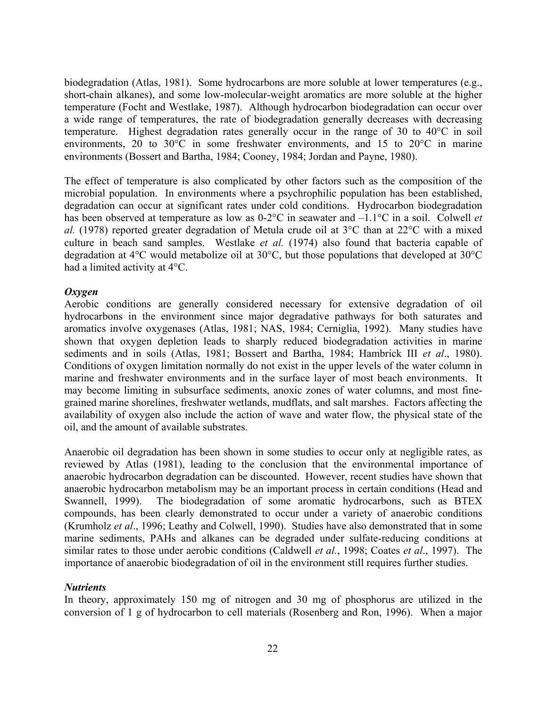biodegradation (Atlas, 1981). Some hydrocarbons are more soluble at lower temperatures (e.g., short-chain alkanes), and some low-molecular-weight aromatics are more soluble at the higher temperature (Focht and Westlake, 1987). Although hydrocarbon biodegradation can occur over a wide range of temperatures, the rate of biodegradation generally decreases with decreasing temperature. Highest degradation rates generally occur in the range of 30 to 40°C in soil environments, 20 to 30°C in some freshwater environments, and 15 to 20°C in marine environments (Bossert and Bartha, 1984; Cooney, 1984; Jordan and Payne, 1980).

The effect of temperature is also complicated by other factors such as the composition of the microbial population. In environments where a psychrophilic population has been established, degradation can occur at significant rates under cold conditions. Hydrocarbon biodegradation has been observed at temperature as low as 0-2°C in seawater and –1.1°C in a soil. Colwell *et al.* (1978) reported greater degradation of Metula crude oil at 3°C than at 22°C with a mixed culture in beach sand samples. Westlake *et al.* (1974) also found that bacteria capable of degradation at 4°C would metabolize oil at 30°C, but those populations that developed at 30°C had a limited activity at 4°C.

# *Oxygen*

Aerobic conditions are generally considered necessary for extensive degradation of oil hydrocarbons in the environment since major degradative pathways for both saturates and aromatics involve oxygenases (Atlas, 1981; NAS, 1984; Cerniglia, 1992). Many studies have shown that oxygen depletion leads to sharply reduced biodegradation activities in marine sediments and in soils (Atlas, 1981; Bossert and Bartha, 1984; Hambrick III *et al*., 1980). Conditions of oxygen limitation normally do not exist in the upper levels of the water column in marine and freshwater environments and in the surface layer of most beach environments. It may become limiting in subsurface sediments, anoxic zones of water columns, and most finegrained marine shorelines, freshwater wetlands, mudflats, and salt marshes. Factors affecting the availability of oxygen also include the action of wave and water flow, the physical state of the oil, and the amount of available substrates.

Anaerobic oil degradation has been shown in some studies to occur only at negligible rates, as reviewed by Atlas (1981), leading to the conclusion that the environmental importance of anaerobic hydrocarbon degradation can be discounted. However, recent studies have shown that anaerobic hydrocarbon metabolism may be an important process in certain conditions (Head and Swannell, 1999). The biodegradation of some aromatic hydrocarbons, such as BTEX compounds, has been clearly demonstrated to occur under a variety of anaerobic conditions (Krumholz *et al*., 1996; Leathy and Colwell, 1990). Studies have also demonstrated that in some marine sediments, PAHs and alkanes can be degraded under sulfate-reducing conditions at similar rates to those under aerobic conditions (Caldwell *et al.*, 1998; Coates *et al*., 1997). The importance of anaerobic biodegradation of oil in the environment still requires further studies.

#### *Nutrients*

In theory, approximately 150 mg of nitrogen and 30 mg of phosphorus are utilized in the conversion of 1 g of hydrocarbon to cell materials (Rosenberg and Ron, 1996). When a major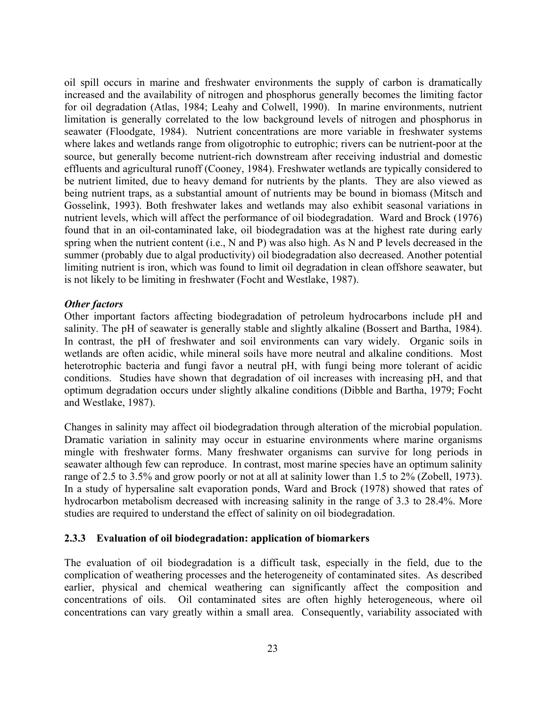oil spill occurs in marine and freshwater environments the supply of carbon is dramatically increased and the availability of nitrogen and phosphorus generally becomes the limiting factor for oil degradation (Atlas, 1984; Leahy and Colwell, 1990). In marine environments, nutrient limitation is generally correlated to the low background levels of nitrogen and phosphorus in seawater (Floodgate, 1984). Nutrient concentrations are more variable in freshwater systems where lakes and wetlands range from oligotrophic to eutrophic; rivers can be nutrient-poor at the source, but generally become nutrient-rich downstream after receiving industrial and domestic effluents and agricultural runoff (Cooney, 1984). Freshwater wetlands are typically considered to be nutrient limited, due to heavy demand for nutrients by the plants. They are also viewed as being nutrient traps, as a substantial amount of nutrients may be bound in biomass (Mitsch and Gosselink, 1993). Both freshwater lakes and wetlands may also exhibit seasonal variations in nutrient levels, which will affect the performance of oil biodegradation. Ward and Brock (1976) found that in an oil-contaminated lake, oil biodegradation was at the highest rate during early spring when the nutrient content (i.e., N and P) was also high. As N and P levels decreased in the summer (probably due to algal productivity) oil biodegradation also decreased. Another potential limiting nutrient is iron, which was found to limit oil degradation in clean offshore seawater, but is not likely to be limiting in freshwater (Focht and Westlake, 1987).

### *Other factors*

Other important factors affecting biodegradation of petroleum hydrocarbons include pH and salinity. The pH of seawater is generally stable and slightly alkaline (Bossert and Bartha, 1984). In contrast, the pH of freshwater and soil environments can vary widely. Organic soils in wetlands are often acidic, while mineral soils have more neutral and alkaline conditions. Most heterotrophic bacteria and fungi favor a neutral pH, with fungi being more tolerant of acidic conditions. Studies have shown that degradation of oil increases with increasing pH, and that optimum degradation occurs under slightly alkaline conditions (Dibble and Bartha, 1979; Focht and Westlake, 1987).

Changes in salinity may affect oil biodegradation through alteration of the microbial population. Dramatic variation in salinity may occur in estuarine environments where marine organisms mingle with freshwater forms. Many freshwater organisms can survive for long periods in seawater although few can reproduce. In contrast, most marine species have an optimum salinity range of 2.5 to 3.5% and grow poorly or not at all at salinity lower than 1.5 to 2% (Zobell, 1973). In a study of hypersaline salt evaporation ponds, Ward and Brock (1978) showed that rates of hydrocarbon metabolism decreased with increasing salinity in the range of 3.3 to 28.4%. More studies are required to understand the effect of salinity on oil biodegradation.

# **2.3.3 Evaluation of oil biodegradation: application of biomarkers**

The evaluation of oil biodegradation is a difficult task, especially in the field, due to the complication of weathering processes and the heterogeneity of contaminated sites. As described earlier, physical and chemical weathering can significantly affect the composition and concentrations of oils. Oil contaminated sites are often highly heterogeneous, where oil concentrations can vary greatly within a small area. Consequently, variability associated with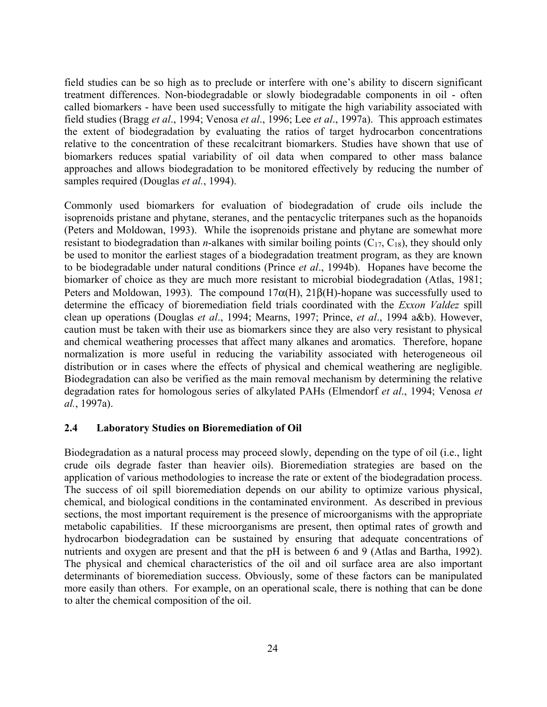field studies can be so high as to preclude or interfere with one's ability to discern significant treatment differences. Non-biodegradable or slowly biodegradable components in oil - often called biomarkers - have been used successfully to mitigate the high variability associated with field studies (Bragg *et al*., 1994; Venosa *et al*., 1996; Lee *et al*., 1997a). This approach estimates the extent of biodegradation by evaluating the ratios of target hydrocarbon concentrations relative to the concentration of these recalcitrant biomarkers. Studies have shown that use of biomarkers reduces spatial variability of oil data when compared to other mass balance approaches and allows biodegradation to be monitored effectively by reducing the number of samples required (Douglas *et al.*, 1994).

Commonly used biomarkers for evaluation of biodegradation of crude oils include the isoprenoids pristane and phytane, steranes, and the pentacyclic triterpanes such as the hopanoids (Peters and Moldowan, 1993). While the isoprenoids pristane and phytane are somewhat more resistant to biodegradation than *n*-alkanes with similar boiling points  $(C_{17}, C_{18})$ , they should only be used to monitor the earliest stages of a biodegradation treatment program, as they are known to be biodegradable under natural conditions (Prince *et al*., 1994b). Hopanes have become the biomarker of choice as they are much more resistant to microbial biodegradation (Atlas, 1981; Peters and Moldowan, 1993). The compound  $17\alpha(H)$ ,  $21\beta(H)$ -hopane was successfully used to determine the efficacy of bioremediation field trials coordinated with the *Exxon Valdez* spill clean up operations (Douglas *et al*., 1994; Mearns, 1997; Prince, *et al*., 1994 a&b). However, caution must be taken with their use as biomarkers since they are also very resistant to physical and chemical weathering processes that affect many alkanes and aromatics. Therefore, hopane normalization is more useful in reducing the variability associated with heterogeneous oil distribution or in cases where the effects of physical and chemical weathering are negligible. Biodegradation can also be verified as the main removal mechanism by determining the relative degradation rates for homologous series of alkylated PAHs (Elmendorf *et al*., 1994; Venosa *et al.*, 1997a).

# **2.4 Laboratory Studies on Bioremediation of Oil**

Biodegradation as a natural process may proceed slowly, depending on the type of oil (i.e., light crude oils degrade faster than heavier oils). Bioremediation strategies are based on the application of various methodologies to increase the rate or extent of the biodegradation process. The success of oil spill bioremediation depends on our ability to optimize various physical, chemical, and biological conditions in the contaminated environment. As described in previous sections, the most important requirement is the presence of microorganisms with the appropriate metabolic capabilities. If these microorganisms are present, then optimal rates of growth and hydrocarbon biodegradation can be sustained by ensuring that adequate concentrations of nutrients and oxygen are present and that the pH is between 6 and 9 (Atlas and Bartha, 1992). The physical and chemical characteristics of the oil and oil surface area are also important determinants of bioremediation success. Obviously, some of these factors can be manipulated more easily than others. For example, on an operational scale, there is nothing that can be done to alter the chemical composition of the oil.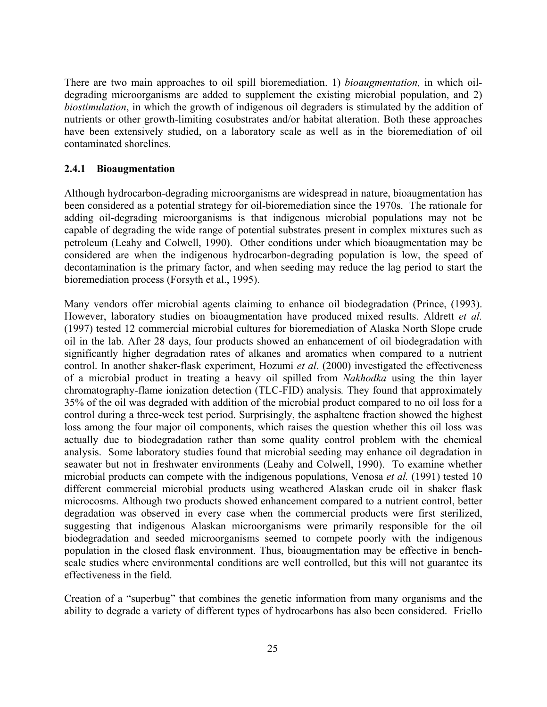There are two main approaches to oil spill bioremediation. 1) *bioaugmentation,* in which oildegrading microorganisms are added to supplement the existing microbial population, and 2) *biostimulation*, in which the growth of indigenous oil degraders is stimulated by the addition of nutrients or other growth-limiting cosubstrates and/or habitat alteration. Both these approaches have been extensively studied, on a laboratory scale as well as in the bioremediation of oil contaminated shorelines.

# **2.4.1 Bioaugmentation**

Although hydrocarbon-degrading microorganisms are widespread in nature, bioaugmentation has been considered as a potential strategy for oil-bioremediation since the 1970s. The rationale for adding oil-degrading microorganisms is that indigenous microbial populations may not be capable of degrading the wide range of potential substrates present in complex mixtures such as petroleum (Leahy and Colwell, 1990). Other conditions under which bioaugmentation may be considered are when the indigenous hydrocarbon-degrading population is low, the speed of decontamination is the primary factor, and when seeding may reduce the lag period to start the bioremediation process (Forsyth et al., 1995).

Many vendors offer microbial agents claiming to enhance oil biodegradation (Prince, (1993). However, laboratory studies on bioaugmentation have produced mixed results. Aldrett *et al.*  (1997) tested 12 commercial microbial cultures for bioremediation of Alaska North Slope crude oil in the lab. After 28 days, four products showed an enhancement of oil biodegradation with significantly higher degradation rates of alkanes and aromatics when compared to a nutrient control. In another shaker-flask experiment, Hozumi *et al*. (2000) investigated the effectiveness of a microbial product in treating a heavy oil spilled from *Nakhodka* using the thin layer chromatography-flame ionization detection (TLC-FID) analysis*.* They found that approximately 35% of the oil was degraded with addition of the microbial product compared to no oil loss for a control during a three-week test period. Surprisingly, the asphaltene fraction showed the highest loss among the four major oil components, which raises the question whether this oil loss was actually due to biodegradation rather than some quality control problem with the chemical analysis. Some laboratory studies found that microbial seeding may enhance oil degradation in seawater but not in freshwater environments (Leahy and Colwell, 1990). To examine whether microbial products can compete with the indigenous populations, Venosa *et al.* (1991) tested 10 different commercial microbial products using weathered Alaskan crude oil in shaker flask microcosms. Although two products showed enhancement compared to a nutrient control, better degradation was observed in every case when the commercial products were first sterilized, suggesting that indigenous Alaskan microorganisms were primarily responsible for the oil biodegradation and seeded microorganisms seemed to compete poorly with the indigenous population in the closed flask environment. Thus, bioaugmentation may be effective in benchscale studies where environmental conditions are well controlled, but this will not guarantee its effectiveness in the field.

Creation of a "superbug" that combines the genetic information from many organisms and the ability to degrade a variety of different types of hydrocarbons has also been considered. Friello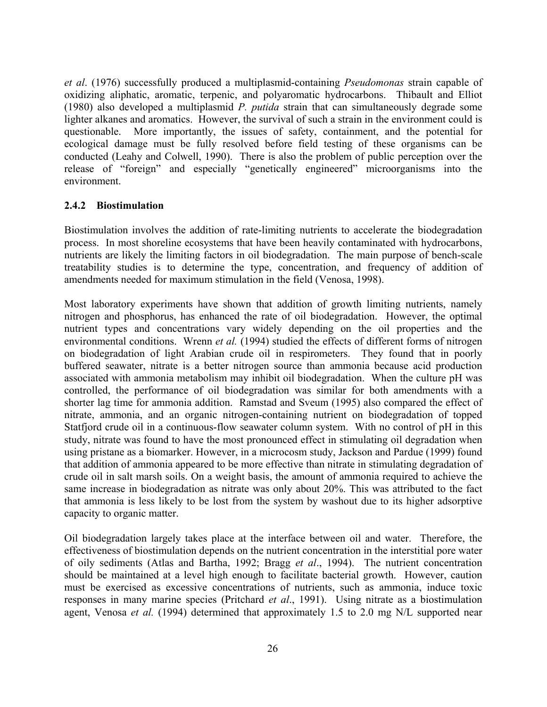*et al*. (1976) successfully produced a multiplasmid-containing *Pseudomonas* strain capable of oxidizing aliphatic, aromatic, terpenic, and polyaromatic hydrocarbons. Thibault and Elliot (1980) also developed a multiplasmid *P. putida* strain that can simultaneously degrade some lighter alkanes and aromatics. However, the survival of such a strain in the environment could is questionable. More importantly, the issues of safety, containment, and the potential for ecological damage must be fully resolved before field testing of these organisms can be conducted (Leahy and Colwell, 1990). There is also the problem of public perception over the release of "foreign" and especially "genetically engineered" microorganisms into the environment.

# **2.4.2 Biostimulation**

Biostimulation involves the addition of rate-limiting nutrients to accelerate the biodegradation process. In most shoreline ecosystems that have been heavily contaminated with hydrocarbons, nutrients are likely the limiting factors in oil biodegradation. The main purpose of bench-scale treatability studies is to determine the type, concentration, and frequency of addition of amendments needed for maximum stimulation in the field (Venosa, 1998).

Most laboratory experiments have shown that addition of growth limiting nutrients, namely nitrogen and phosphorus, has enhanced the rate of oil biodegradation. However, the optimal nutrient types and concentrations vary widely depending on the oil properties and the environmental conditions. Wrenn *et al.* (1994) studied the effects of different forms of nitrogen on biodegradation of light Arabian crude oil in respirometers. They found that in poorly buffered seawater, nitrate is a better nitrogen source than ammonia because acid production associated with ammonia metabolism may inhibit oil biodegradation. When the culture pH was controlled, the performance of oil biodegradation was similar for both amendments with a shorter lag time for ammonia addition. Ramstad and Sveum (1995) also compared the effect of nitrate, ammonia, and an organic nitrogen-containing nutrient on biodegradation of topped Statfjord crude oil in a continuous-flow seawater column system. With no control of pH in this study, nitrate was found to have the most pronounced effect in stimulating oil degradation when using pristane as a biomarker. However, in a microcosm study, Jackson and Pardue (1999) found that addition of ammonia appeared to be more effective than nitrate in stimulating degradation of crude oil in salt marsh soils. On a weight basis, the amount of ammonia required to achieve the same increase in biodegradation as nitrate was only about 20%. This was attributed to the fact that ammonia is less likely to be lost from the system by washout due to its higher adsorptive capacity to organic matter.

Oil biodegradation largely takes place at the interface between oil and water. Therefore, the effectiveness of biostimulation depends on the nutrient concentration in the interstitial pore water of oily sediments (Atlas and Bartha, 1992; Bragg *et al*., 1994). The nutrient concentration should be maintained at a level high enough to facilitate bacterial growth. However, caution must be exercised as excessive concentrations of nutrients, such as ammonia, induce toxic responses in many marine species (Pritchard *et al*., 1991). Using nitrate as a biostimulation agent, Venosa *et al.* (1994) determined that approximately 1.5 to 2.0 mg N/L supported near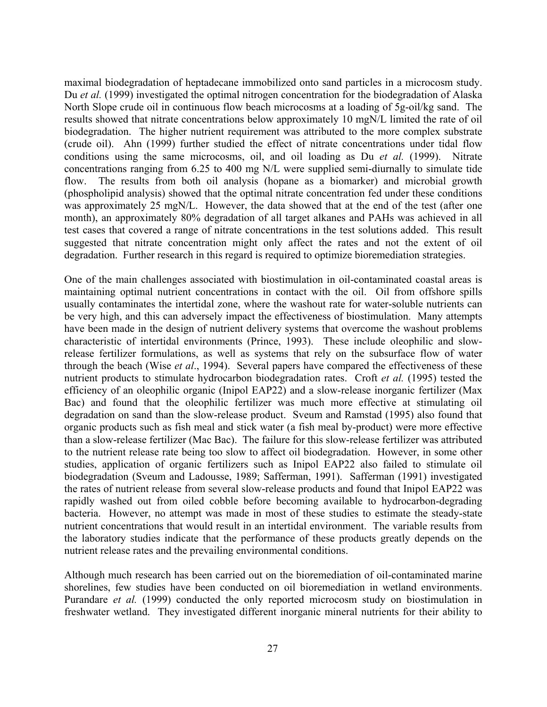maximal biodegradation of heptadecane immobilized onto sand particles in a microcosm study. Du *et al.* (1999) investigated the optimal nitrogen concentration for the biodegradation of Alaska North Slope crude oil in continuous flow beach microcosms at a loading of 5g-oil/kg sand. The results showed that nitrate concentrations below approximately 10 mgN/L limited the rate of oil biodegradation. The higher nutrient requirement was attributed to the more complex substrate (crude oil). Ahn (1999) further studied the effect of nitrate concentrations under tidal flow conditions using the same microcosms, oil, and oil loading as Du *et al.* (1999). Nitrate concentrations ranging from 6.25 to 400 mg N/L were supplied semi-diurnally to simulate tide flow. The results from both oil analysis (hopane as a biomarker) and microbial growth (phospholipid analysis) showed that the optimal nitrate concentration fed under these conditions was approximately 25 mgN/L. However, the data showed that at the end of the test (after one month), an approximately 80% degradation of all target alkanes and PAHs was achieved in all test cases that covered a range of nitrate concentrations in the test solutions added. This result suggested that nitrate concentration might only affect the rates and not the extent of oil degradation. Further research in this regard is required to optimize bioremediation strategies.

One of the main challenges associated with biostimulation in oil-contaminated coastal areas is maintaining optimal nutrient concentrations in contact with the oil. Oil from offshore spills usually contaminates the intertidal zone, where the washout rate for water-soluble nutrients can be very high, and this can adversely impact the effectiveness of biostimulation. Many attempts have been made in the design of nutrient delivery systems that overcome the washout problems characteristic of intertidal environments (Prince, 1993). These include oleophilic and slowrelease fertilizer formulations, as well as systems that rely on the subsurface flow of water through the beach (Wise *et al*., 1994). Several papers have compared the effectiveness of these nutrient products to stimulate hydrocarbon biodegradation rates. Croft *et al.* (1995) tested the efficiency of an oleophilic organic (Inipol EAP22) and a slow-release inorganic fertilizer (Max Bac) and found that the oleophilic fertilizer was much more effective at stimulating oil degradation on sand than the slow-release product. Sveum and Ramstad (1995) also found that organic products such as fish meal and stick water (a fish meal by-product) were more effective than a slow-release fertilizer (Mac Bac). The failure for this slow-release fertilizer was attributed to the nutrient release rate being too slow to affect oil biodegradation. However, in some other studies, application of organic fertilizers such as Inipol EAP22 also failed to stimulate oil biodegradation (Sveum and Ladousse, 1989; Safferman, 1991). Safferman (1991) investigated the rates of nutrient release from several slow-release products and found that Inipol EAP22 was rapidly washed out from oiled cobble before becoming available to hydrocarbon-degrading bacteria. However, no attempt was made in most of these studies to estimate the steady-state nutrient concentrations that would result in an intertidal environment. The variable results from the laboratory studies indicate that the performance of these products greatly depends on the nutrient release rates and the prevailing environmental conditions.

Although much research has been carried out on the bioremediation of oil-contaminated marine shorelines, few studies have been conducted on oil bioremediation in wetland environments. Purandare *et al.* (1999) conducted the only reported microcosm study on biostimulation in freshwater wetland. They investigated different inorganic mineral nutrients for their ability to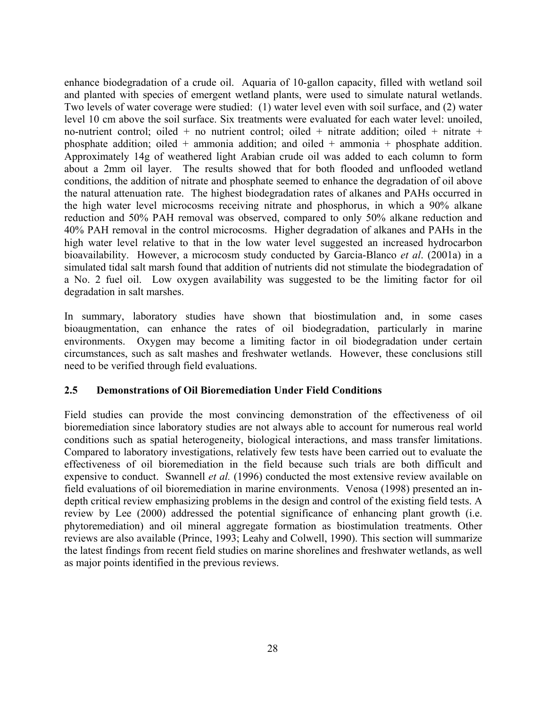enhance biodegradation of a crude oil. Aquaria of 10-gallon capacity, filled with wetland soil and planted with species of emergent wetland plants, were used to simulate natural wetlands. Two levels of water coverage were studied: (1) water level even with soil surface, and (2) water level 10 cm above the soil surface. Six treatments were evaluated for each water level: unoiled, no-nutrient control; oiled + no nutrient control; oiled + nitrate addition; oiled + nitrate + phosphate addition; oiled + ammonia addition; and oiled + ammonia + phosphate addition. Approximately 14g of weathered light Arabian crude oil was added to each column to form about a 2mm oil layer. The results showed that for both flooded and unflooded wetland conditions, the addition of nitrate and phosphate seemed to enhance the degradation of oil above the natural attenuation rate. The highest biodegradation rates of alkanes and PAHs occurred in the high water level microcosms receiving nitrate and phosphorus, in which a 90% alkane reduction and 50% PAH removal was observed, compared to only 50% alkane reduction and 40% PAH removal in the control microcosms. Higher degradation of alkanes and PAHs in the high water level relative to that in the low water level suggested an increased hydrocarbon bioavailability. However, a microcosm study conducted by Garcia-Blanco *et al*. (2001a) in a simulated tidal salt marsh found that addition of nutrients did not stimulate the biodegradation of a No. 2 fuel oil. Low oxygen availability was suggested to be the limiting factor for oil degradation in salt marshes.

In summary, laboratory studies have shown that biostimulation and, in some cases bioaugmentation, can enhance the rates of oil biodegradation, particularly in marine environments. Oxygen may become a limiting factor in oil biodegradation under certain circumstances, such as salt mashes and freshwater wetlands. However, these conclusions still need to be verified through field evaluations.

# **2.5 Demonstrations of Oil Bioremediation Under Field Conditions**

Field studies can provide the most convincing demonstration of the effectiveness of oil bioremediation since laboratory studies are not always able to account for numerous real world conditions such as spatial heterogeneity, biological interactions, and mass transfer limitations. Compared to laboratory investigations, relatively few tests have been carried out to evaluate the effectiveness of oil bioremediation in the field because such trials are both difficult and expensive to conduct. Swannell *et al.* (1996) conducted the most extensive review available on field evaluations of oil bioremediation in marine environments. Venosa (1998) presented an indepth critical review emphasizing problems in the design and control of the existing field tests. A review by Lee (2000) addressed the potential significance of enhancing plant growth (i.e. phytoremediation) and oil mineral aggregate formation as biostimulation treatments. Other reviews are also available (Prince, 1993; Leahy and Colwell, 1990). This section will summarize the latest findings from recent field studies on marine shorelines and freshwater wetlands, as well as major points identified in the previous reviews.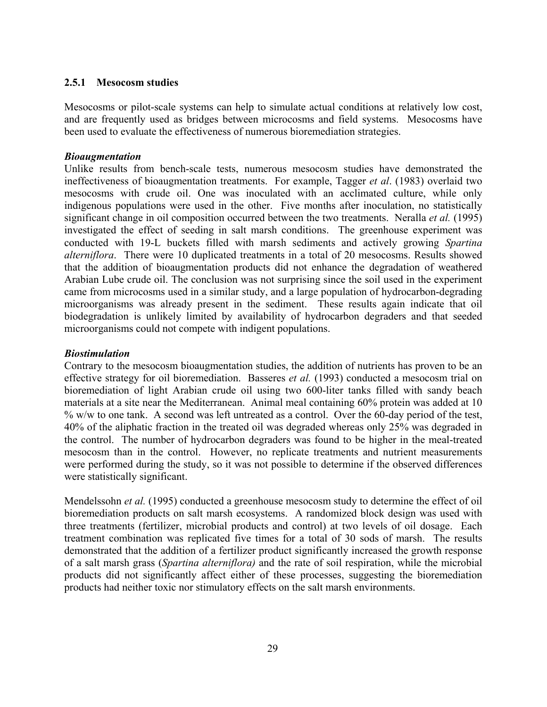# **2.5.1 Mesocosm studies**

Mesocosms or pilot-scale systems can help to simulate actual conditions at relatively low cost, and are frequently used as bridges between microcosms and field systems. Mesocosms have been used to evaluate the effectiveness of numerous bioremediation strategies.

# *Bioaugmentation*

Unlike results from bench-scale tests, numerous mesocosm studies have demonstrated the ineffectiveness of bioaugmentation treatments. For example, Tagger *et al*. (1983) overlaid two mesocosms with crude oil. One was inoculated with an acclimated culture, while only indigenous populations were used in the other. Five months after inoculation, no statistically significant change in oil composition occurred between the two treatments. Neralla *et al.* (1995) investigated the effect of seeding in salt marsh conditions. The greenhouse experiment was conducted with 19-L buckets filled with marsh sediments and actively growing *Spartina alterniflora*. There were 10 duplicated treatments in a total of 20 mesocosms. Results showed that the addition of bioaugmentation products did not enhance the degradation of weathered Arabian Lube crude oil. The conclusion was not surprising since the soil used in the experiment came from microcosms used in a similar study, and a large population of hydrocarbon-degrading microorganisms was already present in the sediment. These results again indicate that oil biodegradation is unlikely limited by availability of hydrocarbon degraders and that seeded microorganisms could not compete with indigent populations.

# *Biostimulation*

Contrary to the mesocosm bioaugmentation studies, the addition of nutrients has proven to be an effective strategy for oil bioremediation. Basseres *et al.* (1993) conducted a mesocosm trial on bioremediation of light Arabian crude oil using two 600-liter tanks filled with sandy beach materials at a site near the Mediterranean. Animal meal containing 60% protein was added at 10 % w/w to one tank. A second was left untreated as a control. Over the 60-day period of the test, 40% of the aliphatic fraction in the treated oil was degraded whereas only 25% was degraded in the control. The number of hydrocarbon degraders was found to be higher in the meal-treated mesocosm than in the control. However, no replicate treatments and nutrient measurements were performed during the study, so it was not possible to determine if the observed differences were statistically significant.

Mendelssohn *et al.* (1995) conducted a greenhouse mesocosm study to determine the effect of oil bioremediation products on salt marsh ecosystems. A randomized block design was used with three treatments (fertilizer, microbial products and control) at two levels of oil dosage. Each treatment combination was replicated five times for a total of 30 sods of marsh. The results demonstrated that the addition of a fertilizer product significantly increased the growth response of a salt marsh grass (*Spartina alterniflora)* and the rate of soil respiration, while the microbial products did not significantly affect either of these processes, suggesting the bioremediation products had neither toxic nor stimulatory effects on the salt marsh environments.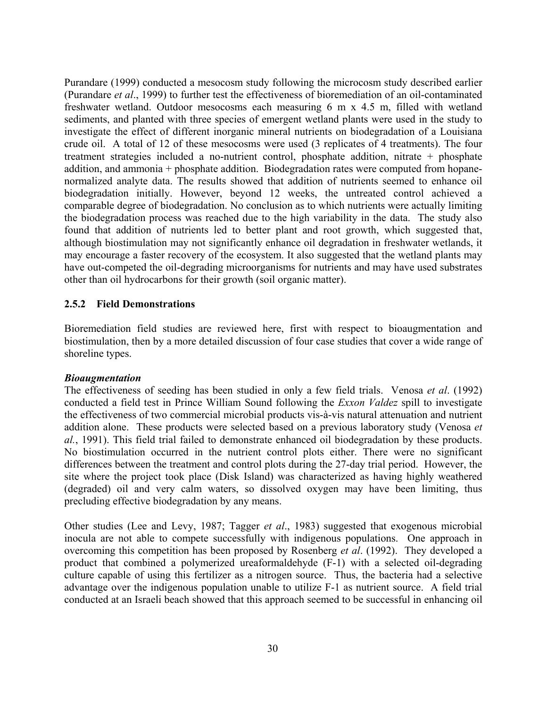Purandare (1999) conducted a mesocosm study following the microcosm study described earlier (Purandare *et al*., 1999) to further test the effectiveness of bioremediation of an oil-contaminated freshwater wetland. Outdoor mesocosms each measuring 6 m x 4.5 m, filled with wetland sediments, and planted with three species of emergent wetland plants were used in the study to investigate the effect of different inorganic mineral nutrients on biodegradation of a Louisiana crude oil. A total of 12 of these mesocosms were used (3 replicates of 4 treatments). The four treatment strategies included a no-nutrient control, phosphate addition, nitrate + phosphate addition, and ammonia + phosphate addition. Biodegradation rates were computed from hopanenormalized analyte data. The results showed that addition of nutrients seemed to enhance oil biodegradation initially. However, beyond 12 weeks, the untreated control achieved a comparable degree of biodegradation. No conclusion as to which nutrients were actually limiting the biodegradation process was reached due to the high variability in the data. The study also found that addition of nutrients led to better plant and root growth, which suggested that, although biostimulation may not significantly enhance oil degradation in freshwater wetlands, it may encourage a faster recovery of the ecosystem. It also suggested that the wetland plants may have out-competed the oil-degrading microorganisms for nutrients and may have used substrates other than oil hydrocarbons for their growth (soil organic matter).

### **2.5.2 Field Demonstrations**

Bioremediation field studies are reviewed here, first with respect to bioaugmentation and biostimulation, then by a more detailed discussion of four case studies that cover a wide range of shoreline types.

### *Bioaugmentation*

The effectiveness of seeding has been studied in only a few field trials. Venosa *et al*. (1992) conducted a field test in Prince William Sound following the *Exxon Valdez* spill to investigate the effectiveness of two commercial microbial products vis-à-vis natural attenuation and nutrient addition alone. These products were selected based on a previous laboratory study (Venosa *et al.*, 1991). This field trial failed to demonstrate enhanced oil biodegradation by these products. No biostimulation occurred in the nutrient control plots either. There were no significant differences between the treatment and control plots during the 27-day trial period. However, the site where the project took place (Disk Island) was characterized as having highly weathered (degraded) oil and very calm waters, so dissolved oxygen may have been limiting, thus precluding effective biodegradation by any means.

Other studies (Lee and Levy, 1987; Tagger *et al*., 1983) suggested that exogenous microbial inocula are not able to compete successfully with indigenous populations. One approach in overcoming this competition has been proposed by Rosenberg *et al*. (1992). They developed a product that combined a polymerized ureaformaldehyde (F-1) with a selected oil-degrading culture capable of using this fertilizer as a nitrogen source. Thus, the bacteria had a selective advantage over the indigenous population unable to utilize F-1 as nutrient source. A field trial conducted at an Israeli beach showed that this approach seemed to be successful in enhancing oil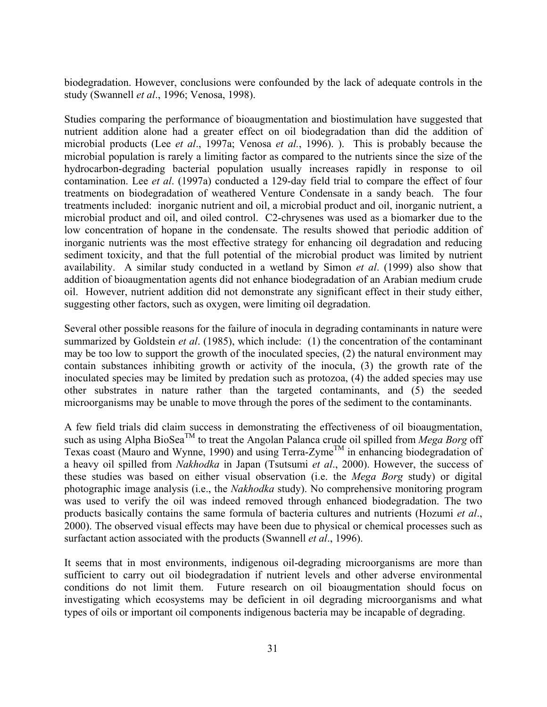biodegradation. However, conclusions were confounded by the lack of adequate controls in the study (Swannell *et al*., 1996; Venosa, 1998).

Studies comparing the performance of bioaugmentation and biostimulation have suggested that nutrient addition alone had a greater effect on oil biodegradation than did the addition of microbial products (Lee *et al*., 1997a; Venosa *et al.*, 1996). ). This is probably because the microbial population is rarely a limiting factor as compared to the nutrients since the size of the hydrocarbon-degrading bacterial population usually increases rapidly in response to oil contamination. Lee *et al*. (1997a) conducted a 129-day field trial to compare the effect of four treatments on biodegradation of weathered Venture Condensate in a sandy beach. The four treatments included: inorganic nutrient and oil, a microbial product and oil, inorganic nutrient, a microbial product and oil, and oiled control. C2-chrysenes was used as a biomarker due to the low concentration of hopane in the condensate. The results showed that periodic addition of inorganic nutrients was the most effective strategy for enhancing oil degradation and reducing sediment toxicity, and that the full potential of the microbial product was limited by nutrient availability. A similar study conducted in a wetland by Simon *et al*. (1999) also show that addition of bioaugmentation agents did not enhance biodegradation of an Arabian medium crude oil. However, nutrient addition did not demonstrate any significant effect in their study either, suggesting other factors, such as oxygen, were limiting oil degradation.

Several other possible reasons for the failure of inocula in degrading contaminants in nature were summarized by Goldstein *et al*. (1985), which include: (1) the concentration of the contaminant may be too low to support the growth of the inoculated species, (2) the natural environment may contain substances inhibiting growth or activity of the inocula, (3) the growth rate of the inoculated species may be limited by predation such as protozoa, (4) the added species may use other substrates in nature rather than the targeted contaminants, and (5) the seeded microorganisms may be unable to move through the pores of the sediment to the contaminants.

A few field trials did claim success in demonstrating the effectiveness of oil bioaugmentation, such as using Alpha BioSeaTM to treat the Angolan Palanca crude oil spilled from *Mega Borg* off Texas coast (Mauro and Wynne, 1990) and using Terra-Zyme<sup>TM</sup> in enhancing biodegradation of a heavy oil spilled from *Nakhodka* in Japan (Tsutsumi *et al*., 2000). However, the success of these studies was based on either visual observation (i.e. the *Mega Borg* study) or digital photographic image analysis (i.e., the *Nakhodka* study). No comprehensive monitoring program was used to verify the oil was indeed removed through enhanced biodegradation. The two products basically contains the same formula of bacteria cultures and nutrients (Hozumi *et al*., 2000). The observed visual effects may have been due to physical or chemical processes such as surfactant action associated with the products (Swannell *et al*., 1996).

It seems that in most environments, indigenous oil-degrading microorganisms are more than sufficient to carry out oil biodegradation if nutrient levels and other adverse environmental conditions do not limit them. Future research on oil bioaugmentation should focus on investigating which ecosystems may be deficient in oil degrading microorganisms and what types of oils or important oil components indigenous bacteria may be incapable of degrading.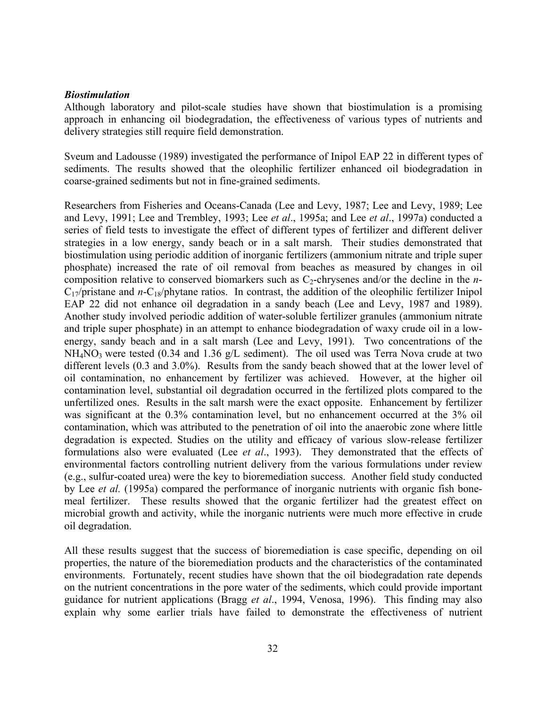#### *Biostimulation*

Although laboratory and pilot-scale studies have shown that biostimulation is a promising approach in enhancing oil biodegradation, the effectiveness of various types of nutrients and delivery strategies still require field demonstration.

Sveum and Ladousse (1989) investigated the performance of Inipol EAP 22 in different types of sediments. The results showed that the oleophilic fertilizer enhanced oil biodegradation in coarse-grained sediments but not in fine-grained sediments.

Researchers from Fisheries and Oceans-Canada (Lee and Levy, 1987; Lee and Levy, 1989; Lee and Levy, 1991; Lee and Trembley, 1993; Lee *et al*., 1995a; and Lee *et al*., 1997a) conducted a series of field tests to investigate the effect of different types of fertilizer and different deliver strategies in a low energy, sandy beach or in a salt marsh. Their studies demonstrated that biostimulation using periodic addition of inorganic fertilizers (ammonium nitrate and triple super phosphate) increased the rate of oil removal from beaches as measured by changes in oil composition relative to conserved biomarkers such as  $C_2$ -chrysenes and/or the decline in the *n*- $C_{17}/$ pristane and *n*- $C_{18}/$ phytane ratios. In contrast, the addition of the oleophilic fertilizer Inipol EAP 22 did not enhance oil degradation in a sandy beach (Lee and Levy, 1987 and 1989). Another study involved periodic addition of water-soluble fertilizer granules (ammonium nitrate and triple super phosphate) in an attempt to enhance biodegradation of waxy crude oil in a lowenergy, sandy beach and in a salt marsh (Lee and Levy, 1991). Two concentrations of the  $NH<sub>4</sub>NO<sub>3</sub>$  were tested (0.34 and 1.36 g/L sediment). The oil used was Terra Nova crude at two different levels (0.3 and 3.0%). Results from the sandy beach showed that at the lower level of oil contamination, no enhancement by fertilizer was achieved. However, at the higher oil contamination level, substantial oil degradation occurred in the fertilized plots compared to the unfertilized ones. Results in the salt marsh were the exact opposite. Enhancement by fertilizer was significant at the 0.3% contamination level, but no enhancement occurred at the 3% oil contamination, which was attributed to the penetration of oil into the anaerobic zone where little degradation is expected. Studies on the utility and efficacy of various slow-release fertilizer formulations also were evaluated (Lee *et al*., 1993). They demonstrated that the effects of environmental factors controlling nutrient delivery from the various formulations under review (e.g., sulfur-coated urea) were the key to bioremediation success. Another field study conducted by Lee *et al.* (1995a) compared the performance of inorganic nutrients with organic fish bonemeal fertilizer. These results showed that the organic fertilizer had the greatest effect on microbial growth and activity, while the inorganic nutrients were much more effective in crude oil degradation.

All these results suggest that the success of bioremediation is case specific, depending on oil properties, the nature of the bioremediation products and the characteristics of the contaminated environments. Fortunately, recent studies have shown that the oil biodegradation rate depends on the nutrient concentrations in the pore water of the sediments, which could provide important guidance for nutrient applications (Bragg *et al*., 1994, Venosa, 1996). This finding may also explain why some earlier trials have failed to demonstrate the effectiveness of nutrient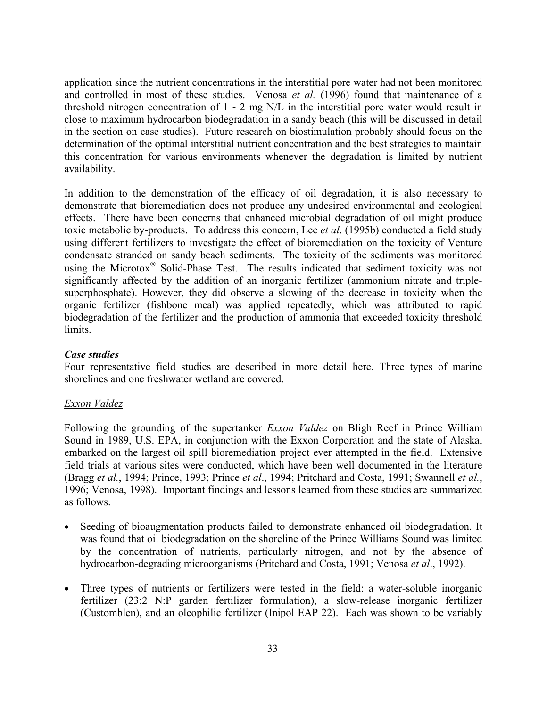application since the nutrient concentrations in the interstitial pore water had not been monitored and controlled in most of these studies. Venosa *et al.* (1996) found that maintenance of a threshold nitrogen concentration of 1 - 2 mg N/L in the interstitial pore water would result in close to maximum hydrocarbon biodegradation in a sandy beach (this will be discussed in detail in the section on case studies). Future research on biostimulation probably should focus on the determination of the optimal interstitial nutrient concentration and the best strategies to maintain this concentration for various environments whenever the degradation is limited by nutrient availability.

In addition to the demonstration of the efficacy of oil degradation, it is also necessary to demonstrate that bioremediation does not produce any undesired environmental and ecological effects. There have been concerns that enhanced microbial degradation of oil might produce toxic metabolic by-products. To address this concern, Lee *et al*. (1995b) conducted a field study using different fertilizers to investigate the effect of bioremediation on the toxicity of Venture condensate stranded on sandy beach sediments. The toxicity of the sediments was monitored using the Microtox $\mathscr{B}$  Solid-Phase Test. The results indicated that sediment toxicity was not significantly affected by the addition of an inorganic fertilizer (ammonium nitrate and triplesuperphosphate). However, they did observe a slowing of the decrease in toxicity when the organic fertilizer (fishbone meal) was applied repeatedly, which was attributed to rapid biodegradation of the fertilizer and the production of ammonia that exceeded toxicity threshold limits.

#### *Case studies*

Four representative field studies are described in more detail here. Three types of marine shorelines and one freshwater wetland are covered.

### *Exxon Valdez*

Following the grounding of the supertanker *Exxon Valdez* on Bligh Reef in Prince William Sound in 1989, U.S. EPA, in conjunction with the Exxon Corporation and the state of Alaska, embarked on the largest oil spill bioremediation project ever attempted in the field. Extensive field trials at various sites were conducted, which have been well documented in the literature (Bragg *et al.*, 1994; Prince, 1993; Prince *et al*., 1994; Pritchard and Costa, 1991; Swannell *et al.*, 1996; Venosa, 1998). Important findings and lessons learned from these studies are summarized as follows.

- Seeding of bioaugmentation products failed to demonstrate enhanced oil biodegradation. It was found that oil biodegradation on the shoreline of the Prince Williams Sound was limited by the concentration of nutrients, particularly nitrogen, and not by the absence of hydrocarbon-degrading microorganisms (Pritchard and Costa, 1991; Venosa *et al*., 1992).
- Three types of nutrients or fertilizers were tested in the field: a water-soluble inorganic fertilizer (23:2 N:P garden fertilizer formulation), a slow-release inorganic fertilizer (Customblen), and an oleophilic fertilizer (Inipol EAP 22). Each was shown to be variably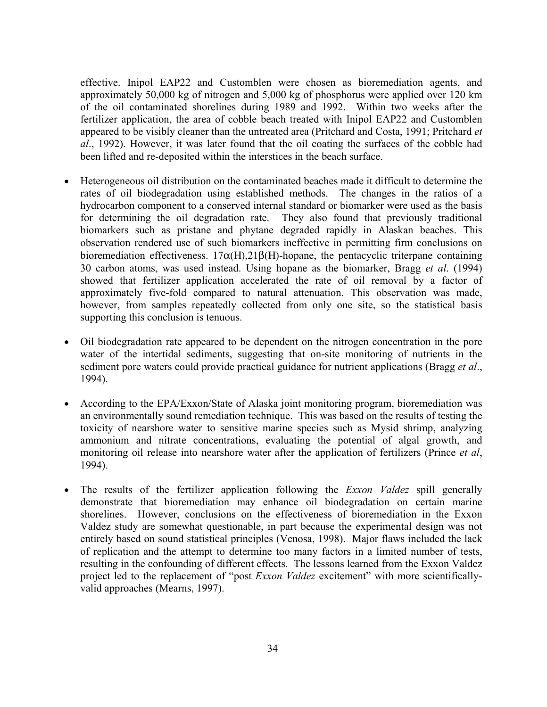effective. Inipol EAP22 and Customblen were chosen as bioremediation agents, and approximately 50,000 kg of nitrogen and 5,000 kg of phosphorus were applied over 120 km of the oil contaminated shorelines during 1989 and 1992. Within two weeks after the fertilizer application, the area of cobble beach treated with Inipol EAP22 and Customblen appeared to be visibly cleaner than the untreated area (Pritchard and Costa, 1991; Pritchard *et al*., 1992). However, it was later found that the oil coating the surfaces of the cobble had been lifted and re-deposited within the interstices in the beach surface.

- Heterogeneous oil distribution on the contaminated beaches made it difficult to determine the rates of oil biodegradation using established methods. The changes in the ratios of a hydrocarbon component to a conserved internal standard or biomarker were used as the basis for determining the oil degradation rate. They also found that previously traditional biomarkers such as pristane and phytane degraded rapidly in Alaskan beaches. This observation rendered use of such biomarkers ineffective in permitting firm conclusions on bioremediation effectiveness.  $17\alpha(H)$ ,  $21\beta(H)$ -hopane, the pentacyclic triterpane containing 30 carbon atoms, was used instead. Using hopane as the biomarker, Bragg *et al*. (1994) showed that fertilizer application accelerated the rate of oil removal by a factor of approximately five-fold compared to natural attenuation. This observation was made, however, from samples repeatedly collected from only one site, so the statistical basis supporting this conclusion is tenuous.
- Oil biodegradation rate appeared to be dependent on the nitrogen concentration in the pore water of the intertidal sediments, suggesting that on-site monitoring of nutrients in the sediment pore waters could provide practical guidance for nutrient applications (Bragg *et al*., 1994).
- According to the EPA/Exxon/State of Alaska joint monitoring program, bioremediation was an environmentally sound remediation technique. This was based on the results of testing the toxicity of nearshore water to sensitive marine species such as Mysid shrimp, analyzing ammonium and nitrate concentrations, evaluating the potential of algal growth, and monitoring oil release into nearshore water after the application of fertilizers (Prince *et al*, 1994).
- The results of the fertilizer application following the *Exxon Valdez* spill generally demonstrate that bioremediation may enhance oil biodegradation on certain marine shorelines. However, conclusions on the effectiveness of bioremediation in the Exxon Valdez study are somewhat questionable, in part because the experimental design was not entirely based on sound statistical principles (Venosa, 1998). Major flaws included the lack of replication and the attempt to determine too many factors in a limited number of tests, resulting in the confounding of different effects. The lessons learned from the Exxon Valdez project led to the replacement of "post *Exxon Valdez* excitement" with more scientificallyvalid approaches (Mearns, 1997).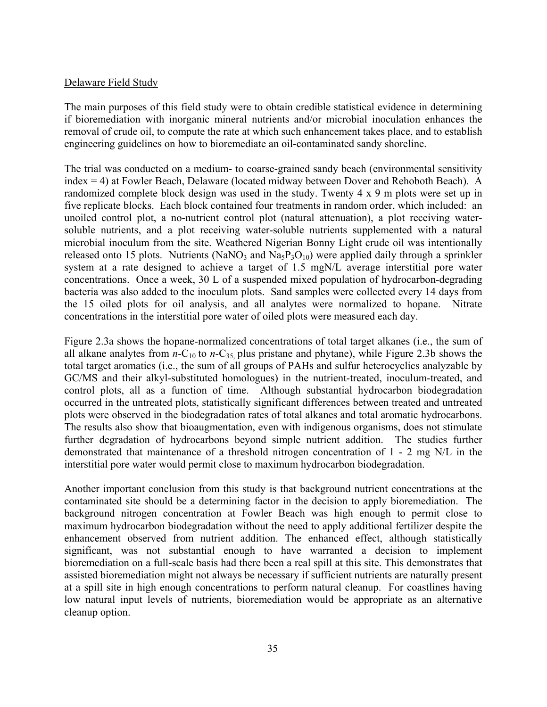#### Delaware Field Study

The main purposes of this field study were to obtain credible statistical evidence in determining if bioremediation with inorganic mineral nutrients and/or microbial inoculation enhances the removal of crude oil, to compute the rate at which such enhancement takes place, and to establish engineering guidelines on how to bioremediate an oil-contaminated sandy shoreline.

The trial was conducted on a medium- to coarse-grained sandy beach (environmental sensitivity index = 4) at Fowler Beach, Delaware (located midway between Dover and Rehoboth Beach). A randomized complete block design was used in the study. Twenty 4 x 9 m plots were set up in five replicate blocks. Each block contained four treatments in random order, which included: an unoiled control plot, a no-nutrient control plot (natural attenuation), a plot receiving watersoluble nutrients, and a plot receiving water-soluble nutrients supplemented with a natural microbial inoculum from the site. Weathered Nigerian Bonny Light crude oil was intentionally released onto 15 plots. Nutrients (NaNO<sub>3</sub> and Na<sub>5</sub>P<sub>3</sub>O<sub>10</sub>) were applied daily through a sprinkler system at a rate designed to achieve a target of 1.5 mgN/L average interstitial pore water concentrations. Once a week, 30 L of a suspended mixed population of hydrocarbon-degrading bacteria was also added to the inoculum plots. Sand samples were collected every 14 days from the 15 oiled plots for oil analysis, and all analytes were normalized to hopane. Nitrate concentrations in the interstitial pore water of oiled plots were measured each day.

Figure 2.3a shows the hopane-normalized concentrations of total target alkanes (i.e., the sum of all alkane analytes from  $n - C_{10}$  to  $n - C_{35}$  plus pristane and phytane), while Figure 2.3b shows the total target aromatics (i.e., the sum of all groups of PAHs and sulfur heterocyclics analyzable by GC/MS and their alkyl-substituted homologues) in the nutrient-treated, inoculum-treated, and control plots, all as a function of time. Although substantial hydrocarbon biodegradation occurred in the untreated plots, statistically significant differences between treated and untreated plots were observed in the biodegradation rates of total alkanes and total aromatic hydrocarbons. The results also show that bioaugmentation, even with indigenous organisms, does not stimulate further degradation of hydrocarbons beyond simple nutrient addition. The studies further demonstrated that maintenance of a threshold nitrogen concentration of 1 - 2 mg N/L in the interstitial pore water would permit close to maximum hydrocarbon biodegradation.

Another important conclusion from this study is that background nutrient concentrations at the contaminated site should be a determining factor in the decision to apply bioremediation. The background nitrogen concentration at Fowler Beach was high enough to permit close to maximum hydrocarbon biodegradation without the need to apply additional fertilizer despite the enhancement observed from nutrient addition. The enhanced effect, although statistically significant, was not substantial enough to have warranted a decision to implement bioremediation on a full-scale basis had there been a real spill at this site. This demonstrates that assisted bioremediation might not always be necessary if sufficient nutrients are naturally present at a spill site in high enough concentrations to perform natural cleanup. For coastlines having low natural input levels of nutrients, bioremediation would be appropriate as an alternative cleanup option.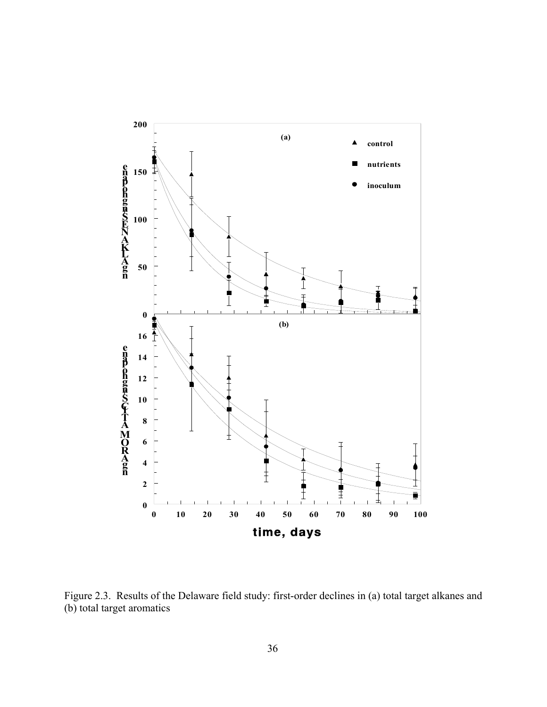

Figure 2.3. Results of the Delaware field study: first-order declines in (a) total target alkanes and (b) total target aromatics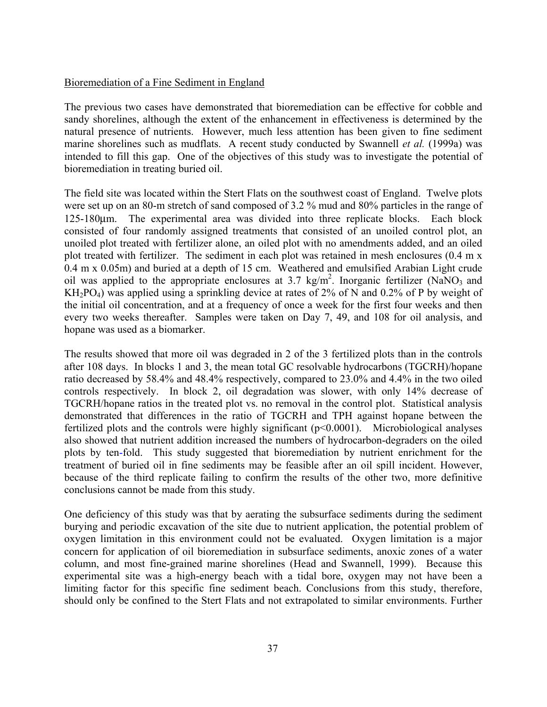#### Bioremediation of a Fine Sediment in England

The previous two cases have demonstrated that bioremediation can be effective for cobble and sandy shorelines, although the extent of the enhancement in effectiveness is determined by the natural presence of nutrients. However, much less attention has been given to fine sediment marine shorelines such as mudflats. A recent study conducted by Swannell *et al.* (1999a) was intended to fill this gap. One of the objectives of this study was to investigate the potential of bioremediation in treating buried oil.

The field site was located within the Stert Flats on the southwest coast of England. Twelve plots were set up on an 80-m stretch of sand composed of 3.2 % mud and 80% particles in the range of 125-180µm. The experimental area was divided into three replicate blocks. Each block consisted of four randomly assigned treatments that consisted of an unoiled control plot, an unoiled plot treated with fertilizer alone, an oiled plot with no amendments added, and an oiled plot treated with fertilizer. The sediment in each plot was retained in mesh enclosures (0.4 m x 0.4 m x 0.05m) and buried at a depth of 15 cm. Weathered and emulsified Arabian Light crude oil was applied to the appropriate enclosures at 3.7 kg/m<sup>2</sup>. Inorganic fertilizer (NaNO<sub>3</sub> and  $KH_2PO_4$ ) was applied using a sprinkling device at rates of 2% of N and 0.2% of P by weight of the initial oil concentration, and at a frequency of once a week for the first four weeks and then every two weeks thereafter. Samples were taken on Day 7, 49, and 108 for oil analysis, and hopane was used as a biomarker.

The results showed that more oil was degraded in 2 of the 3 fertilized plots than in the controls after 108 days. In blocks 1 and 3, the mean total GC resolvable hydrocarbons (TGCRH)/hopane ratio decreased by 58.4% and 48.4% respectively, compared to 23.0% and 4.4% in the two oiled controls respectively. In block 2, oil degradation was slower, with only 14% decrease of TGCRH/hopane ratios in the treated plot vs. no removal in the control plot. Statistical analysis demonstrated that differences in the ratio of TGCRH and TPH against hopane between the fertilized plots and the controls were highly significant  $(p<0.0001)$ . Microbiological analyses also showed that nutrient addition increased the numbers of hydrocarbon-degraders on the oiled plots by ten-fold. This study suggested that bioremediation by nutrient enrichment for the treatment of buried oil in fine sediments may be feasible after an oil spill incident. However, because of the third replicate failing to confirm the results of the other two, more definitive conclusions cannot be made from this study.

One deficiency of this study was that by aerating the subsurface sediments during the sediment burying and periodic excavation of the site due to nutrient application, the potential problem of oxygen limitation in this environment could not be evaluated. Oxygen limitation is a major concern for application of oil bioremediation in subsurface sediments, anoxic zones of a water column, and most fine-grained marine shorelines (Head and Swannell, 1999). Because this experimental site was a high-energy beach with a tidal bore, oxygen may not have been a limiting factor for this specific fine sediment beach. Conclusions from this study, therefore, should only be confined to the Stert Flats and not extrapolated to similar environments. Further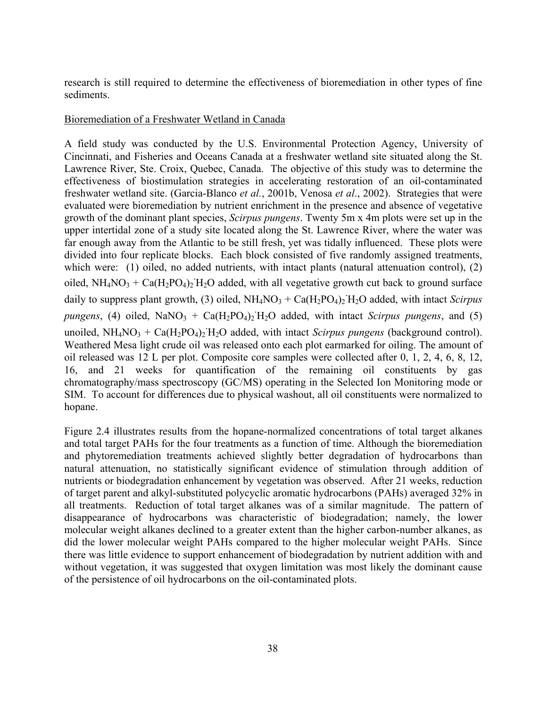research is still required to determine the effectiveness of bioremediation in other types of fine sediments.

#### Bioremediation of a Freshwater Wetland in Canada

A field study was conducted by the U.S. Environmental Protection Agency, University of Cincinnati, and Fisheries and Oceans Canada at a freshwater wetland site situated along the St. Lawrence River, Ste. Croix, Quebec, Canada. The objective of this study was to determine the effectiveness of biostimulation strategies in accelerating restoration of an oil-contaminated freshwater wetland site. (Garcia-Blanco *et al.*, 2001b, Venosa *et al*., 2002). Strategies that were evaluated were bioremediation by nutrient enrichment in the presence and absence of vegetative growth of the dominant plant species, *Scirpus pungens*. Twenty 5m x 4m plots were set up in the upper intertidal zone of a study site located along the St. Lawrence River, where the water was far enough away from the Atlantic to be still fresh, yet was tidally influenced. These plots were divided into four replicate blocks. Each block consisted of five randomly assigned treatments, which were: (1) oiled, no added nutrients, with intact plants (natural attenuation control), (2) oiled,  $NH_4NO_3 + Ca(H_2PO_4)_2$  H<sub>2</sub>O added, with all vegetative growth cut back to ground surface daily to suppress plant growth, (3) oiled,  $NH_4NO_3 + Ca(H_2PO_4)_2$  H<sub>2</sub>O added, with intact *Scirpus*  $pungens$ , (4) oiled, NaNO<sub>3</sub> + Ca(H<sub>2</sub>PO<sub>4</sub>)<sub>2</sub> H<sub>2</sub>O added, with intact *Scirpus pungens*, and (5) unoiled,  $NH_4NO_3 + Ca(H_2PO_4)_2$   $H_2O$  added, with intact *Scirpus pungens* (background control). Weathered Mesa light crude oil was released onto each plot earmarked for oiling. The amount of oil released was 12 L per plot. Composite core samples were collected after 0, 1, 2, 4, 6, 8, 12, 16, and 21 weeks for quantification of the remaining oil constituents by gas chromatography/mass spectroscopy (GC/MS) operating in the Selected Ion Monitoring mode or SIM. To account for differences due to physical washout, all oil constituents were normalized to hopane.

Figure 2.4 illustrates results from the hopane-normalized concentrations of total target alkanes and total target PAHs for the four treatments as a function of time. Although the bioremediation and phytoremediation treatments achieved slightly better degradation of hydrocarbons than natural attenuation, no statistically significant evidence of stimulation through addition of nutrients or biodegradation enhancement by vegetation was observed. After 21 weeks, reduction of target parent and alkyl-substituted polycyclic aromatic hydrocarbons (PAHs) averaged 32% in all treatments. Reduction of total target alkanes was of a similar magnitude. The pattern of disappearance of hydrocarbons was characteristic of biodegradation; namely, the lower molecular weight alkanes declined to a greater extent than the higher carbon-number alkanes, as did the lower molecular weight PAHs compared to the higher molecular weight PAHs. Since there was little evidence to support enhancement of biodegradation by nutrient addition with and without vegetation, it was suggested that oxygen limitation was most likely the dominant cause of the persistence of oil hydrocarbons on the oil-contaminated plots.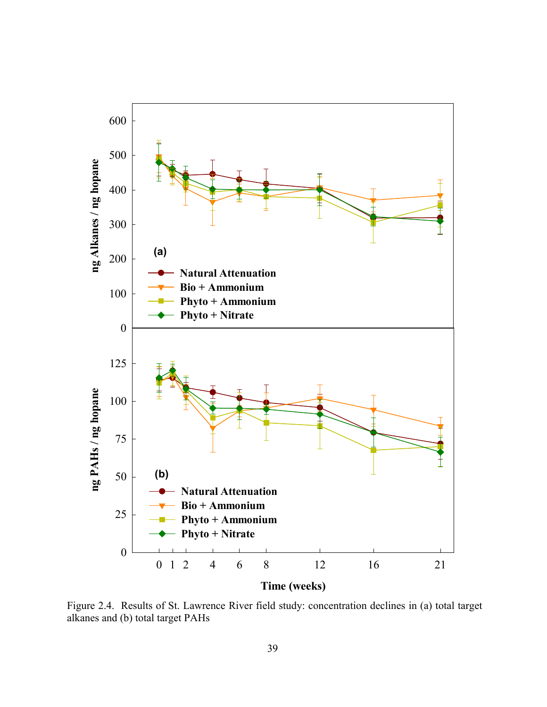

Figure 2.4. Results of St. Lawrence River field study: concentration declines in (a) total target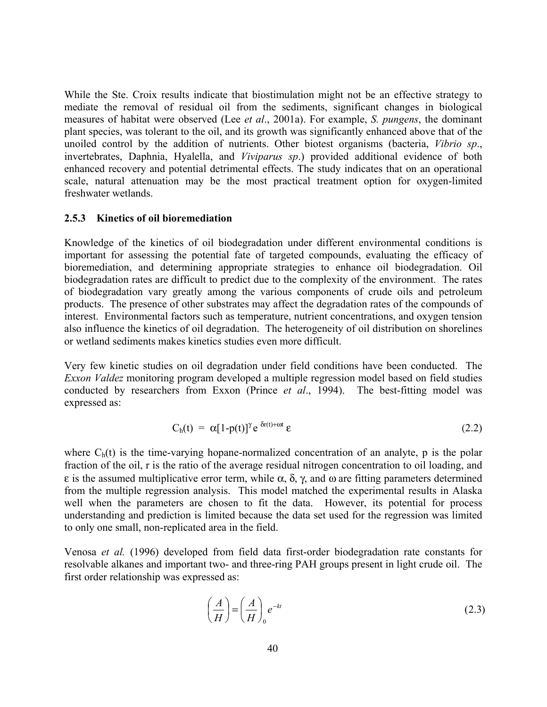While the Ste. Croix results indicate that biostimulation might not be an effective strategy to mediate the removal of residual oil from the sediments, significant changes in biological measures of habitat were observed (Lee *et al*., 2001a). For example, *S. pungens*, the dominant plant species, was tolerant to the oil, and its growth was significantly enhanced above that of the unoiled control by the addition of nutrients. Other biotest organisms (bacteria, *Vibrio sp*., invertebrates, Daphnia, Hyalella, and *Viviparus sp*.) provided additional evidence of both enhanced recovery and potential detrimental effects. The study indicates that on an operational scale, natural attenuation may be the most practical treatment option for oxygen-limited freshwater wetlands.

#### **2.5.3 Kinetics of oil bioremediation**

Knowledge of the kinetics of oil biodegradation under different environmental conditions is important for assessing the potential fate of targeted compounds, evaluating the efficacy of bioremediation, and determining appropriate strategies to enhance oil biodegradation. Oil biodegradation rates are difficult to predict due to the complexity of the environment. The rates of biodegradation vary greatly among the various components of crude oils and petroleum products. The presence of other substrates may affect the degradation rates of the compounds of interest. Environmental factors such as temperature, nutrient concentrations, and oxygen tension also influence the kinetics of oil degradation. The heterogeneity of oil distribution on shorelines or wetland sediments makes kinetics studies even more difficult.

Very few kinetic studies on oil degradation under field conditions have been conducted. The *Exxon Valdez* monitoring program developed a multiple regression model based on field studies conducted by researchers from Exxon (Prince *et al*., 1994). The best-fitting model was expressed as:

$$
C_h(t) = \alpha [1-p(t)]^{\gamma} e^{\delta r(t) + \omega t} \varepsilon \qquad (2.2)
$$

where  $C<sub>b</sub>(t)$  is the time-varying hopane-normalized concentration of an analyte, p is the polar fraction of the oil, r is the ratio of the average residual nitrogen concentration to oil loading, and ε is the assumed multiplicative error term, while α, δ, γ, and ω are fitting parameters determined from the multiple regression analysis. This model matched the experimental results in Alaska well when the parameters are chosen to fit the data. However, its potential for process understanding and prediction is limited because the data set used for the regression was limited to only one small, non-replicated area in the field.

Venosa *et al.* (1996) developed from field data first-order biodegradation rate constants for resolvable alkanes and important two- and three-ring PAH groups present in light crude oil. The first order relationship was expressed as:

$$
\left(\frac{A}{H}\right) = \left(\frac{A}{H}\right)_0 e^{-kt} \tag{2.3}
$$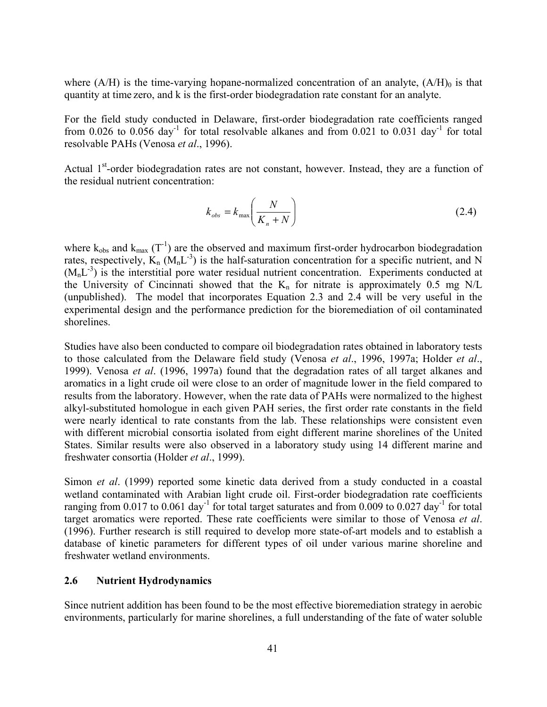where  $(A/H)$  is the time-varying hopane-normalized concentration of an analyte,  $(A/H)_0$  is that quantity at time zero, and k is the first-order biodegradation rate constant for an analyte.

For the field study conducted in Delaware, first-order biodegradation rate coefficients ranged from 0.026 to 0.056 day<sup>-1</sup> for total resolvable alkanes and from 0.021 to 0.031 day<sup>-1</sup> for total resolvable PAHs (Venosa *et al*., 1996).

Actual 1<sup>st</sup>-order biodegradation rates are not constant, however. Instead, they are a function of the residual nutrient concentration:

$$
k_{obs} = k_{\text{max}} \left( \frac{N}{K_n + N} \right) \tag{2.4}
$$

where  $k_{obs}$  and  $k_{max}$  (T<sup>-1</sup>) are the observed and maximum first-order hydrocarbon biodegradation rates, respectively,  $K_n$  ( $M_nL^{-3}$ ) is the half-saturation concentration for a specific nutrient, and N  $(M_nL^{-3})$  is the interstitial pore water residual nutrient concentration. Experiments conducted at the University of Cincinnati showed that the  $K_n$  for nitrate is approximately 0.5 mg N/L (unpublished). The model that incorporates Equation 2.3 and 2.4 will be very useful in the experimental design and the performance prediction for the bioremediation of oil contaminated shorelines.

Studies have also been conducted to compare oil biodegradation rates obtained in laboratory tests to those calculated from the Delaware field study (Venosa *et al*., 1996, 1997a; Holder *et al*., 1999). Venosa *et al*. (1996, 1997a) found that the degradation rates of all target alkanes and aromatics in a light crude oil were close to an order of magnitude lower in the field compared to results from the laboratory. However, when the rate data of PAHs were normalized to the highest alkyl-substituted homologue in each given PAH series, the first order rate constants in the field were nearly identical to rate constants from the lab. These relationships were consistent even with different microbial consortia isolated from eight different marine shorelines of the United States. Similar results were also observed in a laboratory study using 14 different marine and freshwater consortia (Holder *et al*., 1999).

Simon *et al*. (1999) reported some kinetic data derived from a study conducted in a coastal wetland contaminated with Arabian light crude oil. First-order biodegradation rate coefficients ranging from 0.017 to 0.061 day<sup>-1</sup> for total target saturates and from 0.009 to 0.027 day<sup>-1</sup> for total target aromatics were reported. These rate coefficients were similar to those of Venosa *et al*. (1996). Further research is still required to develop more state-of-art models and to establish a database of kinetic parameters for different types of oil under various marine shoreline and freshwater wetland environments.

#### **2.6 Nutrient Hydrodynamics**

Since nutrient addition has been found to be the most effective bioremediation strategy in aerobic environments, particularly for marine shorelines, a full understanding of the fate of water soluble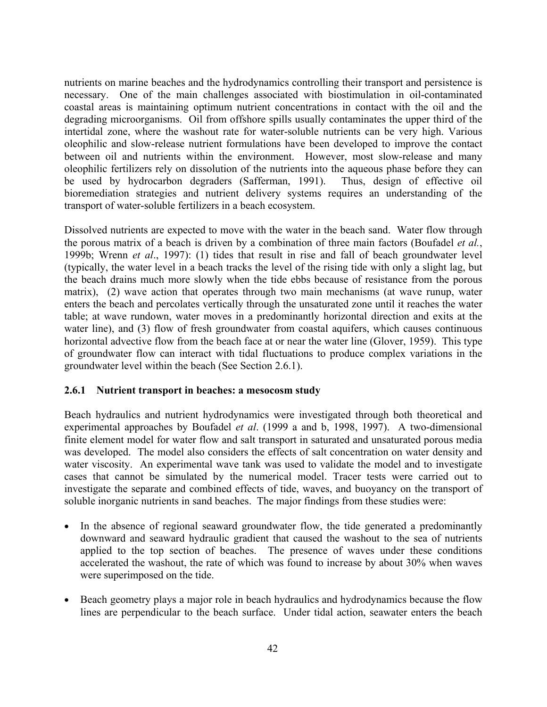nutrients on marine beaches and the hydrodynamics controlling their transport and persistence is necessary. One of the main challenges associated with biostimulation in oil-contaminated coastal areas is maintaining optimum nutrient concentrations in contact with the oil and the degrading microorganisms. Oil from offshore spills usually contaminates the upper third of the intertidal zone, where the washout rate for water-soluble nutrients can be very high. Various oleophilic and slow-release nutrient formulations have been developed to improve the contact between oil and nutrients within the environment. However, most slow-release and many oleophilic fertilizers rely on dissolution of the nutrients into the aqueous phase before they can be used by hydrocarbon degraders (Safferman, 1991). Thus, design of effective oil bioremediation strategies and nutrient delivery systems requires an understanding of the transport of water-soluble fertilizers in a beach ecosystem.

Dissolved nutrients are expected to move with the water in the beach sand. Water flow through the porous matrix of a beach is driven by a combination of three main factors (Boufadel *et al.*, 1999b; Wrenn *et al*., 1997): (1) tides that result in rise and fall of beach groundwater level (typically, the water level in a beach tracks the level of the rising tide with only a slight lag, but the beach drains much more slowly when the tide ebbs because of resistance from the porous matrix), (2) wave action that operates through two main mechanisms (at wave runup, water enters the beach and percolates vertically through the unsaturated zone until it reaches the water table; at wave rundown, water moves in a predominantly horizontal direction and exits at the water line), and (3) flow of fresh groundwater from coastal aquifers, which causes continuous horizontal advective flow from the beach face at or near the water line (Glover, 1959). This type of groundwater flow can interact with tidal fluctuations to produce complex variations in the groundwater level within the beach (See Section 2.6.1).

### **2.6.1 Nutrient transport in beaches: a mesocosm study**

Beach hydraulics and nutrient hydrodynamics were investigated through both theoretical and experimental approaches by Boufadel *et al*. (1999 a and b, 1998, 1997). A two-dimensional finite element model for water flow and salt transport in saturated and unsaturated porous media was developed. The model also considers the effects of salt concentration on water density and water viscosity. An experimental wave tank was used to validate the model and to investigate cases that cannot be simulated by the numerical model. Tracer tests were carried out to investigate the separate and combined effects of tide, waves, and buoyancy on the transport of soluble inorganic nutrients in sand beaches. The major findings from these studies were:

- In the absence of regional seaward groundwater flow, the tide generated a predominantly downward and seaward hydraulic gradient that caused the washout to the sea of nutrients applied to the top section of beaches. The presence of waves under these conditions accelerated the washout, the rate of which was found to increase by about 30% when waves were superimposed on the tide.
- Beach geometry plays a major role in beach hydraulics and hydrodynamics because the flow lines are perpendicular to the beach surface. Under tidal action, seawater enters the beach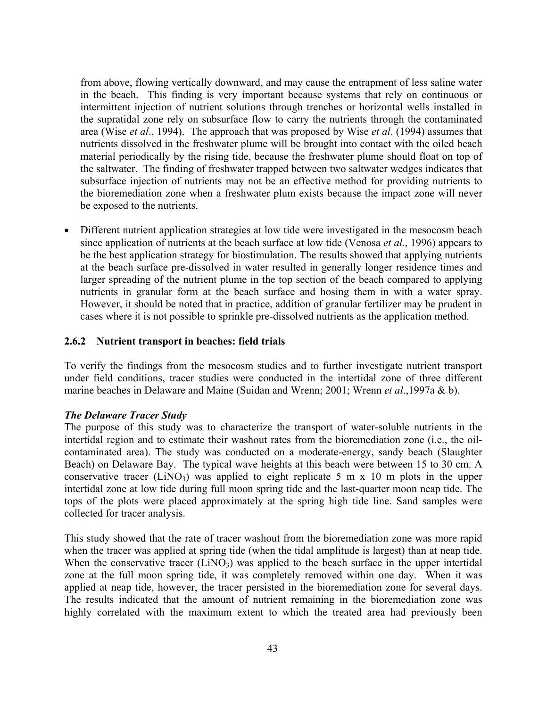from above, flowing vertically downward, and may cause the entrapment of less saline water in the beach. This finding is very important because systems that rely on continuous or intermittent injection of nutrient solutions through trenches or horizontal wells installed in the supratidal zone rely on subsurface flow to carry the nutrients through the contaminated area (Wise *et al*., 1994). The approach that was proposed by Wise *et al*. (1994) assumes that nutrients dissolved in the freshwater plume will be brought into contact with the oiled beach material periodically by the rising tide, because the freshwater plume should float on top of the saltwater. The finding of freshwater trapped between two saltwater wedges indicates that subsurface injection of nutrients may not be an effective method for providing nutrients to the bioremediation zone when a freshwater plum exists because the impact zone will never be exposed to the nutrients.

• Different nutrient application strategies at low tide were investigated in the mesocosm beach since application of nutrients at the beach surface at low tide (Venosa *et al.*, 1996) appears to be the best application strategy for biostimulation. The results showed that applying nutrients at the beach surface pre-dissolved in water resulted in generally longer residence times and larger spreading of the nutrient plume in the top section of the beach compared to applying nutrients in granular form at the beach surface and hosing them in with a water spray. However, it should be noted that in practice, addition of granular fertilizer may be prudent in cases where it is not possible to sprinkle pre-dissolved nutrients as the application method.

### **2.6.2 Nutrient transport in beaches: field trials**

To verify the findings from the mesocosm studies and to further investigate nutrient transport under field conditions, tracer studies were conducted in the intertidal zone of three different marine beaches in Delaware and Maine (Suidan and Wrenn; 2001; Wrenn *et al*.,1997a & b).

### *The Delaware Tracer Study*

The purpose of this study was to characterize the transport of water-soluble nutrients in the intertidal region and to estimate their washout rates from the bioremediation zone (i.e., the oilcontaminated area). The study was conducted on a moderate-energy, sandy beach (Slaughter Beach) on Delaware Bay. The typical wave heights at this beach were between 15 to 30 cm. A conservative tracer (LiNO<sub>3</sub>) was applied to eight replicate 5 m x 10 m plots in the upper intertidal zone at low tide during full moon spring tide and the last-quarter moon neap tide. The tops of the plots were placed approximately at the spring high tide line. Sand samples were collected for tracer analysis.

This study showed that the rate of tracer washout from the bioremediation zone was more rapid when the tracer was applied at spring tide (when the tidal amplitude is largest) than at neap tide. When the conservative tracer  $(LiNO_3)$  was applied to the beach surface in the upper intertidal zone at the full moon spring tide, it was completely removed within one day. When it was applied at neap tide, however, the tracer persisted in the bioremediation zone for several days. The results indicated that the amount of nutrient remaining in the bioremediation zone was highly correlated with the maximum extent to which the treated area had previously been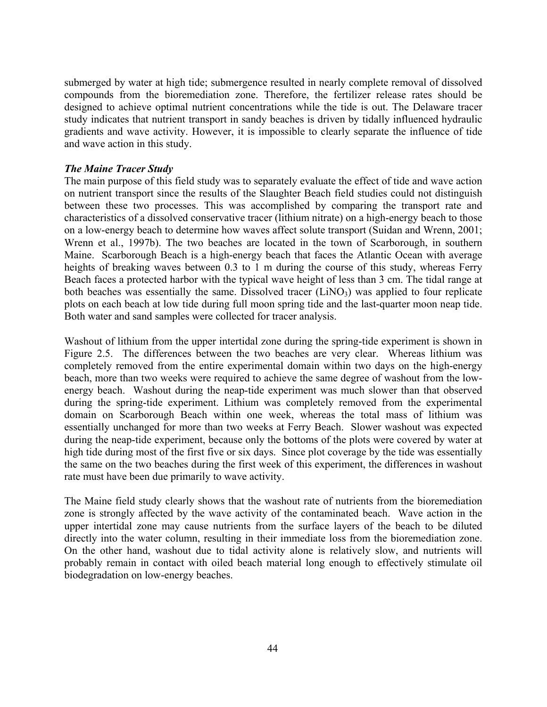submerged by water at high tide; submergence resulted in nearly complete removal of dissolved compounds from the bioremediation zone. Therefore, the fertilizer release rates should be designed to achieve optimal nutrient concentrations while the tide is out. The Delaware tracer study indicates that nutrient transport in sandy beaches is driven by tidally influenced hydraulic gradients and wave activity. However, it is impossible to clearly separate the influence of tide and wave action in this study.

#### *The Maine Tracer Study*

The main purpose of this field study was to separately evaluate the effect of tide and wave action on nutrient transport since the results of the Slaughter Beach field studies could not distinguish between these two processes. This was accomplished by comparing the transport rate and characteristics of a dissolved conservative tracer (lithium nitrate) on a high-energy beach to those on a low-energy beach to determine how waves affect solute transport (Suidan and Wrenn, 2001; Wrenn et al., 1997b). The two beaches are located in the town of Scarborough, in southern Maine. Scarborough Beach is a high-energy beach that faces the Atlantic Ocean with average heights of breaking waves between 0.3 to 1 m during the course of this study, whereas Ferry Beach faces a protected harbor with the typical wave height of less than 3 cm. The tidal range at both beaches was essentially the same. Dissolved tracer  $(LiNO<sub>3</sub>)$  was applied to four replicate plots on each beach at low tide during full moon spring tide and the last-quarter moon neap tide. Both water and sand samples were collected for tracer analysis.

Washout of lithium from the upper intertidal zone during the spring-tide experiment is shown in Figure 2.5. The differences between the two beaches are very clear. Whereas lithium was completely removed from the entire experimental domain within two days on the high-energy beach, more than two weeks were required to achieve the same degree of washout from the lowenergy beach. Washout during the neap-tide experiment was much slower than that observed during the spring-tide experiment. Lithium was completely removed from the experimental domain on Scarborough Beach within one week, whereas the total mass of lithium was essentially unchanged for more than two weeks at Ferry Beach. Slower washout was expected during the neap-tide experiment, because only the bottoms of the plots were covered by water at high tide during most of the first five or six days. Since plot coverage by the tide was essentially the same on the two beaches during the first week of this experiment, the differences in washout rate must have been due primarily to wave activity.

The Maine field study clearly shows that the washout rate of nutrients from the bioremediation zone is strongly affected by the wave activity of the contaminated beach. Wave action in the upper intertidal zone may cause nutrients from the surface layers of the beach to be diluted directly into the water column, resulting in their immediate loss from the bioremediation zone. On the other hand, washout due to tidal activity alone is relatively slow, and nutrients will probably remain in contact with oiled beach material long enough to effectively stimulate oil biodegradation on low-energy beaches.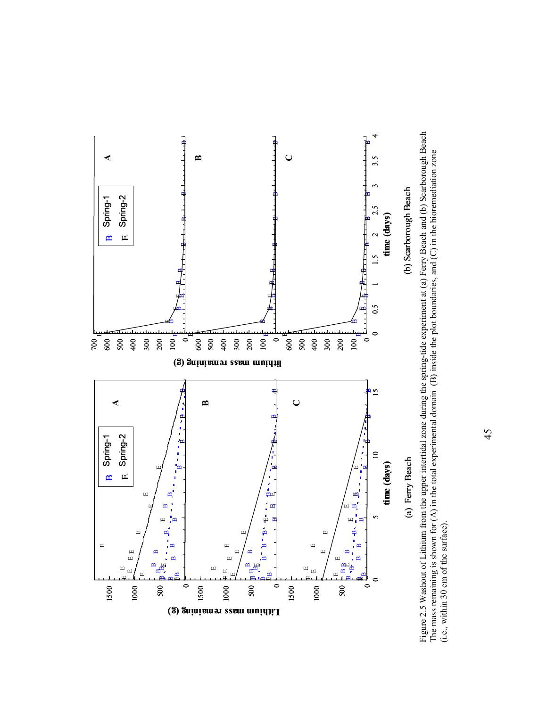

Figure 2.5 Washout of Lithium from the upper intertidal zone during the spring-tide experiment at (a) Ferry Beach and (b) Scarborough Beach Figure 2.5 Washout of Lithium from the upper intertidal zone during the spring-tide experiment at (a) Ferry Beach and (b) Scarborough Beach he bioremediation zone  $\frac{1}{n}$ he plot boundaries, and (C) i nside t mental domain (B) i he total experi  $\frac{1}{n}$ The mass remaining is shown for  $(A)$  i (i.e., within 30 cm of the surface).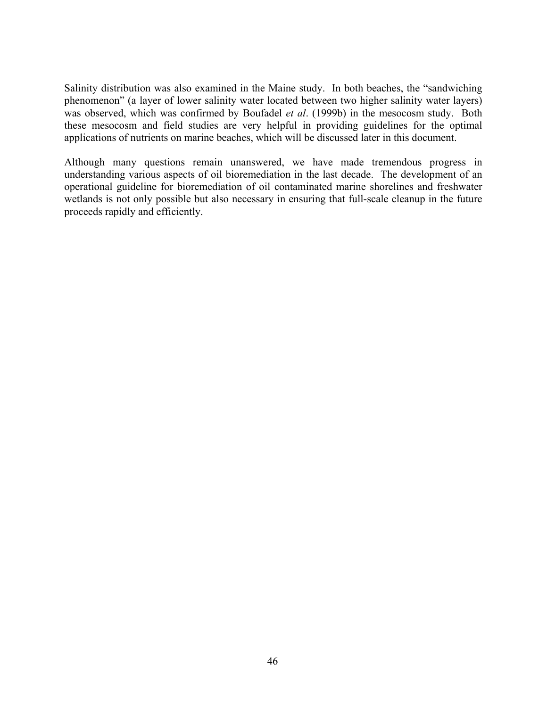Salinity distribution was also examined in the Maine study. In both beaches, the "sandwiching phenomenon" (a layer of lower salinity water located between two higher salinity water layers) was observed, which was confirmed by Boufadel *et al*. (1999b) in the mesocosm study. Both these mesocosm and field studies are very helpful in providing guidelines for the optimal applications of nutrients on marine beaches, which will be discussed later in this document.

Although many questions remain unanswered, we have made tremendous progress in understanding various aspects of oil bioremediation in the last decade. The development of an operational guideline for bioremediation of oil contaminated marine shorelines and freshwater wetlands is not only possible but also necessary in ensuring that full-scale cleanup in the future proceeds rapidly and efficiently.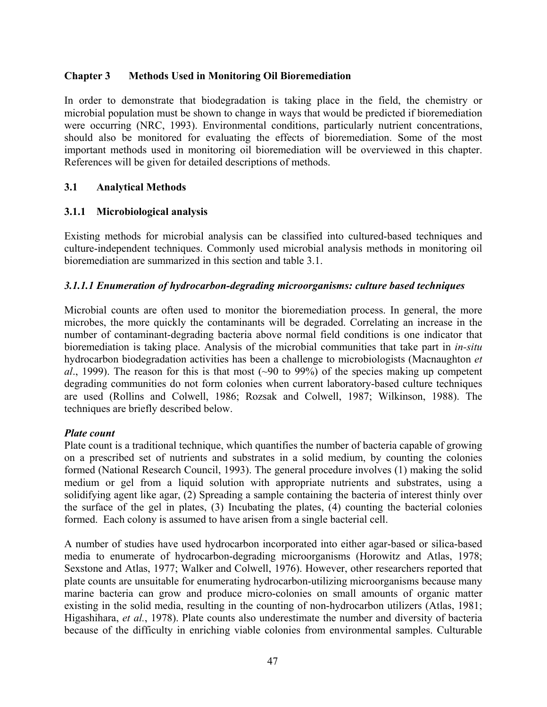### **Chapter 3 Methods Used in Monitoring Oil Bioremediation**

In order to demonstrate that biodegradation is taking place in the field, the chemistry or microbial population must be shown to change in ways that would be predicted if bioremediation were occurring (NRC, 1993). Environmental conditions, particularly nutrient concentrations, should also be monitored for evaluating the effects of bioremediation. Some of the most important methods used in monitoring oil bioremediation will be overviewed in this chapter. References will be given for detailed descriptions of methods.

### **3.1 Analytical Methods**

### **3.1.1 Microbiological analysis**

Existing methods for microbial analysis can be classified into cultured-based techniques and culture-independent techniques. Commonly used microbial analysis methods in monitoring oil bioremediation are summarized in this section and table 3.1.

### *3.1.1.1 Enumeration of hydrocarbon-degrading microorganisms: culture based techniques*

Microbial counts are often used to monitor the bioremediation process. In general, the more microbes, the more quickly the contaminants will be degraded. Correlating an increase in the number of contaminant-degrading bacteria above normal field conditions is one indicator that bioremediation is taking place. Analysis of the microbial communities that take part in *in-situ*  hydrocarbon biodegradation activities has been a challenge to microbiologists (Macnaughton *et*   $al$ , 1999). The reason for this is that most  $(\sim]90$  to 99%) of the species making up competent degrading communities do not form colonies when current laboratory-based culture techniques are used (Rollins and Colwell, 1986; Rozsak and Colwell, 1987; Wilkinson, 1988). The techniques are briefly described below.

### *Plate count*

Plate count is a traditional technique, which quantifies the number of bacteria capable of growing on a prescribed set of nutrients and substrates in a solid medium, by counting the colonies formed (National Research Council, 1993). The general procedure involves (1) making the solid medium or gel from a liquid solution with appropriate nutrients and substrates, using a solidifying agent like agar, (2) Spreading a sample containing the bacteria of interest thinly over the surface of the gel in plates, (3) Incubating the plates, (4) counting the bacterial colonies formed. Each colony is assumed to have arisen from a single bacterial cell.

A number of studies have used hydrocarbon incorporated into either agar-based or silica-based media to enumerate of hydrocarbon-degrading microorganisms (Horowitz and Atlas, 1978; Sexstone and Atlas, 1977; Walker and Colwell, 1976). However, other researchers reported that plate counts are unsuitable for enumerating hydrocarbon-utilizing microorganisms because many marine bacteria can grow and produce micro-colonies on small amounts of organic matter existing in the solid media, resulting in the counting of non-hydrocarbon utilizers (Atlas, 1981; Higashihara, *et al.*, 1978). Plate counts also underestimate the number and diversity of bacteria because of the difficulty in enriching viable colonies from environmental samples. Culturable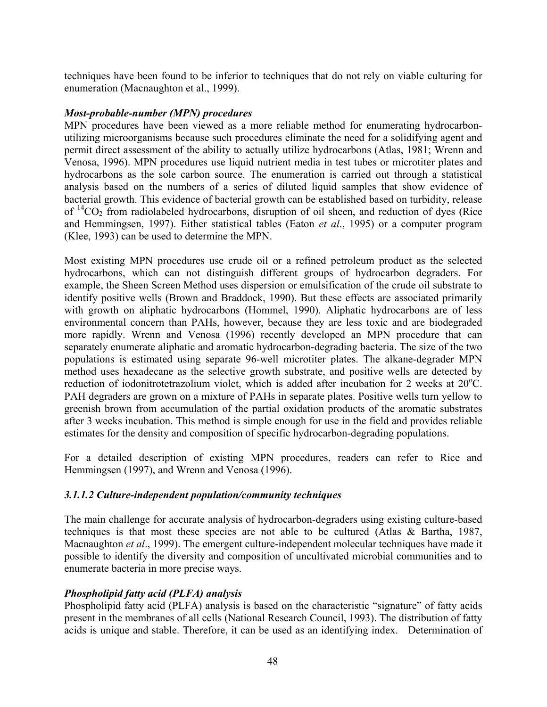techniques have been found to be inferior to techniques that do not rely on viable culturing for enumeration (Macnaughton et al., 1999).

### *Most-probable-number (MPN) procedures*

MPN procedures have been viewed as a more reliable method for enumerating hydrocarbonutilizing microorganisms because such procedures eliminate the need for a solidifying agent and permit direct assessment of the ability to actually utilize hydrocarbons (Atlas, 1981; Wrenn and Venosa, 1996). MPN procedures use liquid nutrient media in test tubes or microtiter plates and hydrocarbons as the sole carbon source. The enumeration is carried out through a statistical analysis based on the numbers of a series of diluted liquid samples that show evidence of bacterial growth. This evidence of bacterial growth can be established based on turbidity, release of  ${}^{14}CO_2$  from radiolabeled hydrocarbons, disruption of oil sheen, and reduction of dyes (Rice and Hemmingsen, 1997). Either statistical tables (Eaton *et al*., 1995) or a computer program (Klee, 1993) can be used to determine the MPN.

Most existing MPN procedures use crude oil or a refined petroleum product as the selected hydrocarbons, which can not distinguish different groups of hydrocarbon degraders. For example, the Sheen Screen Method uses dispersion or emulsification of the crude oil substrate to identify positive wells (Brown and Braddock, 1990). But these effects are associated primarily with growth on aliphatic hydrocarbons (Hommel, 1990). Aliphatic hydrocarbons are of less environmental concern than PAHs, however, because they are less toxic and are biodegraded more rapidly. Wrenn and Venosa (1996) recently developed an MPN procedure that can separately enumerate aliphatic and aromatic hydrocarbon-degrading bacteria. The size of the two populations is estimated using separate 96-well microtiter plates. The alkane-degrader MPN method uses hexadecane as the selective growth substrate, and positive wells are detected by reduction of iodonitrotetrazolium violet, which is added after incubation for 2 weeks at  $20^{\circ}$ C. PAH degraders are grown on a mixture of PAHs in separate plates. Positive wells turn yellow to greenish brown from accumulation of the partial oxidation products of the aromatic substrates after 3 weeks incubation. This method is simple enough for use in the field and provides reliable estimates for the density and composition of specific hydrocarbon-degrading populations.

For a detailed description of existing MPN procedures, readers can refer to Rice and Hemmingsen (1997), and Wrenn and Venosa (1996).

# *3.1.1.2 Culture-independent population/community techniques*

The main challenge for accurate analysis of hydrocarbon-degraders using existing culture-based techniques is that most these species are not able to be cultured (Atlas & Bartha, 1987, Macnaughton *et al*., 1999). The emergent culture-independent molecular techniques have made it possible to identify the diversity and composition of uncultivated microbial communities and to enumerate bacteria in more precise ways.

# *Phospholipid fatty acid (PLFA) analysis*

Phospholipid fatty acid (PLFA) analysis is based on the characteristic "signature" of fatty acids present in the membranes of all cells (National Research Council, 1993). The distribution of fatty acids is unique and stable. Therefore, it can be used as an identifying index. Determination of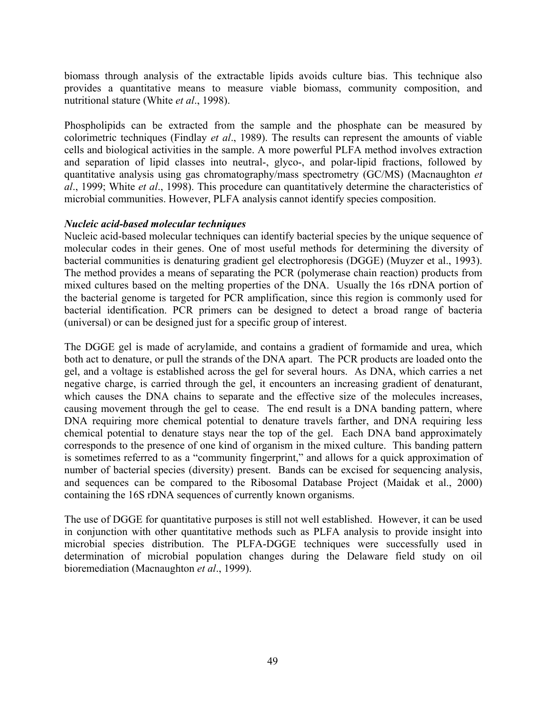biomass through analysis of the extractable lipids avoids culture bias. This technique also provides a quantitative means to measure viable biomass, community composition, and nutritional stature (White *et al*., 1998).

Phospholipids can be extracted from the sample and the phosphate can be measured by colorimetric techniques (Findlay *et al*., 1989). The results can represent the amounts of viable cells and biological activities in the sample. A more powerful PLFA method involves extraction and separation of lipid classes into neutral-, glyco-, and polar-lipid fractions, followed by quantitative analysis using gas chromatography/mass spectrometry (GC/MS) (Macnaughton *et al*., 1999; White *et al*., 1998). This procedure can quantitatively determine the characteristics of microbial communities. However, PLFA analysis cannot identify species composition.

### *Nucleic acid-based molecular techniques*

Nucleic acid-based molecular techniques can identify bacterial species by the unique sequence of molecular codes in their genes. One of most useful methods for determining the diversity of bacterial communities is denaturing gradient gel electrophoresis (DGGE) (Muyzer et al., 1993). The method provides a means of separating the PCR (polymerase chain reaction) products from mixed cultures based on the melting properties of the DNA. Usually the 16s rDNA portion of the bacterial genome is targeted for PCR amplification, since this region is commonly used for bacterial identification. PCR primers can be designed to detect a broad range of bacteria (universal) or can be designed just for a specific group of interest.

The DGGE gel is made of acrylamide, and contains a gradient of formamide and urea, which both act to denature, or pull the strands of the DNA apart. The PCR products are loaded onto the gel, and a voltage is established across the gel for several hours. As DNA, which carries a net negative charge, is carried through the gel, it encounters an increasing gradient of denaturant, which causes the DNA chains to separate and the effective size of the molecules increases, causing movement through the gel to cease. The end result is a DNA banding pattern, where DNA requiring more chemical potential to denature travels farther, and DNA requiring less chemical potential to denature stays near the top of the gel. Each DNA band approximately corresponds to the presence of one kind of organism in the mixed culture. This banding pattern is sometimes referred to as a "community fingerprint," and allows for a quick approximation of number of bacterial species (diversity) present. Bands can be excised for sequencing analysis, and sequences can be compared to the Ribosomal Database Project (Maidak et al., 2000) containing the 16S rDNA sequences of currently known organisms.

The use of DGGE for quantitative purposes is still not well established. However, it can be used in conjunction with other quantitative methods such as PLFA analysis to provide insight into microbial species distribution. The PLFA-DGGE techniques were successfully used in determination of microbial population changes during the Delaware field study on oil bioremediation (Macnaughton *et al*., 1999).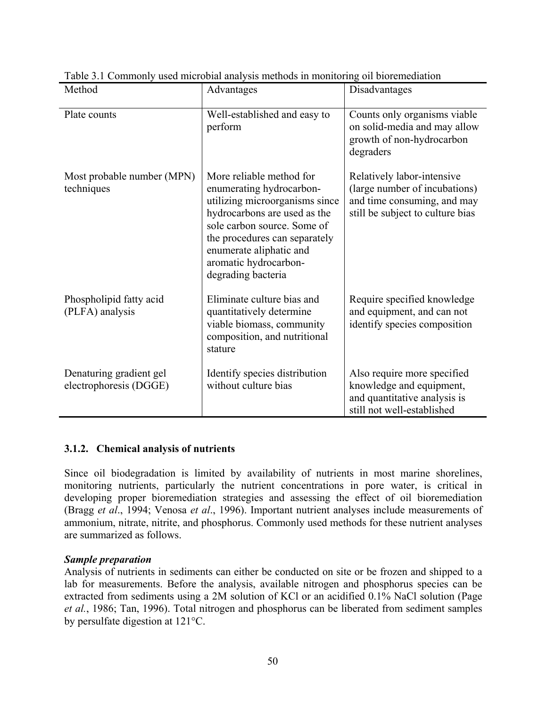| Method                                            | Advantages                                                                                                                                                                                                                                                       | Disadvantages                                                                                                                  |
|---------------------------------------------------|------------------------------------------------------------------------------------------------------------------------------------------------------------------------------------------------------------------------------------------------------------------|--------------------------------------------------------------------------------------------------------------------------------|
| Plate counts                                      | Well-established and easy to<br>perform                                                                                                                                                                                                                          | Counts only organisms viable<br>on solid-media and may allow<br>growth of non-hydrocarbon<br>degraders                         |
| Most probable number (MPN)<br>techniques          | More reliable method for<br>enumerating hydrocarbon-<br>utilizing microorganisms since<br>hydrocarbons are used as the<br>sole carbon source. Some of<br>the procedures can separately<br>enumerate aliphatic and<br>aromatic hydrocarbon-<br>degrading bacteria | Relatively labor-intensive<br>(large number of incubations)<br>and time consuming, and may<br>still be subject to culture bias |
| Phospholipid fatty acid<br>(PLFA) analysis        | Eliminate culture bias and<br>quantitatively determine<br>viable biomass, community<br>composition, and nutritional<br>stature                                                                                                                                   | Require specified knowledge<br>and equipment, and can not<br>identify species composition                                      |
| Denaturing gradient gel<br>electrophoresis (DGGE) | Identify species distribution<br>without culture bias                                                                                                                                                                                                            | Also require more specified<br>knowledge and equipment,<br>and quantitative analysis is<br>still not well-established          |

Table 3.1 Commonly used microbial analysis methods in monitoring oil bioremediation

# **3.1.2. Chemical analysis of nutrients**

Since oil biodegradation is limited by availability of nutrients in most marine shorelines, monitoring nutrients, particularly the nutrient concentrations in pore water, is critical in developing proper bioremediation strategies and assessing the effect of oil bioremediation (Bragg *et al*., 1994; Venosa *et al*., 1996). Important nutrient analyses include measurements of ammonium, nitrate, nitrite, and phosphorus. Commonly used methods for these nutrient analyses are summarized as follows.

# *Sample preparation*

Analysis of nutrients in sediments can either be conducted on site or be frozen and shipped to a lab for measurements. Before the analysis, available nitrogen and phosphorus species can be extracted from sediments using a 2M solution of KCl or an acidified 0.1% NaCl solution (Page *et al.*, 1986; Tan, 1996). Total nitrogen and phosphorus can be liberated from sediment samples by persulfate digestion at 121°C.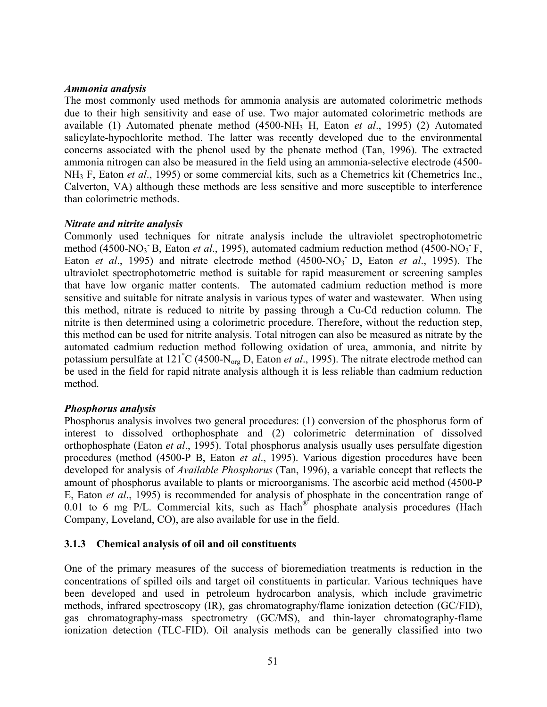### *Ammonia analysis*

The most commonly used methods for ammonia analysis are automated colorimetric methods due to their high sensitivity and ease of use. Two major automated colorimetric methods are available (1) Automated phenate method (4500-NH3 H, Eaton *et al*., 1995) (2) Automated salicylate-hypochlorite method. The latter was recently developed due to the environmental concerns associated with the phenol used by the phenate method (Tan, 1996). The extracted ammonia nitrogen can also be measured in the field using an ammonia-selective electrode (4500- NH3 F, Eaton *et al*., 1995) or some commercial kits, such as a Chemetrics kit (Chemetrics Inc., Calverton, VA) although these methods are less sensitive and more susceptible to interference than colorimetric methods.

### *Nitrate and nitrite analysis*

Commonly used techniques for nitrate analysis include the ultraviolet spectrophotometric method (4500-NO<sub>3</sub> B, Eaton *et al.*, 1995), automated cadmium reduction method (4500-NO<sub>3</sub> Eaton *et al.*, 1995) and nitrate electrode method (4500-NO<sub>3</sub> D, Eaton *et al.*, 1995). The ultraviolet spectrophotometric method is suitable for rapid measurement or screening samples that have low organic matter contents. The automated cadmium reduction method is more sensitive and suitable for nitrate analysis in various types of water and wastewater. When using this method, nitrate is reduced to nitrite by passing through a Cu-Cd reduction column. The nitrite is then determined using a colorimetric procedure. Therefore, without the reduction step, this method can be used for nitrite analysis. Total nitrogen can also be measured as nitrate by the automated cadmium reduction method following oxidation of urea, ammonia, and nitrite by potassium persulfate at 121<sup>°</sup>C (4500-N<sub>org</sub> D, Eaton *et al.*, 1995). The nitrate electrode method can be used in the field for rapid nitrate analysis although it is less reliable than cadmium reduction method.

# *Phosphorus analysis*

Phosphorus analysis involves two general procedures: (1) conversion of the phosphorus form of interest to dissolved orthophosphate and (2) colorimetric determination of dissolved orthophosphate (Eaton *et al*., 1995). Total phosphorus analysis usually uses persulfate digestion procedures (method (4500-P B, Eaton *et al*., 1995). Various digestion procedures have been developed for analysis of *Available Phosphorus* (Tan, 1996), a variable concept that reflects the amount of phosphorus available to plants or microorganisms. The ascorbic acid method (4500-P E, Eaton *et al*., 1995) is recommended for analysis of phosphate in the concentration range of 0.01 to 6 mg P/L. Commercial kits, such as Hach<sup>®</sup> phosphate analysis procedures (Hach Company, Loveland, CO), are also available for use in the field.

# **3.1.3 Chemical analysis of oil and oil constituents**

One of the primary measures of the success of bioremediation treatments is reduction in the concentrations of spilled oils and target oil constituents in particular. Various techniques have been developed and used in petroleum hydrocarbon analysis, which include gravimetric methods, infrared spectroscopy (IR), gas chromatography/flame ionization detection (GC/FID), gas chromatography-mass spectrometry (GC/MS), and thin-layer chromatography-flame ionization detection (TLC-FID). Oil analysis methods can be generally classified into two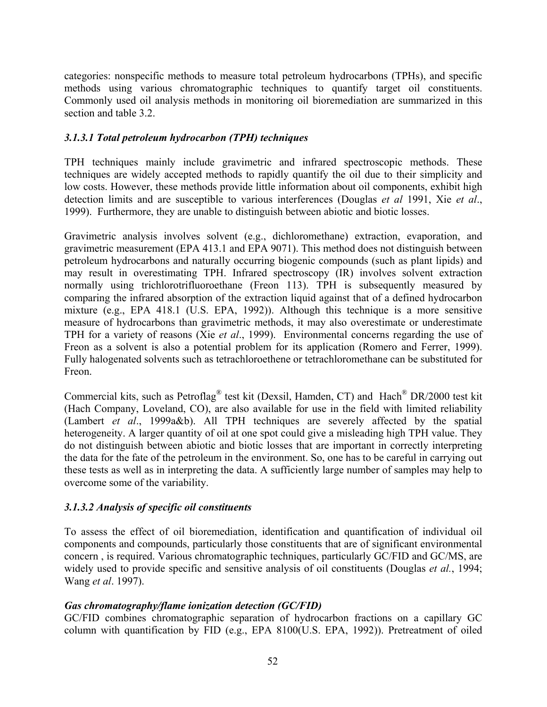categories: nonspecific methods to measure total petroleum hydrocarbons (TPHs), and specific methods using various chromatographic techniques to quantify target oil constituents. Commonly used oil analysis methods in monitoring oil bioremediation are summarized in this section and table 3.2.

# *3.1.3.1 Total petroleum hydrocarbon (TPH) techniques*

TPH techniques mainly include gravimetric and infrared spectroscopic methods. These techniques are widely accepted methods to rapidly quantify the oil due to their simplicity and low costs. However, these methods provide little information about oil components, exhibit high detection limits and are susceptible to various interferences (Douglas *et al* 1991, Xie *et al*., 1999). Furthermore, they are unable to distinguish between abiotic and biotic losses.

Gravimetric analysis involves solvent (e.g., dichloromethane) extraction, evaporation, and gravimetric measurement (EPA 413.1 and EPA 9071). This method does not distinguish between petroleum hydrocarbons and naturally occurring biogenic compounds (such as plant lipids) and may result in overestimating TPH. Infrared spectroscopy (IR) involves solvent extraction normally using trichlorotrifluoroethane (Freon 113). TPH is subsequently measured by comparing the infrared absorption of the extraction liquid against that of a defined hydrocarbon mixture (e.g., EPA 418.1 (U.S. EPA, 1992)). Although this technique is a more sensitive measure of hydrocarbons than gravimetric methods, it may also overestimate or underestimate TPH for a variety of reasons (Xie *et al*., 1999). Environmental concerns regarding the use of Freon as a solvent is also a potential problem for its application (Romero and Ferrer, 1999). Fully halogenated solvents such as tetrachloroethene or tetrachloromethane can be substituted for Freon.

Commercial kits, such as Petroflag® test kit (Dexsil, Hamden, CT) and Hach® DR/2000 test kit (Hach Company, Loveland, CO), are also available for use in the field with limited reliability (Lambert *et al*., 1999a&b). All TPH techniques are severely affected by the spatial heterogeneity. A larger quantity of oil at one spot could give a misleading high TPH value. They do not distinguish between abiotic and biotic losses that are important in correctly interpreting the data for the fate of the petroleum in the environment. So, one has to be careful in carrying out these tests as well as in interpreting the data. A sufficiently large number of samples may help to overcome some of the variability.

# *3.1.3.2 Analysis of specific oil constituents*

To assess the effect of oil bioremediation, identification and quantification of individual oil components and compounds, particularly those constituents that are of significant environmental concern , is required. Various chromatographic techniques, particularly GC/FID and GC/MS, are widely used to provide specific and sensitive analysis of oil constituents (Douglas *et al.*, 1994; Wang *et al*. 1997).

# *Gas chromatography/flame ionization detection (GC/FID)*

GC/FID combines chromatographic separation of hydrocarbon fractions on a capillary GC column with quantification by FID (e.g., EPA 8100(U.S. EPA, 1992)). Pretreatment of oiled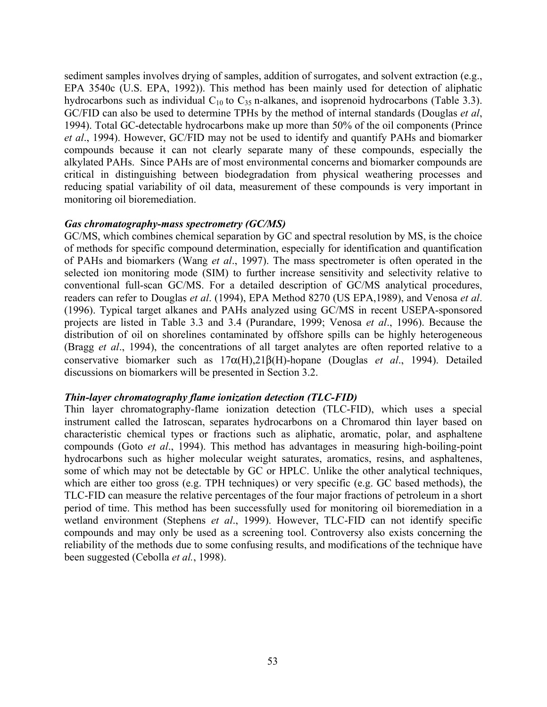sediment samples involves drying of samples, addition of surrogates, and solvent extraction (e.g., EPA 3540c (U.S. EPA, 1992)). This method has been mainly used for detection of aliphatic hydrocarbons such as individual  $C_{10}$  to  $C_{35}$  n-alkanes, and isoprenoid hydrocarbons (Table 3.3). GC/FID can also be used to determine TPHs by the method of internal standards (Douglas *et al*, 1994). Total GC-detectable hydrocarbons make up more than 50% of the oil components (Prince *et al*., 1994). However, GC/FID may not be used to identify and quantify PAHs and biomarker compounds because it can not clearly separate many of these compounds, especially the alkylated PAHs. Since PAHs are of most environmental concerns and biomarker compounds are critical in distinguishing between biodegradation from physical weathering processes and reducing spatial variability of oil data, measurement of these compounds is very important in monitoring oil bioremediation.

#### *Gas chromatography-mass spectrometry (GC/MS)*

GC/MS, which combines chemical separation by GC and spectral resolution by MS, is the choice of methods for specific compound determination, especially for identification and quantification of PAHs and biomarkers (Wang *et al*., 1997). The mass spectrometer is often operated in the selected ion monitoring mode (SIM) to further increase sensitivity and selectivity relative to conventional full-scan GC/MS. For a detailed description of GC/MS analytical procedures, readers can refer to Douglas *et al*. (1994), EPA Method 8270 (US EPA,1989), and Venosa *et al*. (1996). Typical target alkanes and PAHs analyzed using GC/MS in recent USEPA-sponsored projects are listed in Table 3.3 and 3.4 (Purandare, 1999; Venosa *et al*., 1996). Because the distribution of oil on shorelines contaminated by offshore spills can be highly heterogeneous (Bragg *et al*., 1994), the concentrations of all target analytes are often reported relative to a conservative biomarker such as 17α(H),21β(H)-hopane (Douglas *et al*., 1994). Detailed discussions on biomarkers will be presented in Section 3.2.

### *Thin-layer chromatography flame ionization detection (TLC-FID)*

Thin layer chromatography-flame ionization detection (TLC-FID), which uses a special instrument called the Iatroscan, separates hydrocarbons on a Chromarod thin layer based on characteristic chemical types or fractions such as aliphatic, aromatic, polar, and asphaltene compounds (Goto *et al*., 1994). This method has advantages in measuring high-boiling-point hydrocarbons such as higher molecular weight saturates, aromatics, resins, and asphaltenes, some of which may not be detectable by GC or HPLC. Unlike the other analytical techniques, which are either too gross (e.g. TPH techniques) or very specific (e.g. GC based methods), the TLC-FID can measure the relative percentages of the four major fractions of petroleum in a short period of time. This method has been successfully used for monitoring oil bioremediation in a wetland environment (Stephens *et al*., 1999). However, TLC-FID can not identify specific compounds and may only be used as a screening tool. Controversy also exists concerning the reliability of the methods due to some confusing results, and modifications of the technique have been suggested (Cebolla *et al.*, 1998).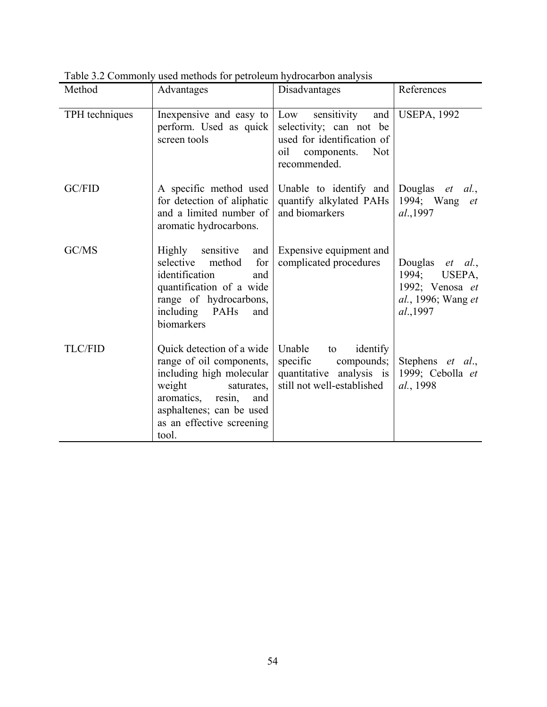| Method         | Advantages                                                                                                                                                                                              | Disadvantages                                                                                                                   | References                                                                                      |
|----------------|---------------------------------------------------------------------------------------------------------------------------------------------------------------------------------------------------------|---------------------------------------------------------------------------------------------------------------------------------|-------------------------------------------------------------------------------------------------|
| TPH techniques | Inexpensive and easy to<br>perform. Used as quick<br>screen tools                                                                                                                                       | sensitivity<br>Low<br>and<br>selectivity; can not be<br>used for identification of<br>oil<br>Not<br>components.<br>recommended. | <b>USEPA, 1992</b>                                                                              |
| GC/FID         | A specific method used<br>for detection of aliphatic<br>and a limited number of<br>aromatic hydrocarbons.                                                                                               | Unable to identify and<br>quantify alkylated PAHs<br>and biomarkers                                                             | Douglas <i>et</i><br>al.<br>1994; Wang<br>et<br>al., 1997                                       |
| GC/MS          | Highly sensitive<br>and<br>method<br>selective<br>for<br>identification<br>and<br>quantification of a wide<br>range of hydrocarbons,<br>including PAHs<br>and<br>biomarkers                             | Expensive equipment and<br>complicated procedures                                                                               | Douglas<br>$et \quad al.,$<br>1994; USEPA,<br>1992; Venosa et<br>al., 1996; Wang et<br>al.,1997 |
| <b>TLC/FID</b> | Quick detection of a wide<br>range of oil components,<br>including high molecular<br>weight<br>saturates,<br>aromatics, resin,<br>and<br>asphaltenes; can be used<br>as an effective screening<br>tool. | Unable<br>identify<br>to<br>specific<br>compounds;<br>quantitative analysis is<br>still not well-established                    | Stephens et al.,<br>1999; Cebolla et<br>al., 1998                                               |

Table 3.2 Commonly used methods for petroleum hydrocarbon analysis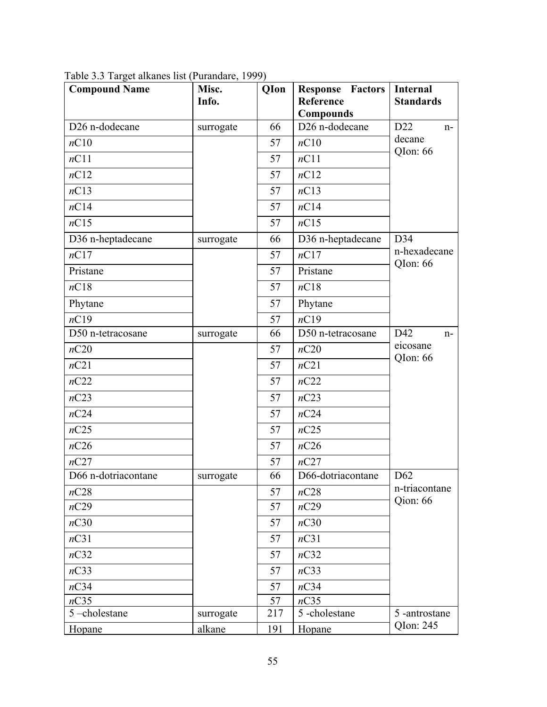| <b>Compound Name</b> | Misc.<br>Info. | QIon | <b>Response Factors</b><br>Reference | <b>Internal</b><br><b>Standards</b> |
|----------------------|----------------|------|--------------------------------------|-------------------------------------|
|                      |                |      | <b>Compounds</b>                     |                                     |
| D26 n-dodecane       | surrogate      | 66   | D26 n-dodecane                       | D <sub>22</sub><br>$n-$             |
| nC10                 |                | 57   | nC10                                 | decane                              |
| nC11                 |                | 57   | nC11                                 | QIon: 66                            |
| nC12                 |                | 57   | nC12                                 |                                     |
| nC13                 |                | 57   | nC13                                 |                                     |
| nC14                 |                | 57   | nC14                                 |                                     |
| nC15                 |                | 57   | nC15                                 |                                     |
| D36 n-heptadecane    | surrogate      | 66   | D36 n-heptadecane                    | D34                                 |
| nC17                 |                | 57   | nC17                                 | n-hexadecane                        |
| Pristane             |                | 57   | Pristane                             | QIon: 66                            |
| nC18                 |                | 57   | nC18                                 |                                     |
| Phytane              |                | 57   | Phytane                              |                                     |
| nC19                 |                | 57   | nC19                                 |                                     |
| D50 n-tetracosane    | surrogate      | 66   | D50 n-tetracosane                    | D42<br>$n-$                         |
| nC20                 |                | 57   | nC20                                 | eicosane                            |
| nC21                 |                | 57   | nC21                                 | QIon: 66                            |
| nC22                 |                | 57   | nC22                                 |                                     |
| nC23                 |                | 57   | nC23                                 |                                     |
| nC24                 |                | 57   | nC24                                 |                                     |
| nC25                 |                | 57   | nC25                                 |                                     |
| nC26                 |                | 57   | nC26                                 |                                     |
| nC27                 |                | 57   | nC27                                 |                                     |
| D66 n-dotriacontane  | surrogate      | 66   | D66-dotriacontane                    | D <sub>62</sub>                     |
| nC28                 |                | 57   | nC28                                 | n-triacontane                       |
| nC29                 |                | 57   | nC29                                 | Qion: 66                            |
| nC30                 |                | 57   | nC30                                 |                                     |
| nC31                 |                | 57   | nC31                                 |                                     |
| nC32                 |                | 57   | nC32                                 |                                     |
| nC33                 |                | 57   | nC33                                 |                                     |
| nC34                 |                | 57   | nC34                                 |                                     |
| nC35                 |                | 57   | nC35                                 |                                     |
| 5-cholestane         | surrogate      | 217  | 5-cholestane                         | 5-antrostane                        |
| Hopane               | alkane         | 191  | Hopane                               | QIon: 245                           |

Table 3.3 Target alkanes list (Purandare, 1999)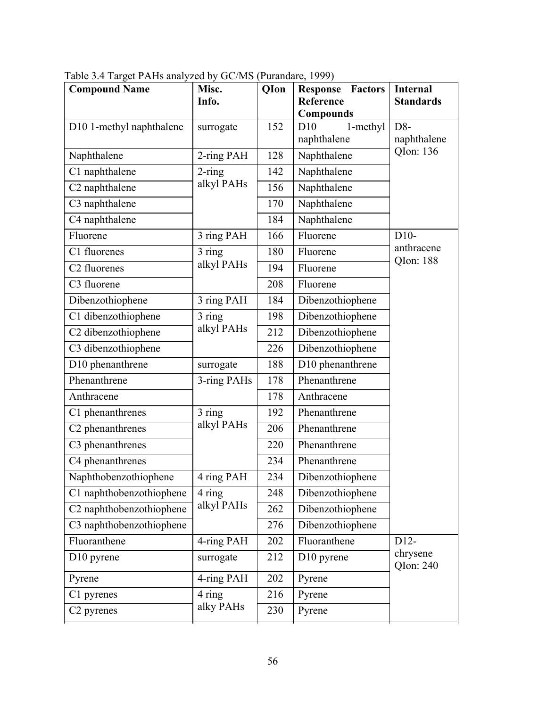| <b>Compound Name</b>     | Misc.<br>Info. | QIon | <b>Response Factors</b><br>Reference | <b>Internal</b><br><b>Standards</b> |
|--------------------------|----------------|------|--------------------------------------|-------------------------------------|
|                          |                |      | <b>Compounds</b>                     |                                     |
| D10 1-methyl naphthalene | surrogate      | 152  | D10<br>1-methyl                      | D8-                                 |
|                          |                |      | naphthalene                          | naphthalene                         |
| Naphthalene              | 2-ring PAH     | 128  | Naphthalene                          | QIon: 136                           |
| C1 naphthalene           | $2$ -ring      | 142  | Naphthalene                          |                                     |
| C2 naphthalene           | alkyl PAHs     | 156  | Naphthalene                          |                                     |
| C3 naphthalene           |                | 170  | Naphthalene                          |                                     |
| C4 naphthalene           |                | 184  | Naphthalene                          |                                     |
| Fluorene                 | 3 ring PAH     | 166  | Fluorene                             | $D10-$                              |
| C1 fluorenes             | 3 ring         | 180  | Fluorene                             | anthracene<br>QIon: 188             |
| C <sub>2</sub> fluorenes | alkyl PAHs     | 194  | Fluorene                             |                                     |
| C3 fluorene              |                | 208  | Fluorene                             |                                     |
| Dibenzothiophene         | 3 ring PAH     | 184  | Dibenzothiophene                     |                                     |
| C1 dibenzothiophene      | $3$ ring       | 198  | Dibenzothiophene                     |                                     |
| C2 dibenzothiophene      | alkyl PAHs     | 212  | Dibenzothiophene                     |                                     |
| C3 dibenzothiophene      |                | 226  | Dibenzothiophene                     |                                     |
| D10 phenanthrene         | surrogate      | 188  | D10 phenanthrene                     |                                     |
| Phenanthrene             | 3-ring PAHs    | 178  | Phenanthrene                         |                                     |
| Anthracene               |                | 178  | Anthracene                           |                                     |
| C1 phenanthrenes         | 3 ring         | 192  | Phenanthrene                         |                                     |
| C2 phenanthrenes         | alkyl PAHs     | 206  | Phenanthrene                         |                                     |
| C3 phenanthrenes         |                | 220  | Phenanthrene                         |                                     |
| C4 phenanthrenes         |                | 234  | Phenanthrene                         |                                     |
| Naphthobenzothiophene    | 4 ring PAH     | 234  | Dibenzothiophene                     |                                     |
| C1 naphthobenzothiophene | 4 ring         | 248  | Dibenzothiophene                     |                                     |
| C2 naphthobenzothiophene | alkyl PAHs     | 262  | Dibenzothiophene                     |                                     |
| C3 naphthobenzothiophene |                | 276  | Dibenzothiophene                     |                                     |
| Fluoranthene             | 4-ring PAH     | 202  | Fluoranthene                         | D12-                                |
| D <sub>10</sub> pyrene   | surrogate      | 212  | D <sub>10</sub> pyrene               | chrysene<br>QIon: 240               |
| Pyrene                   | 4-ring PAH     | 202  | Pyrene                               |                                     |
| C1 pyrenes               | 4 ring         | 216  | Pyrene                               |                                     |
| C <sub>2</sub> pyrenes   | alky PAHs      | 230  | Pyrene                               |                                     |

Table 3.4 Target PAHs analyzed by GC/MS (Purandare, 1999)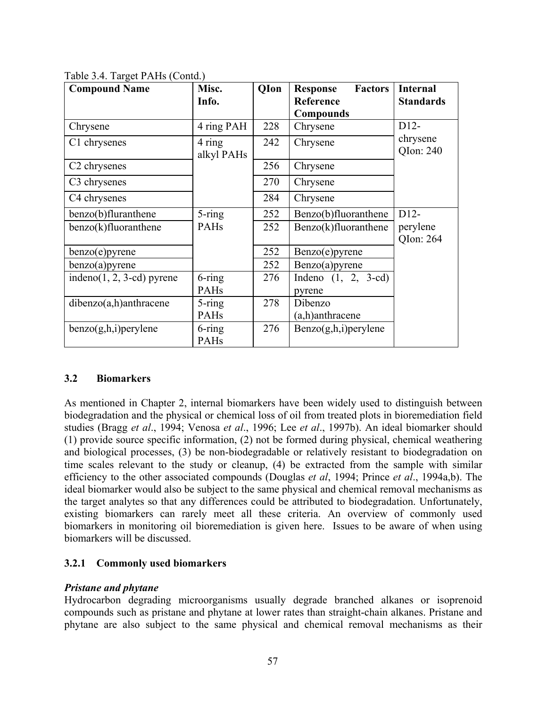| <b>Compound Name</b>                | Misc.                         | <b>QIon</b> | <b>Factors</b><br><b>Response</b> | <b>Internal</b>       |
|-------------------------------------|-------------------------------|-------------|-----------------------------------|-----------------------|
|                                     | Info.                         |             | Reference<br><b>Compounds</b>     | <b>Standards</b>      |
| Chrysene                            | 4 ring PAH                    | 228         | Chrysene                          | $D12-$                |
| C1 chrysenes                        | 4 ring<br>alkyl PAHs          | 242         | Chrysene                          | chrysene<br>QIon: 240 |
| C <sub>2</sub> chrysenes            |                               | 256         | Chrysene                          |                       |
| C <sub>3</sub> chrysenes            |                               | 270         | Chrysene                          |                       |
| C <sub>4</sub> chrysenes            |                               | 284         | Chrysene                          |                       |
| benzo(b)fluranthene                 | 5-ring                        | 252         | Benzo(b)fluoranthene              | D12-                  |
| benzo(k)fluoranthene                | PAH <sub>s</sub>              | 252         | Benzo(k)fluoranthene              | perylene<br>QIon: 264 |
| $benzo(e)$ pyrene                   |                               | 252         | Benzo(e)pyrene                    |                       |
| $benzo(a)$ pyrene                   |                               | 252         | $Benzo(a)$ pyrene                 |                       |
| indeno $(1, 2, 3-\text{cd})$ pyrene | $6$ -ring<br>PAH <sub>s</sub> | 276         | Indeno $(1, 2, 3-cd)$<br>pyrene   |                       |
| $diberzo(a,h)$ anthracene           | $5$ -ring                     | 278         | Dibenzo                           |                       |
|                                     | PAH <sub>s</sub>              |             | $(a,h)$ anthracene                |                       |
| $benzo(g,h,i)$ per ylene            | 6-ring<br>PAHs                | 276         | $Benzo(g,h,i)$ per ylene          |                       |

Table 3.4. Target PAHs (Contd.)

# **3.2 Biomarkers**

As mentioned in Chapter 2, internal biomarkers have been widely used to distinguish between biodegradation and the physical or chemical loss of oil from treated plots in bioremediation field studies (Bragg *et al*., 1994; Venosa *et al*., 1996; Lee *et al*., 1997b). An ideal biomarker should (1) provide source specific information, (2) not be formed during physical, chemical weathering and biological processes, (3) be non-biodegradable or relatively resistant to biodegradation on time scales relevant to the study or cleanup, (4) be extracted from the sample with similar efficiency to the other associated compounds (Douglas *et al*, 1994; Prince *et al*., 1994a,b). The ideal biomarker would also be subject to the same physical and chemical removal mechanisms as the target analytes so that any differences could be attributed to biodegradation. Unfortunately, existing biomarkers can rarely meet all these criteria. An overview of commonly used biomarkers in monitoring oil bioremediation is given here. Issues to be aware of when using biomarkers will be discussed.

# **3.2.1 Commonly used biomarkers**

# *Pristane and phytane*

Hydrocarbon degrading microorganisms usually degrade branched alkanes or isoprenoid compounds such as pristane and phytane at lower rates than straight-chain alkanes. Pristane and phytane are also subject to the same physical and chemical removal mechanisms as their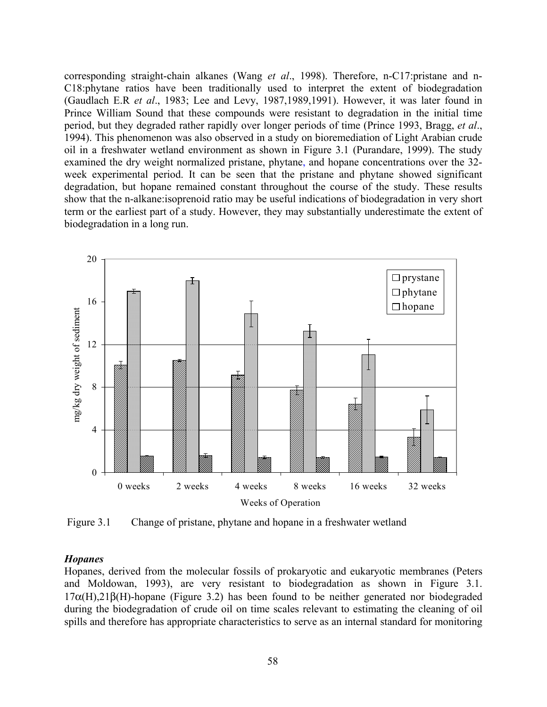corresponding straight-chain alkanes (Wang *et al*., 1998). Therefore, n-C17:pristane and n-C18:phytane ratios have been traditionally used to interpret the extent of biodegradation (Gaudlach E.R *et al*., 1983; Lee and Levy, 1987,1989,1991). However, it was later found in Prince William Sound that these compounds were resistant to degradation in the initial time period, but they degraded rather rapidly over longer periods of time (Prince 1993, Bragg, *et al*., 1994). This phenomenon was also observed in a study on bioremediation of Light Arabian crude oil in a freshwater wetland environment as shown in Figure 3.1 (Purandare, 1999). The study examined the dry weight normalized pristane, phytane, and hopane concentrations over the 32 week experimental period. It can be seen that the pristane and phytane showed significant degradation, but hopane remained constant throughout the course of the study. These results show that the n-alkane:isoprenoid ratio may be useful indications of biodegradation in very short term or the earliest part of a study. However, they may substantially underestimate the extent of biodegradation in a long run.



Figure 3.1 Change of pristane, phytane and hopane in a freshwater wetland

# *Hopanes*

Hopanes, derived from the molecular fossils of prokaryotic and eukaryotic membranes (Peters and Moldowan, 1993), are very resistant to biodegradation as shown in Figure 3.1. 17α(H),21β(H)-hopane (Figure 3.2) has been found to be neither generated nor biodegraded during the biodegradation of crude oil on time scales relevant to estimating the cleaning of oil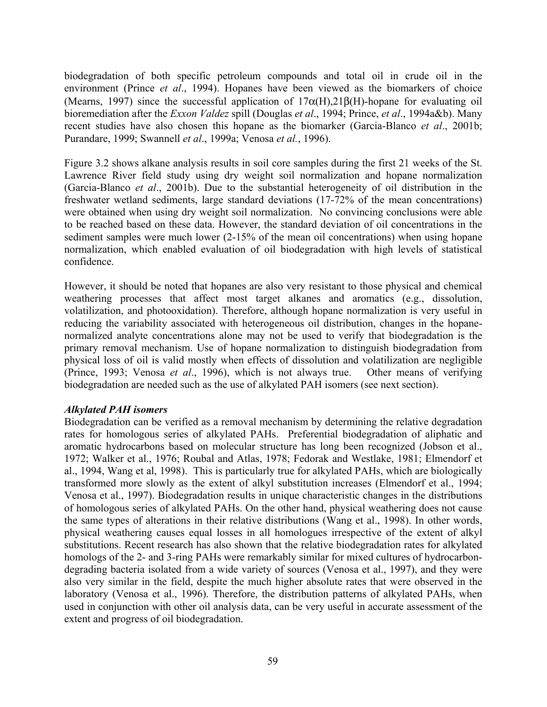biodegradation of both specific petroleum compounds and total oil in crude oil in the environment (Prince *et al*., 1994). Hopanes have been viewed as the biomarkers of choice (Mearns, 1997) since the successful application of  $17\alpha(H)$ ,  $21\beta(H)$ -hopane for evaluating oil bioremediation after the *Exxon Valdez* spill (Douglas *et al*., 1994; Prince, *et al*., 1994a&b). Many recent studies have also chosen this hopane as the biomarker (Garcia-Blanco *et al*., 2001b; Purandare, 1999; Swannell *et al*., 1999a; Venosa *et al.*, 1996).

Figure 3.2 shows alkane analysis results in soil core samples during the first 21 weeks of the St. Lawrence River field study using dry weight soil normalization and hopane normalization (Garcia-Blanco *et al*., 2001b). Due to the substantial heterogeneity of oil distribution in the freshwater wetland sediments, large standard deviations (17-72% of the mean concentrations) were obtained when using dry weight soil normalization. No convincing conclusions were able to be reached based on these data. However, the standard deviation of oil concentrations in the sediment samples were much lower (2-15% of the mean oil concentrations) when using hopane normalization, which enabled evaluation of oil biodegradation with high levels of statistical confidence.

However, it should be noted that hopanes are also very resistant to those physical and chemical weathering processes that affect most target alkanes and aromatics (e.g., dissolution, volatilization, and photooxidation). Therefore, although hopane normalization is very useful in reducing the variability associated with heterogeneous oil distribution, changes in the hopanenormalized analyte concentrations alone may not be used to verify that biodegradation is the primary removal mechanism. Use of hopane normalization to distinguish biodegradation from physical loss of oil is valid mostly when effects of dissolution and volatilization are negligible (Prince, 1993; Venosa *et al*., 1996), which is not always true. Other means of verifying biodegradation are needed such as the use of alkylated PAH isomers (see next section).

### *Alkylated PAH isomers*

Biodegradation can be verified as a removal mechanism by determining the relative degradation rates for homologous series of alkylated PAHs. Preferential biodegradation of aliphatic and aromatic hydrocarbons based on molecular structure has long been recognized (Jobson et al., 1972; Walker et al., 1976; Roubal and Atlas, 1978; Fedorak and Westlake, 1981; Elmendorf et al., 1994, Wang et al, 1998). This is particularly true for alkylated PAHs, which are biologically transformed more slowly as the extent of alkyl substitution increases (Elmendorf et al., 1994; Venosa et al., 1997). Biodegradation results in unique characteristic changes in the distributions of homologous series of alkylated PAHs. On the other hand, physical weathering does not cause the same types of alterations in their relative distributions (Wang et al., 1998). In other words, physical weathering causes equal losses in all homologues irrespective of the extent of alkyl substitutions. Recent research has also shown that the relative biodegradation rates for alkylated homologs of the 2- and 3-ring PAHs were remarkably similar for mixed cultures of hydrocarbondegrading bacteria isolated from a wide variety of sources (Venosa et al., 1997), and they were also very similar in the field, despite the much higher absolute rates that were observed in the laboratory (Venosa et al., 1996). Therefore, the distribution patterns of alkylated PAHs, when used in conjunction with other oil analysis data, can be very useful in accurate assessment of the extent and progress of oil biodegradation.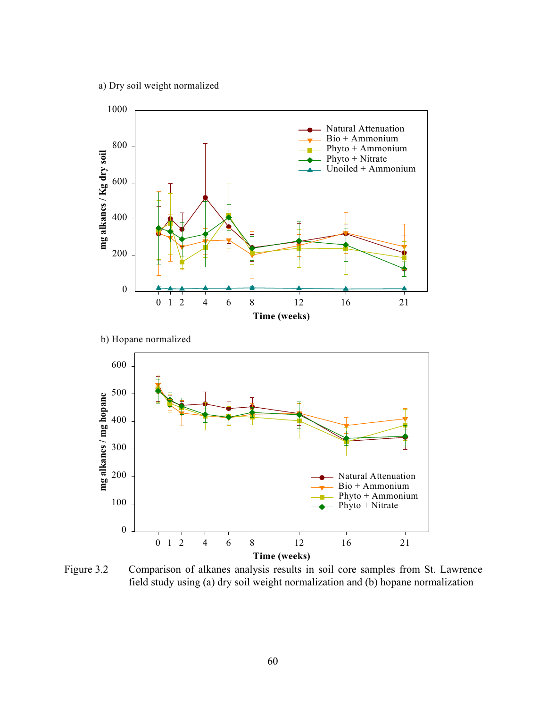a) Dry soil weight normalized



Figure 3.2 Comparison of alkanes analysis results in soil core samples from St. Lawrence field study using (a) dry soil weight normalization and (b) hopane normalization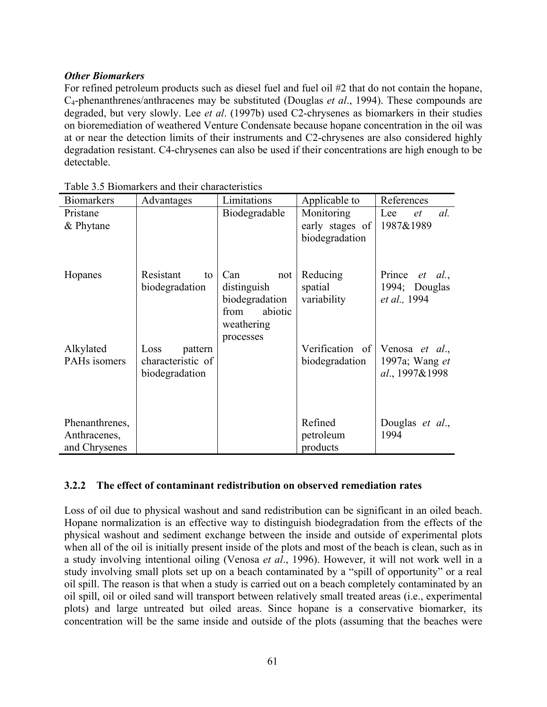# *Other Biomarkers*

For refined petroleum products such as diesel fuel and fuel oil #2 that do not contain the hopane, C4-phenanthrenes/anthracenes may be substituted (Douglas *et al*., 1994). These compounds are degraded, but very slowly. Lee *et al*. (1997b) used C2-chrysenes as biomarkers in their studies on bioremediation of weathered Venture Condensate because hopane concentration in the oil was at or near the detection limits of their instruments and C2-chrysenes are also considered highly degradation resistant. C4-chrysenes can also be used if their concentrations are high enough to be detectable.

| <b>Biomarkers</b>                               | Advantages                                             | Limitations                                                                               | Applicable to                                   | References                                                         |  |
|-------------------------------------------------|--------------------------------------------------------|-------------------------------------------------------------------------------------------|-------------------------------------------------|--------------------------------------------------------------------|--|
| Pristane<br>$&$ Phytane                         |                                                        | Biodegradable                                                                             | Monitoring<br>early stages of<br>biodegradation | Lee<br>al.<br>et<br>1987&1989                                      |  |
| Hopanes                                         | Resistant<br>to<br>biodegradation                      | Can<br>not<br>distinguish<br>biodegradation<br>abiotic<br>from<br>weathering<br>processes | Reducing<br>spatial<br>variability              | Prince et al.,<br>1994; Douglas<br><i>et al.</i> , 1994            |  |
| Alkylated<br>PAHs isomers                       | Loss<br>pattern<br>characteristic of<br>biodegradation |                                                                                           | biodegradation                                  | Verification of Venosa et al.,<br>1997a; Wang et<br>al., 1997&1998 |  |
| Phenanthrenes,<br>Anthracenes,<br>and Chrysenes |                                                        |                                                                                           | Refined<br>petroleum<br>products                | Douglas et al.,<br>1994                                            |  |

|  | Table 3.5 Biomarkers and their characteristics |
|--|------------------------------------------------|
|  |                                                |

# **3.2.2 The effect of contaminant redistribution on observed remediation rates**

Loss of oil due to physical washout and sand redistribution can be significant in an oiled beach. Hopane normalization is an effective way to distinguish biodegradation from the effects of the physical washout and sediment exchange between the inside and outside of experimental plots when all of the oil is initially present inside of the plots and most of the beach is clean, such as in a study involving intentional oiling (Venosa *et al*., 1996). However, it will not work well in a study involving small plots set up on a beach contaminated by a "spill of opportunity" or a real oil spill. The reason is that when a study is carried out on a beach completely contaminated by an oil spill, oil or oiled sand will transport between relatively small treated areas (i.e., experimental plots) and large untreated but oiled areas. Since hopane is a conservative biomarker, its concentration will be the same inside and outside of the plots (assuming that the beaches were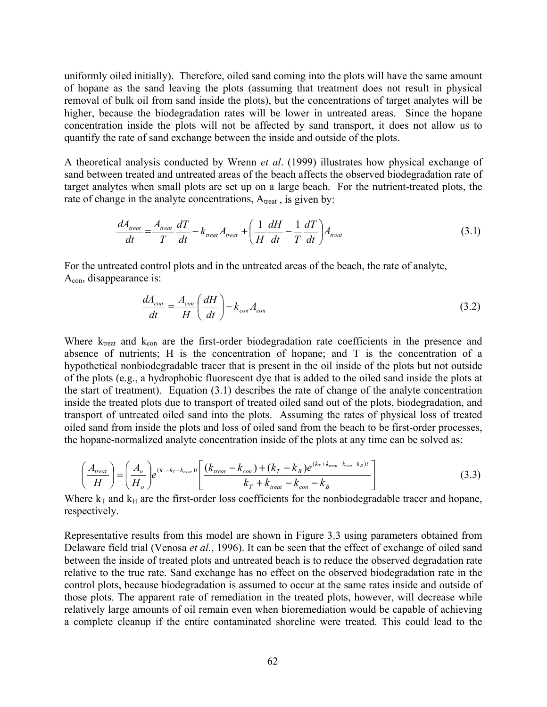uniformly oiled initially). Therefore, oiled sand coming into the plots will have the same amount of hopane as the sand leaving the plots (assuming that treatment does not result in physical removal of bulk oil from sand inside the plots), but the concentrations of target analytes will be higher, because the biodegradation rates will be lower in untreated areas. Since the hopane concentration inside the plots will not be affected by sand transport, it does not allow us to quantify the rate of sand exchange between the inside and outside of the plots.

A theoretical analysis conducted by Wrenn *et al*. (1999) illustrates how physical exchange of sand between treated and untreated areas of the beach affects the observed biodegradation rate of target analytes when small plots are set up on a large beach. For the nutrient-treated plots, the rate of change in the analyte concentrations,  $A_{\text{treat}}$ , is given by:

$$
\frac{dA_{\text{treat}}}{dt} = \frac{A_{\text{treat}}}{T} \frac{dT}{dt} - k_{\text{treat}} A_{\text{treat}} + \left(\frac{1}{H} \frac{dH}{dt} - \frac{1}{T} \frac{dT}{dt}\right) A_{\text{treat}}
$$
(3.1)

For the untreated control plots and in the untreated areas of the beach, the rate of analyte, Acon, disappearance is:

$$
\frac{dA_{con}}{dt} = \frac{A_{con}}{H} \left(\frac{dH}{dt}\right) - k_{con} A_{con}
$$
\n(3.2)

Where  $k_{\text{treat}}$  and  $k_{\text{con}}$  are the first-order biodegradation rate coefficients in the presence and absence of nutrients; H is the concentration of hopane; and T is the concentration of a hypothetical nonbiodegradable tracer that is present in the oil inside of the plots but not outside of the plots (e.g., a hydrophobic fluorescent dye that is added to the oiled sand inside the plots at the start of treatment). Equation (3.1) describes the rate of change of the analyte concentration inside the treated plots due to transport of treated oiled sand out of the plots, biodegradation, and transport of untreated oiled sand into the plots. Assuming the rates of physical loss of treated oiled sand from inside the plots and loss of oiled sand from the beach to be first-order processes, the hopane-normalized analyte concentration inside of the plots at any time can be solved as:

$$
\left(\frac{A_{treat}}{H}\right) = \left(\frac{A_o}{H_o}\right) e^{(k - k_T - k_{treat})t} \left[\frac{(k_{treat} - k_{con}) + (k_T - k_B) e^{(k_T + k_{treat} - k_{con} - k_B)t}}{k_T + k_{treat} - k_{con} - k_B}\right]
$$
\n(3.3)

Where  $k_T$  and  $k_H$  are the first-order loss coefficients for the nonbiodegradable tracer and hopane, respectively.

Representative results from this model are shown in Figure 3.3 using parameters obtained from Delaware field trial (Venosa *et al.*, 1996). It can be seen that the effect of exchange of oiled sand between the inside of treated plots and untreated beach is to reduce the observed degradation rate relative to the true rate. Sand exchange has no effect on the observed biodegradation rate in the control plots, because biodegradation is assumed to occur at the same rates inside and outside of those plots. The apparent rate of remediation in the treated plots, however, will decrease while relatively large amounts of oil remain even when bioremediation would be capable of achieving a complete cleanup if the entire contaminated shoreline were treated. This could lead to the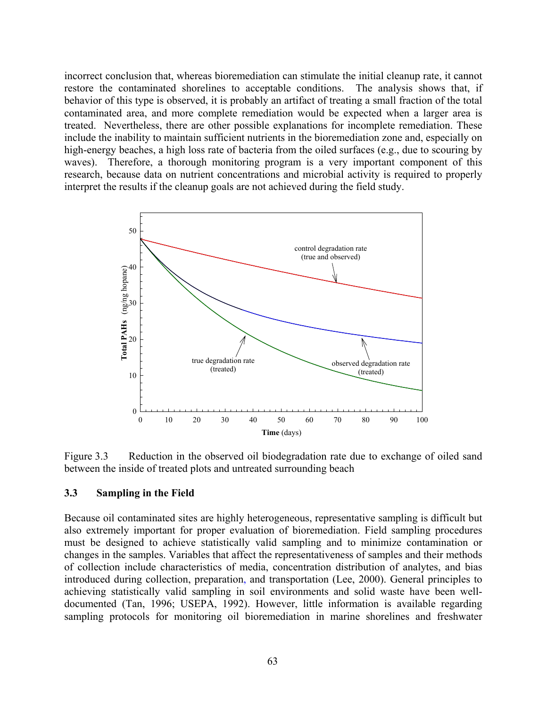incorrect conclusion that, whereas bioremediation can stimulate the initial cleanup rate, it cannot restore the contaminated shorelines to acceptable conditions. The analysis shows that, if behavior of this type is observed, it is probably an artifact of treating a small fraction of the total contaminated area, and more complete remediation would be expected when a larger area is treated. Nevertheless, there are other possible explanations for incomplete remediation. These include the inability to maintain sufficient nutrients in the bioremediation zone and, especially on high-energy beaches, a high loss rate of bacteria from the oiled surfaces (e.g., due to scouring by waves). Therefore, a thorough monitoring program is a very important component of this research, because data on nutrient concentrations and microbial activity is required to properly interpret the results if the cleanup goals are not achieved during the field study.



Figure 3.3 Reduction in the observed oil biodegradation rate due to exchange of oiled sand between the inside of treated plots and untreated surrounding beach

#### **3.3 Sampling in the Field**

Because oil contaminated sites are highly heterogeneous, representative sampling is difficult but also extremely important for proper evaluation of bioremediation. Field sampling procedures must be designed to achieve statistically valid sampling and to minimize contamination or changes in the samples. Variables that affect the representativeness of samples and their methods of collection include characteristics of media, concentration distribution of analytes, and bias introduced during collection, preparation, and transportation (Lee, 2000). General principles to achieving statistically valid sampling in soil environments and solid waste have been welldocumented (Tan, 1996; USEPA, 1992). However, little information is available regarding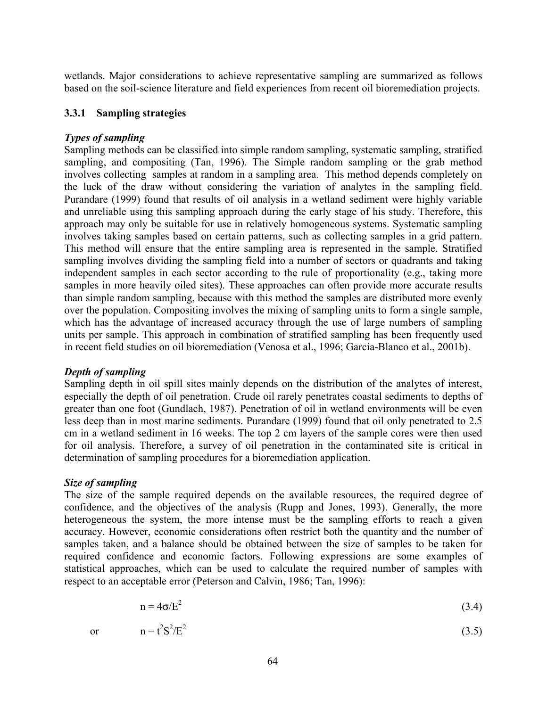wetlands. Major considerations to achieve representative sampling are summarized as follows based on the soil-science literature and field experiences from recent oil bioremediation projects.

### **3.3.1 Sampling strategies**

### *Types of sampling*

Sampling methods can be classified into simple random sampling, systematic sampling, stratified sampling, and compositing (Tan, 1996). The Simple random sampling or the grab method involves collecting samples at random in a sampling area. This method depends completely on the luck of the draw without considering the variation of analytes in the sampling field. Purandare (1999) found that results of oil analysis in a wetland sediment were highly variable and unreliable using this sampling approach during the early stage of his study. Therefore, this approach may only be suitable for use in relatively homogeneous systems. Systematic sampling involves taking samples based on certain patterns, such as collecting samples in a grid pattern. This method will ensure that the entire sampling area is represented in the sample. Stratified sampling involves dividing the sampling field into a number of sectors or quadrants and taking independent samples in each sector according to the rule of proportionality (e.g., taking more samples in more heavily oiled sites). These approaches can often provide more accurate results than simple random sampling, because with this method the samples are distributed more evenly over the population. Compositing involves the mixing of sampling units to form a single sample, which has the advantage of increased accuracy through the use of large numbers of sampling units per sample. This approach in combination of stratified sampling has been frequently used in recent field studies on oil bioremediation (Venosa et al., 1996; Garcia-Blanco et al., 2001b).

### *Depth of sampling*

Sampling depth in oil spill sites mainly depends on the distribution of the analytes of interest, especially the depth of oil penetration. Crude oil rarely penetrates coastal sediments to depths of greater than one foot (Gundlach, 1987). Penetration of oil in wetland environments will be even less deep than in most marine sediments. Purandare (1999) found that oil only penetrated to 2.5 cm in a wetland sediment in 16 weeks. The top 2 cm layers of the sample cores were then used for oil analysis. Therefore, a survey of oil penetration in the contaminated site is critical in determination of sampling procedures for a bioremediation application.

### *Size of sampling*

The size of the sample required depends on the available resources, the required degree of confidence, and the objectives of the analysis (Rupp and Jones, 1993). Generally, the more heterogeneous the system, the more intense must be the sampling efforts to reach a given accuracy. However, economic considerations often restrict both the quantity and the number of samples taken, and a balance should be obtained between the size of samples to be taken for required confidence and economic factors. Following expressions are some examples of statistical approaches, which can be used to calculate the required number of samples with respect to an acceptable error (Peterson and Calvin, 1986; Tan, 1996):

$$
n = 4\sigma/E^2 \tag{3.4}
$$

$$
n = t^2 S^2 / E^2 \tag{3.5}
$$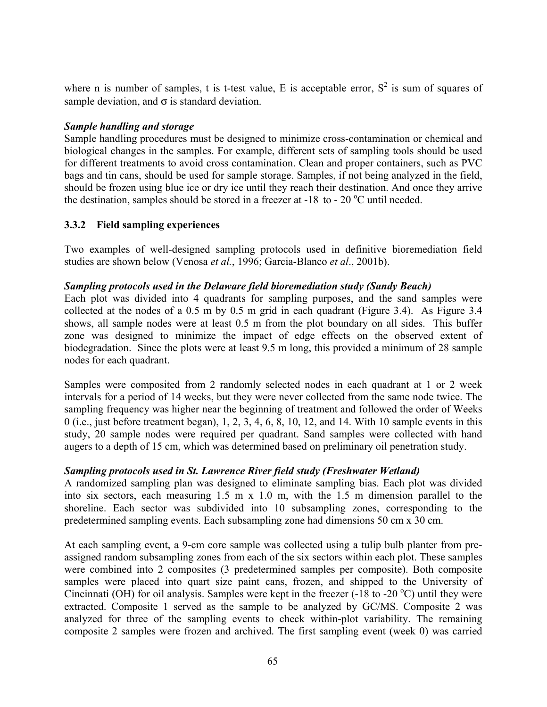where n is number of samples, t is t-test value, E is acceptable error,  $S^2$  is sum of squares of sample deviation, and  $\sigma$  is standard deviation.

### *Sample handling and storage*

Sample handling procedures must be designed to minimize cross-contamination or chemical and biological changes in the samples. For example, different sets of sampling tools should be used for different treatments to avoid cross contamination. Clean and proper containers, such as PVC bags and tin cans, should be used for sample storage. Samples, if not being analyzed in the field, should be frozen using blue ice or dry ice until they reach their destination. And once they arrive the destination, samples should be stored in a freezer at -18 to - 20 $\degree$ C until needed.

# **3.3.2 Field sampling experiences**

Two examples of well-designed sampling protocols used in definitive bioremediation field studies are shown below (Venosa *et al.*, 1996; Garcia-Blanco *et al*., 2001b).

### *Sampling protocols used in the Delaware field bioremediation study (Sandy Beach)*

Each plot was divided into 4 quadrants for sampling purposes, and the sand samples were collected at the nodes of a 0.5 m by 0.5 m grid in each quadrant (Figure 3.4). As Figure 3.4 shows, all sample nodes were at least 0.5 m from the plot boundary on all sides. This buffer zone was designed to minimize the impact of edge effects on the observed extent of biodegradation. Since the plots were at least 9.5 m long, this provided a minimum of 28 sample nodes for each quadrant.

Samples were composited from 2 randomly selected nodes in each quadrant at 1 or 2 week intervals for a period of 14 weeks, but they were never collected from the same node twice. The sampling frequency was higher near the beginning of treatment and followed the order of Weeks  $0$  (i.e., just before treatment began), 1, 2, 3, 4, 6, 8, 10, 12, and 14. With 10 sample events in this study, 20 sample nodes were required per quadrant. Sand samples were collected with hand augers to a depth of 15 cm, which was determined based on preliminary oil penetration study.

### *Sampling protocols used in St. Lawrence River field study (Freshwater Wetland)*

A randomized sampling plan was designed to eliminate sampling bias. Each plot was divided into six sectors, each measuring 1.5 m x 1.0 m, with the 1.5 m dimension parallel to the shoreline. Each sector was subdivided into 10 subsampling zones, corresponding to the predetermined sampling events. Each subsampling zone had dimensions 50 cm x 30 cm.

At each sampling event, a 9-cm core sample was collected using a tulip bulb planter from preassigned random subsampling zones from each of the six sectors within each plot. These samples were combined into 2 composites (3 predetermined samples per composite). Both composite samples were placed into quart size paint cans, frozen, and shipped to the University of Cincinnati (OH) for oil analysis. Samples were kept in the freezer  $(-18 \text{ to } -20 \text{ °C})$  until they were extracted. Composite 1 served as the sample to be analyzed by GC/MS. Composite 2 was analyzed for three of the sampling events to check within-plot variability. The remaining composite 2 samples were frozen and archived. The first sampling event (week 0) was carried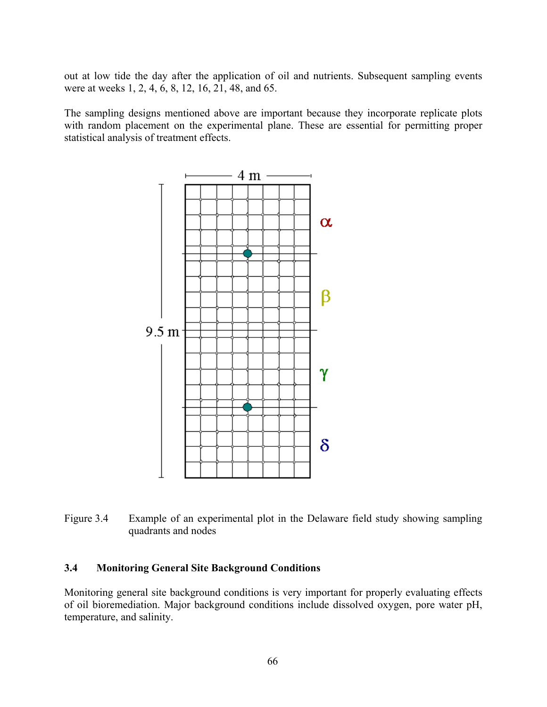out at low tide the day after the application of oil and nutrients. Subsequent sampling events were at weeks 1, 2, 4, 6, 8, 12, 16, 21, 48, and 65.

The sampling designs mentioned above are important because they incorporate replicate plots with random placement on the experimental plane. These are essential for permitting proper statistical analysis of treatment effects.



Figure 3.4 Example of an experimental plot in the Delaware field study showing sampling quadrants and nodes

#### **3.4 Monitoring General Site Background Conditions**

Monitoring general site background conditions is very important for properly evaluating effects of oil bioremediation. Major background conditions include dissolved oxygen, pore water pH, temperature, and salinity.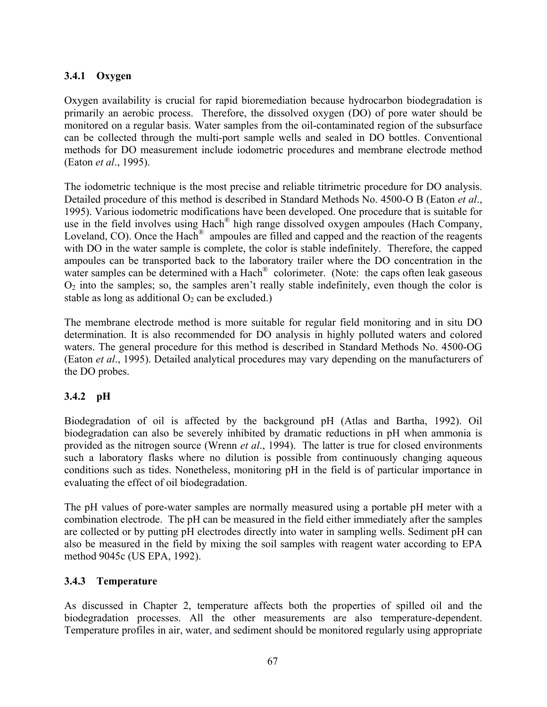# **3.4.1 Oxygen**

Oxygen availability is crucial for rapid bioremediation because hydrocarbon biodegradation is primarily an aerobic process. Therefore, the dissolved oxygen (DO) of pore water should be monitored on a regular basis. Water samples from the oil-contaminated region of the subsurface can be collected through the multi-port sample wells and sealed in DO bottles. Conventional methods for DO measurement include iodometric procedures and membrane electrode method (Eaton *et al*., 1995).

The iodometric technique is the most precise and reliable titrimetric procedure for DO analysis. Detailed procedure of this method is described in Standard Methods No. 4500-O B (Eaton *et al*., 1995). Various iodometric modifications have been developed. One procedure that is suitable for use in the field involves using Hach<sup>®</sup> high range dissolved oxygen ampoules (Hach Company, Loveland, CO). Once the Hach<sup>®</sup> ampoules are filled and capped and the reaction of the reagents with DO in the water sample is complete, the color is stable indefinitely. Therefore, the capped ampoules can be transported back to the laboratory trailer where the DO concentration in the water samples can be determined with a Hach<sup>®</sup> colorimeter. (Note: the caps often leak gaseous  $O<sub>2</sub>$  into the samples; so, the samples aren't really stable indefinitely, even though the color is stable as long as additional  $O_2$  can be excluded.)

The membrane electrode method is more suitable for regular field monitoring and in situ DO determination. It is also recommended for DO analysis in highly polluted waters and colored waters. The general procedure for this method is described in Standard Methods No. 4500-OG (Eaton *et al*., 1995). Detailed analytical procedures may vary depending on the manufacturers of the DO probes.

## **3.4.2 pH**

Biodegradation of oil is affected by the background pH (Atlas and Bartha, 1992). Oil biodegradation can also be severely inhibited by dramatic reductions in pH when ammonia is provided as the nitrogen source (Wrenn *et al*., 1994). The latter is true for closed environments such a laboratory flasks where no dilution is possible from continuously changing aqueous conditions such as tides. Nonetheless, monitoring pH in the field is of particular importance in evaluating the effect of oil biodegradation.

The pH values of pore-water samples are normally measured using a portable pH meter with a combination electrode. The pH can be measured in the field either immediately after the samples are collected or by putting pH electrodes directly into water in sampling wells. Sediment pH can also be measured in the field by mixing the soil samples with reagent water according to EPA method 9045c (US EPA, 1992).

## **3.4.3 Temperature**

As discussed in Chapter 2, temperature affects both the properties of spilled oil and the biodegradation processes. All the other measurements are also temperature-dependent. Temperature profiles in air, water, and sediment should be monitored regularly using appropriate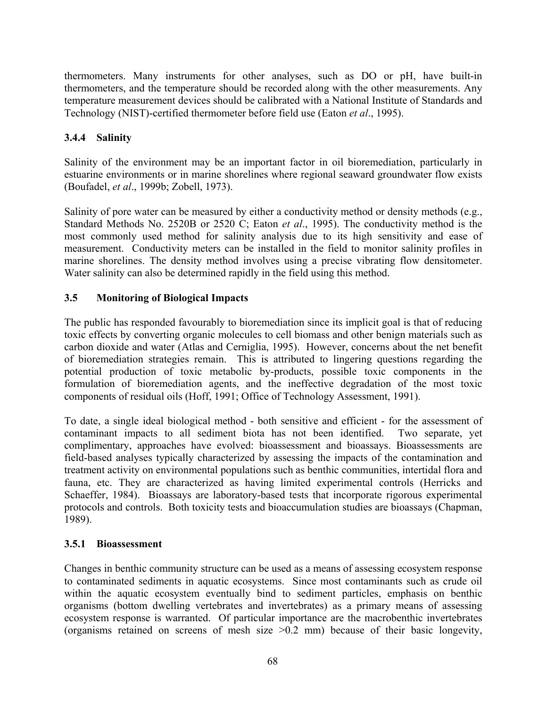thermometers. Many instruments for other analyses, such as DO or pH, have built-in thermometers, and the temperature should be recorded along with the other measurements. Any temperature measurement devices should be calibrated with a National Institute of Standards and Technology (NIST)-certified thermometer before field use (Eaton *et al*., 1995).

# **3.4.4 Salinity**

Salinity of the environment may be an important factor in oil bioremediation, particularly in estuarine environments or in marine shorelines where regional seaward groundwater flow exists (Boufadel, *et al*., 1999b; Zobell, 1973).

Salinity of pore water can be measured by either a conductivity method or density methods (e.g., Standard Methods No. 2520B or 2520 C; Eaton *et al*., 1995). The conductivity method is the most commonly used method for salinity analysis due to its high sensitivity and ease of measurement. Conductivity meters can be installed in the field to monitor salinity profiles in marine shorelines. The density method involves using a precise vibrating flow densitometer. Water salinity can also be determined rapidly in the field using this method.

# **3.5 Monitoring of Biological Impacts**

The public has responded favourably to bioremediation since its implicit goal is that of reducing toxic effects by converting organic molecules to cell biomass and other benign materials such as carbon dioxide and water (Atlas and Cerniglia, 1995). However, concerns about the net benefit of bioremediation strategies remain. This is attributed to lingering questions regarding the potential production of toxic metabolic by-products, possible toxic components in the formulation of bioremediation agents, and the ineffective degradation of the most toxic components of residual oils (Hoff, 1991; Office of Technology Assessment, 1991).

To date, a single ideal biological method - both sensitive and efficient - for the assessment of contaminant impacts to all sediment biota has not been identified. Two separate, yet complimentary, approaches have evolved: bioassessment and bioassays. Bioassessments are field-based analyses typically characterized by assessing the impacts of the contamination and treatment activity on environmental populations such as benthic communities, intertidal flora and fauna, etc. They are characterized as having limited experimental controls (Herricks and Schaeffer, 1984). Bioassays are laboratory-based tests that incorporate rigorous experimental protocols and controls. Both toxicity tests and bioaccumulation studies are bioassays (Chapman, 1989).

## **3.5.1 Bioassessment**

Changes in benthic community structure can be used as a means of assessing ecosystem response to contaminated sediments in aquatic ecosystems. Since most contaminants such as crude oil within the aquatic ecosystem eventually bind to sediment particles, emphasis on benthic organisms (bottom dwelling vertebrates and invertebrates) as a primary means of assessing ecosystem response is warranted. Of particular importance are the macrobenthic invertebrates (organisms retained on screens of mesh size >0.2 mm) because of their basic longevity,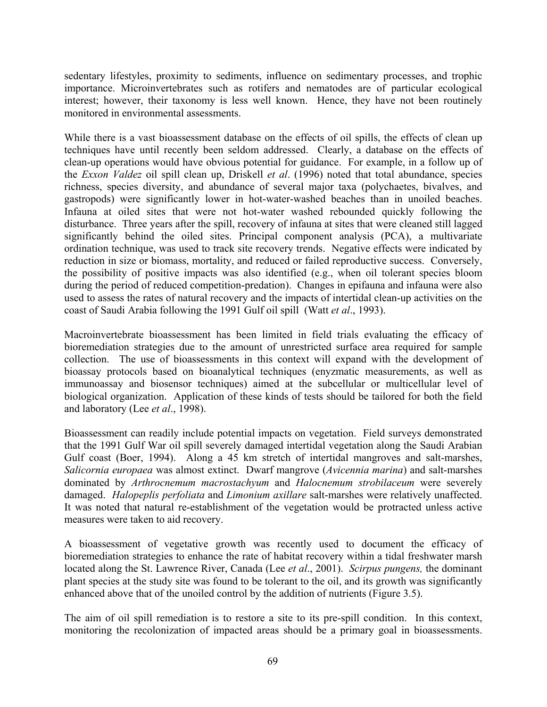sedentary lifestyles, proximity to sediments, influence on sedimentary processes, and trophic importance. Microinvertebrates such as rotifers and nematodes are of particular ecological interest; however, their taxonomy is less well known. Hence, they have not been routinely monitored in environmental assessments.

While there is a vast bioassessment database on the effects of oil spills, the effects of clean up techniques have until recently been seldom addressed. Clearly, a database on the effects of clean-up operations would have obvious potential for guidance. For example, in a follow up of the *Exxon Valdez* oil spill clean up, Driskell *et al*. (1996) noted that total abundance, species richness, species diversity, and abundance of several major taxa (polychaetes, bivalves, and gastropods) were significantly lower in hot-water-washed beaches than in unoiled beaches. Infauna at oiled sites that were not hot-water washed rebounded quickly following the disturbance. Three years after the spill, recovery of infauna at sites that were cleaned still lagged significantly behind the oiled sites. Principal component analysis (PCA), a multivariate ordination technique, was used to track site recovery trends. Negative effects were indicated by reduction in size or biomass, mortality, and reduced or failed reproductive success. Conversely, the possibility of positive impacts was also identified (e.g., when oil tolerant species bloom during the period of reduced competition-predation). Changes in epifauna and infauna were also used to assess the rates of natural recovery and the impacts of intertidal clean-up activities on the coast of Saudi Arabia following the 1991 Gulf oil spill (Watt *et al*., 1993).

Macroinvertebrate bioassessment has been limited in field trials evaluating the efficacy of bioremediation strategies due to the amount of unrestricted surface area required for sample collection. The use of bioassessments in this context will expand with the development of bioassay protocols based on bioanalytical techniques (enyzmatic measurements, as well as immunoassay and biosensor techniques) aimed at the subcellular or multicellular level of biological organization. Application of these kinds of tests should be tailored for both the field and laboratory (Lee *et al*., 1998).

Bioassessment can readily include potential impacts on vegetation. Field surveys demonstrated that the 1991 Gulf War oil spill severely damaged intertidal vegetation along the Saudi Arabian Gulf coast (Boer, 1994). Along a 45 km stretch of intertidal mangroves and salt-marshes, *Salicornia europaea* was almost extinct. Dwarf mangrove (*Avicennia marina*) and salt-marshes dominated by *Arthrocnemum macrostachyum* and *Halocnemum strobilaceum* were severely damaged. *Halopeplis perfoliata* and *Limonium axillare* salt-marshes were relatively unaffected. It was noted that natural re-establishment of the vegetation would be protracted unless active measures were taken to aid recovery.

A bioassessment of vegetative growth was recently used to document the efficacy of bioremediation strategies to enhance the rate of habitat recovery within a tidal freshwater marsh located along the St. Lawrence River, Canada (Lee *et al*., 2001). *Scirpus pungens,* the dominant plant species at the study site was found to be tolerant to the oil, and its growth was significantly enhanced above that of the unoiled control by the addition of nutrients (Figure 3.5).

The aim of oil spill remediation is to restore a site to its pre-spill condition. In this context, monitoring the recolonization of impacted areas should be a primary goal in bioassessments.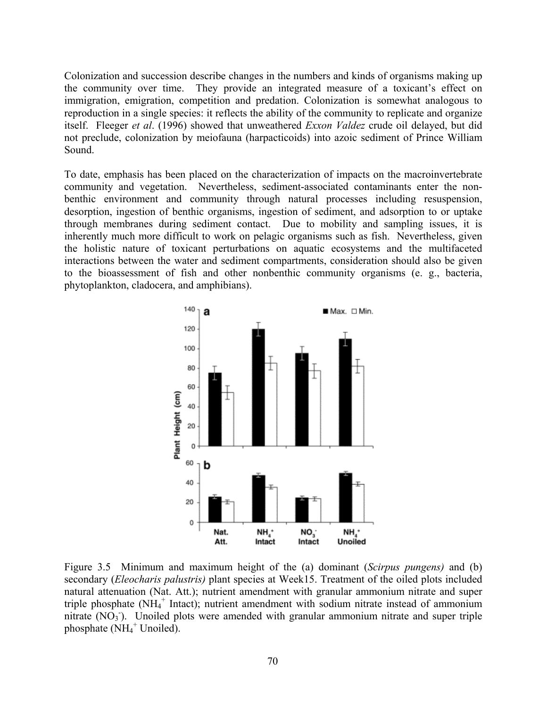Colonization and succession describe changes in the numbers and kinds of organisms making up the community over time. They provide an integrated measure of a toxicant's effect on immigration, emigration, competition and predation. Colonization is somewhat analogous to reproduction in a single species: it reflects the ability of the community to replicate and organize itself. Fleeger *et al*. (1996) showed that unweathered *Exxon Valdez* crude oil delayed, but did not preclude, colonization by meiofauna (harpacticoids) into azoic sediment of Prince William Sound.

To date, emphasis has been placed on the characterization of impacts on the macroinvertebrate community and vegetation. Nevertheless, sediment-associated contaminants enter the nonbenthic environment and community through natural processes including resuspension, desorption, ingestion of benthic organisms, ingestion of sediment, and adsorption to or uptake through membranes during sediment contact. Due to mobility and sampling issues, it is inherently much more difficult to work on pelagic organisms such as fish. Nevertheless, given the holistic nature of toxicant perturbations on aquatic ecosystems and the multifaceted interactions between the water and sediment compartments, consideration should also be given to the bioassessment of fish and other nonbenthic community organisms (e. g., bacteria, phytoplankton, cladocera, and amphibians).



Figure 3.5 Minimum and maximum height of the (a) dominant (*Scirpus pungens)* and (b) secondary (*Eleocharis palustris)* plant species at Week15. Treatment of the oiled plots included natural attenuation (Nat. Att.); nutrient amendment with granular ammonium nitrate and super triple phosphate (NH<sub>4</sub><sup>+</sup> Intact); nutrient amendment with sodium nitrate instead of ammonium nitrate  $(NO<sub>3</sub>)$ . Unoiled plots were amended with granular ammonium nitrate and super triple phosphate  $(NH<sub>4</sub><sup>+</sup> Unoiled).$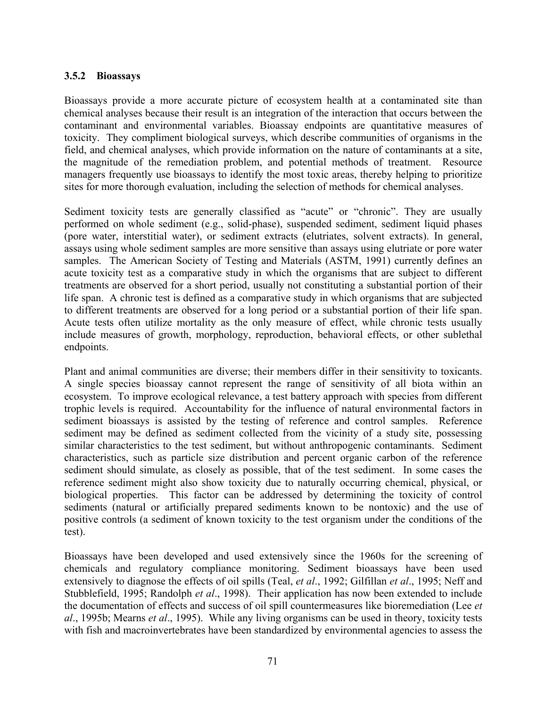### **3.5.2 Bioassays**

Bioassays provide a more accurate picture of ecosystem health at a contaminated site than chemical analyses because their result is an integration of the interaction that occurs between the contaminant and environmental variables. Bioassay endpoints are quantitative measures of toxicity. They compliment biological surveys, which describe communities of organisms in the field, and chemical analyses, which provide information on the nature of contaminants at a site, the magnitude of the remediation problem, and potential methods of treatment. Resource managers frequently use bioassays to identify the most toxic areas, thereby helping to prioritize sites for more thorough evaluation, including the selection of methods for chemical analyses.

Sediment toxicity tests are generally classified as "acute" or "chronic". They are usually performed on whole sediment (e.g., solid-phase), suspended sediment, sediment liquid phases (pore water, interstitial water), or sediment extracts (elutriates, solvent extracts). In general, assays using whole sediment samples are more sensitive than assays using elutriate or pore water samples. The American Society of Testing and Materials (ASTM, 1991) currently defines an acute toxicity test as a comparative study in which the organisms that are subject to different treatments are observed for a short period, usually not constituting a substantial portion of their life span. A chronic test is defined as a comparative study in which organisms that are subjected to different treatments are observed for a long period or a substantial portion of their life span. Acute tests often utilize mortality as the only measure of effect, while chronic tests usually include measures of growth, morphology, reproduction, behavioral effects, or other sublethal endpoints.

Plant and animal communities are diverse; their members differ in their sensitivity to toxicants. A single species bioassay cannot represent the range of sensitivity of all biota within an ecosystem. To improve ecological relevance, a test battery approach with species from different trophic levels is required. Accountability for the influence of natural environmental factors in sediment bioassays is assisted by the testing of reference and control samples. Reference sediment may be defined as sediment collected from the vicinity of a study site, possessing similar characteristics to the test sediment, but without anthropogenic contaminants. Sediment characteristics, such as particle size distribution and percent organic carbon of the reference sediment should simulate, as closely as possible, that of the test sediment. In some cases the reference sediment might also show toxicity due to naturally occurring chemical, physical, or biological properties. This factor can be addressed by determining the toxicity of control sediments (natural or artificially prepared sediments known to be nontoxic) and the use of positive controls (a sediment of known toxicity to the test organism under the conditions of the test).

Bioassays have been developed and used extensively since the 1960s for the screening of chemicals and regulatory compliance monitoring. Sediment bioassays have been used extensively to diagnose the effects of oil spills (Teal, *et al*., 1992; Gilfillan *et al*., 1995; Neff and Stubblefield, 1995; Randolph *et al*., 1998). Their application has now been extended to include the documentation of effects and success of oil spill countermeasures like bioremediation (Lee *et al*., 1995b; Mearns *et al*., 1995). While any living organisms can be used in theory, toxicity tests with fish and macroinvertebrates have been standardized by environmental agencies to assess the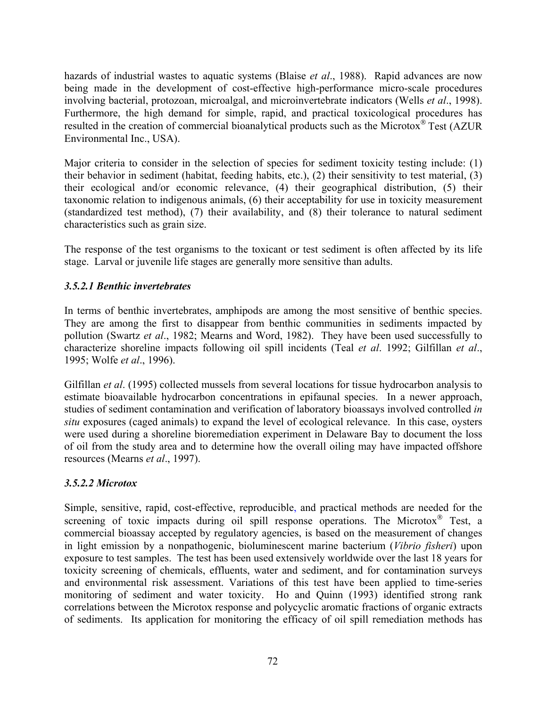hazards of industrial wastes to aquatic systems (Blaise *et al*., 1988). Rapid advances are now being made in the development of cost-effective high-performance micro-scale procedures involving bacterial, protozoan, microalgal, and microinvertebrate indicators (Wells *et al*., 1998). Furthermore, the high demand for simple, rapid, and practical toxicological procedures has resulted in the creation of commercial bioanalytical products such as the Microtox<sup>®</sup> Test (AZUR Environmental Inc., USA).

Major criteria to consider in the selection of species for sediment toxicity testing include: (1) their behavior in sediment (habitat, feeding habits, etc.), (2) their sensitivity to test material, (3) their ecological and/or economic relevance, (4) their geographical distribution, (5) their taxonomic relation to indigenous animals, (6) their acceptability for use in toxicity measurement (standardized test method), (7) their availability, and (8) their tolerance to natural sediment characteristics such as grain size.

The response of the test organisms to the toxicant or test sediment is often affected by its life stage. Larval or juvenile life stages are generally more sensitive than adults.

# *3.5.2.1 Benthic invertebrates*

In terms of benthic invertebrates, amphipods are among the most sensitive of benthic species. They are among the first to disappear from benthic communities in sediments impacted by pollution (Swartz *et al*., 1982; Mearns and Word, 1982). They have been used successfully to characterize shoreline impacts following oil spill incidents (Teal *et al*. 1992; Gilfillan *et al*., 1995; Wolfe *et al*., 1996).

Gilfillan *et al*. (1995) collected mussels from several locations for tissue hydrocarbon analysis to estimate bioavailable hydrocarbon concentrations in epifaunal species. In a newer approach, studies of sediment contamination and verification of laboratory bioassays involved controlled *in situ* exposures (caged animals) to expand the level of ecological relevance. In this case, oysters were used during a shoreline bioremediation experiment in Delaware Bay to document the loss of oil from the study area and to determine how the overall oiling may have impacted offshore resources (Mearns *et al*., 1997).

# *3.5.2.2 Microtox*

Simple, sensitive, rapid, cost-effective, reproducible, and practical methods are needed for the screening of toxic impacts during oil spill response operations. The Microtox  $\mathbb{R}$  Test, a commercial bioassay accepted by regulatory agencies, is based on the measurement of changes in light emission by a nonpathogenic, bioluminescent marine bacterium (*Vibrio fisheri*) upon exposure to test samples. The test has been used extensively worldwide over the last 18 years for toxicity screening of chemicals, effluents, water and sediment, and for contamination surveys and environmental risk assessment. Variations of this test have been applied to time-series monitoring of sediment and water toxicity. Ho and Quinn (1993) identified strong rank correlations between the Microtox response and polycyclic aromatic fractions of organic extracts of sediments. Its application for monitoring the efficacy of oil spill remediation methods has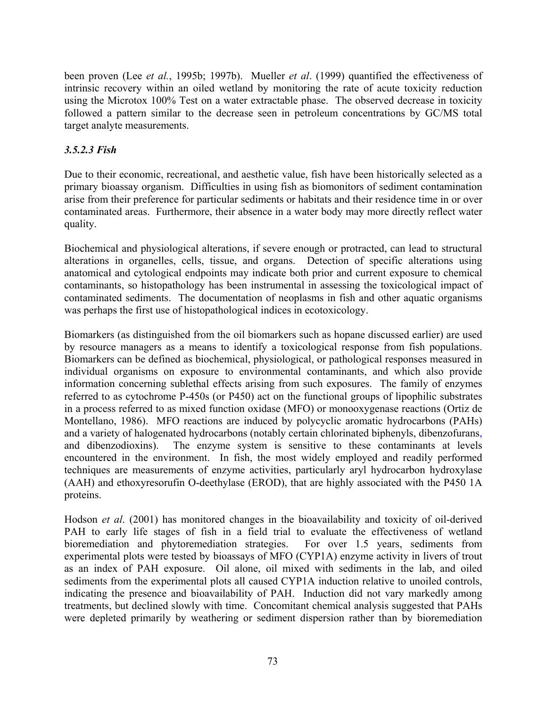been proven (Lee *et al.*, 1995b; 1997b). Mueller *et al*. (1999) quantified the effectiveness of intrinsic recovery within an oiled wetland by monitoring the rate of acute toxicity reduction using the Microtox 100% Test on a water extractable phase. The observed decrease in toxicity followed a pattern similar to the decrease seen in petroleum concentrations by GC/MS total target analyte measurements.

## *3.5.2.3 Fish*

Due to their economic, recreational, and aesthetic value, fish have been historically selected as a primary bioassay organism. Difficulties in using fish as biomonitors of sediment contamination arise from their preference for particular sediments or habitats and their residence time in or over contaminated areas. Furthermore, their absence in a water body may more directly reflect water quality.

Biochemical and physiological alterations, if severe enough or protracted, can lead to structural alterations in organelles, cells, tissue, and organs. Detection of specific alterations using anatomical and cytological endpoints may indicate both prior and current exposure to chemical contaminants, so histopathology has been instrumental in assessing the toxicological impact of contaminated sediments. The documentation of neoplasms in fish and other aquatic organisms was perhaps the first use of histopathological indices in ecotoxicology.

Biomarkers (as distinguished from the oil biomarkers such as hopane discussed earlier) are used by resource managers as a means to identify a toxicological response from fish populations. Biomarkers can be defined as biochemical, physiological, or pathological responses measured in individual organisms on exposure to environmental contaminants, and which also provide information concerning sublethal effects arising from such exposures. The family of enzymes referred to as cytochrome P-450s (or P450) act on the functional groups of lipophilic substrates in a process referred to as mixed function oxidase (MFO) or monooxygenase reactions (Ortiz de Montellano, 1986). MFO reactions are induced by polycyclic aromatic hydrocarbons (PAHs) and a variety of halogenated hydrocarbons (notably certain chlorinated biphenyls, dibenzofurans, and dibenzodioxins). The enzyme system is sensitive to these contaminants at levels encountered in the environment. In fish, the most widely employed and readily performed techniques are measurements of enzyme activities, particularly aryl hydrocarbon hydroxylase (AAH) and ethoxyresorufin O-deethylase (EROD), that are highly associated with the P450 1A proteins.

Hodson *et al*. (2001) has monitored changes in the bioavailability and toxicity of oil-derived PAH to early life stages of fish in a field trial to evaluate the effectiveness of wetland bioremediation and phytoremediation strategies. For over 1.5 years, sediments from experimental plots were tested by bioassays of MFO (CYP1A) enzyme activity in livers of trout as an index of PAH exposure. Oil alone, oil mixed with sediments in the lab, and oiled sediments from the experimental plots all caused CYP1A induction relative to unoiled controls, indicating the presence and bioavailability of PAH. Induction did not vary markedly among treatments, but declined slowly with time. Concomitant chemical analysis suggested that PAHs were depleted primarily by weathering or sediment dispersion rather than by bioremediation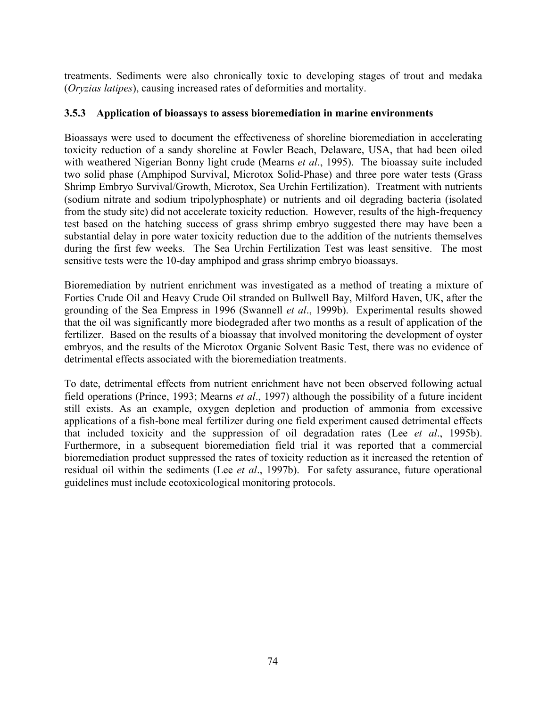treatments. Sediments were also chronically toxic to developing stages of trout and medaka (*Oryzias latipes*), causing increased rates of deformities and mortality.

### **3.5.3 Application of bioassays to assess bioremediation in marine environments**

Bioassays were used to document the effectiveness of shoreline bioremediation in accelerating toxicity reduction of a sandy shoreline at Fowler Beach, Delaware, USA, that had been oiled with weathered Nigerian Bonny light crude (Mearns *et al*., 1995). The bioassay suite included two solid phase (Amphipod Survival, Microtox Solid-Phase) and three pore water tests (Grass Shrimp Embryo Survival/Growth, Microtox, Sea Urchin Fertilization). Treatment with nutrients (sodium nitrate and sodium tripolyphosphate) or nutrients and oil degrading bacteria (isolated from the study site) did not accelerate toxicity reduction. However, results of the high-frequency test based on the hatching success of grass shrimp embryo suggested there may have been a substantial delay in pore water toxicity reduction due to the addition of the nutrients themselves during the first few weeks. The Sea Urchin Fertilization Test was least sensitive. The most sensitive tests were the 10-day amphipod and grass shrimp embryo bioassays.

Bioremediation by nutrient enrichment was investigated as a method of treating a mixture of Forties Crude Oil and Heavy Crude Oil stranded on Bullwell Bay, Milford Haven, UK, after the grounding of the Sea Empress in 1996 (Swannell *et al*., 1999b). Experimental results showed that the oil was significantly more biodegraded after two months as a result of application of the fertilizer. Based on the results of a bioassay that involved monitoring the development of oyster embryos, and the results of the Microtox Organic Solvent Basic Test, there was no evidence of detrimental effects associated with the bioremediation treatments.

To date, detrimental effects from nutrient enrichment have not been observed following actual field operations (Prince, 1993; Mearns *et al*., 1997) although the possibility of a future incident still exists. As an example, oxygen depletion and production of ammonia from excessive applications of a fish-bone meal fertilizer during one field experiment caused detrimental effects that included toxicity and the suppression of oil degradation rates (Lee *et al*., 1995b). Furthermore, in a subsequent bioremediation field trial it was reported that a commercial bioremediation product suppressed the rates of toxicity reduction as it increased the retention of residual oil within the sediments (Lee *et al*., 1997b). For safety assurance, future operational guidelines must include ecotoxicological monitoring protocols.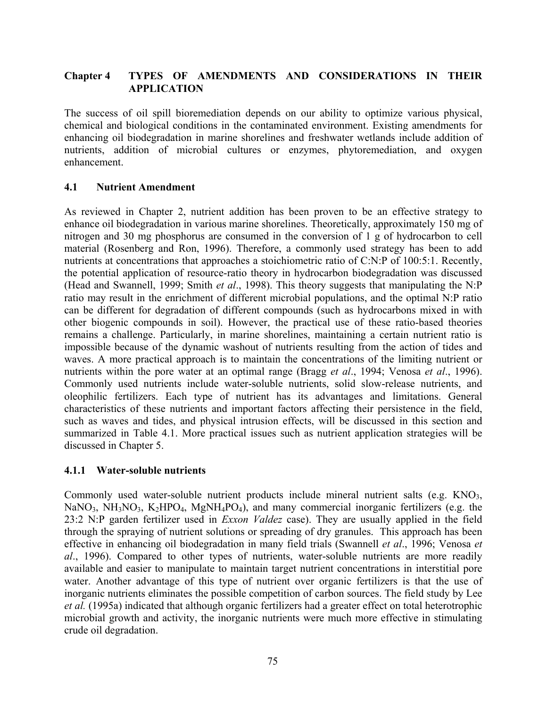## **Chapter 4 TYPES OF AMENDMENTS AND CONSIDERATIONS IN THEIR APPLICATION**

The success of oil spill bioremediation depends on our ability to optimize various physical, chemical and biological conditions in the contaminated environment. Existing amendments for enhancing oil biodegradation in marine shorelines and freshwater wetlands include addition of nutrients, addition of microbial cultures or enzymes, phytoremediation, and oxygen enhancement.

#### **4.1 Nutrient Amendment**

As reviewed in Chapter 2, nutrient addition has been proven to be an effective strategy to enhance oil biodegradation in various marine shorelines. Theoretically, approximately 150 mg of nitrogen and 30 mg phosphorus are consumed in the conversion of 1 g of hydrocarbon to cell material (Rosenberg and Ron, 1996). Therefore, a commonly used strategy has been to add nutrients at concentrations that approaches a stoichiometric ratio of C:N:P of 100:5:1. Recently, the potential application of resource-ratio theory in hydrocarbon biodegradation was discussed (Head and Swannell, 1999; Smith *et al*., 1998). This theory suggests that manipulating the N:P ratio may result in the enrichment of different microbial populations, and the optimal N:P ratio can be different for degradation of different compounds (such as hydrocarbons mixed in with other biogenic compounds in soil). However, the practical use of these ratio-based theories remains a challenge. Particularly, in marine shorelines, maintaining a certain nutrient ratio is impossible because of the dynamic washout of nutrients resulting from the action of tides and waves. A more practical approach is to maintain the concentrations of the limiting nutrient or nutrients within the pore water at an optimal range (Bragg *et al*., 1994; Venosa *et al*., 1996). Commonly used nutrients include water-soluble nutrients, solid slow-release nutrients, and oleophilic fertilizers. Each type of nutrient has its advantages and limitations. General characteristics of these nutrients and important factors affecting their persistence in the field, such as waves and tides, and physical intrusion effects, will be discussed in this section and summarized in Table 4.1. More practical issues such as nutrient application strategies will be discussed in Chapter 5.

#### **4.1.1 Water-soluble nutrients**

Commonly used water-soluble nutrient products include mineral nutrient salts (e.g. KNO3, NaNO<sub>3</sub>, NH<sub>3</sub>NO<sub>3</sub>, K<sub>2</sub>HPO<sub>4</sub>, MgNH<sub>4</sub>PO<sub>4</sub>), and many commercial inorganic fertilizers (e.g. the 23:2 N:P garden fertilizer used in *Exxon Valdez* case). They are usually applied in the field through the spraying of nutrient solutions or spreading of dry granules. This approach has been effective in enhancing oil biodegradation in many field trials (Swannell *et al*., 1996; Venosa *et al*., 1996). Compared to other types of nutrients, water-soluble nutrients are more readily available and easier to manipulate to maintain target nutrient concentrations in interstitial pore water. Another advantage of this type of nutrient over organic fertilizers is that the use of inorganic nutrients eliminates the possible competition of carbon sources. The field study by Lee *et al.* (1995a) indicated that although organic fertilizers had a greater effect on total heterotrophic microbial growth and activity, the inorganic nutrients were much more effective in stimulating crude oil degradation.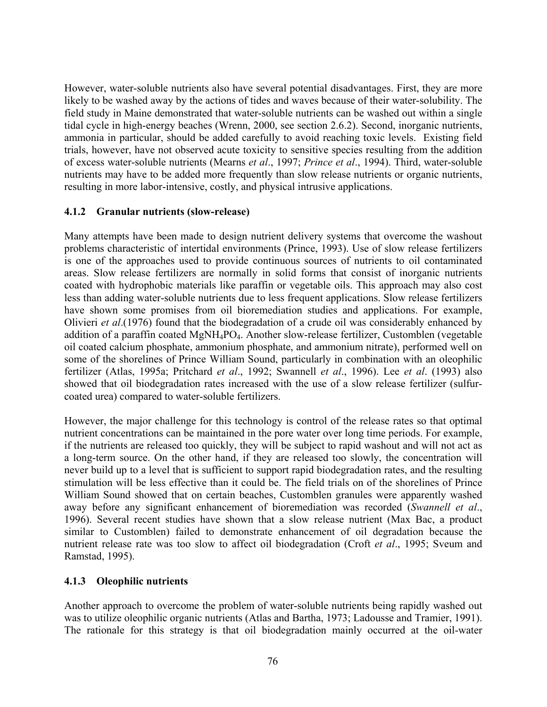However, water-soluble nutrients also have several potential disadvantages. First, they are more likely to be washed away by the actions of tides and waves because of their water-solubility. The field study in Maine demonstrated that water-soluble nutrients can be washed out within a single tidal cycle in high-energy beaches (Wrenn, 2000, see section 2.6.2). Second, inorganic nutrients, ammonia in particular, should be added carefully to avoid reaching toxic levels. Existing field trials, however, have not observed acute toxicity to sensitive species resulting from the addition of excess water-soluble nutrients (Mearns *et al*., 1997; *Prince et al*., 1994). Third, water-soluble nutrients may have to be added more frequently than slow release nutrients or organic nutrients, resulting in more labor-intensive, costly, and physical intrusive applications.

### **4.1.2 Granular nutrients (slow-release)**

Many attempts have been made to design nutrient delivery systems that overcome the washout problems characteristic of intertidal environments (Prince, 1993). Use of slow release fertilizers is one of the approaches used to provide continuous sources of nutrients to oil contaminated areas. Slow release fertilizers are normally in solid forms that consist of inorganic nutrients coated with hydrophobic materials like paraffin or vegetable oils. This approach may also cost less than adding water-soluble nutrients due to less frequent applications. Slow release fertilizers have shown some promises from oil bioremediation studies and applications. For example, Olivieri *et al*.(1976) found that the biodegradation of a crude oil was considerably enhanced by addition of a paraffin coated MgNH4PO4. Another slow-release fertilizer, Customblen (vegetable oil coated calcium phosphate, ammonium phosphate, and ammonium nitrate), performed well on some of the shorelines of Prince William Sound, particularly in combination with an oleophilic fertilizer (Atlas, 1995a; Pritchard *et al*., 1992; Swannell *et al*., 1996). Lee *et al*. (1993) also showed that oil biodegradation rates increased with the use of a slow release fertilizer (sulfurcoated urea) compared to water-soluble fertilizers.

However, the major challenge for this technology is control of the release rates so that optimal nutrient concentrations can be maintained in the pore water over long time periods. For example, if the nutrients are released too quickly, they will be subject to rapid washout and will not act as a long-term source. On the other hand, if they are released too slowly, the concentration will never build up to a level that is sufficient to support rapid biodegradation rates, and the resulting stimulation will be less effective than it could be. The field trials on of the shorelines of Prince William Sound showed that on certain beaches, Customblen granules were apparently washed away before any significant enhancement of bioremediation was recorded (*Swannell et al*., 1996). Several recent studies have shown that a slow release nutrient (Max Bac, a product similar to Customblen) failed to demonstrate enhancement of oil degradation because the nutrient release rate was too slow to affect oil biodegradation (Croft *et al*., 1995; Sveum and Ramstad, 1995).

#### **4.1.3 Oleophilic nutrients**

Another approach to overcome the problem of water-soluble nutrients being rapidly washed out was to utilize oleophilic organic nutrients (Atlas and Bartha, 1973; Ladousse and Tramier, 1991). The rationale for this strategy is that oil biodegradation mainly occurred at the oil-water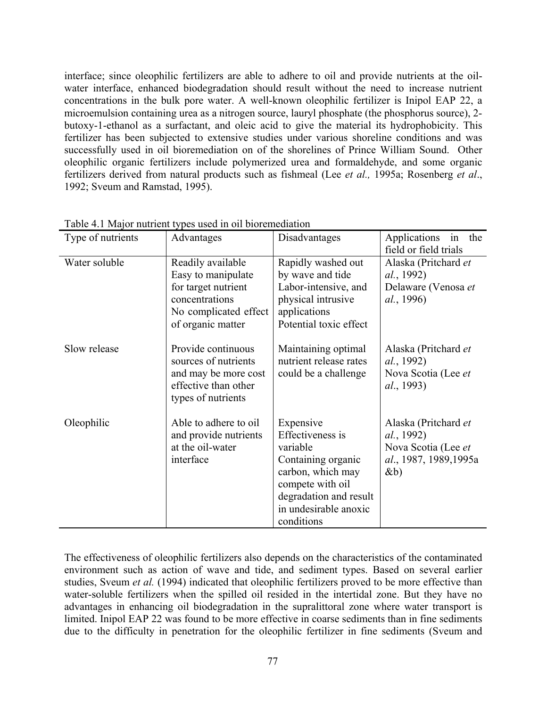interface; since oleophilic fertilizers are able to adhere to oil and provide nutrients at the oilwater interface, enhanced biodegradation should result without the need to increase nutrient concentrations in the bulk pore water. A well-known oleophilic fertilizer is Inipol EAP 22, a microemulsion containing urea as a nitrogen source, lauryl phosphate (the phosphorus source), 2 butoxy-1-ethanol as a surfactant, and oleic acid to give the material its hydrophobicity. This fertilizer has been subjected to extensive studies under various shoreline conditions and was successfully used in oil bioremediation on of the shorelines of Prince William Sound. Other oleophilic organic fertilizers include polymerized urea and formaldehyde, and some organic fertilizers derived from natural products such as fishmeal (Lee *et al.,* 1995a; Rosenberg *et al*., 1992; Sveum and Ramstad, 1995).

| Type of nutrients | Advantages                                                                                                                     | Disadvantages                                                                                                                                                             | Applications in<br>the<br>field or field trials                                                       |
|-------------------|--------------------------------------------------------------------------------------------------------------------------------|---------------------------------------------------------------------------------------------------------------------------------------------------------------------------|-------------------------------------------------------------------------------------------------------|
| Water soluble     | Readily available<br>Easy to manipulate<br>for target nutrient<br>concentrations<br>No complicated effect<br>of organic matter | Rapidly washed out<br>by wave and tide<br>Labor-intensive, and<br>physical intrusive<br>applications<br>Potential toxic effect                                            | Alaska (Pritchard et<br>al., 1992)<br>Delaware (Venosa et<br><i>al.</i> , 1996)                       |
| Slow release      | Provide continuous<br>sources of nutrients<br>and may be more cost<br>effective than other<br>types of nutrients               | Maintaining optimal<br>nutrient release rates<br>could be a challenge                                                                                                     | Alaska (Pritchard et<br><i>al.</i> , 1992)<br>Nova Scotia (Lee et<br>al., 1993)                       |
| Oleophilic        | Able to adhere to oil<br>and provide nutrients<br>at the oil-water<br>interface                                                | Expensive<br>Effectiveness is<br>variable<br>Containing organic<br>carbon, which may<br>compete with oil<br>degradation and result<br>in undesirable anoxic<br>conditions | Alaska (Pritchard et<br><i>al.</i> , 1992)<br>Nova Scotia (Lee et<br>al., 1987, 1989, 1995a<br>$\&b)$ |

Table 4.1 Major nutrient types used in oil bioremediation

The effectiveness of oleophilic fertilizers also depends on the characteristics of the contaminated environment such as action of wave and tide, and sediment types. Based on several earlier studies, Sveum *et al.* (1994) indicated that oleophilic fertilizers proved to be more effective than water-soluble fertilizers when the spilled oil resided in the intertidal zone. But they have no advantages in enhancing oil biodegradation in the supralittoral zone where water transport is limited. Inipol EAP 22 was found to be more effective in coarse sediments than in fine sediments due to the difficulty in penetration for the oleophilic fertilizer in fine sediments (Sveum and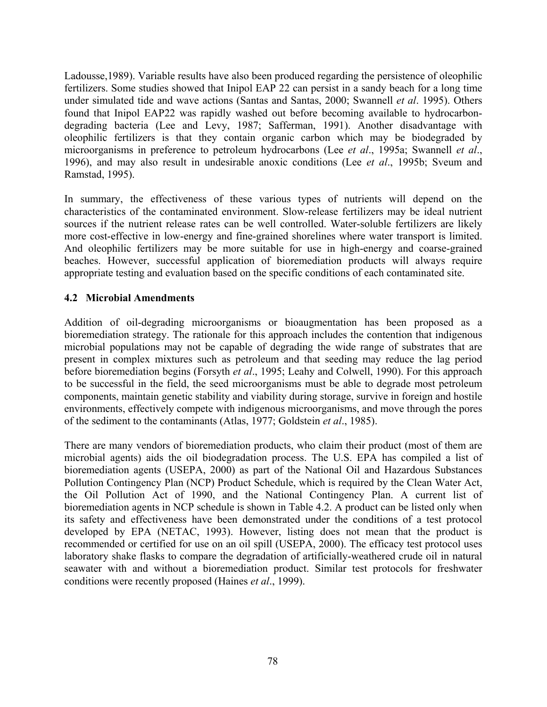Ladousse,1989). Variable results have also been produced regarding the persistence of oleophilic fertilizers. Some studies showed that Inipol EAP 22 can persist in a sandy beach for a long time under simulated tide and wave actions (Santas and Santas, 2000; Swannell *et al*. 1995). Others found that Inipol EAP22 was rapidly washed out before becoming available to hydrocarbondegrading bacteria (Lee and Levy, 1987; Safferman, 1991). Another disadvantage with oleophilic fertilizers is that they contain organic carbon which may be biodegraded by microorganisms in preference to petroleum hydrocarbons (Lee *et al*., 1995a; Swannell *et al*., 1996), and may also result in undesirable anoxic conditions (Lee *et al*., 1995b; Sveum and Ramstad, 1995).

In summary, the effectiveness of these various types of nutrients will depend on the characteristics of the contaminated environment. Slow-release fertilizers may be ideal nutrient sources if the nutrient release rates can be well controlled. Water-soluble fertilizers are likely more cost-effective in low-energy and fine-grained shorelines where water transport is limited. And oleophilic fertilizers may be more suitable for use in high-energy and coarse-grained beaches. However, successful application of bioremediation products will always require appropriate testing and evaluation based on the specific conditions of each contaminated site.

# **4.2 Microbial Amendments**

Addition of oil-degrading microorganisms or bioaugmentation has been proposed as a bioremediation strategy. The rationale for this approach includes the contention that indigenous microbial populations may not be capable of degrading the wide range of substrates that are present in complex mixtures such as petroleum and that seeding may reduce the lag period before bioremediation begins (Forsyth *et al*., 1995; Leahy and Colwell, 1990). For this approach to be successful in the field, the seed microorganisms must be able to degrade most petroleum components, maintain genetic stability and viability during storage, survive in foreign and hostile environments, effectively compete with indigenous microorganisms, and move through the pores of the sediment to the contaminants (Atlas, 1977; Goldstein *et al*., 1985).

There are many vendors of bioremediation products, who claim their product (most of them are microbial agents) aids the oil biodegradation process. The U.S. EPA has compiled a list of bioremediation agents (USEPA, 2000) as part of the National Oil and Hazardous Substances Pollution Contingency Plan (NCP) Product Schedule, which is required by the Clean Water Act, the Oil Pollution Act of 1990, and the National Contingency Plan. A current list of bioremediation agents in NCP schedule is shown in Table 4.2. A product can be listed only when its safety and effectiveness have been demonstrated under the conditions of a test protocol developed by EPA (NETAC, 1993). However, listing does not mean that the product is recommended or certified for use on an oil spill (USEPA, 2000). The efficacy test protocol uses laboratory shake flasks to compare the degradation of artificially-weathered crude oil in natural seawater with and without a bioremediation product. Similar test protocols for freshwater conditions were recently proposed (Haines *et al*., 1999).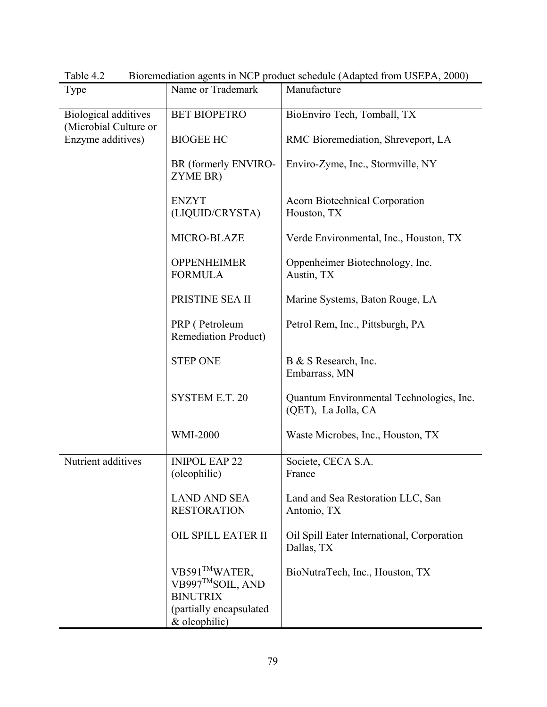| Type                                                                      | Name or Trademark                                                                              | Manufacture                                                     |
|---------------------------------------------------------------------------|------------------------------------------------------------------------------------------------|-----------------------------------------------------------------|
| <b>Biological additives</b><br>(Microbial Culture or<br>Enzyme additives) | <b>BET BIOPETRO</b>                                                                            | BioEnviro Tech, Tomball, TX                                     |
|                                                                           | <b>BIOGEE HC</b>                                                                               | RMC Bioremediation, Shreveport, LA                              |
|                                                                           | BR (formerly ENVIRO-<br>ZYME BR)                                                               | Enviro-Zyme, Inc., Stormville, NY                               |
|                                                                           | <b>ENZYT</b><br>(LIQUID/CRYSTA)                                                                | <b>Acorn Biotechnical Corporation</b><br>Houston, TX            |
|                                                                           | MICRO-BLAZE                                                                                    | Verde Environmental, Inc., Houston, TX                          |
|                                                                           | <b>OPPENHEIMER</b><br><b>FORMULA</b>                                                           | Oppenheimer Biotechnology, Inc.<br>Austin, TX                   |
|                                                                           | PRISTINE SEA II                                                                                | Marine Systems, Baton Rouge, LA                                 |
|                                                                           | PRP (Petroleum<br><b>Remediation Product)</b>                                                  | Petrol Rem, Inc., Pittsburgh, PA                                |
|                                                                           | <b>STEP ONE</b>                                                                                | B & S Research, Inc.<br>Embarrass, MN                           |
|                                                                           | SYSTEM E.T. 20                                                                                 | Quantum Environmental Technologies, Inc.<br>(QET), La Jolla, CA |
|                                                                           | <b>WMI-2000</b>                                                                                | Waste Microbes, Inc., Houston, TX                               |
| Nutrient additives                                                        | <b>INIPOL EAP 22</b><br>(oleophilic)                                                           | Societe, CECA S.A.<br>France                                    |
|                                                                           | <b>LAND AND SEA</b><br><b>RESTORATION</b>                                                      | Land and Sea Restoration LLC, San<br>Antonio, TX                |
|                                                                           | OIL SPILL EATER II                                                                             | Oil Spill Eater International, Corporation<br>Dallas, TX        |
|                                                                           | VB591™WATER,<br>VB997™SOIL, AND<br><b>BINUTRIX</b><br>(partially encapsulated<br>& oleophilic) | BioNutraTech, Inc., Houston, TX                                 |

Table 4.2 Bioremediation agents in NCP product schedule (Adapted from USEPA, 2000)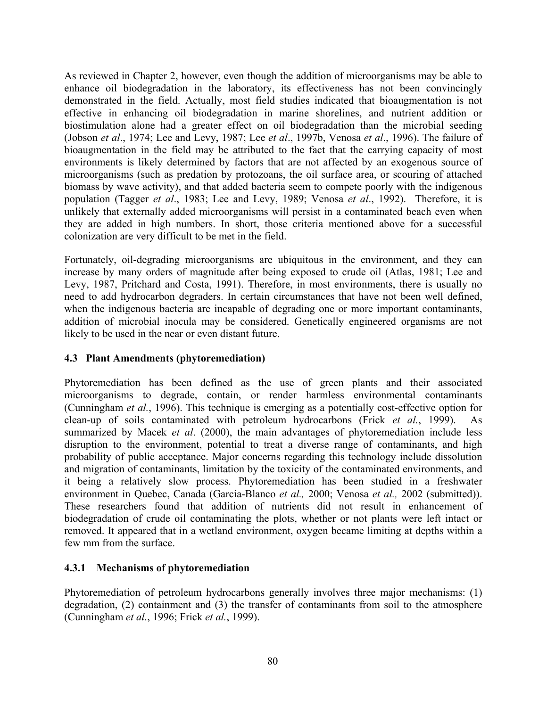As reviewed in Chapter 2, however, even though the addition of microorganisms may be able to enhance oil biodegradation in the laboratory, its effectiveness has not been convincingly demonstrated in the field. Actually, most field studies indicated that bioaugmentation is not effective in enhancing oil biodegradation in marine shorelines, and nutrient addition or biostimulation alone had a greater effect on oil biodegradation than the microbial seeding (Jobson *et al*., 1974; Lee and Levy, 1987; Lee *et al*., 1997b, Venosa *et al*., 1996). The failure of bioaugmentation in the field may be attributed to the fact that the carrying capacity of most environments is likely determined by factors that are not affected by an exogenous source of microorganisms (such as predation by protozoans, the oil surface area, or scouring of attached biomass by wave activity), and that added bacteria seem to compete poorly with the indigenous population (Tagger *et al*., 1983; Lee and Levy, 1989; Venosa *et al*., 1992). Therefore, it is unlikely that externally added microorganisms will persist in a contaminated beach even when they are added in high numbers. In short, those criteria mentioned above for a successful colonization are very difficult to be met in the field.

Fortunately, oil-degrading microorganisms are ubiquitous in the environment, and they can increase by many orders of magnitude after being exposed to crude oil (Atlas, 1981; Lee and Levy, 1987, Pritchard and Costa, 1991). Therefore, in most environments, there is usually no need to add hydrocarbon degraders. In certain circumstances that have not been well defined, when the indigenous bacteria are incapable of degrading one or more important contaminants, addition of microbial inocula may be considered. Genetically engineered organisms are not likely to be used in the near or even distant future.

## **4.3 Plant Amendments (phytoremediation)**

Phytoremediation has been defined as the use of green plants and their associated microorganisms to degrade, contain, or render harmless environmental contaminants (Cunningham *et al.*, 1996). This technique is emerging as a potentially cost-effective option for clean-up of soils contaminated with petroleum hydrocarbons (Frick *et al.*, 1999). As summarized by Macek *et al*. (2000), the main advantages of phytoremediation include less disruption to the environment, potential to treat a diverse range of contaminants, and high probability of public acceptance. Major concerns regarding this technology include dissolution and migration of contaminants, limitation by the toxicity of the contaminated environments, and it being a relatively slow process. Phytoremediation has been studied in a freshwater environment in Quebec, Canada (Garcia-Blanco *et al.,* 2000; Venosa *et al.,* 2002 (submitted)). These researchers found that addition of nutrients did not result in enhancement of biodegradation of crude oil contaminating the plots, whether or not plants were left intact or removed. It appeared that in a wetland environment, oxygen became limiting at depths within a few mm from the surface.

## **4.3.1 Mechanisms of phytoremediation**

Phytoremediation of petroleum hydrocarbons generally involves three major mechanisms: (1) degradation, (2) containment and (3) the transfer of contaminants from soil to the atmosphere (Cunningham *et al.*, 1996; Frick *et al.*, 1999).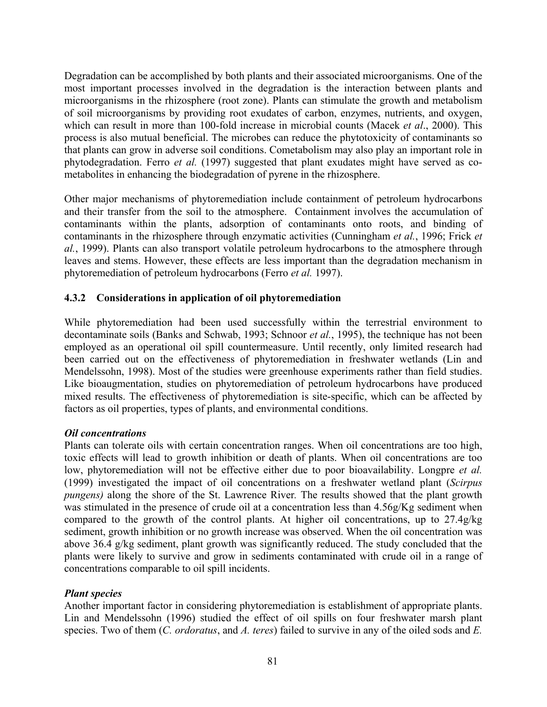Degradation can be accomplished by both plants and their associated microorganisms. One of the most important processes involved in the degradation is the interaction between plants and microorganisms in the rhizosphere (root zone). Plants can stimulate the growth and metabolism of soil microorganisms by providing root exudates of carbon, enzymes, nutrients, and oxygen, which can result in more than 100-fold increase in microbial counts (Macek *et al*., 2000). This process is also mutual beneficial. The microbes can reduce the phytotoxicity of contaminants so that plants can grow in adverse soil conditions. Cometabolism may also play an important role in phytodegradation. Ferro *et al.* (1997) suggested that plant exudates might have served as cometabolites in enhancing the biodegradation of pyrene in the rhizosphere.

Other major mechanisms of phytoremediation include containment of petroleum hydrocarbons and their transfer from the soil to the atmosphere. Containment involves the accumulation of contaminants within the plants, adsorption of contaminants onto roots, and binding of contaminants in the rhizosphere through enzymatic activities (Cunningham *et al.*, 1996; Frick *et al.*, 1999). Plants can also transport volatile petroleum hydrocarbons to the atmosphere through leaves and stems. However, these effects are less important than the degradation mechanism in phytoremediation of petroleum hydrocarbons (Ferro *et al.* 1997).

## **4.3.2 Considerations in application of oil phytoremediation**

While phytoremediation had been used successfully within the terrestrial environment to decontaminate soils (Banks and Schwab, 1993; Schnoor *et al.*, 1995), the technique has not been employed as an operational oil spill countermeasure. Until recently, only limited research had been carried out on the effectiveness of phytoremediation in freshwater wetlands (Lin and Mendelssohn, 1998). Most of the studies were greenhouse experiments rather than field studies. Like bioaugmentation, studies on phytoremediation of petroleum hydrocarbons have produced mixed results. The effectiveness of phytoremediation is site-specific, which can be affected by factors as oil properties, types of plants, and environmental conditions.

## *Oil concentrations*

Plants can tolerate oils with certain concentration ranges. When oil concentrations are too high, toxic effects will lead to growth inhibition or death of plants. When oil concentrations are too low, phytoremediation will not be effective either due to poor bioavailability. Longpre *et al.*  (1999) investigated the impact of oil concentrations on a freshwater wetland plant (*Scirpus pungens)* along the shore of the St. Lawrence River*.* The results showed that the plant growth was stimulated in the presence of crude oil at a concentration less than 4.56g/Kg sediment when compared to the growth of the control plants. At higher oil concentrations, up to 27.4g/kg sediment, growth inhibition or no growth increase was observed. When the oil concentration was above 36.4 g/kg sediment, plant growth was significantly reduced. The study concluded that the plants were likely to survive and grow in sediments contaminated with crude oil in a range of concentrations comparable to oil spill incidents.

## *Plant species*

Another important factor in considering phytoremediation is establishment of appropriate plants. Lin and Mendelssohn (1996) studied the effect of oil spills on four freshwater marsh plant species. Two of them (*C. ordoratus*, and *A. teres*) failed to survive in any of the oiled sods and *E.*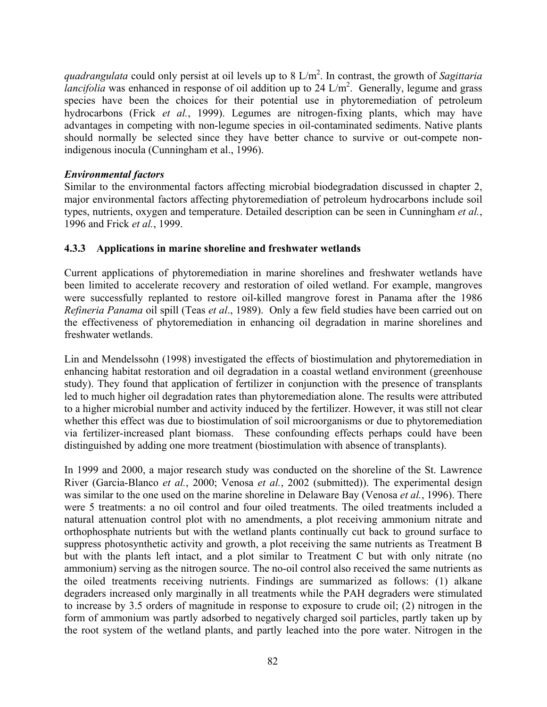*quadrangulata* could only persist at oil levels up to 8 L/m2 . In contrast, the growth of *Sagittaria lancifolia* was enhanced in response of oil addition up to  $24 \text{ L/m}^2$ . Generally, legume and grass species have been the choices for their potential use in phytoremediation of petroleum hydrocarbons (Frick *et al.*, 1999). Legumes are nitrogen-fixing plants, which may have advantages in competing with non-legume species in oil-contaminated sediments. Native plants should normally be selected since they have better chance to survive or out-compete nonindigenous inocula (Cunningham et al., 1996).

### *Environmental factors*

Similar to the environmental factors affecting microbial biodegradation discussed in chapter 2, major environmental factors affecting phytoremediation of petroleum hydrocarbons include soil types, nutrients, oxygen and temperature. Detailed description can be seen in Cunningham *et al.*, 1996 and Frick *et al.*, 1999.

### **4.3.3 Applications in marine shoreline and freshwater wetlands**

Current applications of phytoremediation in marine shorelines and freshwater wetlands have been limited to accelerate recovery and restoration of oiled wetland. For example, mangroves were successfully replanted to restore oil-killed mangrove forest in Panama after the 1986 *Refineria Panama* oil spill (Teas *et al*., 1989). Only a few field studies have been carried out on the effectiveness of phytoremediation in enhancing oil degradation in marine shorelines and freshwater wetlands.

Lin and Mendelssohn (1998) investigated the effects of biostimulation and phytoremediation in enhancing habitat restoration and oil degradation in a coastal wetland environment (greenhouse study). They found that application of fertilizer in conjunction with the presence of transplants led to much higher oil degradation rates than phytoremediation alone. The results were attributed to a higher microbial number and activity induced by the fertilizer. However, it was still not clear whether this effect was due to biostimulation of soil microorganisms or due to phytoremediation via fertilizer-increased plant biomass. These confounding effects perhaps could have been distinguished by adding one more treatment (biostimulation with absence of transplants).

In 1999 and 2000, a major research study was conducted on the shoreline of the St. Lawrence River (Garcia-Blanco *et al.*, 2000; Venosa *et al.*, 2002 (submitted)). The experimental design was similar to the one used on the marine shoreline in Delaware Bay (Venosa *et al.*, 1996). There were 5 treatments: a no oil control and four oiled treatments. The oiled treatments included a natural attenuation control plot with no amendments, a plot receiving ammonium nitrate and orthophosphate nutrients but with the wetland plants continually cut back to ground surface to suppress photosynthetic activity and growth, a plot receiving the same nutrients as Treatment B but with the plants left intact, and a plot similar to Treatment C but with only nitrate (no ammonium) serving as the nitrogen source. The no-oil control also received the same nutrients as the oiled treatments receiving nutrients. Findings are summarized as follows: (1) alkane degraders increased only marginally in all treatments while the PAH degraders were stimulated to increase by 3.5 orders of magnitude in response to exposure to crude oil; (2) nitrogen in the form of ammonium was partly adsorbed to negatively charged soil particles, partly taken up by the root system of the wetland plants, and partly leached into the pore water. Nitrogen in the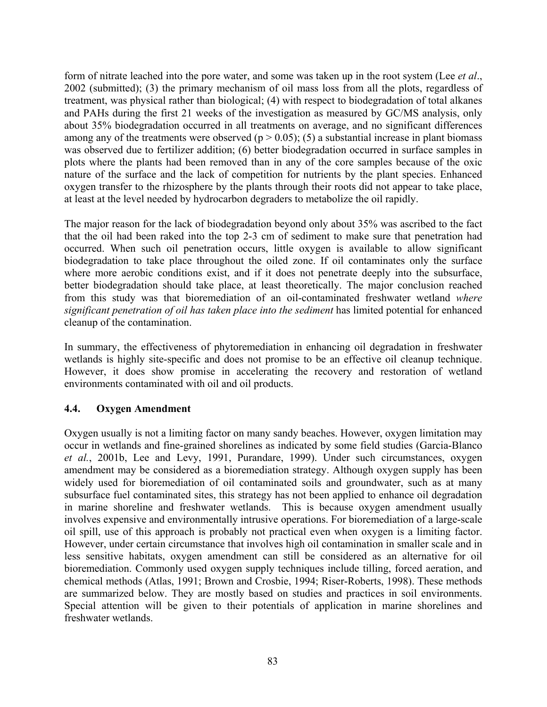form of nitrate leached into the pore water, and some was taken up in the root system (Lee *et al*., 2002 (submitted); (3) the primary mechanism of oil mass loss from all the plots, regardless of treatment, was physical rather than biological; (4) with respect to biodegradation of total alkanes and PAHs during the first 21 weeks of the investigation as measured by GC/MS analysis, only about 35% biodegradation occurred in all treatments on average, and no significant differences among any of the treatments were observed ( $p > 0.05$ ); (5) a substantial increase in plant biomass was observed due to fertilizer addition; (6) better biodegradation occurred in surface samples in plots where the plants had been removed than in any of the core samples because of the oxic nature of the surface and the lack of competition for nutrients by the plant species. Enhanced oxygen transfer to the rhizosphere by the plants through their roots did not appear to take place, at least at the level needed by hydrocarbon degraders to metabolize the oil rapidly.

The major reason for the lack of biodegradation beyond only about 35% was ascribed to the fact that the oil had been raked into the top 2-3 cm of sediment to make sure that penetration had occurred. When such oil penetration occurs, little oxygen is available to allow significant biodegradation to take place throughout the oiled zone. If oil contaminates only the surface where more aerobic conditions exist, and if it does not penetrate deeply into the subsurface, better biodegradation should take place, at least theoretically. The major conclusion reached from this study was that bioremediation of an oil-contaminated freshwater wetland *where significant penetration of oil has taken place into the sediment* has limited potential for enhanced cleanup of the contamination.

In summary, the effectiveness of phytoremediation in enhancing oil degradation in freshwater wetlands is highly site-specific and does not promise to be an effective oil cleanup technique. However, it does show promise in accelerating the recovery and restoration of wetland environments contaminated with oil and oil products.

## **4.4. Oxygen Amendment**

Oxygen usually is not a limiting factor on many sandy beaches. However, oxygen limitation may occur in wetlands and fine-grained shorelines as indicated by some field studies (Garcia-Blanco *et al.*, 2001b, Lee and Levy, 1991, Purandare, 1999). Under such circumstances, oxygen amendment may be considered as a bioremediation strategy. Although oxygen supply has been widely used for bioremediation of oil contaminated soils and groundwater, such as at many subsurface fuel contaminated sites, this strategy has not been applied to enhance oil degradation in marine shoreline and freshwater wetlands. This is because oxygen amendment usually involves expensive and environmentally intrusive operations. For bioremediation of a large-scale oil spill, use of this approach is probably not practical even when oxygen is a limiting factor. However, under certain circumstance that involves high oil contamination in smaller scale and in less sensitive habitats, oxygen amendment can still be considered as an alternative for oil bioremediation. Commonly used oxygen supply techniques include tilling, forced aeration, and chemical methods (Atlas, 1991; Brown and Crosbie, 1994; Riser-Roberts, 1998). These methods are summarized below. They are mostly based on studies and practices in soil environments. Special attention will be given to their potentials of application in marine shorelines and freshwater wetlands.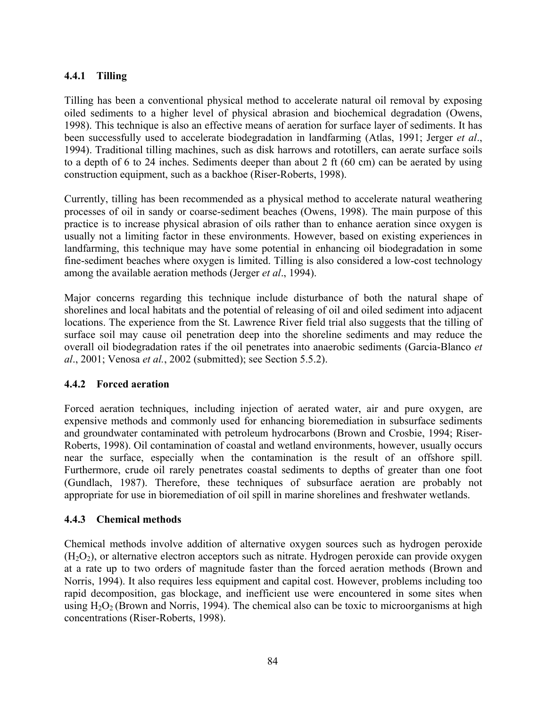# **4.4.1 Tilling**

Tilling has been a conventional physical method to accelerate natural oil removal by exposing oiled sediments to a higher level of physical abrasion and biochemical degradation (Owens, 1998). This technique is also an effective means of aeration for surface layer of sediments. It has been successfully used to accelerate biodegradation in landfarming (Atlas, 1991; Jerger *et al*., 1994). Traditional tilling machines, such as disk harrows and rototillers, can aerate surface soils to a depth of 6 to 24 inches. Sediments deeper than about 2 ft (60 cm) can be aerated by using construction equipment, such as a backhoe (Riser-Roberts, 1998).

Currently, tilling has been recommended as a physical method to accelerate natural weathering processes of oil in sandy or coarse-sediment beaches (Owens, 1998). The main purpose of this practice is to increase physical abrasion of oils rather than to enhance aeration since oxygen is usually not a limiting factor in these environments. However, based on existing experiences in landfarming, this technique may have some potential in enhancing oil biodegradation in some fine-sediment beaches where oxygen is limited. Tilling is also considered a low-cost technology among the available aeration methods (Jerger *et al*., 1994).

Major concerns regarding this technique include disturbance of both the natural shape of shorelines and local habitats and the potential of releasing of oil and oiled sediment into adjacent locations. The experience from the St. Lawrence River field trial also suggests that the tilling of surface soil may cause oil penetration deep into the shoreline sediments and may reduce the overall oil biodegradation rates if the oil penetrates into anaerobic sediments (Garcia-Blanco *et al*., 2001; Venosa *et al.*, 2002 (submitted); see Section 5.5.2).

## **4.4.2 Forced aeration**

Forced aeration techniques, including injection of aerated water, air and pure oxygen, are expensive methods and commonly used for enhancing bioremediation in subsurface sediments and groundwater contaminated with petroleum hydrocarbons (Brown and Crosbie, 1994; Riser-Roberts, 1998). Oil contamination of coastal and wetland environments, however, usually occurs near the surface, especially when the contamination is the result of an offshore spill. Furthermore, crude oil rarely penetrates coastal sediments to depths of greater than one foot (Gundlach, 1987). Therefore, these techniques of subsurface aeration are probably not appropriate for use in bioremediation of oil spill in marine shorelines and freshwater wetlands.

#### **4.4.3 Chemical methods**

Chemical methods involve addition of alternative oxygen sources such as hydrogen peroxide  $(H<sub>2</sub>O<sub>2</sub>)$ , or alternative electron acceptors such as nitrate. Hydrogen peroxide can provide oxygen at a rate up to two orders of magnitude faster than the forced aeration methods (Brown and Norris, 1994). It also requires less equipment and capital cost. However, problems including too rapid decomposition, gas blockage, and inefficient use were encountered in some sites when using  $H_2O_2$  (Brown and Norris, 1994). The chemical also can be toxic to microorganisms at high concentrations (Riser-Roberts, 1998).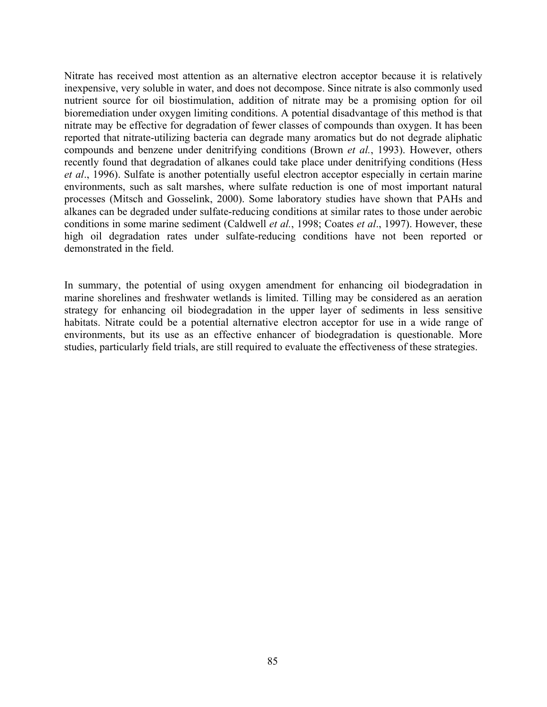Nitrate has received most attention as an alternative electron acceptor because it is relatively inexpensive, very soluble in water, and does not decompose. Since nitrate is also commonly used nutrient source for oil biostimulation, addition of nitrate may be a promising option for oil bioremediation under oxygen limiting conditions. A potential disadvantage of this method is that nitrate may be effective for degradation of fewer classes of compounds than oxygen. It has been reported that nitrate-utilizing bacteria can degrade many aromatics but do not degrade aliphatic compounds and benzene under denitrifying conditions (Brown *et al.*, 1993). However, others recently found that degradation of alkanes could take place under denitrifying conditions (Hess *et al*., 1996). Sulfate is another potentially useful electron acceptor especially in certain marine environments, such as salt marshes, where sulfate reduction is one of most important natural processes (Mitsch and Gosselink, 2000). Some laboratory studies have shown that PAHs and alkanes can be degraded under sulfate-reducing conditions at similar rates to those under aerobic conditions in some marine sediment (Caldwell *et al.*, 1998; Coates *et al*., 1997). However, these high oil degradation rates under sulfate-reducing conditions have not been reported or demonstrated in the field.

In summary, the potential of using oxygen amendment for enhancing oil biodegradation in marine shorelines and freshwater wetlands is limited. Tilling may be considered as an aeration strategy for enhancing oil biodegradation in the upper layer of sediments in less sensitive habitats. Nitrate could be a potential alternative electron acceptor for use in a wide range of environments, but its use as an effective enhancer of biodegradation is questionable. More studies, particularly field trials, are still required to evaluate the effectiveness of these strategies.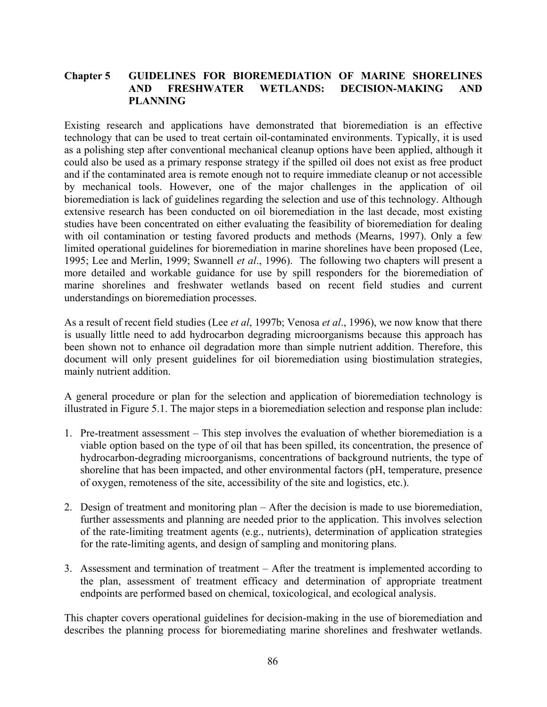## **Chapter 5 GUIDELINES FOR BIOREMEDIATION OF MARINE SHORELINES AND FRESHWATER WETLANDS: DECISION-MAKING AND PLANNING**

Existing research and applications have demonstrated that bioremediation is an effective technology that can be used to treat certain oil-contaminated environments. Typically, it is used as a polishing step after conventional mechanical cleanup options have been applied, although it could also be used as a primary response strategy if the spilled oil does not exist as free product and if the contaminated area is remote enough not to require immediate cleanup or not accessible by mechanical tools. However, one of the major challenges in the application of oil bioremediation is lack of guidelines regarding the selection and use of this technology. Although extensive research has been conducted on oil bioremediation in the last decade, most existing studies have been concentrated on either evaluating the feasibility of bioremediation for dealing with oil contamination or testing favored products and methods (Mearns, 1997). Only a few limited operational guidelines for bioremediation in marine shorelines have been proposed (Lee, 1995; Lee and Merlin, 1999; Swannell *et al*., 1996). The following two chapters will present a more detailed and workable guidance for use by spill responders for the bioremediation of marine shorelines and freshwater wetlands based on recent field studies and current understandings on bioremediation processes.

As a result of recent field studies (Lee *et al*, 1997b; Venosa *et al*., 1996), we now know that there is usually little need to add hydrocarbon degrading microorganisms because this approach has been shown not to enhance oil degradation more than simple nutrient addition. Therefore, this document will only present guidelines for oil bioremediation using biostimulation strategies, mainly nutrient addition.

A general procedure or plan for the selection and application of bioremediation technology is illustrated in Figure 5.1. The major steps in a bioremediation selection and response plan include:

- 1. Pre-treatment assessment This step involves the evaluation of whether bioremediation is a viable option based on the type of oil that has been spilled, its concentration, the presence of hydrocarbon-degrading microorganisms, concentrations of background nutrients, the type of shoreline that has been impacted, and other environmental factors (pH, temperature, presence of oxygen, remoteness of the site, accessibility of the site and logistics, etc.).
- 2. Design of treatment and monitoring plan After the decision is made to use bioremediation, further assessments and planning are needed prior to the application. This involves selection of the rate-limiting treatment agents (e.g., nutrients), determination of application strategies for the rate-limiting agents, and design of sampling and monitoring plans.
- 3. Assessment and termination of treatment After the treatment is implemented according to the plan, assessment of treatment efficacy and determination of appropriate treatment endpoints are performed based on chemical, toxicological, and ecological analysis.

This chapter covers operational guidelines for decision-making in the use of bioremediation and describes the planning process for bioremediating marine shorelines and freshwater wetlands.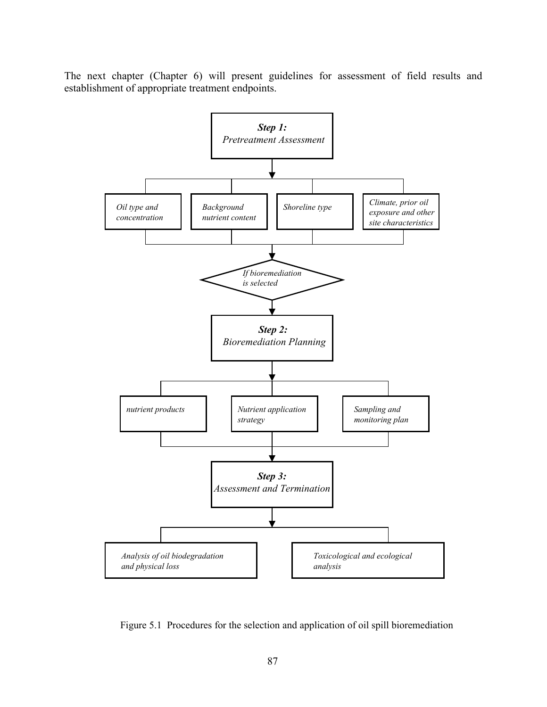The next chapter (Chapter 6) will present guidelines for assessment of field results and establishment of appropriate treatment endpoints.



Figure 5.1 Procedures for the selection and application of oil spill bioremediation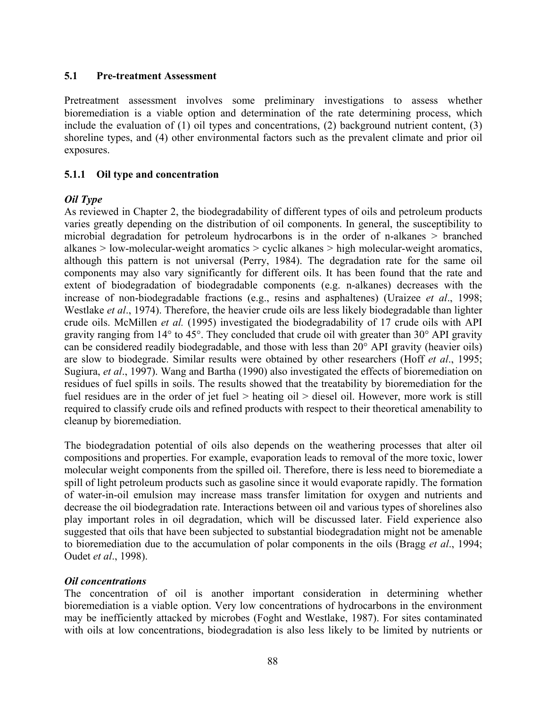### **5.1 Pre-treatment Assessment**

Pretreatment assessment involves some preliminary investigations to assess whether bioremediation is a viable option and determination of the rate determining process, which include the evaluation of (1) oil types and concentrations, (2) background nutrient content, (3) shoreline types, and (4) other environmental factors such as the prevalent climate and prior oil exposures.

### **5.1.1 Oil type and concentration**

### *Oil Type*

As reviewed in Chapter 2, the biodegradability of different types of oils and petroleum products varies greatly depending on the distribution of oil components. In general, the susceptibility to microbial degradation for petroleum hydrocarbons is in the order of n-alkanes > branched alkanes > low-molecular-weight aromatics > cyclic alkanes > high molecular-weight aromatics, although this pattern is not universal (Perry, 1984). The degradation rate for the same oil components may also vary significantly for different oils. It has been found that the rate and extent of biodegradation of biodegradable components (e.g. n-alkanes) decreases with the increase of non-biodegradable fractions (e.g., resins and asphaltenes) (Uraizee *et al*., 1998; Westlake *et al*., 1974). Therefore, the heavier crude oils are less likely biodegradable than lighter crude oils. McMillen *et al.* (1995) investigated the biodegradability of 17 crude oils with API gravity ranging from 14° to 45°. They concluded that crude oil with greater than 30° API gravity can be considered readily biodegradable, and those with less than 20° API gravity (heavier oils) are slow to biodegrade. Similar results were obtained by other researchers (Hoff *et al*., 1995; Sugiura, *et al*., 1997). Wang and Bartha (1990) also investigated the effects of bioremediation on residues of fuel spills in soils. The results showed that the treatability by bioremediation for the fuel residues are in the order of jet fuel > heating oil > diesel oil. However, more work is still required to classify crude oils and refined products with respect to their theoretical amenability to cleanup by bioremediation.

The biodegradation potential of oils also depends on the weathering processes that alter oil compositions and properties. For example, evaporation leads to removal of the more toxic, lower molecular weight components from the spilled oil. Therefore, there is less need to bioremediate a spill of light petroleum products such as gasoline since it would evaporate rapidly. The formation of water-in-oil emulsion may increase mass transfer limitation for oxygen and nutrients and decrease the oil biodegradation rate. Interactions between oil and various types of shorelines also play important roles in oil degradation, which will be discussed later. Field experience also suggested that oils that have been subjected to substantial biodegradation might not be amenable to bioremediation due to the accumulation of polar components in the oils (Bragg *et al*., 1994; Oudet *et al*., 1998).

#### *Oil concentrations*

The concentration of oil is another important consideration in determining whether bioremediation is a viable option. Very low concentrations of hydrocarbons in the environment may be inefficiently attacked by microbes (Foght and Westlake, 1987). For sites contaminated with oils at low concentrations, biodegradation is also less likely to be limited by nutrients or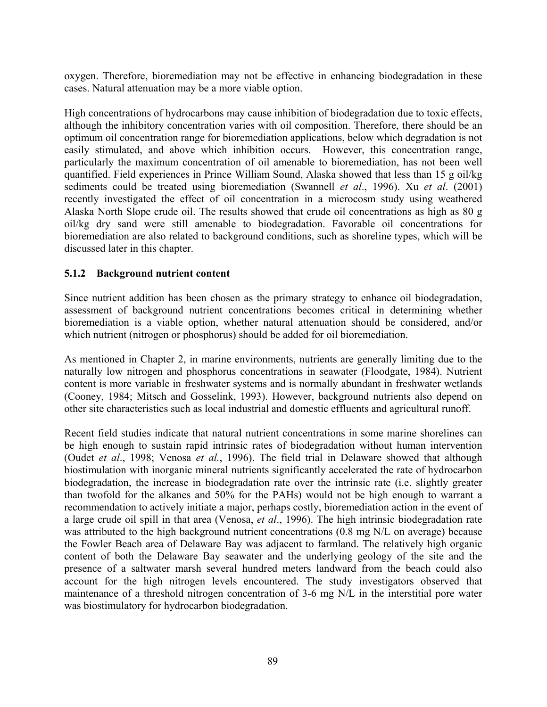oxygen. Therefore, bioremediation may not be effective in enhancing biodegradation in these cases. Natural attenuation may be a more viable option.

High concentrations of hydrocarbons may cause inhibition of biodegradation due to toxic effects, although the inhibitory concentration varies with oil composition. Therefore, there should be an optimum oil concentration range for bioremediation applications, below which degradation is not easily stimulated, and above which inhibition occurs. However, this concentration range, particularly the maximum concentration of oil amenable to bioremediation, has not been well quantified. Field experiences in Prince William Sound, Alaska showed that less than 15 g oil/kg sediments could be treated using bioremediation (Swannell *et al*., 1996). Xu *et al*. (2001) recently investigated the effect of oil concentration in a microcosm study using weathered Alaska North Slope crude oil. The results showed that crude oil concentrations as high as 80 g oil/kg dry sand were still amenable to biodegradation. Favorable oil concentrations for bioremediation are also related to background conditions, such as shoreline types, which will be discussed later in this chapter.

## **5.1.2 Background nutrient content**

Since nutrient addition has been chosen as the primary strategy to enhance oil biodegradation, assessment of background nutrient concentrations becomes critical in determining whether bioremediation is a viable option, whether natural attenuation should be considered, and/or which nutrient (nitrogen or phosphorus) should be added for oil bioremediation.

As mentioned in Chapter 2, in marine environments, nutrients are generally limiting due to the naturally low nitrogen and phosphorus concentrations in seawater (Floodgate, 1984). Nutrient content is more variable in freshwater systems and is normally abundant in freshwater wetlands (Cooney, 1984; Mitsch and Gosselink, 1993). However, background nutrients also depend on other site characteristics such as local industrial and domestic effluents and agricultural runoff.

Recent field studies indicate that natural nutrient concentrations in some marine shorelines can be high enough to sustain rapid intrinsic rates of biodegradation without human intervention (Oudet *et al*., 1998; Venosa *et al.*, 1996). The field trial in Delaware showed that although biostimulation with inorganic mineral nutrients significantly accelerated the rate of hydrocarbon biodegradation, the increase in biodegradation rate over the intrinsic rate (i.e. slightly greater than twofold for the alkanes and 50% for the PAHs) would not be high enough to warrant a recommendation to actively initiate a major, perhaps costly, bioremediation action in the event of a large crude oil spill in that area (Venosa, *et al*., 1996). The high intrinsic biodegradation rate was attributed to the high background nutrient concentrations (0.8 mg N/L on average) because the Fowler Beach area of Delaware Bay was adjacent to farmland. The relatively high organic content of both the Delaware Bay seawater and the underlying geology of the site and the presence of a saltwater marsh several hundred meters landward from the beach could also account for the high nitrogen levels encountered. The study investigators observed that maintenance of a threshold nitrogen concentration of 3-6 mg N/L in the interstitial pore water was biostimulatory for hydrocarbon biodegradation.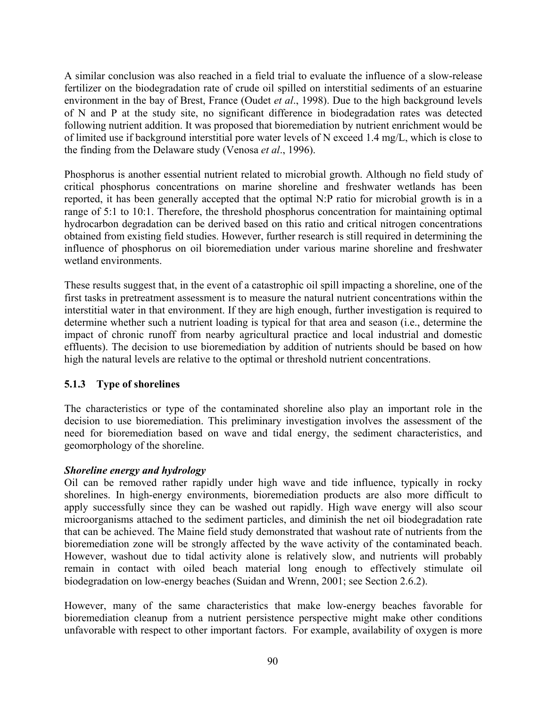A similar conclusion was also reached in a field trial to evaluate the influence of a slow-release fertilizer on the biodegradation rate of crude oil spilled on interstitial sediments of an estuarine environment in the bay of Brest, France (Oudet *et al*., 1998). Due to the high background levels of N and P at the study site, no significant difference in biodegradation rates was detected following nutrient addition. It was proposed that bioremediation by nutrient enrichment would be of limited use if background interstitial pore water levels of N exceed 1.4 mg/L, which is close to the finding from the Delaware study (Venosa *et al*., 1996).

Phosphorus is another essential nutrient related to microbial growth. Although no field study of critical phosphorus concentrations on marine shoreline and freshwater wetlands has been reported, it has been generally accepted that the optimal N:P ratio for microbial growth is in a range of 5:1 to 10:1. Therefore, the threshold phosphorus concentration for maintaining optimal hydrocarbon degradation can be derived based on this ratio and critical nitrogen concentrations obtained from existing field studies. However, further research is still required in determining the influence of phosphorus on oil bioremediation under various marine shoreline and freshwater wetland environments.

These results suggest that, in the event of a catastrophic oil spill impacting a shoreline, one of the first tasks in pretreatment assessment is to measure the natural nutrient concentrations within the interstitial water in that environment. If they are high enough, further investigation is required to determine whether such a nutrient loading is typical for that area and season (i.e., determine the impact of chronic runoff from nearby agricultural practice and local industrial and domestic effluents). The decision to use bioremediation by addition of nutrients should be based on how high the natural levels are relative to the optimal or threshold nutrient concentrations.

## **5.1.3 Type of shorelines**

The characteristics or type of the contaminated shoreline also play an important role in the decision to use bioremediation. This preliminary investigation involves the assessment of the need for bioremediation based on wave and tidal energy, the sediment characteristics, and geomorphology of the shoreline.

## *Shoreline energy and hydrology*

Oil can be removed rather rapidly under high wave and tide influence, typically in rocky shorelines. In high-energy environments, bioremediation products are also more difficult to apply successfully since they can be washed out rapidly. High wave energy will also scour microorganisms attached to the sediment particles, and diminish the net oil biodegradation rate that can be achieved. The Maine field study demonstrated that washout rate of nutrients from the bioremediation zone will be strongly affected by the wave activity of the contaminated beach. However, washout due to tidal activity alone is relatively slow, and nutrients will probably remain in contact with oiled beach material long enough to effectively stimulate oil biodegradation on low-energy beaches (Suidan and Wrenn, 2001; see Section 2.6.2).

However, many of the same characteristics that make low-energy beaches favorable for bioremediation cleanup from a nutrient persistence perspective might make other conditions unfavorable with respect to other important factors. For example, availability of oxygen is more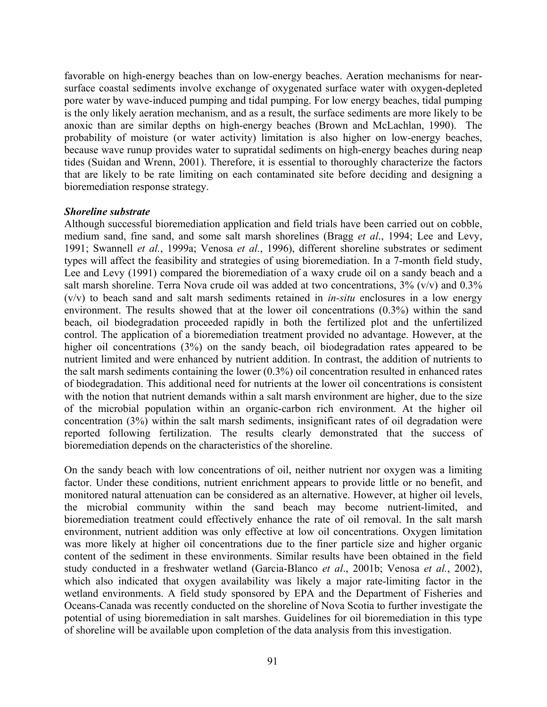favorable on high-energy beaches than on low-energy beaches. Aeration mechanisms for nearsurface coastal sediments involve exchange of oxygenated surface water with oxygen-depleted pore water by wave-induced pumping and tidal pumping. For low energy beaches, tidal pumping is the only likely aeration mechanism, and as a result, the surface sediments are more likely to be anoxic than are similar depths on high-energy beaches (Brown and McLachlan, 1990). The probability of moisture (or water activity) limitation is also higher on low-energy beaches, because wave runup provides water to supratidal sediments on high-energy beaches during neap tides (Suidan and Wrenn, 2001). Therefore, it is essential to thoroughly characterize the factors that are likely to be rate limiting on each contaminated site before deciding and designing a bioremediation response strategy.

#### *Shoreline substrate*

Although successful bioremediation application and field trials have been carried out on cobble, medium sand, fine sand, and some salt marsh shorelines (Bragg *et al*., 1994; Lee and Levy, 1991; Swannell *et al.*, 1999a; Venosa *et al.*, 1996), different shoreline substrates or sediment types will affect the feasibility and strategies of using bioremediation. In a 7-month field study, Lee and Levy (1991) compared the bioremediation of a waxy crude oil on a sandy beach and a salt marsh shoreline. Terra Nova crude oil was added at two concentrations,  $3\%$  (v/v) and  $0.3\%$ (v/v) to beach sand and salt marsh sediments retained in *in-situ* enclosures in a low energy environment. The results showed that at the lower oil concentrations (0.3%) within the sand beach, oil biodegradation proceeded rapidly in both the fertilized plot and the unfertilized control. The application of a bioremediation treatment provided no advantage. However, at the higher oil concentrations (3%) on the sandy beach, oil biodegradation rates appeared to be nutrient limited and were enhanced by nutrient addition. In contrast, the addition of nutrients to the salt marsh sediments containing the lower (0.3%) oil concentration resulted in enhanced rates of biodegradation. This additional need for nutrients at the lower oil concentrations is consistent with the notion that nutrient demands within a salt marsh environment are higher, due to the size of the microbial population within an organic-carbon rich environment. At the higher oil concentration (3%) within the salt marsh sediments, insignificant rates of oil degradation were reported following fertilization. The results clearly demonstrated that the success of bioremediation depends on the characteristics of the shoreline.

On the sandy beach with low concentrations of oil, neither nutrient nor oxygen was a limiting factor. Under these conditions, nutrient enrichment appears to provide little or no benefit, and monitored natural attenuation can be considered as an alternative. However, at higher oil levels, the microbial community within the sand beach may become nutrient-limited, and bioremediation treatment could effectively enhance the rate of oil removal. In the salt marsh environment, nutrient addition was only effective at low oil concentrations. Oxygen limitation was more likely at higher oil concentrations due to the finer particle size and higher organic content of the sediment in these environments. Similar results have been obtained in the field study conducted in a freshwater wetland (Garcia-Blanco *et al*., 2001b; Venosa *et al.*, 2002), which also indicated that oxygen availability was likely a major rate-limiting factor in the wetland environments. A field study sponsored by EPA and the Department of Fisheries and Oceans-Canada was recently conducted on the shoreline of Nova Scotia to further investigate the potential of using bioremediation in salt marshes. Guidelines for oil bioremediation in this type of shoreline will be available upon completion of the data analysis from this investigation.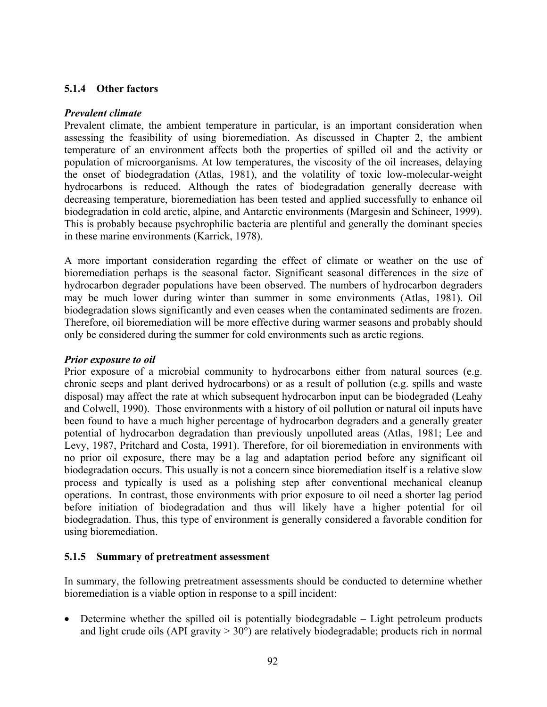## **5.1.4 Other factors**

### *Prevalent climate*

Prevalent climate, the ambient temperature in particular, is an important consideration when assessing the feasibility of using bioremediation. As discussed in Chapter 2, the ambient temperature of an environment affects both the properties of spilled oil and the activity or population of microorganisms. At low temperatures, the viscosity of the oil increases, delaying the onset of biodegradation (Atlas, 1981), and the volatility of toxic low-molecular-weight hydrocarbons is reduced. Although the rates of biodegradation generally decrease with decreasing temperature, bioremediation has been tested and applied successfully to enhance oil biodegradation in cold arctic, alpine, and Antarctic environments (Margesin and Schineer, 1999). This is probably because psychrophilic bacteria are plentiful and generally the dominant species in these marine environments (Karrick, 1978).

A more important consideration regarding the effect of climate or weather on the use of bioremediation perhaps is the seasonal factor. Significant seasonal differences in the size of hydrocarbon degrader populations have been observed. The numbers of hydrocarbon degraders may be much lower during winter than summer in some environments (Atlas, 1981). Oil biodegradation slows significantly and even ceases when the contaminated sediments are frozen. Therefore, oil bioremediation will be more effective during warmer seasons and probably should only be considered during the summer for cold environments such as arctic regions.

### *Prior exposure to oil*

Prior exposure of a microbial community to hydrocarbons either from natural sources (e.g. chronic seeps and plant derived hydrocarbons) or as a result of pollution (e.g. spills and waste disposal) may affect the rate at which subsequent hydrocarbon input can be biodegraded (Leahy and Colwell, 1990). Those environments with a history of oil pollution or natural oil inputs have been found to have a much higher percentage of hydrocarbon degraders and a generally greater potential of hydrocarbon degradation than previously unpolluted areas (Atlas, 1981; Lee and Levy, 1987, Pritchard and Costa, 1991). Therefore, for oil bioremediation in environments with no prior oil exposure, there may be a lag and adaptation period before any significant oil biodegradation occurs. This usually is not a concern since bioremediation itself is a relative slow process and typically is used as a polishing step after conventional mechanical cleanup operations. In contrast, those environments with prior exposure to oil need a shorter lag period before initiation of biodegradation and thus will likely have a higher potential for oil biodegradation. Thus, this type of environment is generally considered a favorable condition for using bioremediation.

## **5.1.5 Summary of pretreatment assessment**

In summary, the following pretreatment assessments should be conducted to determine whether bioremediation is a viable option in response to a spill incident:

• Determine whether the spilled oil is potentially biodegradable  $-$  Light petroleum products and light crude oils (API gravity  $> 30^{\circ}$ ) are relatively biodegradable; products rich in normal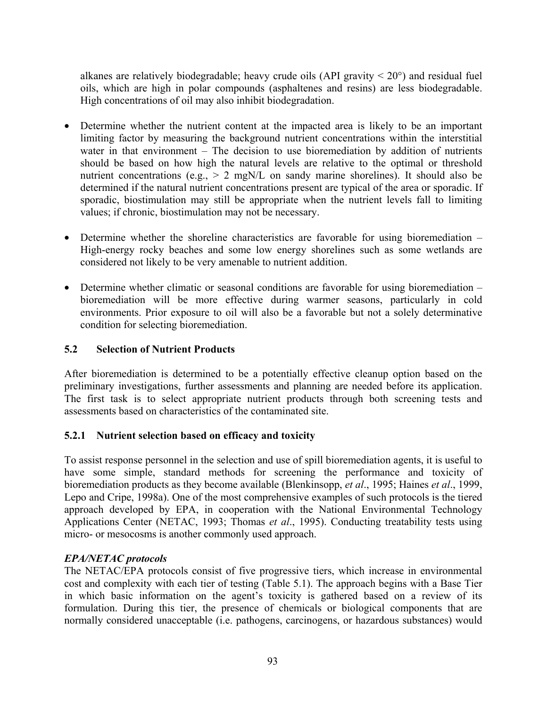alkanes are relatively biodegradable; heavy crude oils (API gravity  $\leq 20^{\circ}$ ) and residual fuel oils, which are high in polar compounds (asphaltenes and resins) are less biodegradable. High concentrations of oil may also inhibit biodegradation.

- Determine whether the nutrient content at the impacted area is likely to be an important limiting factor by measuring the background nutrient concentrations within the interstitial water in that environment – The decision to use bioremediation by addition of nutrients should be based on how high the natural levels are relative to the optimal or threshold nutrient concentrations (e.g.,  $> 2$  mgN/L on sandy marine shorelines). It should also be determined if the natural nutrient concentrations present are typical of the area or sporadic. If sporadic, biostimulation may still be appropriate when the nutrient levels fall to limiting values; if chronic, biostimulation may not be necessary.
- Determine whether the shoreline characteristics are favorable for using bioremediation High-energy rocky beaches and some low energy shorelines such as some wetlands are considered not likely to be very amenable to nutrient addition.
- Determine whether climatic or seasonal conditions are favorable for using bioremediation bioremediation will be more effective during warmer seasons, particularly in cold environments. Prior exposure to oil will also be a favorable but not a solely determinative condition for selecting bioremediation.

## **5.2 Selection of Nutrient Products**

After bioremediation is determined to be a potentially effective cleanup option based on the preliminary investigations, further assessments and planning are needed before its application. The first task is to select appropriate nutrient products through both screening tests and assessments based on characteristics of the contaminated site.

## **5.2.1 Nutrient selection based on efficacy and toxicity**

To assist response personnel in the selection and use of spill bioremediation agents, it is useful to have some simple, standard methods for screening the performance and toxicity of bioremediation products as they become available (Blenkinsopp, *et al*., 1995; Haines *et al*., 1999, Lepo and Cripe, 1998a). One of the most comprehensive examples of such protocols is the tiered approach developed by EPA, in cooperation with the National Environmental Technology Applications Center (NETAC, 1993; Thomas *et al*., 1995). Conducting treatability tests using micro- or mesocosms is another commonly used approach.

#### *EPA/NETAC protocols*

The NETAC/EPA protocols consist of five progressive tiers, which increase in environmental cost and complexity with each tier of testing (Table 5.1). The approach begins with a Base Tier in which basic information on the agent's toxicity is gathered based on a review of its formulation. During this tier, the presence of chemicals or biological components that are normally considered unacceptable (i.e. pathogens, carcinogens, or hazardous substances) would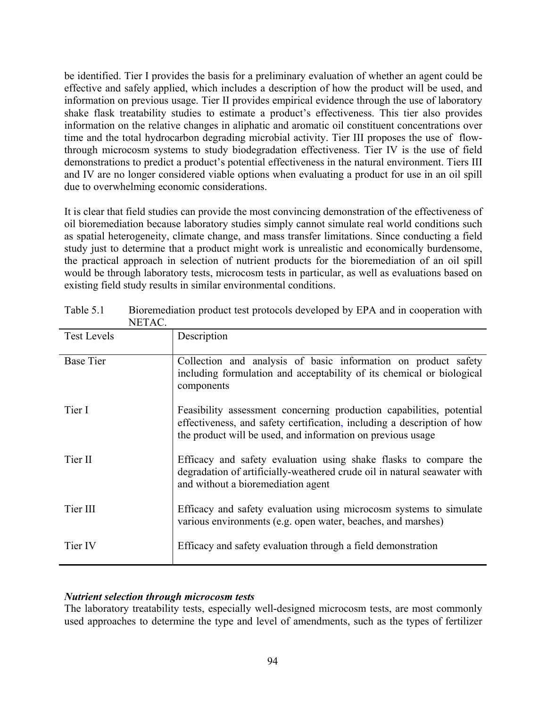be identified. Tier I provides the basis for a preliminary evaluation of whether an agent could be effective and safely applied, which includes a description of how the product will be used, and information on previous usage. Tier II provides empirical evidence through the use of laboratory shake flask treatability studies to estimate a product's effectiveness. This tier also provides information on the relative changes in aliphatic and aromatic oil constituent concentrations over time and the total hydrocarbon degrading microbial activity. Tier III proposes the use of flowthrough microcosm systems to study biodegradation effectiveness. Tier IV is the use of field demonstrations to predict a product's potential effectiveness in the natural environment. Tiers III and IV are no longer considered viable options when evaluating a product for use in an oil spill due to overwhelming economic considerations.

It is clear that field studies can provide the most convincing demonstration of the effectiveness of oil bioremediation because laboratory studies simply cannot simulate real world conditions such as spatial heterogeneity, climate change, and mass transfer limitations. Since conducting a field study just to determine that a product might work is unrealistic and economically burdensome, the practical approach in selection of nutrient products for the bioremediation of an oil spill would be through laboratory tests, microcosm tests in particular, as well as evaluations based on existing field study results in similar environmental conditions.

| ILLIAV.            |                                                                                                                                                                                                                |  |
|--------------------|----------------------------------------------------------------------------------------------------------------------------------------------------------------------------------------------------------------|--|
| <b>Test Levels</b> | Description                                                                                                                                                                                                    |  |
| <b>Base Tier</b>   | Collection and analysis of basic information on product safety<br>including formulation and acceptability of its chemical or biological<br>components                                                          |  |
| Tier I             | Feasibility assessment concerning production capabilities, potential<br>effectiveness, and safety certification, including a description of how<br>the product will be used, and information on previous usage |  |
| Tier II            | Efficacy and safety evaluation using shake flasks to compare the<br>degradation of artificially-weathered crude oil in natural seawater with<br>and without a bioremediation agent                             |  |
| Tier III           | Efficacy and safety evaluation using microcosm systems to simulate<br>various environments (e.g. open water, beaches, and marshes)                                                                             |  |
| Tier IV            | Efficacy and safety evaluation through a field demonstration                                                                                                                                                   |  |

Table 5.1 Bioremediation product test protocols developed by EPA and in cooperation with **NETAC** 

## *Nutrient selection through microcosm tests*

The laboratory treatability tests, especially well-designed microcosm tests, are most commonly used approaches to determine the type and level of amendments, such as the types of fertilizer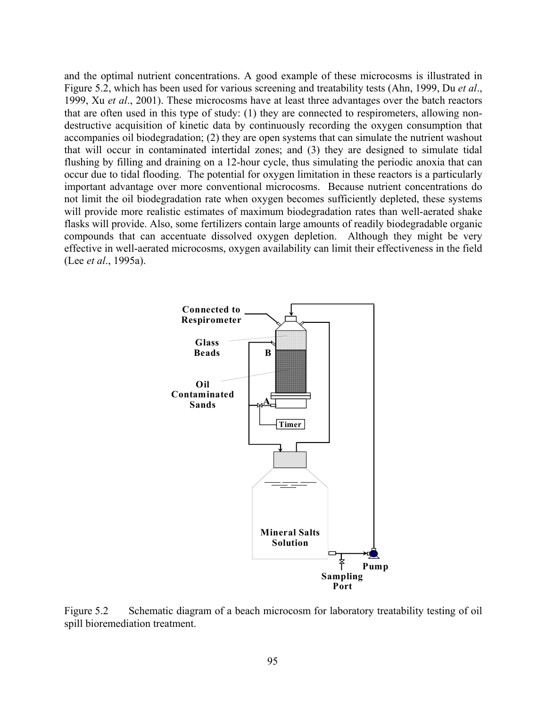and the optimal nutrient concentrations. A good example of these microcosms is illustrated in Figure 5.2, which has been used for various screening and treatability tests (Ahn, 1999, Du *et al*., 1999, Xu *et al*., 2001). These microcosms have at least three advantages over the batch reactors that are often used in this type of study: (1) they are connected to respirometers, allowing nondestructive acquisition of kinetic data by continuously recording the oxygen consumption that accompanies oil biodegradation; (2) they are open systems that can simulate the nutrient washout that will occur in contaminated intertidal zones; and (3) they are designed to simulate tidal flushing by filling and draining on a 12-hour cycle, thus simulating the periodic anoxia that can occur due to tidal flooding. The potential for oxygen limitation in these reactors is a particularly important advantage over more conventional microcosms. Because nutrient concentrations do not limit the oil biodegradation rate when oxygen becomes sufficiently depleted, these systems will provide more realistic estimates of maximum biodegradation rates than well-aerated shake flasks will provide. Also, some fertilizers contain large amounts of readily biodegradable organic compounds that can accentuate dissolved oxygen depletion. Although they might be very effective in well-aerated microcosms, oxygen availability can limit their effectiveness in the field (Lee *et al*., 1995a).



Figure 5.2 Schematic diagram of a beach microcosm for laboratory treatability testing of oil spill bioremediation treatment.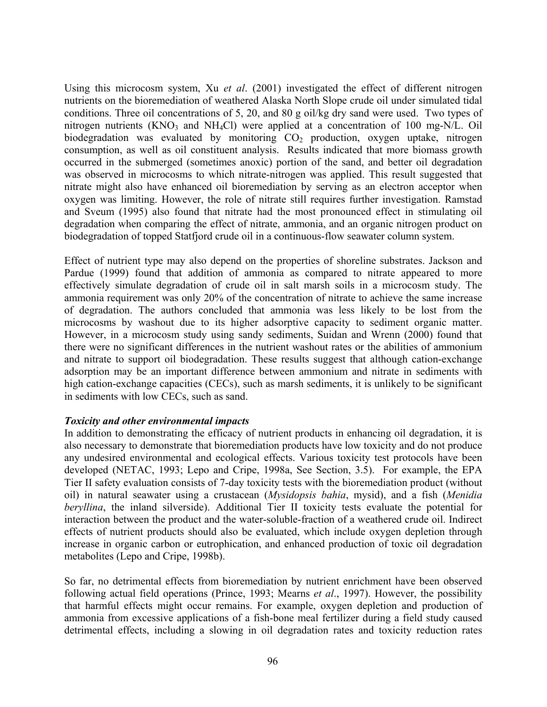Using this microcosm system, Xu *et al*. (2001) investigated the effect of different nitrogen nutrients on the bioremediation of weathered Alaska North Slope crude oil under simulated tidal conditions. Three oil concentrations of 5, 20, and 80 g oil/kg dry sand were used. Two types of nitrogen nutrients  $(KNO<sub>3</sub>$  and  $NH<sub>4</sub>Cl)$  were applied at a concentration of 100 mg-N/L. Oil biodegradation was evaluated by monitoring  $CO<sub>2</sub>$  production, oxygen uptake, nitrogen consumption, as well as oil constituent analysis. Results indicated that more biomass growth occurred in the submerged (sometimes anoxic) portion of the sand, and better oil degradation was observed in microcosms to which nitrate-nitrogen was applied. This result suggested that nitrate might also have enhanced oil bioremediation by serving as an electron acceptor when oxygen was limiting. However, the role of nitrate still requires further investigation. Ramstad and Sveum (1995) also found that nitrate had the most pronounced effect in stimulating oil degradation when comparing the effect of nitrate, ammonia, and an organic nitrogen product on biodegradation of topped Statfjord crude oil in a continuous-flow seawater column system.

Effect of nutrient type may also depend on the properties of shoreline substrates. Jackson and Pardue (1999) found that addition of ammonia as compared to nitrate appeared to more effectively simulate degradation of crude oil in salt marsh soils in a microcosm study. The ammonia requirement was only 20% of the concentration of nitrate to achieve the same increase of degradation. The authors concluded that ammonia was less likely to be lost from the microcosms by washout due to its higher adsorptive capacity to sediment organic matter. However, in a microcosm study using sandy sediments, Suidan and Wrenn (2000) found that there were no significant differences in the nutrient washout rates or the abilities of ammonium and nitrate to support oil biodegradation. These results suggest that although cation-exchange adsorption may be an important difference between ammonium and nitrate in sediments with high cation-exchange capacities (CECs), such as marsh sediments, it is unlikely to be significant in sediments with low CECs, such as sand.

#### *Toxicity and other environmental impacts*

In addition to demonstrating the efficacy of nutrient products in enhancing oil degradation, it is also necessary to demonstrate that bioremediation products have low toxicity and do not produce any undesired environmental and ecological effects. Various toxicity test protocols have been developed (NETAC, 1993; Lepo and Cripe, 1998a, See Section, 3.5). For example, the EPA Tier II safety evaluation consists of 7-day toxicity tests with the bioremediation product (without oil) in natural seawater using a crustacean (*Mysidopsis bahia*, mysid), and a fish (*Menidia beryllina*, the inland silverside). Additional Tier II toxicity tests evaluate the potential for interaction between the product and the water-soluble-fraction of a weathered crude oil. Indirect effects of nutrient products should also be evaluated, which include oxygen depletion through increase in organic carbon or eutrophication, and enhanced production of toxic oil degradation metabolites (Lepo and Cripe, 1998b).

So far, no detrimental effects from bioremediation by nutrient enrichment have been observed following actual field operations (Prince, 1993; Mearns *et al*., 1997). However, the possibility that harmful effects might occur remains. For example, oxygen depletion and production of ammonia from excessive applications of a fish-bone meal fertilizer during a field study caused detrimental effects, including a slowing in oil degradation rates and toxicity reduction rates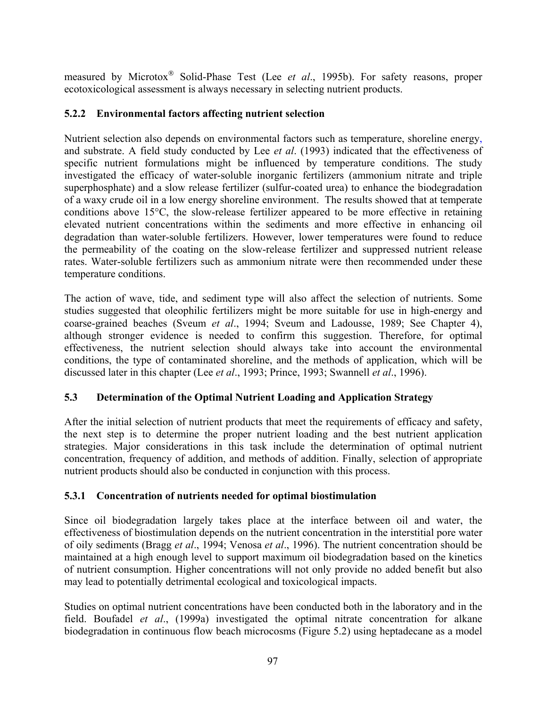measured by Microtox<sup>®</sup> Solid-Phase Test (Lee *et al.*, 1995b). For safety reasons, proper ecotoxicological assessment is always necessary in selecting nutrient products.

# **5.2.2 Environmental factors affecting nutrient selection**

Nutrient selection also depends on environmental factors such as temperature, shoreline energy, and substrate. A field study conducted by Lee *et al*. (1993) indicated that the effectiveness of specific nutrient formulations might be influenced by temperature conditions. The study investigated the efficacy of water-soluble inorganic fertilizers (ammonium nitrate and triple superphosphate) and a slow release fertilizer (sulfur-coated urea) to enhance the biodegradation of a waxy crude oil in a low energy shoreline environment. The results showed that at temperate conditions above 15°C, the slow-release fertilizer appeared to be more effective in retaining elevated nutrient concentrations within the sediments and more effective in enhancing oil degradation than water-soluble fertilizers. However, lower temperatures were found to reduce the permeability of the coating on the slow-release fertilizer and suppressed nutrient release rates. Water-soluble fertilizers such as ammonium nitrate were then recommended under these temperature conditions.

The action of wave, tide, and sediment type will also affect the selection of nutrients. Some studies suggested that oleophilic fertilizers might be more suitable for use in high-energy and coarse-grained beaches (Sveum *et al*., 1994; Sveum and Ladousse, 1989; See Chapter 4), although stronger evidence is needed to confirm this suggestion. Therefore, for optimal effectiveness, the nutrient selection should always take into account the environmental conditions, the type of contaminated shoreline, and the methods of application, which will be discussed later in this chapter (Lee *et al*., 1993; Prince, 1993; Swannell *et al*., 1996).

# **5.3 Determination of the Optimal Nutrient Loading and Application Strategy**

After the initial selection of nutrient products that meet the requirements of efficacy and safety, the next step is to determine the proper nutrient loading and the best nutrient application strategies. Major considerations in this task include the determination of optimal nutrient concentration, frequency of addition, and methods of addition. Finally, selection of appropriate nutrient products should also be conducted in conjunction with this process.

# **5.3.1 Concentration of nutrients needed for optimal biostimulation**

Since oil biodegradation largely takes place at the interface between oil and water, the effectiveness of biostimulation depends on the nutrient concentration in the interstitial pore water of oily sediments (Bragg *et al*., 1994; Venosa *et al*., 1996). The nutrient concentration should be maintained at a high enough level to support maximum oil biodegradation based on the kinetics of nutrient consumption. Higher concentrations will not only provide no added benefit but also may lead to potentially detrimental ecological and toxicological impacts.

Studies on optimal nutrient concentrations have been conducted both in the laboratory and in the field. Boufadel *et al*., (1999a) investigated the optimal nitrate concentration for alkane biodegradation in continuous flow beach microcosms (Figure 5.2) using heptadecane as a model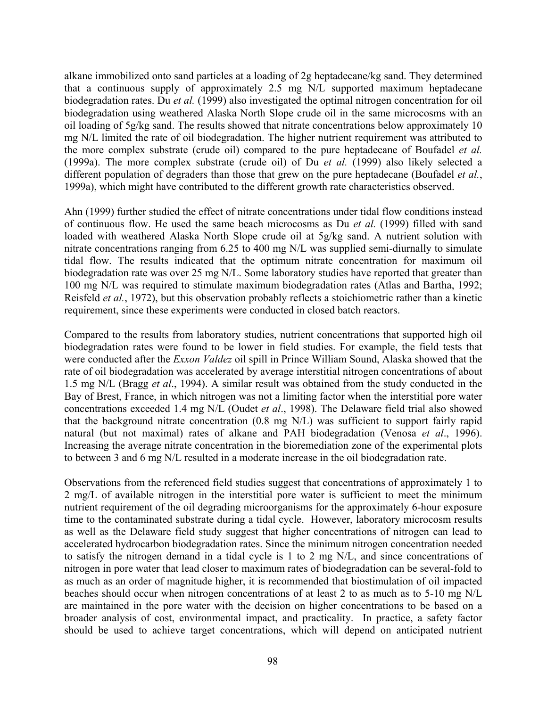alkane immobilized onto sand particles at a loading of 2g heptadecane/kg sand. They determined that a continuous supply of approximately 2.5 mg N/L supported maximum heptadecane biodegradation rates. Du *et al.* (1999) also investigated the optimal nitrogen concentration for oil biodegradation using weathered Alaska North Slope crude oil in the same microcosms with an oil loading of 5g/kg sand. The results showed that nitrate concentrations below approximately 10 mg N/L limited the rate of oil biodegradation. The higher nutrient requirement was attributed to the more complex substrate (crude oil) compared to the pure heptadecane of Boufadel *et al.*  (1999a). The more complex substrate (crude oil) of Du *et al.* (1999) also likely selected a different population of degraders than those that grew on the pure heptadecane (Boufadel *et al.*, 1999a), which might have contributed to the different growth rate characteristics observed.

Ahn (1999) further studied the effect of nitrate concentrations under tidal flow conditions instead of continuous flow. He used the same beach microcosms as Du *et al.* (1999) filled with sand loaded with weathered Alaska North Slope crude oil at 5g/kg sand. A nutrient solution with nitrate concentrations ranging from 6.25 to 400 mg N/L was supplied semi-diurnally to simulate tidal flow. The results indicated that the optimum nitrate concentration for maximum oil biodegradation rate was over 25 mg N/L. Some laboratory studies have reported that greater than 100 mg N/L was required to stimulate maximum biodegradation rates (Atlas and Bartha, 1992; Reisfeld *et al.*, 1972), but this observation probably reflects a stoichiometric rather than a kinetic requirement, since these experiments were conducted in closed batch reactors.

Compared to the results from laboratory studies, nutrient concentrations that supported high oil biodegradation rates were found to be lower in field studies. For example, the field tests that were conducted after the *Exxon Valdez* oil spill in Prince William Sound, Alaska showed that the rate of oil biodegradation was accelerated by average interstitial nitrogen concentrations of about 1.5 mg N/L (Bragg *et al*., 1994). A similar result was obtained from the study conducted in the Bay of Brest, France, in which nitrogen was not a limiting factor when the interstitial pore water concentrations exceeded 1.4 mg N/L (Oudet *et al*., 1998). The Delaware field trial also showed that the background nitrate concentration (0.8 mg N/L) was sufficient to support fairly rapid natural (but not maximal) rates of alkane and PAH biodegradation (Venosa *et al*., 1996). Increasing the average nitrate concentration in the bioremediation zone of the experimental plots to between 3 and 6 mg N/L resulted in a moderate increase in the oil biodegradation rate.

Observations from the referenced field studies suggest that concentrations of approximately 1 to 2 mg/L of available nitrogen in the interstitial pore water is sufficient to meet the minimum nutrient requirement of the oil degrading microorganisms for the approximately 6-hour exposure time to the contaminated substrate during a tidal cycle. However, laboratory microcosm results as well as the Delaware field study suggest that higher concentrations of nitrogen can lead to accelerated hydrocarbon biodegradation rates. Since the minimum nitrogen concentration needed to satisfy the nitrogen demand in a tidal cycle is 1 to 2 mg N/L, and since concentrations of nitrogen in pore water that lead closer to maximum rates of biodegradation can be several-fold to as much as an order of magnitude higher, it is recommended that biostimulation of oil impacted beaches should occur when nitrogen concentrations of at least 2 to as much as to 5-10 mg N/L are maintained in the pore water with the decision on higher concentrations to be based on a broader analysis of cost, environmental impact, and practicality. In practice, a safety factor should be used to achieve target concentrations, which will depend on anticipated nutrient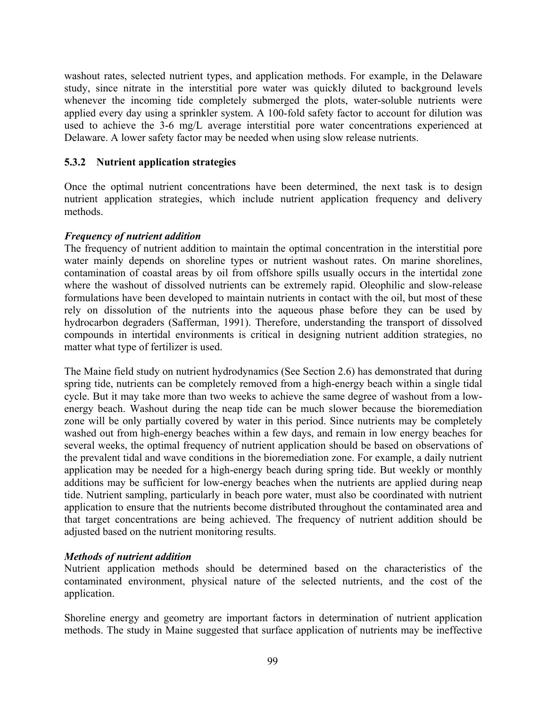washout rates, selected nutrient types, and application methods. For example, in the Delaware study, since nitrate in the interstitial pore water was quickly diluted to background levels whenever the incoming tide completely submerged the plots, water-soluble nutrients were applied every day using a sprinkler system. A 100-fold safety factor to account for dilution was used to achieve the 3-6 mg/L average interstitial pore water concentrations experienced at Delaware. A lower safety factor may be needed when using slow release nutrients.

### **5.3.2 Nutrient application strategies**

Once the optimal nutrient concentrations have been determined, the next task is to design nutrient application strategies, which include nutrient application frequency and delivery methods.

#### *Frequency of nutrient addition*

The frequency of nutrient addition to maintain the optimal concentration in the interstitial pore water mainly depends on shoreline types or nutrient washout rates. On marine shorelines, contamination of coastal areas by oil from offshore spills usually occurs in the intertidal zone where the washout of dissolved nutrients can be extremely rapid. Oleophilic and slow-release formulations have been developed to maintain nutrients in contact with the oil, but most of these rely on dissolution of the nutrients into the aqueous phase before they can be used by hydrocarbon degraders (Safferman, 1991). Therefore, understanding the transport of dissolved compounds in intertidal environments is critical in designing nutrient addition strategies, no matter what type of fertilizer is used.

The Maine field study on nutrient hydrodynamics (See Section 2.6) has demonstrated that during spring tide, nutrients can be completely removed from a high-energy beach within a single tidal cycle. But it may take more than two weeks to achieve the same degree of washout from a lowenergy beach. Washout during the neap tide can be much slower because the bioremediation zone will be only partially covered by water in this period. Since nutrients may be completely washed out from high-energy beaches within a few days, and remain in low energy beaches for several weeks, the optimal frequency of nutrient application should be based on observations of the prevalent tidal and wave conditions in the bioremediation zone. For example, a daily nutrient application may be needed for a high-energy beach during spring tide. But weekly or monthly additions may be sufficient for low-energy beaches when the nutrients are applied during neap tide. Nutrient sampling, particularly in beach pore water, must also be coordinated with nutrient application to ensure that the nutrients become distributed throughout the contaminated area and that target concentrations are being achieved. The frequency of nutrient addition should be adjusted based on the nutrient monitoring results.

## *Methods of nutrient addition*

Nutrient application methods should be determined based on the characteristics of the contaminated environment, physical nature of the selected nutrients, and the cost of the application.

Shoreline energy and geometry are important factors in determination of nutrient application methods. The study in Maine suggested that surface application of nutrients may be ineffective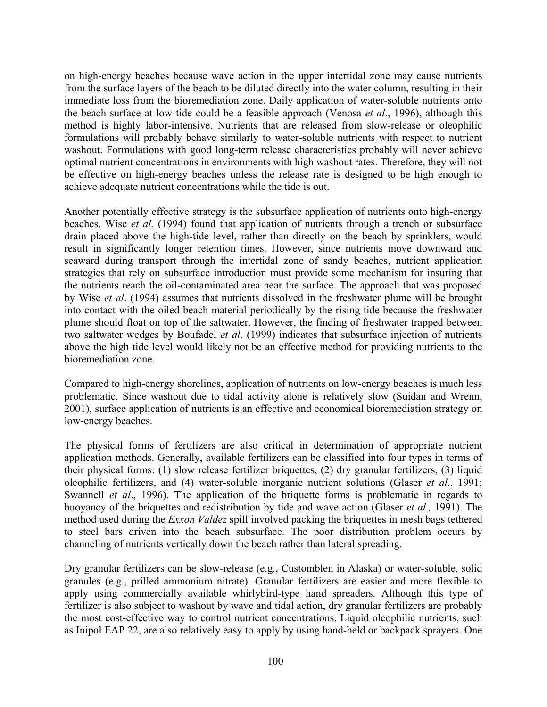on high-energy beaches because wave action in the upper intertidal zone may cause nutrients from the surface layers of the beach to be diluted directly into the water column, resulting in their immediate loss from the bioremediation zone. Daily application of water-soluble nutrients onto the beach surface at low tide could be a feasible approach (Venosa *et al*., 1996), although this method is highly labor-intensive. Nutrients that are released from slow-release or oleophilic formulations will probably behave similarly to water-soluble nutrients with respect to nutrient washout. Formulations with good long-term release characteristics probably will never achieve optimal nutrient concentrations in environments with high washout rates. Therefore, they will not be effective on high-energy beaches unless the release rate is designed to be high enough to achieve adequate nutrient concentrations while the tide is out.

Another potentially effective strategy is the subsurface application of nutrients onto high-energy beaches. Wise *et al.* (1994) found that application of nutrients through a trench or subsurface drain placed above the high-tide level, rather than directly on the beach by sprinklers, would result in significantly longer retention times. However, since nutrients move downward and seaward during transport through the intertidal zone of sandy beaches, nutrient application strategies that rely on subsurface introduction must provide some mechanism for insuring that the nutrients reach the oil-contaminated area near the surface. The approach that was proposed by Wise *et al*. (1994) assumes that nutrients dissolved in the freshwater plume will be brought into contact with the oiled beach material periodically by the rising tide because the freshwater plume should float on top of the saltwater. However, the finding of freshwater trapped between two saltwater wedges by Boufadel *et al*. (1999) indicates that subsurface injection of nutrients above the high tide level would likely not be an effective method for providing nutrients to the bioremediation zone.

Compared to high-energy shorelines, application of nutrients on low-energy beaches is much less problematic. Since washout due to tidal activity alone is relatively slow (Suidan and Wrenn, 2001), surface application of nutrients is an effective and economical bioremediation strategy on low-energy beaches.

The physical forms of fertilizers are also critical in determination of appropriate nutrient application methods. Generally, available fertilizers can be classified into four types in terms of their physical forms: (1) slow release fertilizer briquettes, (2) dry granular fertilizers, (3) liquid oleophilic fertilizers, and (4) water-soluble inorganic nutrient solutions (Glaser *et al*., 1991; Swannell *et al*., 1996). The application of the briquette forms is problematic in regards to buoyancy of the briquettes and redistribution by tide and wave action (Glaser *et al.,* 1991). The method used during the *Exxon Valdez* spill involved packing the briquettes in mesh bags tethered to steel bars driven into the beach subsurface. The poor distribution problem occurs by channeling of nutrients vertically down the beach rather than lateral spreading.

Dry granular fertilizers can be slow-release (e.g., Customblen in Alaska) or water-soluble, solid granules (e.g., prilled ammonium nitrate). Granular fertilizers are easier and more flexible to apply using commercially available whirlybird-type hand spreaders. Although this type of fertilizer is also subject to washout by wave and tidal action, dry granular fertilizers are probably the most cost-effective way to control nutrient concentrations. Liquid oleophilic nutrients, such as Inipol EAP 22, are also relatively easy to apply by using hand-held or backpack sprayers. One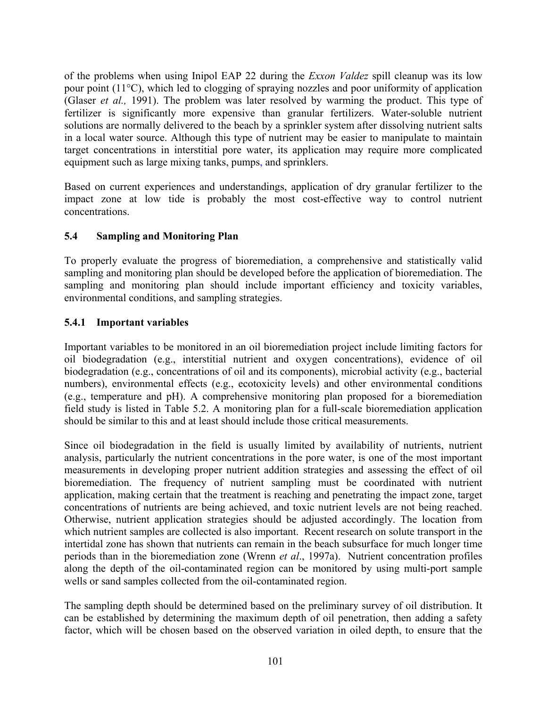of the problems when using Inipol EAP 22 during the *Exxon Valdez* spill cleanup was its low pour point (11°C), which led to clogging of spraying nozzles and poor uniformity of application (Glaser *et al.,* 1991). The problem was later resolved by warming the product. This type of fertilizer is significantly more expensive than granular fertilizers. Water-soluble nutrient solutions are normally delivered to the beach by a sprinkler system after dissolving nutrient salts in a local water source. Although this type of nutrient may be easier to manipulate to maintain target concentrations in interstitial pore water, its application may require more complicated equipment such as large mixing tanks, pumps, and sprinklers.

Based on current experiences and understandings, application of dry granular fertilizer to the impact zone at low tide is probably the most cost-effective way to control nutrient concentrations.

## **5.4 Sampling and Monitoring Plan**

To properly evaluate the progress of bioremediation, a comprehensive and statistically valid sampling and monitoring plan should be developed before the application of bioremediation. The sampling and monitoring plan should include important efficiency and toxicity variables, environmental conditions, and sampling strategies.

# **5.4.1 Important variables**

Important variables to be monitored in an oil bioremediation project include limiting factors for oil biodegradation (e.g., interstitial nutrient and oxygen concentrations), evidence of oil biodegradation (e.g., concentrations of oil and its components), microbial activity (e.g., bacterial numbers), environmental effects (e.g., ecotoxicity levels) and other environmental conditions (e.g., temperature and pH). A comprehensive monitoring plan proposed for a bioremediation field study is listed in Table 5.2. A monitoring plan for a full-scale bioremediation application should be similar to this and at least should include those critical measurements.

Since oil biodegradation in the field is usually limited by availability of nutrients, nutrient analysis, particularly the nutrient concentrations in the pore water, is one of the most important measurements in developing proper nutrient addition strategies and assessing the effect of oil bioremediation. The frequency of nutrient sampling must be coordinated with nutrient application, making certain that the treatment is reaching and penetrating the impact zone, target concentrations of nutrients are being achieved, and toxic nutrient levels are not being reached. Otherwise, nutrient application strategies should be adjusted accordingly. The location from which nutrient samples are collected is also important. Recent research on solute transport in the intertidal zone has shown that nutrients can remain in the beach subsurface for much longer time periods than in the bioremediation zone (Wrenn *et al*., 1997a). Nutrient concentration profiles along the depth of the oil-contaminated region can be monitored by using multi-port sample wells or sand samples collected from the oil-contaminated region.

The sampling depth should be determined based on the preliminary survey of oil distribution. It can be established by determining the maximum depth of oil penetration, then adding a safety factor, which will be chosen based on the observed variation in oiled depth, to ensure that the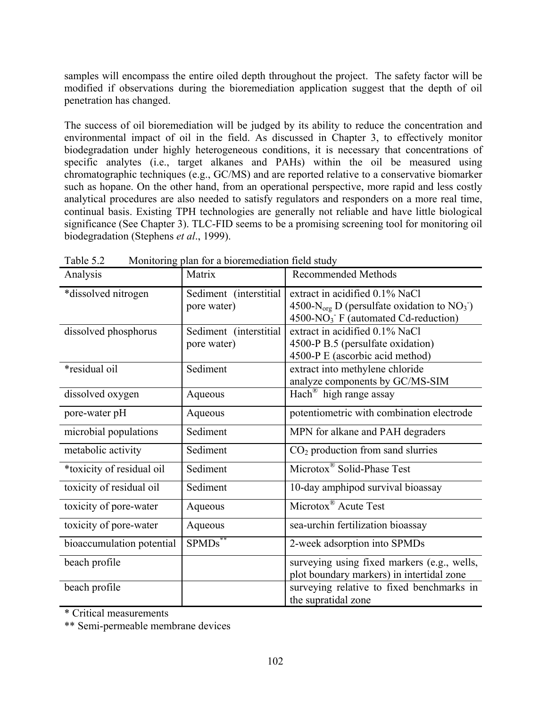samples will encompass the entire oiled depth throughout the project. The safety factor will be modified if observations during the bioremediation application suggest that the depth of oil penetration has changed.

The success of oil bioremediation will be judged by its ability to reduce the concentration and environmental impact of oil in the field. As discussed in Chapter 3, to effectively monitor biodegradation under highly heterogeneous conditions, it is necessary that concentrations of specific analytes (i.e., target alkanes and PAHs) within the oil be measured using chromatographic techniques (e.g., GC/MS) and are reported relative to a conservative biomarker such as hopane. On the other hand, from an operational perspective, more rapid and less costly analytical procedures are also needed to satisfy regulators and responders on a more real time, continual basis. Existing TPH technologies are generally not reliable and have little biological significance (See Chapter 3). TLC-FID seems to be a promising screening tool for monitoring oil biodegradation (Stephens *et al*., 1999).

| Analysis                  | Matrix                                | <b>Recommended Methods</b>                                                                                                             |
|---------------------------|---------------------------------------|----------------------------------------------------------------------------------------------------------------------------------------|
| *dissolved nitrogen       | Sediment (interstitial<br>pore water) | extract in acidified 0.1% NaCl<br>4500- $N_{org}$ D (persulfate oxidation to $NO_3$ )<br>$4500\text{-NO}_3$ F (automated Cd-reduction) |
| dissolved phosphorus      | Sediment (interstitial<br>pore water) | extract in acidified 0.1% NaCl<br>4500-P B.5 (persulfate oxidation)<br>4500-P E (ascorbic acid method)                                 |
| <i>*residual oil</i>      | Sediment                              | extract into methylene chloride<br>analyze components by GC/MS-SIM                                                                     |
| dissolved oxygen          | Aqueous                               | Hach <sup>®</sup> high range assay                                                                                                     |
| pore-water pH             | Aqueous                               | potentiometric with combination electrode                                                                                              |
| microbial populations     | Sediment                              | MPN for alkane and PAH degraders                                                                                                       |
| metabolic activity        | Sediment                              | $CO2$ production from sand slurries                                                                                                    |
| *toxicity of residual oil | Sediment                              | Microtox <sup>®</sup> Solid-Phase Test                                                                                                 |
| toxicity of residual oil  | Sediment                              | 10-day amphipod survival bioassay                                                                                                      |
| toxicity of pore-water    | Aqueous                               | Microtox <sup>®</sup> Acute Test                                                                                                       |
| toxicity of pore-water    | Aqueous                               | sea-urchin fertilization bioassay                                                                                                      |
| bioaccumulation potential | SPMDs**                               | 2-week adsorption into SPMDs                                                                                                           |
| beach profile             |                                       | surveying using fixed markers (e.g., wells,<br>plot boundary markers) in intertidal zone                                               |
| beach profile             |                                       | surveying relative to fixed benchmarks in<br>the supratidal zone                                                                       |

Table 5.2 Monitoring plan for a bioremediation field study

\* Critical measurements

\*\* Semi-permeable membrane devices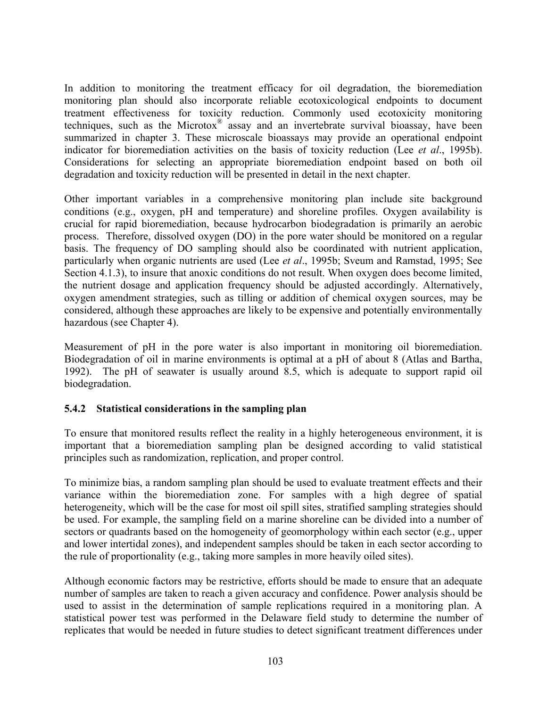In addition to monitoring the treatment efficacy for oil degradation, the bioremediation monitoring plan should also incorporate reliable ecotoxicological endpoints to document treatment effectiveness for toxicity reduction. Commonly used ecotoxicity monitoring techniques, such as the Microtox<sup>®</sup> assay and an invertebrate survival bioassay, have been summarized in chapter 3. These microscale bioassays may provide an operational endpoint indicator for bioremediation activities on the basis of toxicity reduction (Lee *et al*., 1995b). Considerations for selecting an appropriate bioremediation endpoint based on both oil degradation and toxicity reduction will be presented in detail in the next chapter.

Other important variables in a comprehensive monitoring plan include site background conditions (e.g., oxygen, pH and temperature) and shoreline profiles. Oxygen availability is crucial for rapid bioremediation, because hydrocarbon biodegradation is primarily an aerobic process. Therefore, dissolved oxygen (DO) in the pore water should be monitored on a regular basis. The frequency of DO sampling should also be coordinated with nutrient application, particularly when organic nutrients are used (Lee *et al*., 1995b; Sveum and Ramstad, 1995; See Section 4.1.3), to insure that anoxic conditions do not result. When oxygen does become limited, the nutrient dosage and application frequency should be adjusted accordingly. Alternatively, oxygen amendment strategies, such as tilling or addition of chemical oxygen sources, may be considered, although these approaches are likely to be expensive and potentially environmentally hazardous (see Chapter 4).

Measurement of pH in the pore water is also important in monitoring oil bioremediation. Biodegradation of oil in marine environments is optimal at a pH of about 8 (Atlas and Bartha, 1992). The pH of seawater is usually around 8.5, which is adequate to support rapid oil biodegradation.

# **5.4.2 Statistical considerations in the sampling plan**

To ensure that monitored results reflect the reality in a highly heterogeneous environment, it is important that a bioremediation sampling plan be designed according to valid statistical principles such as randomization, replication, and proper control.

To minimize bias, a random sampling plan should be used to evaluate treatment effects and their variance within the bioremediation zone. For samples with a high degree of spatial heterogeneity, which will be the case for most oil spill sites, stratified sampling strategies should be used. For example, the sampling field on a marine shoreline can be divided into a number of sectors or quadrants based on the homogeneity of geomorphology within each sector (e.g., upper and lower intertidal zones), and independent samples should be taken in each sector according to the rule of proportionality (e.g., taking more samples in more heavily oiled sites).

Although economic factors may be restrictive, efforts should be made to ensure that an adequate number of samples are taken to reach a given accuracy and confidence. Power analysis should be used to assist in the determination of sample replications required in a monitoring plan. A statistical power test was performed in the Delaware field study to determine the number of replicates that would be needed in future studies to detect significant treatment differences under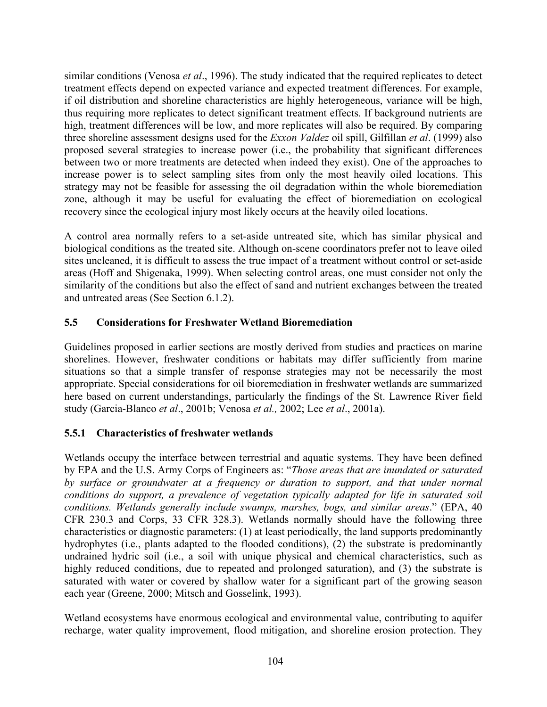similar conditions (Venosa *et al*., 1996). The study indicated that the required replicates to detect treatment effects depend on expected variance and expected treatment differences. For example, if oil distribution and shoreline characteristics are highly heterogeneous, variance will be high, thus requiring more replicates to detect significant treatment effects. If background nutrients are high, treatment differences will be low, and more replicates will also be required. By comparing three shoreline assessment designs used for the *Exxon Valdez* oil spill, Gilfillan *et al*. (1999) also proposed several strategies to increase power (i.e., the probability that significant differences between two or more treatments are detected when indeed they exist). One of the approaches to increase power is to select sampling sites from only the most heavily oiled locations. This strategy may not be feasible for assessing the oil degradation within the whole bioremediation zone, although it may be useful for evaluating the effect of bioremediation on ecological recovery since the ecological injury most likely occurs at the heavily oiled locations.

A control area normally refers to a set-aside untreated site, which has similar physical and biological conditions as the treated site. Although on-scene coordinators prefer not to leave oiled sites uncleaned, it is difficult to assess the true impact of a treatment without control or set-aside areas (Hoff and Shigenaka, 1999). When selecting control areas, one must consider not only the similarity of the conditions but also the effect of sand and nutrient exchanges between the treated and untreated areas (See Section 6.1.2).

# **5.5 Considerations for Freshwater Wetland Bioremediation**

Guidelines proposed in earlier sections are mostly derived from studies and practices on marine shorelines. However, freshwater conditions or habitats may differ sufficiently from marine situations so that a simple transfer of response strategies may not be necessarily the most appropriate. Special considerations for oil bioremediation in freshwater wetlands are summarized here based on current understandings, particularly the findings of the St. Lawrence River field study (Garcia-Blanco *et al*., 2001b; Venosa *et al.,* 2002; Lee *et al*., 2001a).

# **5.5.1 Characteristics of freshwater wetlands**

Wetlands occupy the interface between terrestrial and aquatic systems. They have been defined by EPA and the U.S. Army Corps of Engineers as: "*Those areas that are inundated or saturated by surface or groundwater at a frequency or duration to support, and that under normal conditions do support, a prevalence of vegetation typically adapted for life in saturated soil conditions. Wetlands generally include swamps, marshes, bogs, and similar areas*." (EPA, 40 CFR 230.3 and Corps, 33 CFR 328.3). Wetlands normally should have the following three characteristics or diagnostic parameters: (1) at least periodically, the land supports predominantly hydrophytes (i.e., plants adapted to the flooded conditions), (2) the substrate is predominantly undrained hydric soil (i.e., a soil with unique physical and chemical characteristics, such as highly reduced conditions, due to repeated and prolonged saturation), and (3) the substrate is saturated with water or covered by shallow water for a significant part of the growing season each year (Greene, 2000; Mitsch and Gosselink, 1993).

Wetland ecosystems have enormous ecological and environmental value, contributing to aquifer recharge, water quality improvement, flood mitigation, and shoreline erosion protection. They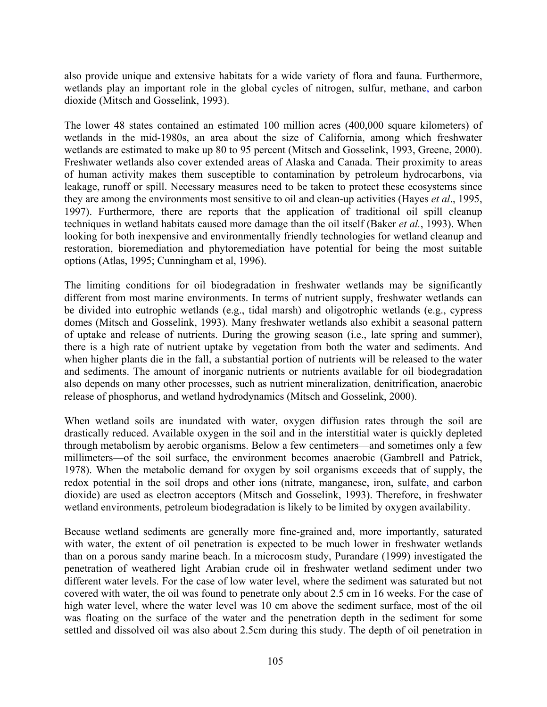also provide unique and extensive habitats for a wide variety of flora and fauna. Furthermore, wetlands play an important role in the global cycles of nitrogen, sulfur, methane, and carbon dioxide (Mitsch and Gosselink, 1993).

The lower 48 states contained an estimated 100 million acres (400,000 square kilometers) of wetlands in the mid-1980s, an area about the size of California, among which freshwater wetlands are estimated to make up 80 to 95 percent (Mitsch and Gosselink, 1993, Greene, 2000). Freshwater wetlands also cover extended areas of Alaska and Canada. Their proximity to areas of human activity makes them susceptible to contamination by petroleum hydrocarbons, via leakage, runoff or spill. Necessary measures need to be taken to protect these ecosystems since they are among the environments most sensitive to oil and clean-up activities (Hayes *et al*., 1995, 1997). Furthermore, there are reports that the application of traditional oil spill cleanup techniques in wetland habitats caused more damage than the oil itself (Baker *et al.*, 1993). When looking for both inexpensive and environmentally friendly technologies for wetland cleanup and restoration, bioremediation and phytoremediation have potential for being the most suitable options (Atlas, 1995; Cunningham et al, 1996).

The limiting conditions for oil biodegradation in freshwater wetlands may be significantly different from most marine environments. In terms of nutrient supply, freshwater wetlands can be divided into eutrophic wetlands (e.g., tidal marsh) and oligotrophic wetlands (e.g., cypress domes (Mitsch and Gosselink, 1993). Many freshwater wetlands also exhibit a seasonal pattern of uptake and release of nutrients. During the growing season (i.e., late spring and summer), there is a high rate of nutrient uptake by vegetation from both the water and sediments. And when higher plants die in the fall, a substantial portion of nutrients will be released to the water and sediments. The amount of inorganic nutrients or nutrients available for oil biodegradation also depends on many other processes, such as nutrient mineralization, denitrification, anaerobic release of phosphorus, and wetland hydrodynamics (Mitsch and Gosselink, 2000).

When wetland soils are inundated with water, oxygen diffusion rates through the soil are drastically reduced. Available oxygen in the soil and in the interstitial water is quickly depleted through metabolism by aerobic organisms. Below a few centimeters—and sometimes only a few millimeters—of the soil surface, the environment becomes anaerobic (Gambrell and Patrick, 1978). When the metabolic demand for oxygen by soil organisms exceeds that of supply, the redox potential in the soil drops and other ions (nitrate, manganese, iron, sulfate, and carbon dioxide) are used as electron acceptors (Mitsch and Gosselink, 1993). Therefore, in freshwater wetland environments, petroleum biodegradation is likely to be limited by oxygen availability.

Because wetland sediments are generally more fine-grained and, more importantly, saturated with water, the extent of oil penetration is expected to be much lower in freshwater wetlands than on a porous sandy marine beach. In a microcosm study, Purandare (1999) investigated the penetration of weathered light Arabian crude oil in freshwater wetland sediment under two different water levels. For the case of low water level, where the sediment was saturated but not covered with water, the oil was found to penetrate only about 2.5 cm in 16 weeks. For the case of high water level, where the water level was 10 cm above the sediment surface, most of the oil was floating on the surface of the water and the penetration depth in the sediment for some settled and dissolved oil was also about 2.5cm during this study. The depth of oil penetration in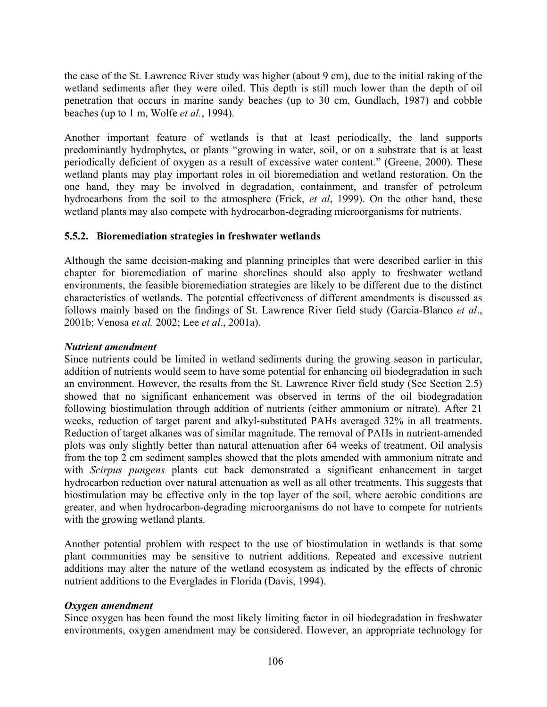the case of the St. Lawrence River study was higher (about 9 cm), due to the initial raking of the wetland sediments after they were oiled. This depth is still much lower than the depth of oil penetration that occurs in marine sandy beaches (up to 30 cm, Gundlach, 1987) and cobble beaches (up to 1 m, Wolfe *et al.*, 1994).

Another important feature of wetlands is that at least periodically, the land supports predominantly hydrophytes, or plants "growing in water, soil, or on a substrate that is at least periodically deficient of oxygen as a result of excessive water content." (Greene, 2000). These wetland plants may play important roles in oil bioremediation and wetland restoration. On the one hand, they may be involved in degradation, containment, and transfer of petroleum hydrocarbons from the soil to the atmosphere (Frick, *et al*, 1999). On the other hand, these wetland plants may also compete with hydrocarbon-degrading microorganisms for nutrients.

## **5.5.2. Bioremediation strategies in freshwater wetlands**

Although the same decision-making and planning principles that were described earlier in this chapter for bioremediation of marine shorelines should also apply to freshwater wetland environments, the feasible bioremediation strategies are likely to be different due to the distinct characteristics of wetlands. The potential effectiveness of different amendments is discussed as follows mainly based on the findings of St. Lawrence River field study (Garcia-Blanco *et al*., 2001b; Venosa *et al.* 2002; Lee *et al*., 2001a).

## *Nutrient amendment*

Since nutrients could be limited in wetland sediments during the growing season in particular, addition of nutrients would seem to have some potential for enhancing oil biodegradation in such an environment. However, the results from the St. Lawrence River field study (See Section 2.5) showed that no significant enhancement was observed in terms of the oil biodegradation following biostimulation through addition of nutrients (either ammonium or nitrate). After 21 weeks, reduction of target parent and alkyl-substituted PAHs averaged 32% in all treatments. Reduction of target alkanes was of similar magnitude. The removal of PAHs in nutrient-amended plots was only slightly better than natural attenuation after 64 weeks of treatment. Oil analysis from the top 2 cm sediment samples showed that the plots amended with ammonium nitrate and with *Scirpus pungens* plants cut back demonstrated a significant enhancement in target hydrocarbon reduction over natural attenuation as well as all other treatments. This suggests that biostimulation may be effective only in the top layer of the soil, where aerobic conditions are greater, and when hydrocarbon-degrading microorganisms do not have to compete for nutrients with the growing wetland plants.

Another potential problem with respect to the use of biostimulation in wetlands is that some plant communities may be sensitive to nutrient additions. Repeated and excessive nutrient additions may alter the nature of the wetland ecosystem as indicated by the effects of chronic nutrient additions to the Everglades in Florida (Davis, 1994).

## *Oxygen amendment*

Since oxygen has been found the most likely limiting factor in oil biodegradation in freshwater environments, oxygen amendment may be considered. However, an appropriate technology for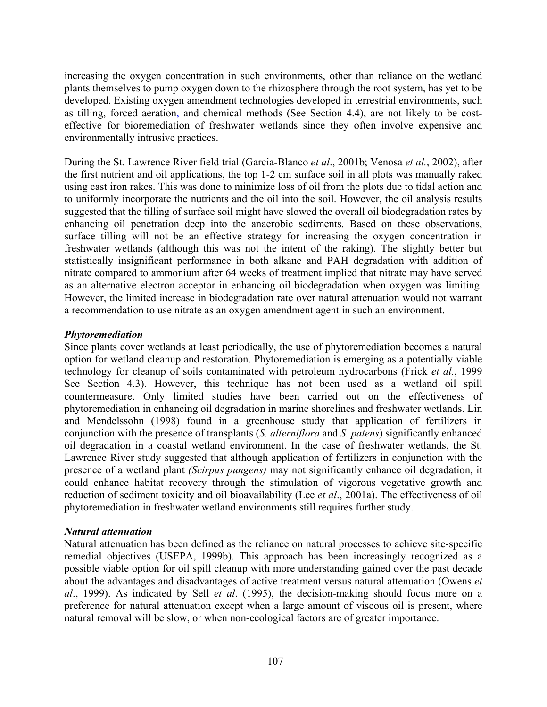increasing the oxygen concentration in such environments, other than reliance on the wetland plants themselves to pump oxygen down to the rhizosphere through the root system, has yet to be developed. Existing oxygen amendment technologies developed in terrestrial environments, such as tilling, forced aeration, and chemical methods (See Section 4.4), are not likely to be costeffective for bioremediation of freshwater wetlands since they often involve expensive and environmentally intrusive practices.

During the St. Lawrence River field trial (Garcia-Blanco *et al*., 2001b; Venosa *et al.*, 2002), after the first nutrient and oil applications, the top 1-2 cm surface soil in all plots was manually raked using cast iron rakes. This was done to minimize loss of oil from the plots due to tidal action and to uniformly incorporate the nutrients and the oil into the soil. However, the oil analysis results suggested that the tilling of surface soil might have slowed the overall oil biodegradation rates by enhancing oil penetration deep into the anaerobic sediments. Based on these observations, surface tilling will not be an effective strategy for increasing the oxygen concentration in freshwater wetlands (although this was not the intent of the raking). The slightly better but statistically insignificant performance in both alkane and PAH degradation with addition of nitrate compared to ammonium after 64 weeks of treatment implied that nitrate may have served as an alternative electron acceptor in enhancing oil biodegradation when oxygen was limiting. However, the limited increase in biodegradation rate over natural attenuation would not warrant a recommendation to use nitrate as an oxygen amendment agent in such an environment.

## *Phytoremediation*

Since plants cover wetlands at least periodically, the use of phytoremediation becomes a natural option for wetland cleanup and restoration. Phytoremediation is emerging as a potentially viable technology for cleanup of soils contaminated with petroleum hydrocarbons (Frick *et al.*, 1999 See Section 4.3). However, this technique has not been used as a wetland oil spill countermeasure. Only limited studies have been carried out on the effectiveness of phytoremediation in enhancing oil degradation in marine shorelines and freshwater wetlands. Lin and Mendelssohn (1998) found in a greenhouse study that application of fertilizers in conjunction with the presence of transplants (*S. alterniflora* and *S. patens*) significantly enhanced oil degradation in a coastal wetland environment. In the case of freshwater wetlands, the St. Lawrence River study suggested that although application of fertilizers in conjunction with the presence of a wetland plant *(Scirpus pungens)* may not significantly enhance oil degradation, it could enhance habitat recovery through the stimulation of vigorous vegetative growth and reduction of sediment toxicity and oil bioavailability (Lee *et al*., 2001a). The effectiveness of oil phytoremediation in freshwater wetland environments still requires further study.

# *Natural attenuation*

Natural attenuation has been defined as the reliance on natural processes to achieve site-specific remedial objectives (USEPA, 1999b). This approach has been increasingly recognized as a possible viable option for oil spill cleanup with more understanding gained over the past decade about the advantages and disadvantages of active treatment versus natural attenuation (Owens *et al*., 1999). As indicated by Sell *et al*. (1995), the decision-making should focus more on a preference for natural attenuation except when a large amount of viscous oil is present, where natural removal will be slow, or when non-ecological factors are of greater importance.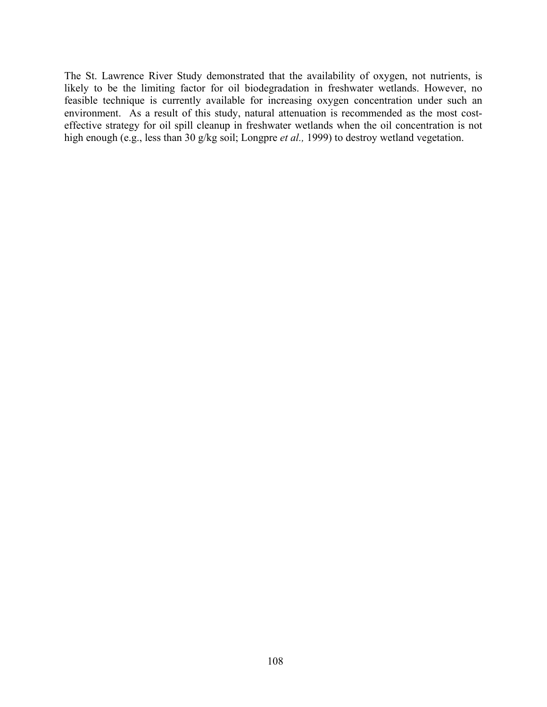The St. Lawrence River Study demonstrated that the availability of oxygen, not nutrients, is likely to be the limiting factor for oil biodegradation in freshwater wetlands. However, no feasible technique is currently available for increasing oxygen concentration under such an environment. As a result of this study, natural attenuation is recommended as the most costeffective strategy for oil spill cleanup in freshwater wetlands when the oil concentration is not high enough (e.g., less than 30 g/kg soil; Longpre *et al.,* 1999) to destroy wetland vegetation.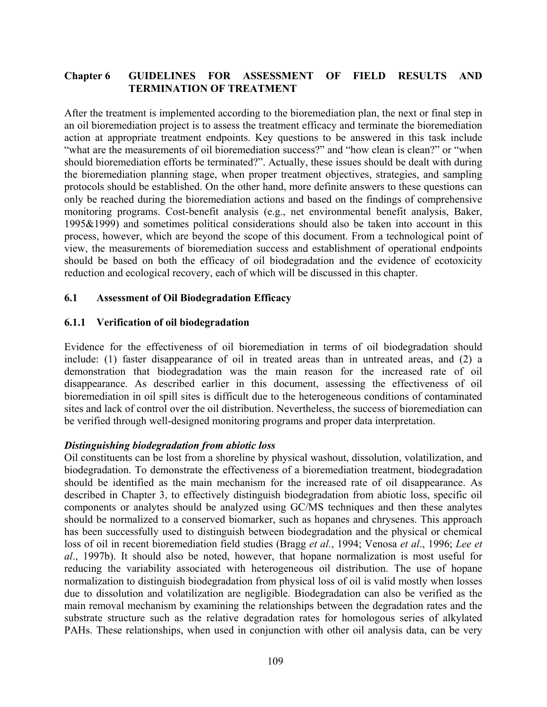# **Chapter 6 GUIDELINES FOR ASSESSMENT OF FIELD RESULTS AND TERMINATION OF TREATMENT**

After the treatment is implemented according to the bioremediation plan, the next or final step in an oil bioremediation project is to assess the treatment efficacy and terminate the bioremediation action at appropriate treatment endpoints. Key questions to be answered in this task include "what are the measurements of oil bioremediation success?" and "how clean is clean?" or "when should bioremediation efforts be terminated?". Actually, these issues should be dealt with during the bioremediation planning stage, when proper treatment objectives, strategies, and sampling protocols should be established. On the other hand, more definite answers to these questions can only be reached during the bioremediation actions and based on the findings of comprehensive monitoring programs. Cost-benefit analysis (e.g., net environmental benefit analysis, Baker, 1995&1999) and sometimes political considerations should also be taken into account in this process, however, which are beyond the scope of this document. From a technological point of view, the measurements of bioremediation success and establishment of operational endpoints should be based on both the efficacy of oil biodegradation and the evidence of ecotoxicity reduction and ecological recovery, each of which will be discussed in this chapter.

## **6.1 Assessment of Oil Biodegradation Efficacy**

## **6.1.1 Verification of oil biodegradation**

Evidence for the effectiveness of oil bioremediation in terms of oil biodegradation should include: (1) faster disappearance of oil in treated areas than in untreated areas, and (2) a demonstration that biodegradation was the main reason for the increased rate of oil disappearance. As described earlier in this document, assessing the effectiveness of oil bioremediation in oil spill sites is difficult due to the heterogeneous conditions of contaminated sites and lack of control over the oil distribution. Nevertheless, the success of bioremediation can be verified through well-designed monitoring programs and proper data interpretation.

## *Distinguishing biodegradation from abiotic loss*

Oil constituents can be lost from a shoreline by physical washout, dissolution, volatilization, and biodegradation. To demonstrate the effectiveness of a bioremediation treatment, biodegradation should be identified as the main mechanism for the increased rate of oil disappearance. As described in Chapter 3, to effectively distinguish biodegradation from abiotic loss, specific oil components or analytes should be analyzed using GC/MS techniques and then these analytes should be normalized to a conserved biomarker, such as hopanes and chrysenes. This approach has been successfully used to distinguish between biodegradation and the physical or chemical loss of oil in recent bioremediation field studies (Bragg *et al.*, 1994; Venosa *et al*., 1996; *Lee et al*., 1997b). It should also be noted, however, that hopane normalization is most useful for reducing the variability associated with heterogeneous oil distribution. The use of hopane normalization to distinguish biodegradation from physical loss of oil is valid mostly when losses due to dissolution and volatilization are negligible. Biodegradation can also be verified as the main removal mechanism by examining the relationships between the degradation rates and the substrate structure such as the relative degradation rates for homologous series of alkylated PAHs. These relationships, when used in conjunction with other oil analysis data, can be very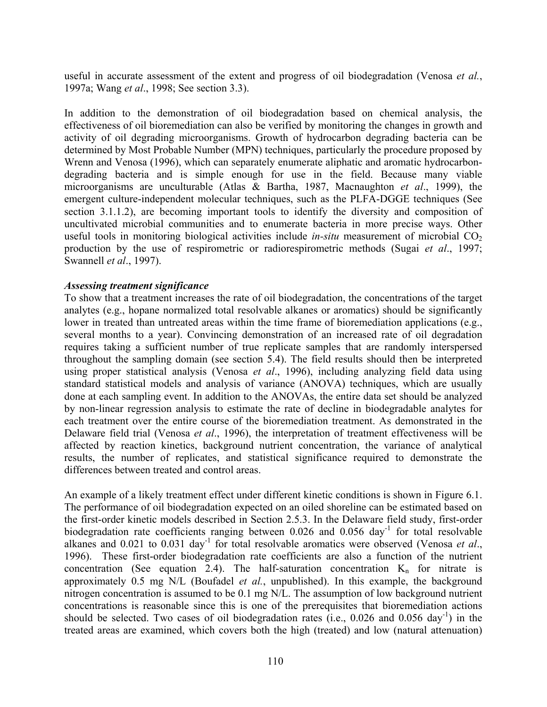useful in accurate assessment of the extent and progress of oil biodegradation (Venosa *et al.*, 1997a; Wang *et al*., 1998; See section 3.3).

In addition to the demonstration of oil biodegradation based on chemical analysis, the effectiveness of oil bioremediation can also be verified by monitoring the changes in growth and activity of oil degrading microorganisms. Growth of hydrocarbon degrading bacteria can be determined by Most Probable Number (MPN) techniques, particularly the procedure proposed by Wrenn and Venosa (1996), which can separately enumerate aliphatic and aromatic hydrocarbondegrading bacteria and is simple enough for use in the field. Because many viable microorganisms are unculturable (Atlas & Bartha, 1987, Macnaughton *et al*., 1999), the emergent culture-independent molecular techniques, such as the PLFA-DGGE techniques (See section 3.1.1.2), are becoming important tools to identify the diversity and composition of uncultivated microbial communities and to enumerate bacteria in more precise ways. Other useful tools in monitoring biological activities include *in-situ* measurement of microbial  $CO<sub>2</sub>$ production by the use of respirometric or radiorespirometric methods (Sugai *et al*., 1997; Swannell *et al*., 1997).

#### *Assessing treatment significance*

To show that a treatment increases the rate of oil biodegradation, the concentrations of the target analytes (e.g., hopane normalized total resolvable alkanes or aromatics) should be significantly lower in treated than untreated areas within the time frame of bioremediation applications (e.g., several months to a year). Convincing demonstration of an increased rate of oil degradation requires taking a sufficient number of true replicate samples that are randomly interspersed throughout the sampling domain (see section 5.4). The field results should then be interpreted using proper statistical analysis (Venosa *et al*., 1996), including analyzing field data using standard statistical models and analysis of variance (ANOVA) techniques, which are usually done at each sampling event. In addition to the ANOVAs, the entire data set should be analyzed by non-linear regression analysis to estimate the rate of decline in biodegradable analytes for each treatment over the entire course of the bioremediation treatment. As demonstrated in the Delaware field trial (Venosa *et al*., 1996), the interpretation of treatment effectiveness will be affected by reaction kinetics, background nutrient concentration, the variance of analytical results, the number of replicates, and statistical significance required to demonstrate the differences between treated and control areas.

An example of a likely treatment effect under different kinetic conditions is shown in Figure 6.1. The performance of oil biodegradation expected on an oiled shoreline can be estimated based on the first-order kinetic models described in Section 2.5.3. In the Delaware field study, first-order biodegradation rate coefficients ranging between 0.026 and 0.056 day<sup>-1</sup> for total resolvable alkanes and 0.021 to 0.031 day-1 for total resolvable aromatics were observed (Venosa *et al*., 1996). These first-order biodegradation rate coefficients are also a function of the nutrient concentration (See equation 2.4). The half-saturation concentration  $K_n$  for nitrate is approximately 0.5 mg N/L (Boufadel *et al.*, unpublished). In this example, the background nitrogen concentration is assumed to be 0.1 mg N/L. The assumption of low background nutrient concentrations is reasonable since this is one of the prerequisites that bioremediation actions should be selected. Two cases of oil biodegradation rates (i.e.,  $0.026$  and  $0.056$  day<sup>-1</sup>) in the treated areas are examined, which covers both the high (treated) and low (natural attenuation)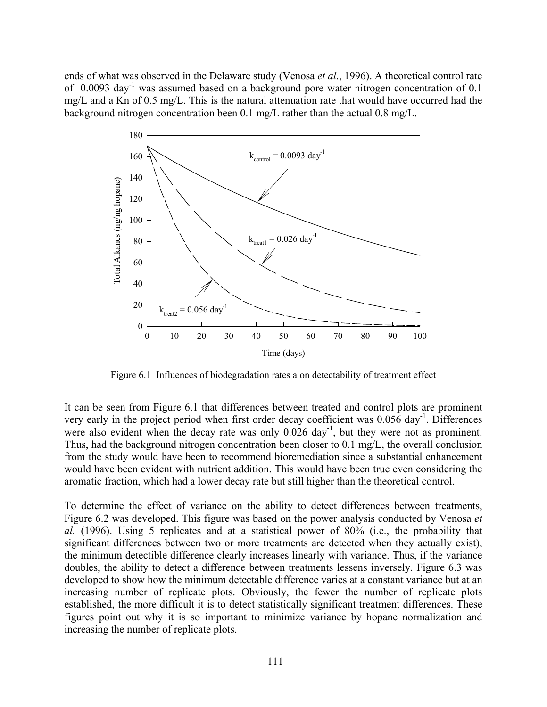ends of what was observed in the Delaware study (Venosa *et al*., 1996). A theoretical control rate of 0.0093 day<sup>-1</sup> was assumed based on a background pore water nitrogen concentration of 0.1 mg/L and a Kn of 0.5 mg/L. This is the natural attenuation rate that would have occurred had the background nitrogen concentration been 0.1 mg/L rather than the actual 0.8 mg/L.



Figure 6.1 Influences of biodegradation rates a on detectability of treatment effect

It can be seen from Figure 6.1 that differences between treated and control plots are prominent very early in the project period when first order decay coefficient was 0.056 day<sup>-1</sup>. Differences were also evident when the decay rate was only  $0.026 \text{ day}^{-1}$ , but they were not as prominent. Thus, had the background nitrogen concentration been closer to 0.1 mg/L, the overall conclusion from the study would have been to recommend bioremediation since a substantial enhancement would have been evident with nutrient addition. This would have been true even considering the aromatic fraction, which had a lower decay rate but still higher than the theoretical control.

To determine the effect of variance on the ability to detect differences between treatments, Figure 6.2 was developed. This figure was based on the power analysis conducted by Venosa *et al.* (1996). Using 5 replicates and at a statistical power of 80% (i.e., the probability that significant differences between two or more treatments are detected when they actually exist), the minimum detectible difference clearly increases linearly with variance. Thus, if the variance doubles, the ability to detect a difference between treatments lessens inversely. Figure 6.3 was developed to show how the minimum detectable difference varies at a constant variance but at an increasing number of replicate plots. Obviously, the fewer the number of replicate plots established, the more difficult it is to detect statistically significant treatment differences. These figures point out why it is so important to minimize variance by hopane normalization and increasing the number of replicate plots.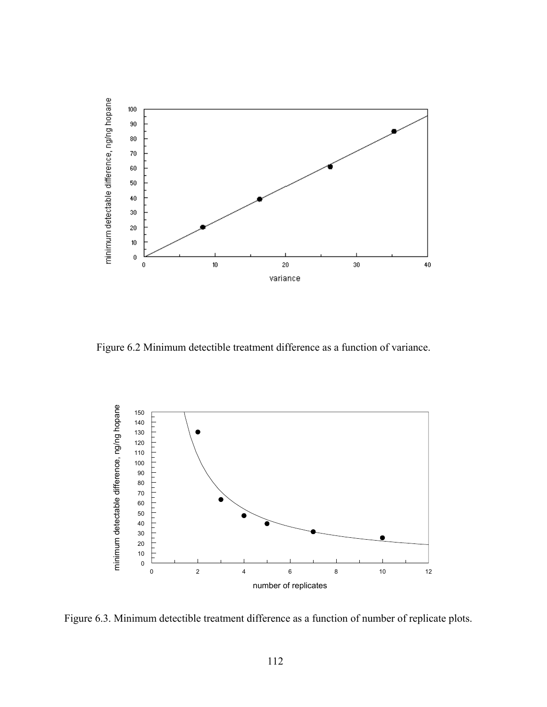

Figure 6.2 Minimum detectible treatment difference as a function of variance.



Figure 6.3. Minimum detectible treatment difference as a function of number of replicate plots.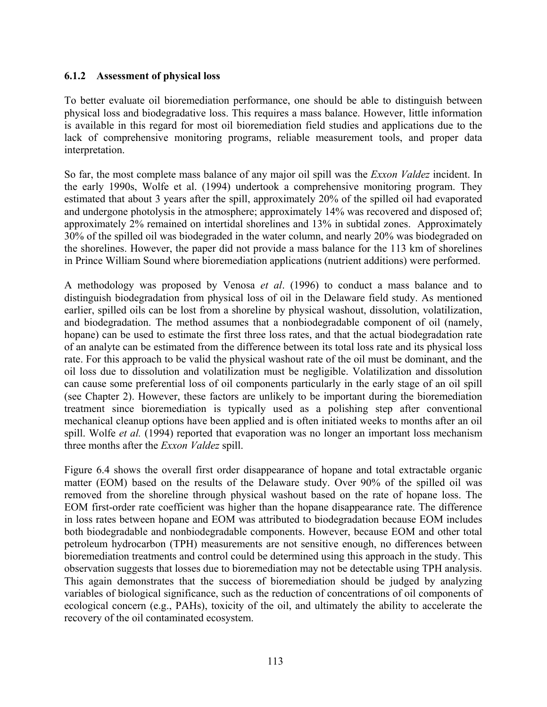## **6.1.2 Assessment of physical loss**

To better evaluate oil bioremediation performance, one should be able to distinguish between physical loss and biodegradative loss. This requires a mass balance. However, little information is available in this regard for most oil bioremediation field studies and applications due to the lack of comprehensive monitoring programs, reliable measurement tools, and proper data interpretation.

So far, the most complete mass balance of any major oil spill was the *Exxon Valdez* incident. In the early 1990s, Wolfe et al. (1994) undertook a comprehensive monitoring program. They estimated that about 3 years after the spill, approximately 20% of the spilled oil had evaporated and undergone photolysis in the atmosphere; approximately 14% was recovered and disposed of; approximately 2% remained on intertidal shorelines and 13% in subtidal zones. Approximately 30% of the spilled oil was biodegraded in the water column, and nearly 20% was biodegraded on the shorelines. However, the paper did not provide a mass balance for the 113 km of shorelines in Prince William Sound where bioremediation applications (nutrient additions) were performed.

A methodology was proposed by Venosa *et al*. (1996) to conduct a mass balance and to distinguish biodegradation from physical loss of oil in the Delaware field study. As mentioned earlier, spilled oils can be lost from a shoreline by physical washout, dissolution, volatilization, and biodegradation. The method assumes that a nonbiodegradable component of oil (namely, hopane) can be used to estimate the first three loss rates, and that the actual biodegradation rate of an analyte can be estimated from the difference between its total loss rate and its physical loss rate. For this approach to be valid the physical washout rate of the oil must be dominant, and the oil loss due to dissolution and volatilization must be negligible. Volatilization and dissolution can cause some preferential loss of oil components particularly in the early stage of an oil spill (see Chapter 2). However, these factors are unlikely to be important during the bioremediation treatment since bioremediation is typically used as a polishing step after conventional mechanical cleanup options have been applied and is often initiated weeks to months after an oil spill. Wolfe *et al.* (1994) reported that evaporation was no longer an important loss mechanism three months after the *Exxon Valdez* spill.

Figure 6.4 shows the overall first order disappearance of hopane and total extractable organic matter (EOM) based on the results of the Delaware study. Over 90% of the spilled oil was removed from the shoreline through physical washout based on the rate of hopane loss. The EOM first-order rate coefficient was higher than the hopane disappearance rate. The difference in loss rates between hopane and EOM was attributed to biodegradation because EOM includes both biodegradable and nonbiodegradable components. However, because EOM and other total petroleum hydrocarbon (TPH) measurements are not sensitive enough, no differences between bioremediation treatments and control could be determined using this approach in the study. This observation suggests that losses due to bioremediation may not be detectable using TPH analysis. This again demonstrates that the success of bioremediation should be judged by analyzing variables of biological significance, such as the reduction of concentrations of oil components of ecological concern (e.g., PAHs), toxicity of the oil, and ultimately the ability to accelerate the recovery of the oil contaminated ecosystem.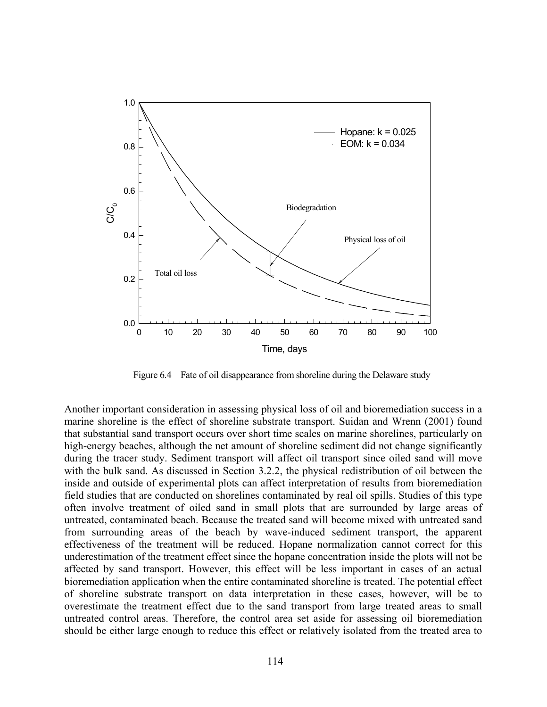

Figure 6.4 Fate of oil disappearance from shoreline during the Delaware study

Another important consideration in assessing physical loss of oil and bioremediation success in a marine shoreline is the effect of shoreline substrate transport. Suidan and Wrenn (2001) found that substantial sand transport occurs over short time scales on marine shorelines, particularly on high-energy beaches, although the net amount of shoreline sediment did not change significantly during the tracer study. Sediment transport will affect oil transport since oiled sand will move with the bulk sand. As discussed in Section 3.2.2, the physical redistribution of oil between the inside and outside of experimental plots can affect interpretation of results from bioremediation field studies that are conducted on shorelines contaminated by real oil spills. Studies of this type often involve treatment of oiled sand in small plots that are surrounded by large areas of untreated, contaminated beach. Because the treated sand will become mixed with untreated sand from surrounding areas of the beach by wave-induced sediment transport, the apparent effectiveness of the treatment will be reduced. Hopane normalization cannot correct for this underestimation of the treatment effect since the hopane concentration inside the plots will not be affected by sand transport. However, this effect will be less important in cases of an actual bioremediation application when the entire contaminated shoreline is treated. The potential effect of shoreline substrate transport on data interpretation in these cases, however, will be to overestimate the treatment effect due to the sand transport from large treated areas to small untreated control areas. Therefore, the control area set aside for assessing oil bioremediation Biodegradiation<br>  $\begin{bmatrix} 68 \\ 02 \end{bmatrix}$ <br>  $\begin{bmatrix} 104 \\ 00 \end{bmatrix}$  and all best<br>  $\begin{bmatrix} 00 \\ 0 \end{bmatrix}$  from all best<br>  $\begin{bmatrix} 00 \\ 0 \end{bmatrix}$  from all best<br>  $\begin{bmatrix} 100 \\ 0 \end{bmatrix}$  from all best<br>  $\begin{bmatrix} 100 \\ 0 \end{bmatrix}$  from all  $\begin{$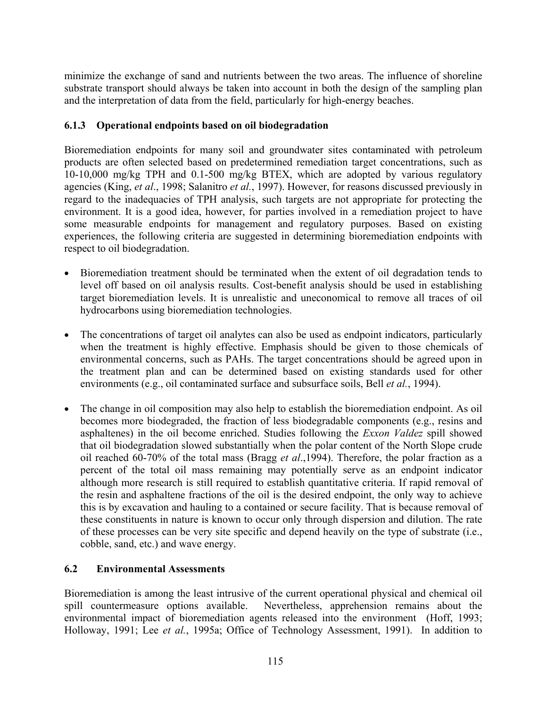minimize the exchange of sand and nutrients between the two areas. The influence of shoreline substrate transport should always be taken into account in both the design of the sampling plan and the interpretation of data from the field, particularly for high-energy beaches.

# **6.1.3 Operational endpoints based on oil biodegradation**

Bioremediation endpoints for many soil and groundwater sites contaminated with petroleum products are often selected based on predetermined remediation target concentrations, such as 10-10,000 mg/kg TPH and 0.1-500 mg/kg BTEX, which are adopted by various regulatory agencies (King, *et al*., 1998; Salanitro *et al.*, 1997). However, for reasons discussed previously in regard to the inadequacies of TPH analysis, such targets are not appropriate for protecting the environment. It is a good idea, however, for parties involved in a remediation project to have some measurable endpoints for management and regulatory purposes. Based on existing experiences, the following criteria are suggested in determining bioremediation endpoints with respect to oil biodegradation.

- Bioremediation treatment should be terminated when the extent of oil degradation tends to level off based on oil analysis results. Cost-benefit analysis should be used in establishing target bioremediation levels. It is unrealistic and uneconomical to remove all traces of oil hydrocarbons using bioremediation technologies.
- The concentrations of target oil analytes can also be used as endpoint indicators, particularly when the treatment is highly effective. Emphasis should be given to those chemicals of environmental concerns, such as PAHs. The target concentrations should be agreed upon in the treatment plan and can be determined based on existing standards used for other environments (e.g., oil contaminated surface and subsurface soils, Bell *et al.*, 1994).
- The change in oil composition may also help to establish the bioremediation endpoint. As oil becomes more biodegraded, the fraction of less biodegradable components (e.g., resins and asphaltenes) in the oil become enriched. Studies following the *Exxon Valdez* spill showed that oil biodegradation slowed substantially when the polar content of the North Slope crude oil reached 60-70% of the total mass (Bragg *et al*.,1994). Therefore, the polar fraction as a percent of the total oil mass remaining may potentially serve as an endpoint indicator although more research is still required to establish quantitative criteria. If rapid removal of the resin and asphaltene fractions of the oil is the desired endpoint, the only way to achieve this is by excavation and hauling to a contained or secure facility. That is because removal of these constituents in nature is known to occur only through dispersion and dilution. The rate of these processes can be very site specific and depend heavily on the type of substrate (i.e., cobble, sand, etc.) and wave energy.

# **6.2 Environmental Assessments**

Bioremediation is among the least intrusive of the current operational physical and chemical oil spill countermeasure options available. Nevertheless, apprehension remains about the environmental impact of bioremediation agents released into the environment (Hoff, 1993; Holloway, 1991; Lee *et al.*, 1995a; Office of Technology Assessment, 1991). In addition to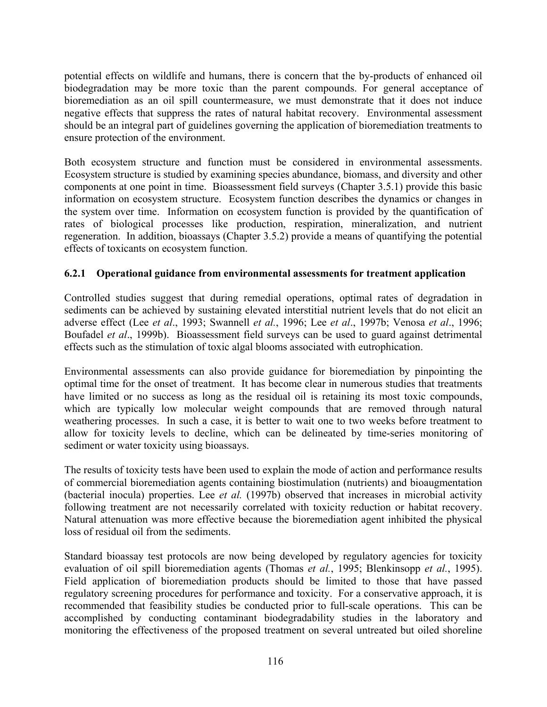potential effects on wildlife and humans, there is concern that the by-products of enhanced oil biodegradation may be more toxic than the parent compounds. For general acceptance of bioremediation as an oil spill countermeasure, we must demonstrate that it does not induce negative effects that suppress the rates of natural habitat recovery. Environmental assessment should be an integral part of guidelines governing the application of bioremediation treatments to ensure protection of the environment.

Both ecosystem structure and function must be considered in environmental assessments. Ecosystem structure is studied by examining species abundance, biomass, and diversity and other components at one point in time. Bioassessment field surveys (Chapter 3.5.1) provide this basic information on ecosystem structure. Ecosystem function describes the dynamics or changes in the system over time. Information on ecosystem function is provided by the quantification of rates of biological processes like production, respiration, mineralization, and nutrient regeneration. In addition, bioassays (Chapter 3.5.2) provide a means of quantifying the potential effects of toxicants on ecosystem function.

# **6.2.1 Operational guidance from environmental assessments for treatment application**

Controlled studies suggest that during remedial operations, optimal rates of degradation in sediments can be achieved by sustaining elevated interstitial nutrient levels that do not elicit an adverse effect (Lee *et al*., 1993; Swannell *et al.*, 1996; Lee *et al*., 1997b; Venosa *et al*., 1996; Boufadel *et al*., 1999b). Bioassessment field surveys can be used to guard against detrimental effects such as the stimulation of toxic algal blooms associated with eutrophication.

Environmental assessments can also provide guidance for bioremediation by pinpointing the optimal time for the onset of treatment. It has become clear in numerous studies that treatments have limited or no success as long as the residual oil is retaining its most toxic compounds, which are typically low molecular weight compounds that are removed through natural weathering processes. In such a case, it is better to wait one to two weeks before treatment to allow for toxicity levels to decline, which can be delineated by time-series monitoring of sediment or water toxicity using bioassays.

The results of toxicity tests have been used to explain the mode of action and performance results of commercial bioremediation agents containing biostimulation (nutrients) and bioaugmentation (bacterial inocula) properties. Lee *et al.* (1997b) observed that increases in microbial activity following treatment are not necessarily correlated with toxicity reduction or habitat recovery. Natural attenuation was more effective because the bioremediation agent inhibited the physical loss of residual oil from the sediments.

Standard bioassay test protocols are now being developed by regulatory agencies for toxicity evaluation of oil spill bioremediation agents (Thomas *et al.*, 1995; Blenkinsopp *et al.*, 1995). Field application of bioremediation products should be limited to those that have passed regulatory screening procedures for performance and toxicity. For a conservative approach, it is recommended that feasibility studies be conducted prior to full-scale operations. This can be accomplished by conducting contaminant biodegradability studies in the laboratory and monitoring the effectiveness of the proposed treatment on several untreated but oiled shoreline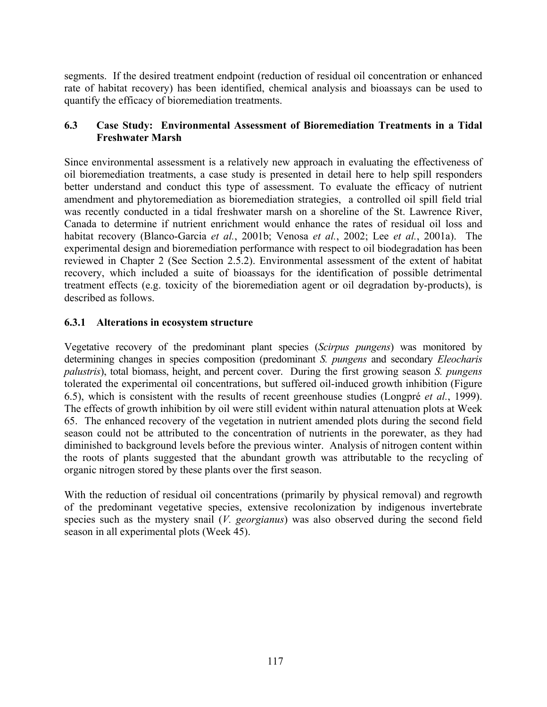segments. If the desired treatment endpoint (reduction of residual oil concentration or enhanced rate of habitat recovery) has been identified, chemical analysis and bioassays can be used to quantify the efficacy of bioremediation treatments.

# **6.3 Case Study: Environmental Assessment of Bioremediation Treatments in a Tidal Freshwater Marsh**

Since environmental assessment is a relatively new approach in evaluating the effectiveness of oil bioremediation treatments, a case study is presented in detail here to help spill responders better understand and conduct this type of assessment. To evaluate the efficacy of nutrient amendment and phytoremediation as bioremediation strategies, a controlled oil spill field trial was recently conducted in a tidal freshwater marsh on a shoreline of the St. Lawrence River, Canada to determine if nutrient enrichment would enhance the rates of residual oil loss and habitat recovery (Blanco-Garcia *et al.*, 2001b; Venosa *et al.*, 2002; Lee *et al.*, 2001a). The experimental design and bioremediation performance with respect to oil biodegradation has been reviewed in Chapter 2 (See Section 2.5.2). Environmental assessment of the extent of habitat recovery, which included a suite of bioassays for the identification of possible detrimental treatment effects (e.g. toxicity of the bioremediation agent or oil degradation by-products), is described as follows.

# **6.3.1 Alterations in ecosystem structure**

Vegetative recovery of the predominant plant species (*Scirpus pungens*) was monitored by determining changes in species composition (predominant *S. pungens* and secondary *Eleocharis palustris*), total biomass, height, and percent cover. During the first growing season *S. pungens*  tolerated the experimental oil concentrations, but suffered oil-induced growth inhibition (Figure 6.5), which is consistent with the results of recent greenhouse studies (Longpré *et al.*, 1999). The effects of growth inhibition by oil were still evident within natural attenuation plots at Week 65. The enhanced recovery of the vegetation in nutrient amended plots during the second field season could not be attributed to the concentration of nutrients in the porewater, as they had diminished to background levels before the previous winter. Analysis of nitrogen content within the roots of plants suggested that the abundant growth was attributable to the recycling of organic nitrogen stored by these plants over the first season.

With the reduction of residual oil concentrations (primarily by physical removal) and regrowth of the predominant vegetative species, extensive recolonization by indigenous invertebrate species such as the mystery snail (*V. georgianus*) was also observed during the second field season in all experimental plots (Week 45).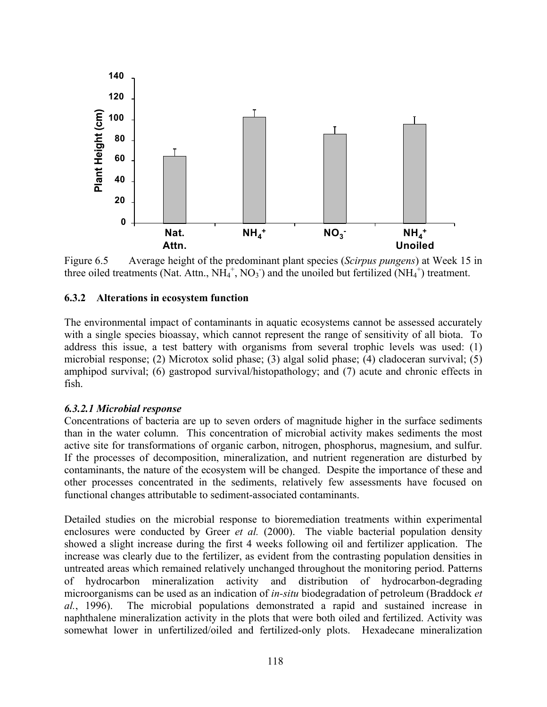

Figure 6.5 Average height of the predominant plant species (*Scirpus pungens*) at Week 15 in three oiled treatments (Nat. Attn.,  $NH_4^+$ , NO<sub>3</sub>) and the unoiled but fertilized (NH<sub>4</sub><sup>+</sup>) treatment.

#### **6.3.2 Alterations in ecosystem function**

The environmental impact of contaminants in aquatic ecosystems cannot be assessed accurately with a single species bioassay, which cannot represent the range of sensitivity of all biota. To address this issue, a test battery with organisms from several trophic levels was used: (1) microbial response; (2) Microtox solid phase; (3) algal solid phase; (4) cladoceran survival; (5) amphipod survival; (6) gastropod survival/histopathology; and (7) acute and chronic effects in fish.

## *6.3.2.1 Microbial response*

Concentrations of bacteria are up to seven orders of magnitude higher in the surface sediments than in the water column. This concentration of microbial activity makes sediments the most active site for transformations of organic carbon, nitrogen, phosphorus, magnesium, and sulfur. If the processes of decomposition, mineralization, and nutrient regeneration are disturbed by contaminants, the nature of the ecosystem will be changed. Despite the importance of these and other processes concentrated in the sediments, relatively few assessments have focused on functional changes attributable to sediment-associated contaminants.

Detailed studies on the microbial response to bioremediation treatments within experimental enclosures were conducted by Greer *et al.* (2000). The viable bacterial population density showed a slight increase during the first 4 weeks following oil and fertilizer application. The increase was clearly due to the fertilizer, as evident from the contrasting population densities in untreated areas which remained relatively unchanged throughout the monitoring period. Patterns of hydrocarbon mineralization activity and distribution of hydrocarbon-degrading microorganisms can be used as an indication of *in-situ* biodegradation of petroleum (Braddock *et*  al., 1996). The microbial populations demonstrated a rapid and sustained increase in naphthalene mineralization activity in the plots that were both oiled and fertilized. Activity was somewhat lower in unfertilized/oiled and fertilized-only plots. Hexadecane mineralization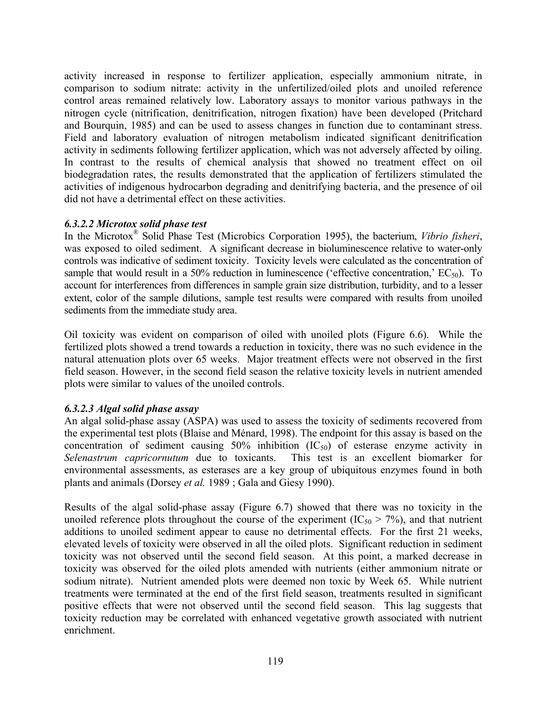activity increased in response to fertilizer application, especially ammonium nitrate, in comparison to sodium nitrate: activity in the unfertilized/oiled plots and unoiled reference control areas remained relatively low. Laboratory assays to monitor various pathways in the nitrogen cycle (nitrification, denitrification, nitrogen fixation) have been developed (Pritchard and Bourquin, 1985) and can be used to assess changes in function due to contaminant stress. Field and laboratory evaluation of nitrogen metabolism indicated significant denitrification activity in sediments following fertilizer application, which was not adversely affected by oiling. In contrast to the results of chemical analysis that showed no treatment effect on oil biodegradation rates, the results demonstrated that the application of fertilizers stimulated the activities of indigenous hydrocarbon degrading and denitrifying bacteria, and the presence of oil did not have a detrimental effect on these activities.

## *6.3.2.2 Microtox solid phase test*

In the Microtox ® Solid Phase Test (Microbics Corporation 1995), the bacterium, *Vibrio fisheri*, was exposed to oiled sediment. A significant decrease in bioluminescence relative to water-only controls was indicative of sediment toxicity. Toxicity levels were calculated as the concentration of sample that would result in a 50% reduction in luminescence ('effective concentration,'  $EC_{50}$ ). To account for interferences from differences in sample grain size distribution, turbidity, and to a lesser extent, color of the sample dilutions, sample test results were compared with results from unoiled sediments from the immediate study area.

Oil toxicity was evident on comparison of oiled with unoiled plots (Figure 6.6). While the fertilized plots showed a trend towards a reduction in toxicity, there was no such evidence in the natural attenuation plots over 65 weeks. Major treatment effects were not observed in the first field season. However, in the second field season the relative toxicity levels in nutrient amended plots were similar to values of the unoiled controls.

# *6.3.2.3 Algal solid phase assay*

An algal solid-phase assay (ASPA) was used to assess the toxicity of sediments recovered from the experimental test plots (Blaise and Ménard, 1998). The endpoint for this assay is based on the concentration of sediment causing  $50\%$  inhibition  $(IC_{50})$  of esterase enzyme activity in *Selenastrum capricornutum* due to toxicants. This test is an excellent biomarker for environmental assessments, as esterases are a key group of ubiquitous enzymes found in both plants and animals (Dorsey *et al.* 1989 ; Gala and Giesy 1990).

Results of the algal solid-phase assay (Figure 6.7) showed that there was no toxicity in the unoiled reference plots throughout the course of the experiment  $(IC_{50} > 7\%)$ , and that nutrient additions to unoiled sediment appear to cause no detrimental effects. For the first 21 weeks, elevated levels of toxicity were observed in all the oiled plots. Significant reduction in sediment toxicity was not observed until the second field season. At this point, a marked decrease in toxicity was observed for the oiled plots amended with nutrients (either ammonium nitrate or sodium nitrate). Nutrient amended plots were deemed non toxic by Week 65. While nutrient treatments were terminated at the end of the first field season, treatments resulted in significant positive effects that were not observed until the second field season. This lag suggests that toxicity reduction may be correlated with enhanced vegetative growth associated with nutrient enrichment.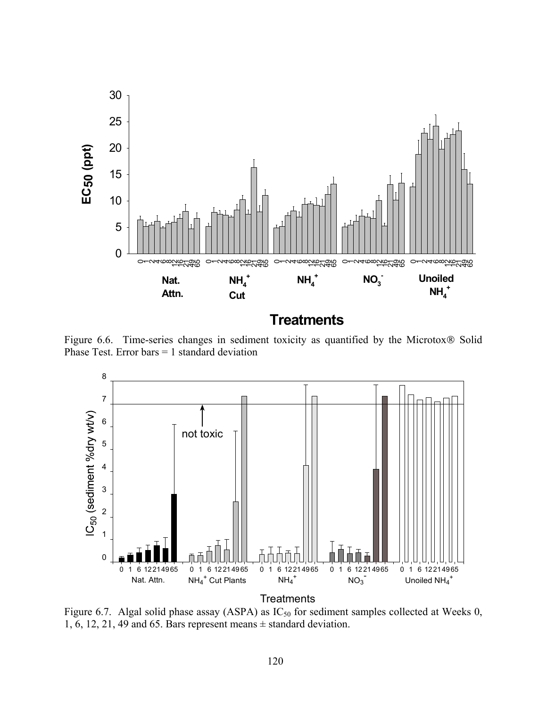

# **Treatments**

Figure 6.6. Time-series changes in sediment toxicity as quantified by the Microtox® Solid Phase Test. Error bars = 1 standard deviation



**Treatments** 

Figure 6.7. Algal solid phase assay (ASPA) as  $IC_{50}$  for sediment samples collected at Weeks 0, 1, 6, 12, 21, 49 and 65. Bars represent means  $\pm$  standard deviation.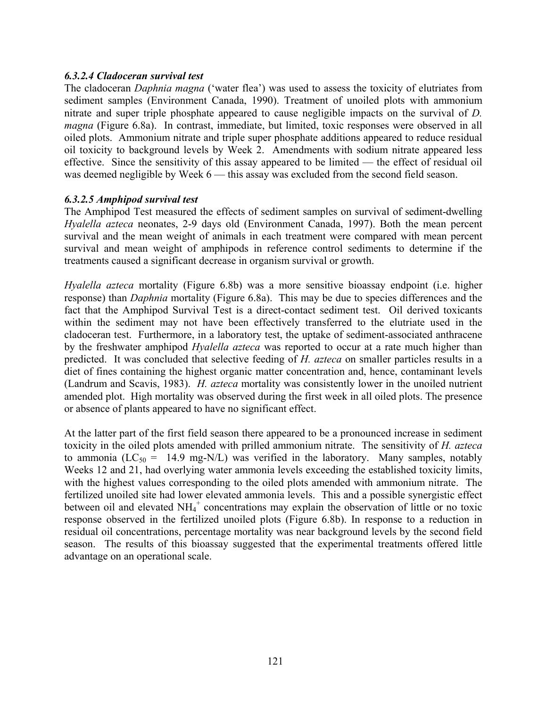## *6.3.2.4 Cladoceran survival test*

The cladoceran *Daphnia magna* ('water flea') was used to assess the toxicity of elutriates from sediment samples (Environment Canada, 1990). Treatment of unoiled plots with ammonium nitrate and super triple phosphate appeared to cause negligible impacts on the survival of *D. magna* (Figure 6.8a). In contrast, immediate, but limited, toxic responses were observed in all oiled plots. Ammonium nitrate and triple super phosphate additions appeared to reduce residual oil toxicity to background levels by Week 2. Amendments with sodium nitrate appeared less effective. Since the sensitivity of this assay appeared to be limited — the effect of residual oil was deemed negligible by Week 6 — this assay was excluded from the second field season.

## *6.3.2.5 Amphipod survival test*

The Amphipod Test measured the effects of sediment samples on survival of sediment-dwelling *Hyalella azteca* neonates, 2-9 days old (Environment Canada, 1997). Both the mean percent survival and the mean weight of animals in each treatment were compared with mean percent survival and mean weight of amphipods in reference control sediments to determine if the treatments caused a significant decrease in organism survival or growth.

*Hyalella azteca* mortality (Figure 6.8b) was a more sensitive bioassay endpoint (i.e. higher response) than *Daphnia* mortality (Figure 6.8a). This may be due to species differences and the fact that the Amphipod Survival Test is a direct-contact sediment test. Oil derived toxicants within the sediment may not have been effectively transferred to the elutriate used in the cladoceran test. Furthermore, in a laboratory test, the uptake of sediment-associated anthracene by the freshwater amphipod *Hyalella azteca* was reported to occur at a rate much higher than predicted. It was concluded that selective feeding of *H. azteca* on smaller particles results in a diet of fines containing the highest organic matter concentration and, hence, contaminant levels (Landrum and Scavis, 1983). *H. azteca* mortality was consistently lower in the unoiled nutrient amended plot. High mortality was observed during the first week in all oiled plots. The presence or absence of plants appeared to have no significant effect.

At the latter part of the first field season there appeared to be a pronounced increase in sediment toxicity in the oiled plots amended with prilled ammonium nitrate. The sensitivity of *H. azteca*  to ammonia ( $LC_{50}$  = 14.9 mg-N/L) was verified in the laboratory. Many samples, notably Weeks 12 and 21, had overlying water ammonia levels exceeding the established toxicity limits, with the highest values corresponding to the oiled plots amended with ammonium nitrate. The fertilized unoiled site had lower elevated ammonia levels. This and a possible synergistic effect between oil and elevated NH<sub>4</sub><sup>+</sup> concentrations may explain the observation of little or no toxic response observed in the fertilized unoiled plots (Figure 6.8b). In response to a reduction in residual oil concentrations, percentage mortality was near background levels by the second field season. The results of this bioassay suggested that the experimental treatments offered little advantage on an operational scale.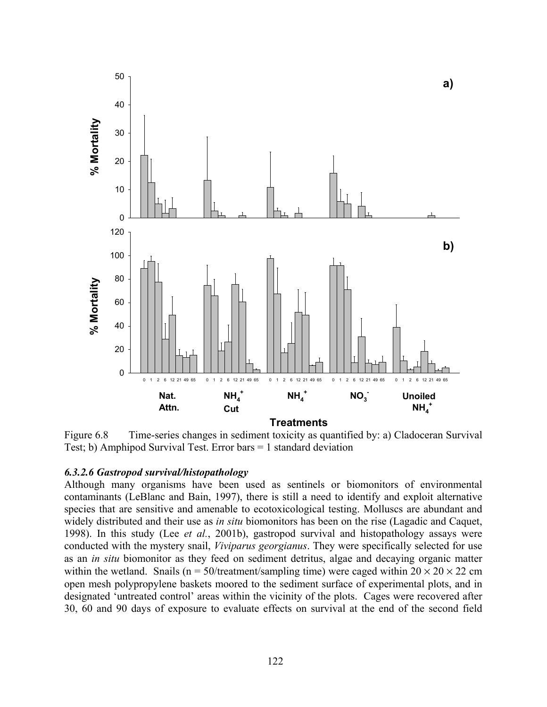

Figure 6.8 Time-series changes in sediment toxicity as quantified by: a) Cladoceran Survival Test; b) Amphipod Survival Test. Error bars = 1 standard deviation

#### *6.3.2.6 Gastropod survival/histopathology*

Although many organisms have been used as sentinels or biomonitors of environmental contaminants (LeBlanc and Bain, 1997), there is still a need to identify and exploit alternative species that are sensitive and amenable to ecotoxicological testing. Molluscs are abundant and widely distributed and their use as *in situ* biomonitors has been on the rise (Lagadic and Caquet, 1998). In this study (Lee *et al.*, 2001b), gastropod survival and histopathology assays were conducted with the mystery snail, *Viviparus georgianus*. They were specifically selected for use as an *in situ* biomonitor as they feed on sediment detritus, algae and decaying organic matter within the wetland. Snails (n = 50/treatment/sampling time) were caged within  $20 \times 20 \times 22$  cm open mesh polypropylene baskets moored to the sediment surface of experimental plots, and in designated 'untreated control' areas within the vicinity of the plots. Cages were recovered after 30, 60 and 90 days of exposure to evaluate effects on survival at the end of the second field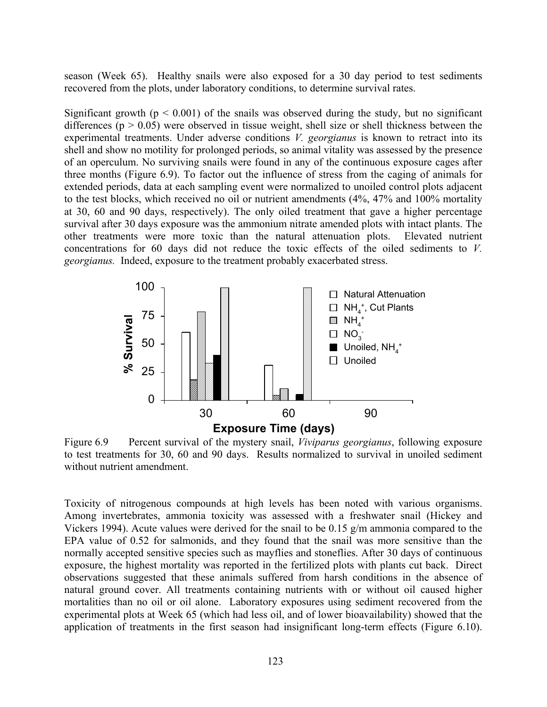season (Week 65). Healthy snails were also exposed for a 30 day period to test sediments recovered from the plots, under laboratory conditions, to determine survival rates.

Significant growth ( $p < 0.001$ ) of the snails was observed during the study, but no significant differences ( $p > 0.05$ ) were observed in tissue weight, shell size or shell thickness between the experimental treatments. Under adverse conditions *V. georgianus* is known to retract into its shell and show no motility for prolonged periods, so animal vitality was assessed by the presence of an operculum. No surviving snails were found in any of the continuous exposure cages after three months (Figure 6.9). To factor out the influence of stress from the caging of animals for extended periods, data at each sampling event were normalized to unoiled control plots adjacent to the test blocks, which received no oil or nutrient amendments (4%, 47% and 100% mortality at 30, 60 and 90 days, respectively). The only oiled treatment that gave a higher percentage survival after 30 days exposure was the ammonium nitrate amended plots with intact plants. The other treatments were more toxic than the natural attenuation plots. Elevated nutrient concentrations for 60 days did not reduce the toxic effects of the oiled sediments to *V. georgianus.* Indeed, exposure to the treatment probably exacerbated stress.



Figure 6.9 Percent survival of the mystery snail, *Viviparus georgianus*, following exposure to test treatments for 30, 60 and 90 days. Results normalized to survival in unoiled sediment without nutrient amendment.

Toxicity of nitrogenous compounds at high levels has been noted with various organisms. Among invertebrates, ammonia toxicity was assessed with a freshwater snail (Hickey and Vickers 1994). Acute values were derived for the snail to be 0.15 g/m ammonia compared to the EPA value of 0.52 for salmonids, and they found that the snail was more sensitive than the normally accepted sensitive species such as mayflies and stoneflies. After 30 days of continuous exposure, the highest mortality was reported in the fertilized plots with plants cut back. Direct observations suggested that these animals suffered from harsh conditions in the absence of natural ground cover. All treatments containing nutrients with or without oil caused higher mortalities than no oil or oil alone. Laboratory exposures using sediment recovered from the experimental plots at Week 65 (which had less oil, and of lower bioavailability) showed that the application of treatments in the first season had insignificant long-term effects (Figure 6.10).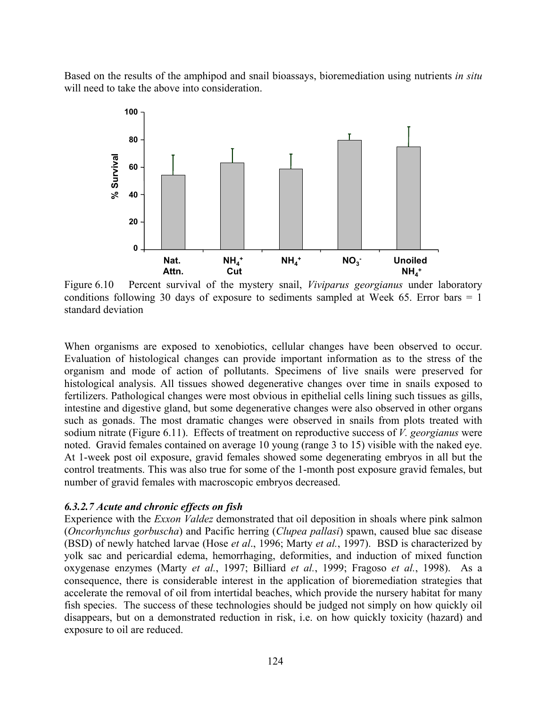Based on the results of the amphipod and snail bioassays, bioremediation using nutrients *in situ*  will need to take the above into consideration.



Figure 6.10 Percent survival of the mystery snail, *Viviparus georgianus* under laboratory conditions following 30 days of exposure to sediments sampled at Week 65. Error bars  $= 1$ standard deviation

When organisms are exposed to xenobiotics, cellular changes have been observed to occur. Evaluation of histological changes can provide important information as to the stress of the organism and mode of action of pollutants. Specimens of live snails were preserved for histological analysis. All tissues showed degenerative changes over time in snails exposed to fertilizers. Pathological changes were most obvious in epithelial cells lining such tissues as gills, intestine and digestive gland, but some degenerative changes were also observed in other organs such as gonads. The most dramatic changes were observed in snails from plots treated with sodium nitrate (Figure 6.11). Effects of treatment on reproductive success of *V. georgianus* were noted. Gravid females contained on average 10 young (range 3 to 15) visible with the naked eye. At 1-week post oil exposure, gravid females showed some degenerating embryos in all but the control treatments. This was also true for some of the 1-month post exposure gravid females, but number of gravid females with macroscopic embryos decreased. <sup>9</sup><br>
<sup>8</sup><br>
<sup>8</sup><br> **10**<br> **10**<br> **10**<br> **10**<br> **10**<br> **10**<br> **10**<br> **10**<br> **10**<br> **10**<br> **10**<br> **10**<br> **10**<br> **10**<br> **10**<br> **10**<br> **10**<br> **10**<br> **10**<br> **10**<br> **10**<br> **10**<br> **10**<br> **10**<br> **10**<br> **10**<br> **10**<br> **10**<br> **10**<br> **10**<br> **10**<br> **10**<br> **10**<br> **10**<br> **10** 

## *6.3.2.7 Acute and chronic effects on fish*

Experience with the *Exxon Valdez* demonstrated that oil deposition in shoals where pink salmon (*Oncorhynchus gorbuscha*) and Pacific herring (*Clupea pallasi*) spawn, caused blue sac disease (BSD) of newly hatched larvae (Hose *et al*., 1996; Marty *et al.*, 1997). BSD is characterized by yolk sac and pericardial edema, hemorrhaging, deformities, and induction of mixed function oxygenase enzymes (Marty *et al.*, 1997; Billiard *et al.*, 1999; Fragoso *et al.*, 1998). As a consequence, there is considerable interest in the application of bioremediation strategies that accelerate the removal of oil from intertidal beaches, which provide the nursery habitat for many fish species. The success of these technologies should be judged not simply on how quickly oil disappears, but on a demonstrated reduction in risk, i.e. on how quickly toxicity (hazard) and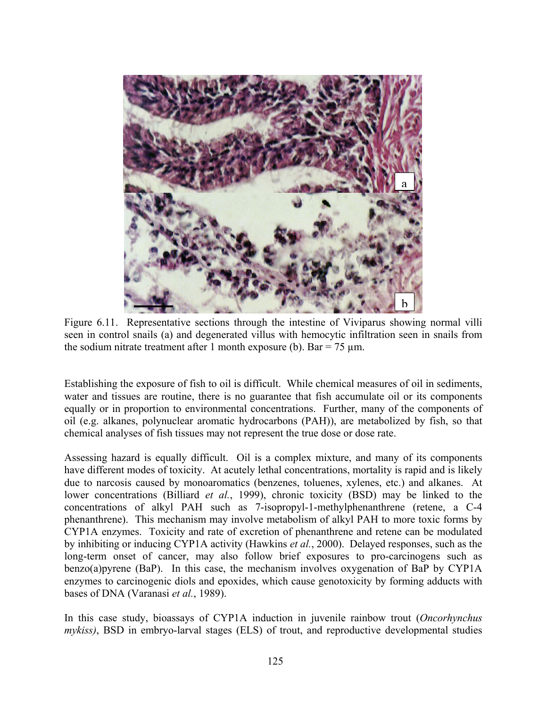

Figure 6.11. Representative sections through the intestine of Viviparus showing normal villi seen in control snails (a) and degenerated villus with hemocytic infiltration seen in snails from the sodium nitrate treatment after 1 month exposure (b). Bar =  $75 \mu$ m.

Establishing the exposure of fish to oil is difficult. While chemical measures of oil in sediments, water and tissues are routine, there is no guarantee that fish accumulate oil or its components equally or in proportion to environmental concentrations. Further, many of the components of oil (e.g. alkanes, polynuclear aromatic hydrocarbons (PAH)), are metabolized by fish, so that chemical analyses of fish tissues may not represent the true dose or dose rate.

Assessing hazard is equally difficult. Oil is a complex mixture, and many of its components have different modes of toxicity. At acutely lethal concentrations, mortality is rapid and is likely due to narcosis caused by monoaromatics (benzenes, toluenes, xylenes, etc.) and alkanes. At lower concentrations (Billiard *et al.*, 1999), chronic toxicity (BSD) may be linked to the concentrations of alkyl PAH such as 7-isopropyl-1-methylphenanthrene (retene, a C-4 phenanthrene). This mechanism may involve metabolism of alkyl PAH to more toxic forms by CYP1A enzymes. Toxicity and rate of excretion of phenanthrene and retene can be modulated by inhibiting or inducing CYP1A activity (Hawkins *et al.*, 2000). Delayed responses, such as the long-term onset of cancer, may also follow brief exposures to pro-carcinogens such as benzo(a)pyrene (BaP). In this case, the mechanism involves oxygenation of BaP by CYP1A enzymes to carcinogenic diols and epoxides, which cause genotoxicity by forming adducts with bases of DNA (Varanasi *et al.*, 1989).

In this case study, bioassays of CYP1A induction in juvenile rainbow trout (*Oncorhynchus mykiss)*, BSD in embryo-larval stages (ELS) of trout, and reproductive developmental studies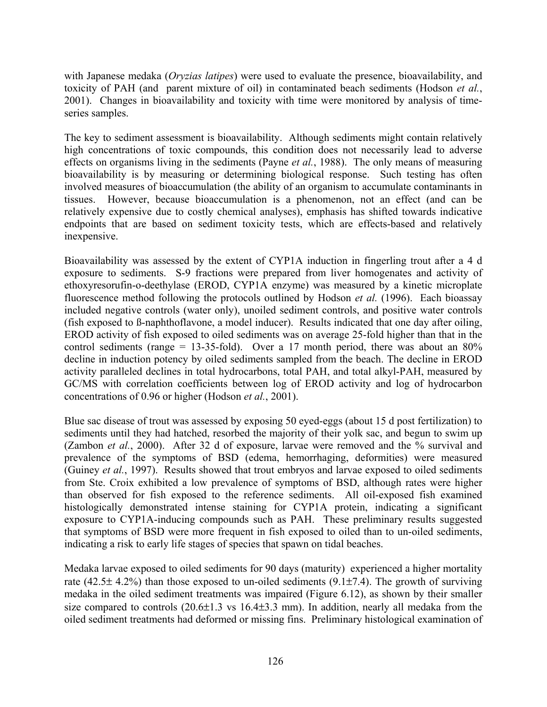with Japanese medaka (*Oryzias latipes*) were used to evaluate the presence, bioavailability, and toxicity of PAH (and parent mixture of oil) in contaminated beach sediments (Hodson *et al.*, 2001). Changes in bioavailability and toxicity with time were monitored by analysis of timeseries samples.

The key to sediment assessment is bioavailability. Although sediments might contain relatively high concentrations of toxic compounds, this condition does not necessarily lead to adverse effects on organisms living in the sediments (Payne *et al.*, 1988). The only means of measuring bioavailability is by measuring or determining biological response. Such testing has often involved measures of bioaccumulation (the ability of an organism to accumulate contaminants in tissues. However, because bioaccumulation is a phenomenon, not an effect (and can be relatively expensive due to costly chemical analyses), emphasis has shifted towards indicative endpoints that are based on sediment toxicity tests, which are effects-based and relatively inexpensive.

Bioavailability was assessed by the extent of CYP1A induction in fingerling trout after a 4 d exposure to sediments. S-9 fractions were prepared from liver homogenates and activity of ethoxyresorufin-o-deethylase (EROD, CYP1A enzyme) was measured by a kinetic microplate fluorescence method following the protocols outlined by Hodson *et al.* (1996). Each bioassay included negative controls (water only), unoiled sediment controls, and positive water controls (fish exposed to ß-naphthoflavone, a model inducer). Results indicated that one day after oiling, EROD activity of fish exposed to oiled sediments was on average 25-fold higher than that in the control sediments (range  $= 13-35$ -fold). Over a 17 month period, there was about an 80% decline in induction potency by oiled sediments sampled from the beach. The decline in EROD activity paralleled declines in total hydrocarbons, total PAH, and total alkyl-PAH, measured by GC/MS with correlation coefficients between log of EROD activity and log of hydrocarbon concentrations of 0.96 or higher (Hodson *et al.*, 2001).

Blue sac disease of trout was assessed by exposing 50 eyed-eggs (about 15 d post fertilization) to sediments until they had hatched, resorbed the majority of their yolk sac, and begun to swim up (Zambon *et al.*, 2000). After 32 d of exposure, larvae were removed and the % survival and prevalence of the symptoms of BSD (edema, hemorrhaging, deformities) were measured (Guiney *et al.*, 1997). Results showed that trout embryos and larvae exposed to oiled sediments from Ste. Croix exhibited a low prevalence of symptoms of BSD, although rates were higher than observed for fish exposed to the reference sediments. All oil-exposed fish examined histologically demonstrated intense staining for CYP1A protein, indicating a significant exposure to CYP1A-inducing compounds such as PAH. These preliminary results suggested that symptoms of BSD were more frequent in fish exposed to oiled than to un-oiled sediments, indicating a risk to early life stages of species that spawn on tidal beaches.

Medaka larvae exposed to oiled sediments for 90 days (maturity) experienced a higher mortality rate (42.5 $\pm$  4.2%) than those exposed to un-oiled sediments (9.1 $\pm$ 7.4). The growth of surviving medaka in the oiled sediment treatments was impaired (Figure 6.12), as shown by their smaller size compared to controls  $(20.6\pm1.3 \text{ vs } 16.4\pm3.3 \text{ mm})$ . In addition, nearly all medaka from the oiled sediment treatments had deformed or missing fins. Preliminary histological examination of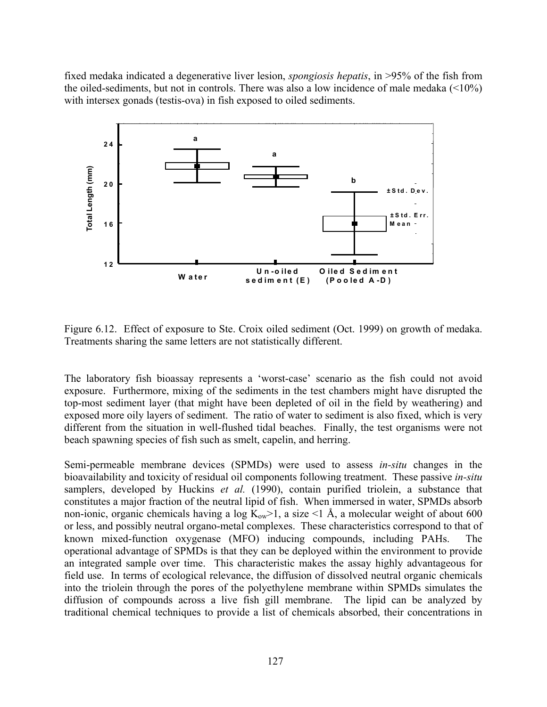fixed medaka indicated a degenerative liver lesion, *spongiosis hepatis*, in >95% of the fish from the oiled-sediments, but not in controls. There was also a low incidence of male medaka  $(\leq 10\%)$ with intersex gonads (testis-ova) in fish exposed to oiled sediments.



Figure 6.12. Effect of exposure to Ste. Croix oiled sediment (Oct. 1999) on growth of medaka. Treatments sharing the same letters are not statistically different.

The laboratory fish bioassay represents a 'worst-case' scenario as the fish could not avoid exposure. Furthermore, mixing of the sediments in the test chambers might have disrupted the top-most sediment layer (that might have been depleted of oil in the field by weathering) and exposed more oily layers of sediment. The ratio of water to sediment is also fixed, which is very different from the situation in well-flushed tidal beaches. Finally, the test organisms were not beach spawning species of fish such as smelt, capelin, and herring.

Semi-permeable membrane devices (SPMDs) were used to assess *in-situ* changes in the bioavailability and toxicity of residual oil components following treatment. These passive *in-situ*  samplers, developed by Huckins *et al.* (1990), contain purified triolein, a substance that constitutes a major fraction of the neutral lipid of fish. When immersed in water, SPMDs absorb non-ionic, organic chemicals having a log  $K_{ow} > 1$ , a size  $\le 1$  Å, a molecular weight of about 600 or less, and possibly neutral organo-metal complexes. These characteristics correspond to that of known mixed-function oxygenase (MFO) inducing compounds, including PAHs. The operational advantage of SPMDs is that they can be deployed within the environment to provide an integrated sample over time. This characteristic makes the assay highly advantageous for field use. In terms of ecological relevance, the diffusion of dissolved neutral organic chemicals into the triolein through the pores of the polyethylene membrane within SPMDs simulates the diffusion of compounds across a live fish gill membrane. The lipid can be analyzed by The state of the microscopies of the microscopies (SPMDs) were used to alway high a state of the microscopies to the chemical techniques to provide a like of chemical techniques to provide a like the microscopies to the m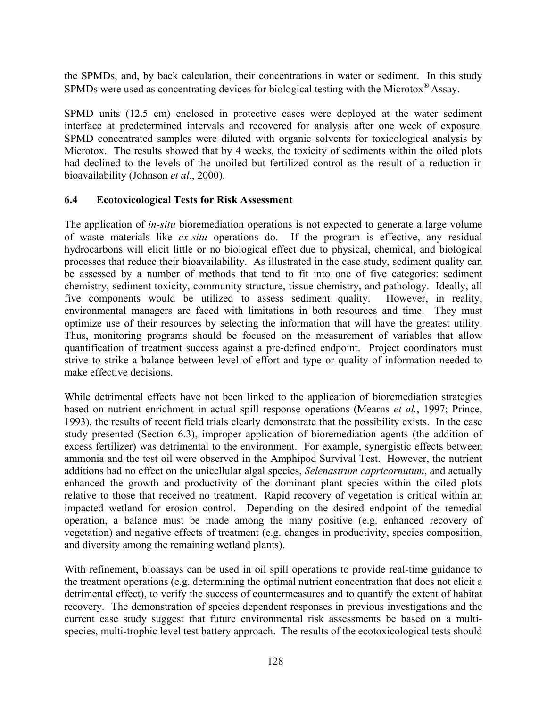the SPMDs, and, by back calculation, their concentrations in water or sediment. In this study SPMDs were used as concentrating devices for biological testing with the Microtox<sup>®</sup> Assay.

SPMD units (12.5 cm) enclosed in protective cases were deployed at the water sediment interface at predetermined intervals and recovered for analysis after one week of exposure. SPMD concentrated samples were diluted with organic solvents for toxicological analysis by Microtox. The results showed that by 4 weeks, the toxicity of sediments within the oiled plots had declined to the levels of the unoiled but fertilized control as the result of a reduction in bioavailability (Johnson *et al.*, 2000).

## **6.4 Ecotoxicological Tests for Risk Assessment**

The application of *in-situ* bioremediation operations is not expected to generate a large volume of waste materials like *ex-situ* operations do. If the program is effective, any residual hydrocarbons will elicit little or no biological effect due to physical, chemical, and biological processes that reduce their bioavailability. As illustrated in the case study, sediment quality can be assessed by a number of methods that tend to fit into one of five categories: sediment chemistry, sediment toxicity, community structure, tissue chemistry, and pathology. Ideally, all five components would be utilized to assess sediment quality. However, in reality, environmental managers are faced with limitations in both resources and time. They must optimize use of their resources by selecting the information that will have the greatest utility. Thus, monitoring programs should be focused on the measurement of variables that allow quantification of treatment success against a pre-defined endpoint. Project coordinators must strive to strike a balance between level of effort and type or quality of information needed to make effective decisions.

While detrimental effects have not been linked to the application of bioremediation strategies based on nutrient enrichment in actual spill response operations (Mearns *et al.*, 1997; Prince, 1993), the results of recent field trials clearly demonstrate that the possibility exists. In the case study presented (Section 6.3), improper application of bioremediation agents (the addition of excess fertilizer) was detrimental to the environment. For example, synergistic effects between ammonia and the test oil were observed in the Amphipod Survival Test. However, the nutrient additions had no effect on the unicellular algal species, *Selenastrum capricornutum*, and actually enhanced the growth and productivity of the dominant plant species within the oiled plots relative to those that received no treatment. Rapid recovery of vegetation is critical within an impacted wetland for erosion control. Depending on the desired endpoint of the remedial operation, a balance must be made among the many positive (e.g. enhanced recovery of vegetation) and negative effects of treatment (e.g. changes in productivity, species composition, and diversity among the remaining wetland plants).

With refinement, bioassays can be used in oil spill operations to provide real-time guidance to the treatment operations (e.g. determining the optimal nutrient concentration that does not elicit a detrimental effect), to verify the success of countermeasures and to quantify the extent of habitat recovery. The demonstration of species dependent responses in previous investigations and the current case study suggest that future environmental risk assessments be based on a multispecies, multi-trophic level test battery approach. The results of the ecotoxicological tests should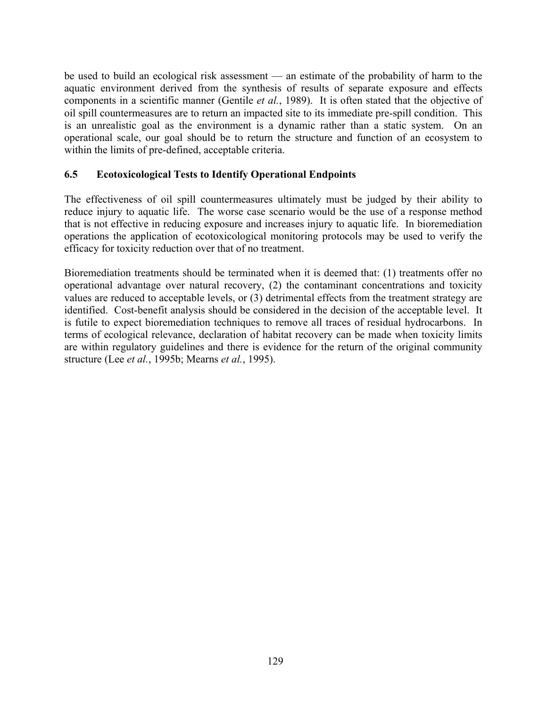be used to build an ecological risk assessment — an estimate of the probability of harm to the aquatic environment derived from the synthesis of results of separate exposure and effects components in a scientific manner (Gentile *et al.*, 1989). It is often stated that the objective of oil spill countermeasures are to return an impacted site to its immediate pre-spill condition. This is an unrealistic goal as the environment is a dynamic rather than a static system. On an operational scale, our goal should be to return the structure and function of an ecosystem to within the limits of pre-defined, acceptable criteria.

# **6.5 Ecotoxicological Tests to Identify Operational Endpoints**

The effectiveness of oil spill countermeasures ultimately must be judged by their ability to reduce injury to aquatic life. The worse case scenario would be the use of a response method that is not effective in reducing exposure and increases injury to aquatic life. In bioremediation operations the application of ecotoxicological monitoring protocols may be used to verify the efficacy for toxicity reduction over that of no treatment.

Bioremediation treatments should be terminated when it is deemed that: (1) treatments offer no operational advantage over natural recovery, (2) the contaminant concentrations and toxicity values are reduced to acceptable levels, or (3) detrimental effects from the treatment strategy are identified. Cost-benefit analysis should be considered in the decision of the acceptable level. It is futile to expect bioremediation techniques to remove all traces of residual hydrocarbons. In terms of ecological relevance, declaration of habitat recovery can be made when toxicity limits are within regulatory guidelines and there is evidence for the return of the original community structure (Lee *et al.*, 1995b; Mearns *et al.*, 1995).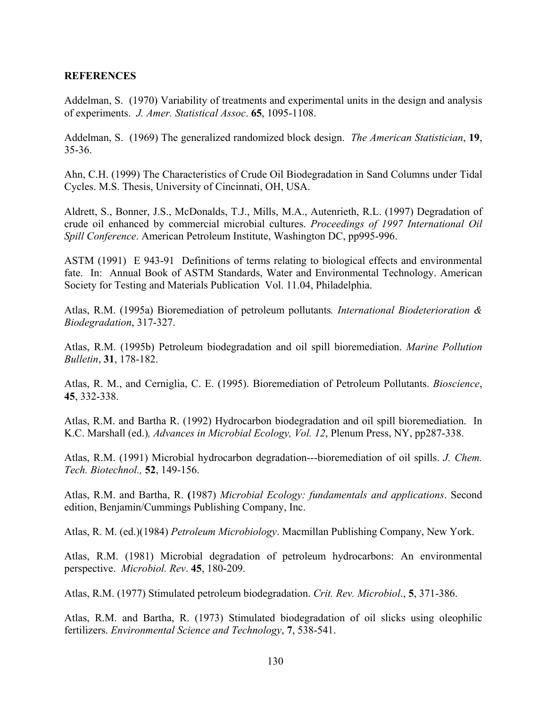## **REFERENCES**

Addelman, S. (1970) Variability of treatments and experimental units in the design and analysis of experiments. *J. Amer. Statistical Assoc*. **65**, 1095-1108.

Addelman, S. (1969) The generalized randomized block design. *The American Statistician*, **19**, 35-36.

Ahn, C.H. (1999) The Characteristics of Crude Oil Biodegradation in Sand Columns under Tidal Cycles. M.S. Thesis, University of Cincinnati, OH, USA.

Aldrett, S., Bonner, J.S., McDonalds, T.J., Mills, M.A., Autenrieth, R.L. (1997) Degradation of crude oil enhanced by commercial microbial cultures. *Proceedings of 1997 International Oil Spill Conference*. American Petroleum Institute, Washington DC, pp995-996.

ASTM (1991) E 943-91 Definitions of terms relating to biological effects and environmental fate. In: Annual Book of ASTM Standards, Water and Environmental Technology. American Society for Testing and Materials Publication Vol. 11.04, Philadelphia.

Atlas, R.M. (1995a) Bioremediation of petroleum pollutants*. International Biodeterioration & Biodegradation*, 317-327.

Atlas, R.M. (1995b) Petroleum biodegradation and oil spill bioremediation. *Marine Pollution Bulletin*, **31**, 178-182.

Atlas, R. M., and Cerniglia, C. E. (1995). Bioremediation of Petroleum Pollutants. *Bioscience*, **45**, 332-338.

Atlas, R.M. and Bartha R. (1992) Hydrocarbon biodegradation and oil spill bioremediation. In K.C. Marshall (ed.)*, Advances in Microbial Ecology, Vol. 12*, Plenum Press, NY, pp287-338.

Atlas, R.M. (1991) Microbial hydrocarbon degradation---bioremediation of oil spills. *J. Chem. Tech. Biotechnol.,* **52**, 149-156.

Atlas, R.M. and Bartha, R. **(**1987) *Microbial Ecology: fundamentals and applications*. Second edition, Benjamin/Cummings Publishing Company, Inc.

Atlas, R. M. (ed.)(1984) *Petroleum Microbiology*. Macmillan Publishing Company, New York.

Atlas, R.M. (1981) Microbial degradation of petroleum hydrocarbons: An environmental perspective. *Microbiol. Rev*. **45**, 180-209.

Atlas, R.M. (1977) Stimulated petroleum biodegradation. *Crit. Rev. Microbiol*., **5**, 371-386.

Atlas, R.M. and Bartha, R. (1973) Stimulated biodegradation of oil slicks using oleophilic fertilizers. *Environmental Science and Technology*, **7**, 538-541.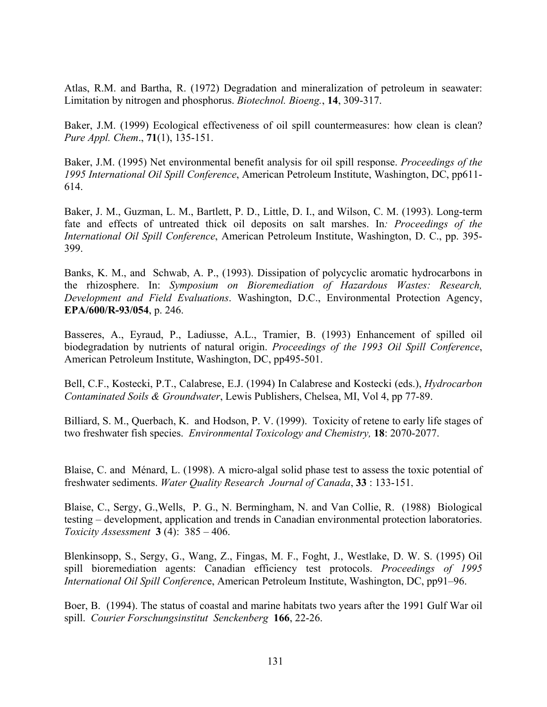Atlas, R.M. and Bartha, R. (1972) Degradation and mineralization of petroleum in seawater: Limitation by nitrogen and phosphorus. *Biotechnol. Bioeng.*, **14**, 309-317.

Baker, J.M. (1999) Ecological effectiveness of oil spill countermeasures: how clean is clean? *Pure Appl. Chem*., **71**(1), 135-151.

Baker, J.M. (1995) Net environmental benefit analysis for oil spill response. *Proceedings of the 1995 International Oil Spill Conference*, American Petroleum Institute, Washington, DC, pp611- 614.

Baker, J. M., Guzman, L. M., Bartlett, P. D., Little, D. I., and Wilson, C. M. (1993). Long-term fate and effects of untreated thick oil deposits on salt marshes. In*: Proceedings of the International Oil Spill Conference*, American Petroleum Institute, Washington, D. C., pp. 395- 399.

Banks, K. M., and Schwab, A. P., (1993). Dissipation of polycyclic aromatic hydrocarbons in the rhizosphere. In: *Symposium on Bioremediation of Hazardous Wastes: Research, Development and Field Evaluations*. Washington, D.C., Environmental Protection Agency, **EPA/600/R-93/054**, p. 246.

Basseres, A., Eyraud, P., Ladiusse, A.L., Tramier, B. (1993) Enhancement of spilled oil biodegradation by nutrients of natural origin. *Proceedings of the 1993 Oil Spill Conference*, American Petroleum Institute, Washington, DC, pp495-501.

Bell, C.F., Kostecki, P.T., Calabrese, E.J. (1994) In Calabrese and Kostecki (eds.), *Hydrocarbon Contaminated Soils & Groundwater*, Lewis Publishers, Chelsea, MI, Vol 4, pp 77-89.

Billiard, S. M., Querbach, K. and Hodson, P. V. (1999). Toxicity of retene to early life stages of two freshwater fish species. *Environmental Toxicology and Chemistry,* **18**: 2070-2077.

Blaise, C. and Ménard, L. (1998). A micro-algal solid phase test to assess the toxic potential of freshwater sediments. *Water Quality Research Journal of Canada*, **33** : 133-151.

Blaise, C., Sergy, G.,Wells, P. G., N. Bermingham, N. and Van Collie, R. (1988) Biological testing – development, application and trends in Canadian environmental protection laboratories. *Toxicity Assessment* **3** (4): 385 – 406.

Blenkinsopp, S., Sergy, G., Wang, Z., Fingas, M. F., Foght, J., Westlake, D. W. S. (1995) Oil spill bioremediation agents: Canadian efficiency test protocols. *Proceedings of 1995 International Oil Spill Conferenc*e, American Petroleum Institute, Washington, DC, pp91–96.

Boer, B. (1994). The status of coastal and marine habitats two years after the 1991 Gulf War oil spill. *Courier Forschungsinstitut Senckenberg* **166**, 22-26.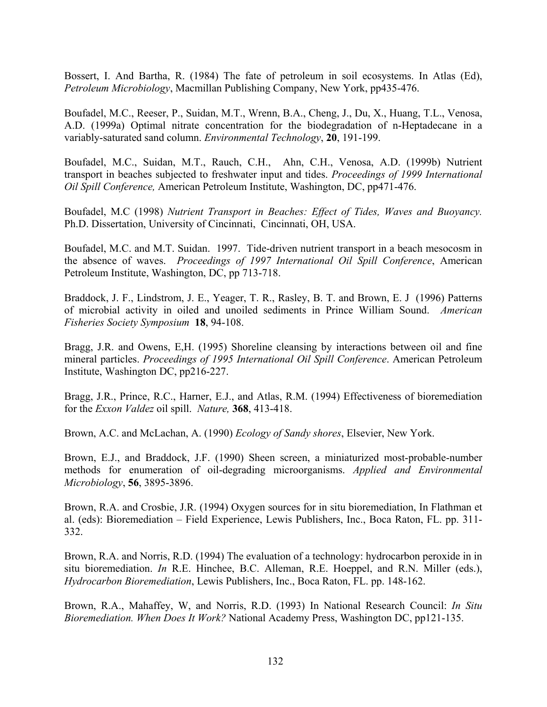Bossert, I. And Bartha, R. (1984) The fate of petroleum in soil ecosystems. In Atlas (Ed), *Petroleum Microbiology*, Macmillan Publishing Company, New York, pp435-476.

Boufadel, M.C., Reeser, P., Suidan, M.T., Wrenn, B.A., Cheng, J., Du, X., Huang, T.L., Venosa, A.D. (1999a) Optimal nitrate concentration for the biodegradation of n-Heptadecane in a variably-saturated sand column. *Environmental Technology*, **20**, 191-199.

Boufadel, M.C., Suidan, M.T., Rauch, C.H., Ahn, C.H., Venosa, A.D. (1999b) Nutrient transport in beaches subjected to freshwater input and tides. *Proceedings of 1999 International Oil Spill Conference,* American Petroleum Institute, Washington, DC, pp471-476.

Boufadel, M.C (1998) *Nutrient Transport in Beaches: Effect of Tides, Waves and Buoyancy.*  Ph.D. Dissertation, University of Cincinnati, Cincinnati, OH, USA.

Boufadel, M.C. and M.T. Suidan. 1997. Tide-driven nutrient transport in a beach mesocosm in the absence of waves. *Proceedings of 1997 International Oil Spill Conference*, American Petroleum Institute, Washington, DC, pp 713-718.

Braddock, J. F., Lindstrom, J. E., Yeager, T. R., Rasley, B. T. and Brown, E. J (1996) Patterns of microbial activity in oiled and unoiled sediments in Prince William Sound. *American Fisheries Society Symposium* **18**, 94-108.

Bragg, J.R. and Owens, E,H. (1995) Shoreline cleansing by interactions between oil and fine mineral particles. *Proceedings of 1995 International Oil Spill Conference*. American Petroleum Institute, Washington DC, pp216-227.

Bragg, J.R., Prince, R.C., Harner, E.J., and Atlas, R.M. (1994) Effectiveness of bioremediation for the *Exxon Valdez* oil spill. *Nature,* **368**, 413-418.

Brown, A.C. and McLachan, A. (1990) *Ecology of Sandy shores*, Elsevier, New York.

Brown, E.J., and Braddock, J.F. (1990) Sheen screen, a miniaturized most-probable-number methods for enumeration of oil-degrading microorganisms. *Applied and Environmental Microbiology*, **56**, 3895-3896.

Brown, R.A. and Crosbie, J.R. (1994) Oxygen sources for in situ bioremediation, In Flathman et al. (eds): Bioremediation – Field Experience, Lewis Publishers, Inc., Boca Raton, FL. pp. 311- 332.

Brown, R.A. and Norris, R.D. (1994) The evaluation of a technology: hydrocarbon peroxide in in situ bioremediation. *In* R.E. Hinchee, B.C. Alleman, R.E. Hoeppel, and R.N. Miller (eds.), *Hydrocarbon Bioremediation*, Lewis Publishers, Inc., Boca Raton, FL. pp. 148-162.

Brown, R.A., Mahaffey, W, and Norris, R.D. (1993) In National Research Council: *In Situ Bioremediation. When Does It Work?* National Academy Press, Washington DC, pp121-135.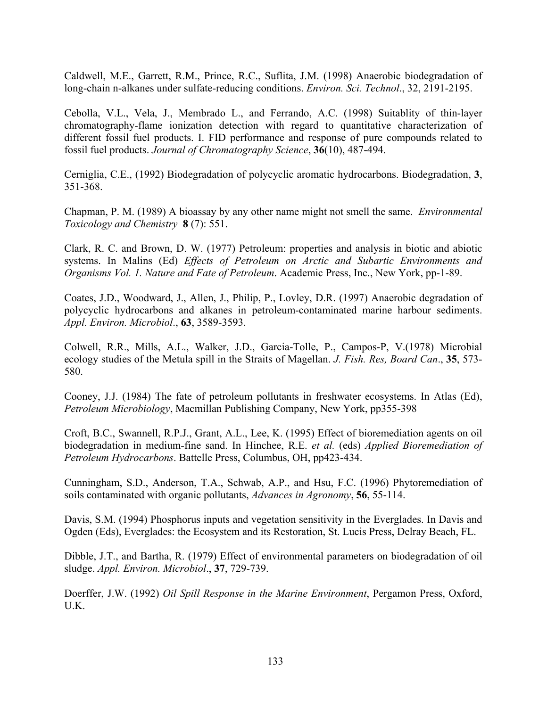Caldwell, M.E., Garrett, R.M., Prince, R.C., Suflita, J.M. (1998) Anaerobic biodegradation of long-chain n-alkanes under sulfate-reducing conditions. *Environ. Sci. Technol*., 32, 2191-2195.

Cebolla, V.L., Vela, J., Membrado L., and Ferrando, A.C. (1998) Suitablity of thin-layer chromatography-flame ionization detection with regard to quantitative characterization of different fossil fuel products. I. FID performance and response of pure compounds related to fossil fuel products. *Journal of Chromatography Science*, **36**(10), 487-494.

Cerniglia, C.E., (1992) Biodegradation of polycyclic aromatic hydrocarbons. Biodegradation, **3**, 351-368.

Chapman, P. M. (1989) A bioassay by any other name might not smell the same. *Environmental Toxicology and Chemistry* **8** (7): 551.

Clark, R. C. and Brown, D. W. (1977) Petroleum: properties and analysis in biotic and abiotic systems. In Malins (Ed) *Effects of Petroleum on Arctic and Subartic Environments and Organisms Vol. 1. Nature and Fate of Petroleum*. Academic Press, Inc., New York, pp-1-89.

Coates, J.D., Woodward, J., Allen, J., Philip, P., Lovley, D.R. (1997) Anaerobic degradation of polycyclic hydrocarbons and alkanes in petroleum-contaminated marine harbour sediments. *Appl. Environ. Microbiol*., **63**, 3589-3593.

Colwell, R.R., Mills, A.L., Walker, J.D., Garcia-Tolle, P., Campos-P, V.(1978) Microbial ecology studies of the Metula spill in the Straits of Magellan. *J. Fish. Res, Board Can*., **35**, 573- 580.

Cooney, J.J. (1984) The fate of petroleum pollutants in freshwater ecosystems. In Atlas (Ed), *Petroleum Microbiology*, Macmillan Publishing Company, New York, pp355-398

Croft, B.C., Swannell, R.P.J., Grant, A.L., Lee, K. (1995) Effect of bioremediation agents on oil biodegradation in medium-fine sand. In Hinchee, R.E. *et al.* (eds) *Applied Bioremediation of Petroleum Hydrocarbons*. Battelle Press, Columbus, OH, pp423-434.

Cunningham, S.D., Anderson, T.A., Schwab, A.P., and Hsu, F.C. (1996) Phytoremediation of soils contaminated with organic pollutants, *Advances in Agronomy*, **56**, 55-114.

Davis, S.M. (1994) Phosphorus inputs and vegetation sensitivity in the Everglades. In Davis and Ogden (Eds), Everglades: the Ecosystem and its Restoration, St. Lucis Press, Delray Beach, FL.

Dibble, J.T., and Bartha, R. (1979) Effect of environmental parameters on biodegradation of oil sludge. *Appl. Environ. Microbiol*., **37**, 729-739.

Doerffer, J.W. (1992) *Oil Spill Response in the Marine Environment*, Pergamon Press, Oxford, U.K.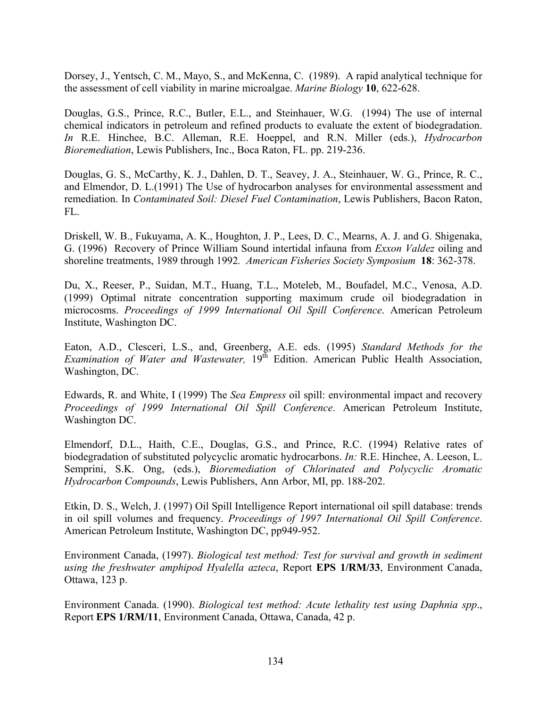Dorsey, J., Yentsch, C. M., Mayo, S., and McKenna, C. (1989). A rapid analytical technique for the assessment of cell viability in marine microalgae. *Marine Biology* **10**, 622-628.

Douglas, G.S., Prince, R.C., Butler, E.L., and Steinhauer, W.G. (1994) The use of internal chemical indicators in petroleum and refined products to evaluate the extent of biodegradation. *In* R.E. Hinchee, B.C. Alleman, R.E. Hoeppel, and R.N. Miller (eds.), *Hydrocarbon Bioremediation*, Lewis Publishers, Inc., Boca Raton, FL. pp. 219-236.

Douglas, G. S., McCarthy, K. J., Dahlen, D. T., Seavey, J. A., Steinhauer, W. G., Prince, R. C., and Elmendor, D. L.(1991) The Use of hydrocarbon analyses for environmental assessment and remediation. In *Contaminated Soil: Diesel Fuel Contamination*, Lewis Publishers, Bacon Raton, FL.

Driskell, W. B., Fukuyama, A. K., Houghton, J. P., Lees, D. C., Mearns, A. J. and G. Shigenaka, G. (1996) Recovery of Prince William Sound intertidal infauna from *Exxon Valdez* oiling and shoreline treatments, 1989 through 1992*. American Fisheries Society Symposium* **18**: 362-378.

Du, X., Reeser, P., Suidan, M.T., Huang, T.L., Moteleb, M., Boufadel, M.C., Venosa, A.D. (1999) Optimal nitrate concentration supporting maximum crude oil biodegradation in microcosms. *Proceedings of 1999 International Oil Spill Conference*. American Petroleum Institute, Washington DC.

Eaton, A.D., Clesceri, L.S., and, Greenberg, A.E. eds. (1995) *Standard Methods for the Examination of Water and Wastewater*, 19<sup>th</sup> Edition. American Public Health Association, Washington, DC.

Edwards, R. and White, I (1999) The *Sea Empress* oil spill: environmental impact and recovery *Proceedings of 1999 International Oil Spill Conference*. American Petroleum Institute, Washington DC.

Elmendorf, D.L., Haith, C.E., Douglas, G.S., and Prince, R.C. (1994) Relative rates of biodegradation of substituted polycyclic aromatic hydrocarbons. *In:* R.E. Hinchee, A. Leeson, L. Semprini, S.K. Ong, (eds.), *Bioremediation of Chlorinated and Polycyclic Aromatic Hydrocarbon Compounds*, Lewis Publishers, Ann Arbor, MI, pp. 188-202.

Etkin, D. S., Welch, J. (1997) Oil Spill Intelligence Report international oil spill database: trends in oil spill volumes and frequency. *Proceedings of 1997 International Oil Spill Conference*. American Petroleum Institute, Washington DC, pp949-952.

Environment Canada, (1997). *Biological test method: Test for survival and growth in sediment using the freshwater amphipod Hyalella azteca*, Report **EPS 1/RM/33**, Environment Canada, Ottawa, 123 p.

Environment Canada. (1990). *Biological test method: Acute lethality test using Daphnia spp*., Report **EPS 1/RM/11**, Environment Canada, Ottawa, Canada, 42 p.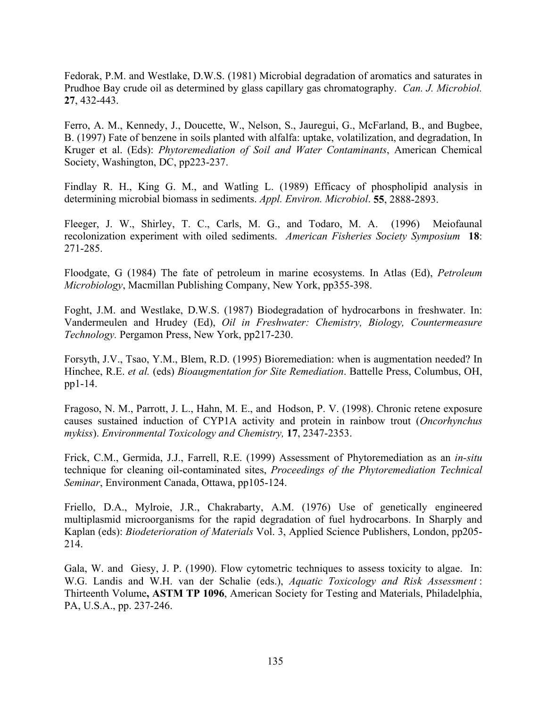Fedorak, P.M. and Westlake, D.W.S. (1981) Microbial degradation of aromatics and saturates in Prudhoe Bay crude oil as determined by glass capillary gas chromatography. *Can. J. Microbiol.*  **27**, 432-443.

Ferro, A. M., Kennedy, J., Doucette, W., Nelson, S., Jauregui, G., McFarland, B., and Bugbee, B. (1997) Fate of benzene in soils planted with alfalfa: uptake, volatilization, and degradation, In Kruger et al. (Eds): *Phytoremediation of Soil and Water Contaminants*, American Chemical Society, Washington, DC, pp223-237.

Findlay R. H., King G. M., and Watling L. (1989) Efficacy of phospholipid analysis in determining microbial biomass in sediments. *Appl. Environ. Microbiol*. **55**, 2888-2893.

Fleeger, J. W., Shirley, T. C., Carls, M. G., and Todaro, M. A. (1996) Meiofaunal recolonization experiment with oiled sediments. *American Fisheries Society Symposium* **18**: 271-285.

Floodgate, G (1984) The fate of petroleum in marine ecosystems. In Atlas (Ed), *Petroleum Microbiology*, Macmillan Publishing Company, New York, pp355-398.

Foght, J.M. and Westlake, D.W.S. (1987) Biodegradation of hydrocarbons in freshwater. In: Vandermeulen and Hrudey (Ed), *Oil in Freshwater: Chemistry, Biology, Countermeasure Technology.* Pergamon Press, New York, pp217-230.

Forsyth, J.V., Tsao, Y.M., Blem, R.D. (1995) Bioremediation: when is augmentation needed? In Hinchee, R.E. *et al.* (eds) *Bioaugmentation for Site Remediation*. Battelle Press, Columbus, OH, pp1-14.

Fragoso, N. M., Parrott, J. L., Hahn, M. E., and Hodson, P. V. (1998). Chronic retene exposure causes sustained induction of CYP1A activity and protein in rainbow trout (*Oncorhynchus mykiss*). *Environmental Toxicology and Chemistry,* **17**, 2347-2353.

Frick, C.M., Germida, J.J., Farrell, R.E. (1999) Assessment of Phytoremediation as an *in-situ*  technique for cleaning oil-contaminated sites, *Proceedings of the Phytoremediation Technical Seminar*, Environment Canada, Ottawa, pp105-124.

Friello, D.A., Mylroie, J.R., Chakrabarty, A.M. (1976) Use of genetically engineered multiplasmid microorganisms for the rapid degradation of fuel hydrocarbons. In Sharply and Kaplan (eds): *Biodeterioration of Materials* Vol. 3, Applied Science Publishers, London, pp205- 214.

Gala, W. and Giesy, J. P. (1990). Flow cytometric techniques to assess toxicity to algae. In: W.G. Landis and W.H. van der Schalie (eds.), *Aquatic Toxicology and Risk Assessment* : Thirteenth Volume**, ASTM TP 1096**, American Society for Testing and Materials, Philadelphia, PA, U.S.A., pp. 237-246.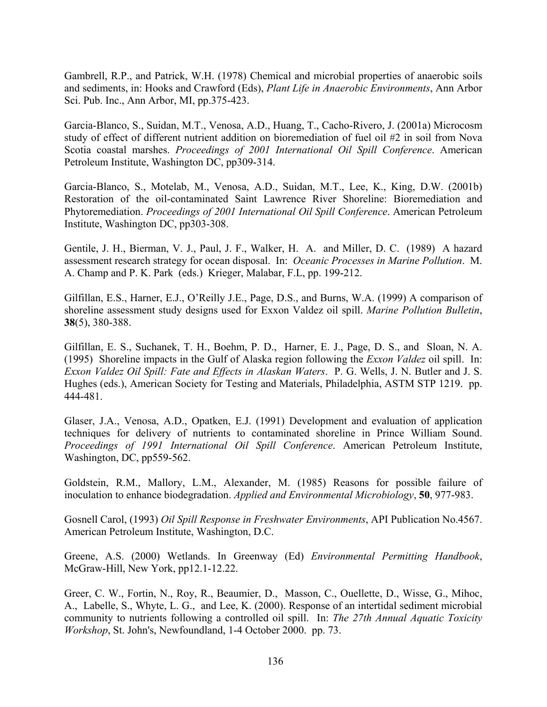Gambrell, R.P., and Patrick, W.H. (1978) Chemical and microbial properties of anaerobic soils and sediments, in: Hooks and Crawford (Eds), *Plant Life in Anaerobic Environments*, Ann Arbor Sci. Pub. Inc., Ann Arbor, MI, pp.375-423.

Garcia-Blanco, S., Suidan, M.T., Venosa, A.D., Huang, T., Cacho-Rivero, J. (2001a) Microcosm study of effect of different nutrient addition on bioremediation of fuel oil #2 in soil from Nova Scotia coastal marshes. *Proceedings of 2001 International Oil Spill Conference*. American Petroleum Institute, Washington DC, pp309-314.

Garcia-Blanco, S., Motelab, M., Venosa, A.D., Suidan, M.T., Lee, K., King, D.W. (2001b) Restoration of the oil-contaminated Saint Lawrence River Shoreline: Bioremediation and Phytoremediation. *Proceedings of 2001 International Oil Spill Conference*. American Petroleum Institute, Washington DC, pp303-308.

Gentile, J. H., Bierman, V. J., Paul, J. F., Walker, H. A. and Miller, D. C. (1989) A hazard assessment research strategy for ocean disposal. In: *Oceanic Processes in Marine Pollution*. M. A. Champ and P. K. Park (eds.) Krieger, Malabar, F.L, pp. 199-212.

Gilfillan, E.S., Harner, E.J., O'Reilly J.E., Page, D.S., and Burns, W.A. (1999) A comparison of shoreline assessment study designs used for Exxon Valdez oil spill. *Marine Pollution Bulletin*, **38**(5), 380-388.

Gilfillan, E. S., Suchanek, T. H., Boehm, P. D., Harner, E. J., Page, D. S., and Sloan, N. A. (1995) Shoreline impacts in the Gulf of Alaska region following the *Exxon Valdez* oil spill. In: *Exxon Valdez Oil Spill: Fate and Effects in Alaskan Waters*. P. G. Wells, J. N. Butler and J. S. Hughes (eds.), American Society for Testing and Materials, Philadelphia, ASTM STP 1219. pp. 444-481.

Glaser, J.A., Venosa, A.D., Opatken, E.J. (1991) Development and evaluation of application techniques for delivery of nutrients to contaminated shoreline in Prince William Sound. *Proceedings of 1991 International Oil Spill Conference*. American Petroleum Institute, Washington, DC, pp559-562.

Goldstein, R.M., Mallory, L.M., Alexander, M. (1985) Reasons for possible failure of inoculation to enhance biodegradation. *Applied and Environmental Microbiology*, **50**, 977-983.

Gosnell Carol, (1993) *Oil Spill Response in Freshwater Environments*, API Publication No.4567. American Petroleum Institute, Washington, D.C.

Greene, A.S. (2000) Wetlands. In Greenway (Ed) *Environmental Permitting Handbook*, McGraw-Hill, New York, pp12.1-12.22.

Greer, C. W., Fortin, N., Roy, R., Beaumier, D., Masson, C., Ouellette, D., Wisse, G., Mihoc, A., Labelle, S., Whyte, L. G., and Lee, K. (2000). Response of an intertidal sediment microbial community to nutrients following a controlled oil spill. In: *The 27th Annual Aquatic Toxicity Workshop*, St. John's, Newfoundland, 1-4 October 2000. pp. 73.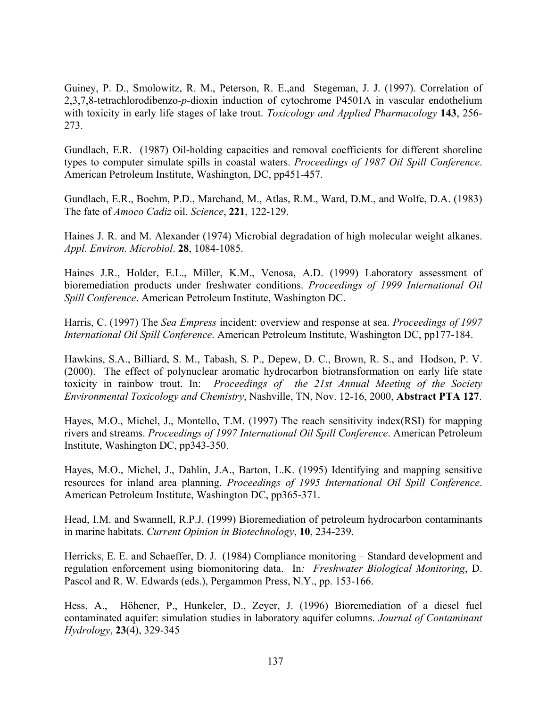Guiney, P. D., Smolowitz, R. M., Peterson, R. E.,and Stegeman, J. J. (1997). Correlation of 2,3,7,8-tetrachlorodibenzo-*p*-dioxin induction of cytochrome P4501A in vascular endothelium with toxicity in early life stages of lake trout. *Toxicology and Applied Pharmacology* **143**, 256- 273.

Gundlach, E.R. (1987) Oil-holding capacities and removal coefficients for different shoreline types to computer simulate spills in coastal waters. *Proceedings of 1987 Oil Spill Conference*. American Petroleum Institute, Washington, DC, pp451-457.

Gundlach, E.R., Boehm, P.D., Marchand, M., Atlas, R.M., Ward, D.M., and Wolfe, D.A. (1983) The fate of *Amoco Cadiz* oil. *Science*, **221**, 122-129.

Haines J. R. and M. Alexander (1974) Microbial degradation of high molecular weight alkanes. *Appl. Environ. Microbiol*. **28**, 1084-1085.

Haines J.R., Holder, E.L., Miller, K.M., Venosa, A.D. (1999) Laboratory assessment of bioremediation products under freshwater conditions. *Proceedings of 1999 International Oil Spill Conference*. American Petroleum Institute, Washington DC.

Harris, C. (1997) The *Sea Empress* incident: overview and response at sea. *Proceedings of 1997 International Oil Spill Conference*. American Petroleum Institute, Washington DC, pp177-184.

Hawkins, S.A., Billiard, S. M., Tabash, S. P., Depew, D. C., Brown, R. S., and Hodson, P. V. (2000). The effect of polynuclear aromatic hydrocarbon biotransformation on early life state toxicity in rainbow trout. In: *Proceedings of the 21st Annual Meeting of the Society Environmental Toxicology and Chemistry*, Nashville, TN, Nov. 12-16, 2000, **Abstract PTA 127**.

Hayes, M.O., Michel, J., Montello, T.M. (1997) The reach sensitivity index(RSI) for mapping rivers and streams. *Proceedings of 1997 International Oil Spill Conference*. American Petroleum Institute, Washington DC, pp343-350.

Hayes, M.O., Michel, J., Dahlin, J.A., Barton, L.K. (1995) Identifying and mapping sensitive resources for inland area planning. *Proceedings of 1995 International Oil Spill Conference*. American Petroleum Institute, Washington DC, pp365-371.

Head, I.M. and Swannell, R.P.J. (1999) Bioremediation of petroleum hydrocarbon contaminants in marine habitats. *Current Opinion in Biotechnology*, **10**, 234-239.

Herricks, E. E. and Schaeffer, D. J. (1984) Compliance monitoring – Standard development and regulation enforcement using biomonitoring data. In*: Freshwater Biological Monitoring*, D. Pascol and R. W. Edwards (eds.), Pergammon Press, N.Y., pp. 153-166.

Hess, A., Höhener, P., Hunkeler, D., Zeyer, J. (1996) Bioremediation of a diesel fuel contaminated aquifer: simulation studies in laboratory aquifer columns. *Journal of Contaminant Hydrology*, **23**(4), 329-345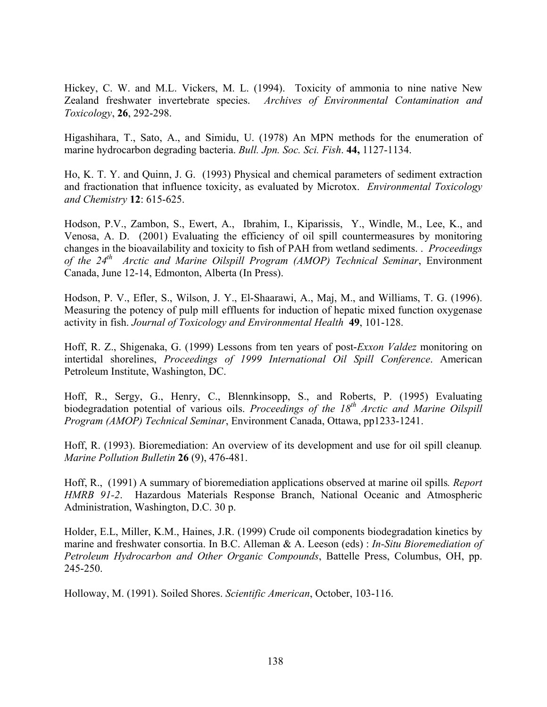Hickey, C. W. and M.L. Vickers, M. L. (1994). Toxicity of ammonia to nine native New Zealand freshwater invertebrate species. *Archives of Environmental Contamination and Toxicology*, **26**, 292-298.

Higashihara, T., Sato, A., and Simidu, U. (1978) An MPN methods for the enumeration of marine hydrocarbon degrading bacteria. *Bull. Jpn. Soc. Sci. Fish*. **44,** 1127-1134.

Ho, K. T. Y. and Quinn, J. G. (1993) Physical and chemical parameters of sediment extraction and fractionation that influence toxicity, as evaluated by Microtox. *Environmental Toxicology and Chemistry* **12**: 615-625.

Hodson, P.V., Zambon, S., Ewert, A., Ibrahim, I., Kiparissis, Y., Windle, M., Lee, K., and Venosa, A. D. (2001) Evaluating the efficiency of oil spill countermeasures by monitoring changes in the bioavailability and toxicity to fish of PAH from wetland sediments. . *Proceedings of the 24th Arctic and Marine Oilspill Program (AMOP) Technical Seminar*, Environment Canada, June 12-14, Edmonton, Alberta (In Press).

Hodson, P. V., Efler, S., Wilson, J. Y., El-Shaarawi, A., Maj, M., and Williams, T. G. (1996). Measuring the potency of pulp mill effluents for induction of hepatic mixed function oxygenase activity in fish. *Journal of Toxicology and Environmental Health* **49**, 101-128.

Hoff, R. Z., Shigenaka, G. (1999) Lessons from ten years of post-*Exxon Valdez* monitoring on intertidal shorelines, *Proceedings of 1999 International Oil Spill Conference*. American Petroleum Institute, Washington, DC.

Hoff, R., Sergy, G., Henry, C., Blennkinsopp, S., and Roberts, P. (1995) Evaluating biodegradation potential of various oils. *Proceedings of the 18<sup>th</sup> Arctic and Marine Oilspill Program (AMOP) Technical Seminar*, Environment Canada, Ottawa, pp1233-1241.

Hoff, R. (1993). Bioremediation: An overview of its development and use for oil spill cleanup*. Marine Pollution Bulletin* **26** (9), 476-481.

Hoff, R., (1991) A summary of bioremediation applications observed at marine oil spills*. Report HMRB 91-2*. Hazardous Materials Response Branch, National Oceanic and Atmospheric Administration, Washington, D.C. 30 p.

Holder, E.L, Miller, K.M., Haines, J.R. (1999) Crude oil components biodegradation kinetics by marine and freshwater consortia. In B.C. Alleman & A. Leeson (eds) : *In-Situ Bioremediation of Petroleum Hydrocarbon and Other Organic Compounds*, Battelle Press, Columbus, OH, pp. 245-250.

Holloway, M. (1991). Soiled Shores. *Scientific American*, October, 103-116.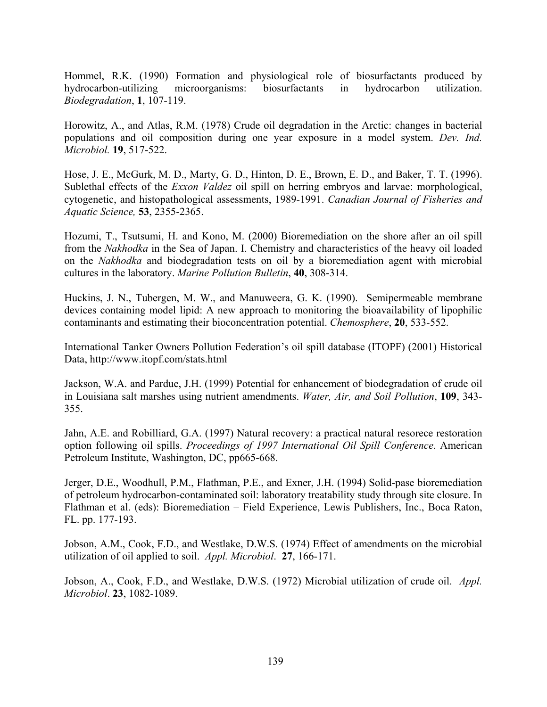Hommel, R.K. (1990) Formation and physiological role of biosurfactants produced by hydrocarbon-utilizing microorganisms: biosurfactants in hydrocarbon utilization. *Biodegradation*, **1**, 107-119.

Horowitz, A., and Atlas, R.M. (1978) Crude oil degradation in the Arctic: changes in bacterial populations and oil composition during one year exposure in a model system. *Dev. Ind. Microbiol.* **19**, 517-522.

Hose, J. E., McGurk, M. D., Marty, G. D., Hinton, D. E., Brown, E. D., and Baker, T. T. (1996). Sublethal effects of the *Exxon Valdez* oil spill on herring embryos and larvae: morphological, cytogenetic, and histopathological assessments, 1989-1991. *Canadian Journal of Fisheries and Aquatic Science,* **53**, 2355-2365.

Hozumi, T., Tsutsumi, H. and Kono, M. (2000) Bioremediation on the shore after an oil spill from the *Nakhodka* in the Sea of Japan. I. Chemistry and characteristics of the heavy oil loaded on the *Nakhodka* and biodegradation tests on oil by a bioremediation agent with microbial cultures in the laboratory. *Marine Pollution Bulletin*, **40**, 308-314.

Huckins, J. N., Tubergen, M. W., and Manuweera, G. K. (1990). Semipermeable membrane devices containing model lipid: A new approach to monitoring the bioavailability of lipophilic contaminants and estimating their bioconcentration potential. *Chemosphere*, **20**, 533-552.

International Tanker Owners Pollution Federation's oil spill database (ITOPF) (2001) Historical Data, http://www.itopf.com/stats.html

Jackson, W.A. and Pardue, J.H. (1999) Potential for enhancement of biodegradation of crude oil in Louisiana salt marshes using nutrient amendments. *Water, Air, and Soil Pollution*, **109**, 343- 355.

Jahn, A.E. and Robilliard, G.A. (1997) Natural recovery: a practical natural resorece restoration option following oil spills. *Proceedings of 1997 International Oil Spill Conference*. American Petroleum Institute, Washington, DC, pp665-668.

Jerger, D.E., Woodhull, P.M., Flathman, P.E., and Exner, J.H. (1994) Solid-pase bioremediation of petroleum hydrocarbon-contaminated soil: laboratory treatability study through site closure. In Flathman et al. (eds): Bioremediation – Field Experience, Lewis Publishers, Inc., Boca Raton, FL. pp. 177-193.

Jobson, A.M., Cook, F.D., and Westlake, D.W.S. (1974) Effect of amendments on the microbial utilization of oil applied to soil. *Appl. Microbiol*. **27**, 166-171.

Jobson, A., Cook, F.D., and Westlake, D.W.S. (1972) Microbial utilization of crude oil. *Appl. Microbiol*. **23**, 1082-1089.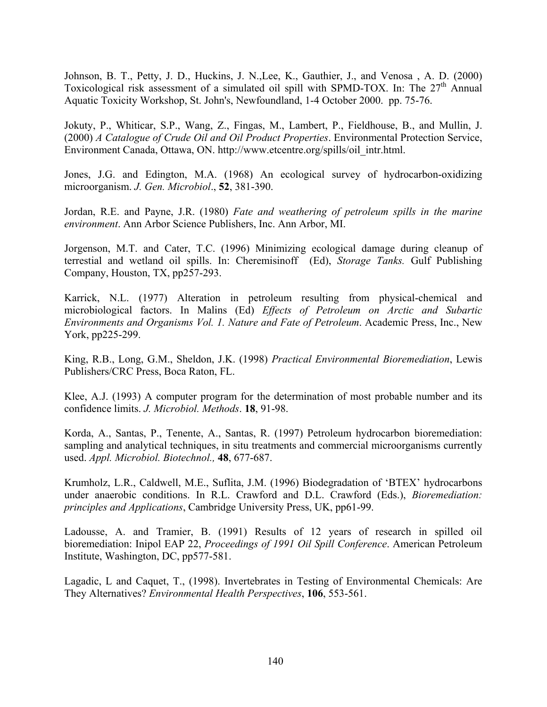Johnson, B. T., Petty, J. D., Huckins, J. N.,Lee, K., Gauthier, J., and Venosa , A. D. (2000) Toxicological risk assessment of a simulated oil spill with SPMD-TOX. In: The  $27<sup>th</sup>$  Annual Aquatic Toxicity Workshop, St. John's, Newfoundland, 1-4 October 2000. pp. 75-76.

Jokuty, P., Whiticar, S.P., Wang, Z., Fingas, M., Lambert, P., Fieldhouse, B., and Mullin, J. (2000) *A Catalogue of Crude Oil and Oil Product Properties*. Environmental Protection Service, Environment Canada, Ottawa, ON. http://www.etcentre.org/spills/oil\_intr.html.

Jones, J.G. and Edington, M.A. (1968) An ecological survey of hydrocarbon-oxidizing microorganism. *J. Gen. Microbiol*., **52**, 381-390.

Jordan, R.E. and Payne, J.R. (1980) *Fate and weathering of petroleum spills in the marine environment*. Ann Arbor Science Publishers, Inc. Ann Arbor, MI.

Jorgenson, M.T. and Cater, T.C. (1996) Minimizing ecological damage during cleanup of terrestial and wetland oil spills. In: Cheremisinoff (Ed), *Storage Tanks.* Gulf Publishing Company, Houston, TX, pp257-293.

Karrick, N.L. (1977) Alteration in petroleum resulting from physical-chemical and microbiological factors. In Malins (Ed) *Effects of Petroleum on Arctic and Subartic Environments and Organisms Vol. 1. Nature and Fate of Petroleum*. Academic Press, Inc., New York, pp225-299.

King, R.B., Long, G.M., Sheldon, J.K. (1998) *Practical Environmental Bioremediation*, Lewis Publishers/CRC Press, Boca Raton, FL.

Klee, A.J. (1993) A computer program for the determination of most probable number and its confidence limits. *J. Microbiol. Methods*. **18**, 91-98.

Korda, A., Santas, P., Tenente, A., Santas, R. (1997) Petroleum hydrocarbon bioremediation: sampling and analytical techniques, in situ treatments and commercial microorganisms currently used. *Appl. Microbiol. Biotechnol.,* **48**, 677-687.

Krumholz, L.R., Caldwell, M.E., Suflita, J.M. (1996) Biodegradation of 'BTEX' hydrocarbons under anaerobic conditions. In R.L. Crawford and D.L. Crawford (Eds.), *Bioremediation: principles and Applications*, Cambridge University Press, UK, pp61-99.

Ladousse, A. and Tramier, B. (1991) Results of 12 years of research in spilled oil bioremediation: Inipol EAP 22, *Proceedings of 1991 Oil Spill Conference*. American Petroleum Institute, Washington, DC, pp577-581.

Lagadic, L and Caquet, T., (1998). Invertebrates in Testing of Environmental Chemicals: Are They Alternatives? *Environmental Health Perspectives*, **106**, 553-561.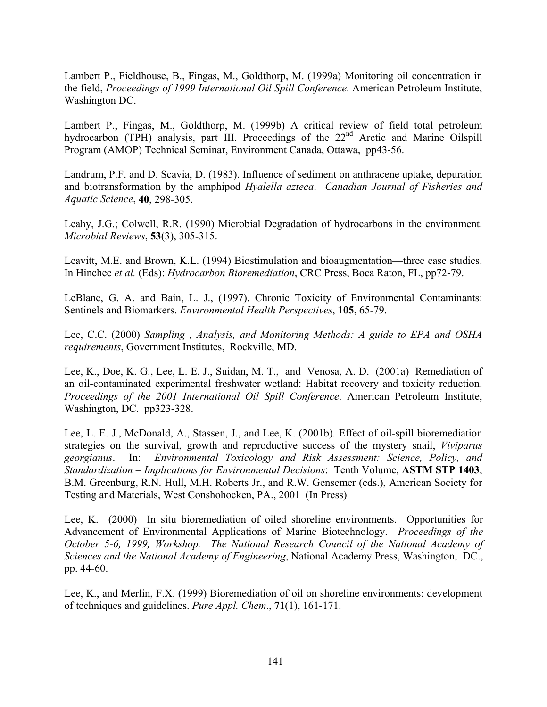Lambert P., Fieldhouse, B., Fingas, M., Goldthorp, M. (1999a) Monitoring oil concentration in the field, *Proceedings of 1999 International Oil Spill Conference*. American Petroleum Institute, Washington DC.

Lambert P., Fingas, M., Goldthorp, M. (1999b) A critical review of field total petroleum hydrocarbon (TPH) analysis, part III. Proceedings of the 22<sup>nd</sup> Arctic and Marine Oilspill Program (AMOP) Technical Seminar, Environment Canada, Ottawa, pp43-56.

Landrum, P.F. and D. Scavia, D. (1983). Influence of sediment on anthracene uptake, depuration and biotransformation by the amphipod *Hyalella azteca*. *Canadian Journal of Fisheries and Aquatic Science*, **40**, 298-305.

Leahy, J.G.; Colwell, R.R. (1990) Microbial Degradation of hydrocarbons in the environment. *Microbial Reviews*, **53**(3), 305-315.

Leavitt, M.E. and Brown, K.L. (1994) Biostimulation and bioaugmentation—three case studies. In Hinchee *et al.* (Eds): *Hydrocarbon Bioremediation*, CRC Press, Boca Raton, FL, pp72-79.

LeBlanc, G. A. and Bain, L. J., (1997). Chronic Toxicity of Environmental Contaminants: Sentinels and Biomarkers. *Environmental Health Perspectives*, **105**, 65-79.

Lee, C.C. (2000) *Sampling , Analysis, and Monitoring Methods: A guide to EPA and OSHA requirements*, Government Institutes, Rockville, MD.

Lee, K., Doe, K. G., Lee, L. E. J., Suidan, M. T., and Venosa, A. D. (2001a) Remediation of an oil-contaminated experimental freshwater wetland: Habitat recovery and toxicity reduction. *Proceedings of the 2001 International Oil Spill Conference*. American Petroleum Institute, Washington, DC. pp323-328.

Lee, L. E. J., McDonald, A., Stassen, J., and Lee, K. (2001b). Effect of oil-spill bioremediation strategies on the survival, growth and reproductive success of the mystery snail, *Viviparus georgianus*. In: *Environmental Toxicology and Risk Assessment: Science, Policy, and Standardization – Implications for Environmental Decisions*: Tenth Volume, **ASTM STP 1403**, B.M. Greenburg, R.N. Hull, M.H. Roberts Jr., and R.W. Gensemer (eds.), American Society for Testing and Materials, West Conshohocken, PA., 2001 (In Press)

Lee, K. (2000) In situ bioremediation of oiled shoreline environments. Opportunities for Advancement of Environmental Applications of Marine Biotechnology. *Proceedings of the October 5-6, 1999, Workshop. The National Research Council of the National Academy of Sciences and the National Academy of Engineering*, National Academy Press, Washington, DC., pp. 44-60.

Lee, K., and Merlin, F.X. (1999) Bioremediation of oil on shoreline environments: development of techniques and guidelines. *Pure Appl. Chem*., **71**(1), 161-171.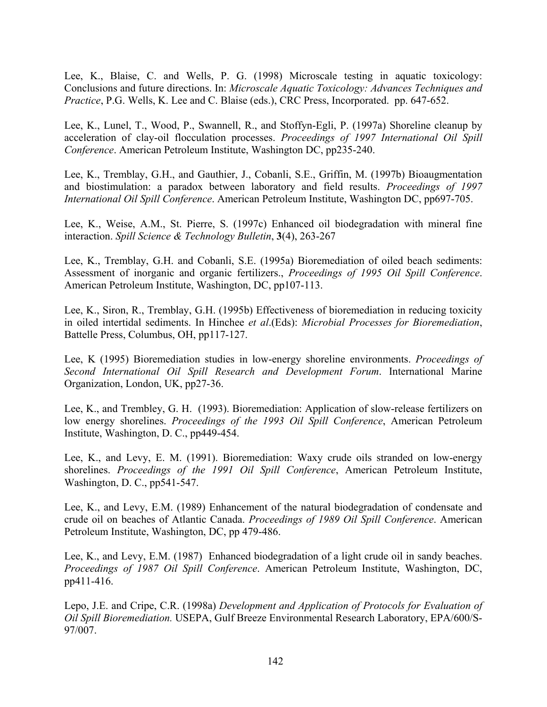Lee, K., Blaise, C. and Wells, P. G. (1998) Microscale testing in aquatic toxicology: Conclusions and future directions. In: *Microscale Aquatic Toxicology: Advances Techniques and Practice*, P.G. Wells, K. Lee and C. Blaise (eds.), CRC Press, Incorporated. pp. 647-652.

Lee, K., Lunel, T., Wood, P., Swannell, R., and Stoffyn-Egli, P. (1997a) Shoreline cleanup by acceleration of clay-oil flocculation processes. *Proceedings of 1997 International Oil Spill Conference*. American Petroleum Institute, Washington DC, pp235-240.

Lee, K., Tremblay, G.H., and Gauthier, J., Cobanli, S.E., Griffin, M. (1997b) Bioaugmentation and biostimulation: a paradox between laboratory and field results. *Proceedings of 1997 International Oil Spill Conference*. American Petroleum Institute, Washington DC, pp697-705.

Lee, K., Weise, A.M., St. Pierre, S. (1997c) Enhanced oil biodegradation with mineral fine interaction. *Spill Science & Technology Bulletin*, **3**(4), 263-267

Lee, K., Tremblay, G.H. and Cobanli, S.E. (1995a) Bioremediation of oiled beach sediments: Assessment of inorganic and organic fertilizers., *Proceedings of 1995 Oil Spill Conference*. American Petroleum Institute, Washington, DC, pp107-113.

Lee, K., Siron, R., Tremblay, G.H. (1995b) Effectiveness of bioremediation in reducing toxicity in oiled intertidal sediments. In Hinchee *et al*.(Eds): *Microbial Processes for Bioremediation*, Battelle Press, Columbus, OH, pp117-127.

Lee, K (1995) Bioremediation studies in low-energy shoreline environments. *Proceedings of Second International Oil Spill Research and Development Forum*. International Marine Organization, London, UK, pp27-36.

Lee, K., and Trembley, G. H. (1993). Bioremediation: Application of slow-release fertilizers on low energy shorelines. *Proceedings of the 1993 Oil Spill Conference*, American Petroleum Institute, Washington, D. C., pp449-454.

Lee, K., and Levy, E. M. (1991). Bioremediation: Waxy crude oils stranded on low-energy shorelines. *Proceedings of the 1991 Oil Spill Conference*, American Petroleum Institute, Washington, D. C., pp541-547.

Lee, K., and Levy, E.M. (1989) Enhancement of the natural biodegradation of condensate and crude oil on beaches of Atlantic Canada. *Proceedings of 1989 Oil Spill Conference*. American Petroleum Institute, Washington, DC, pp 479-486.

Lee, K., and Levy, E.M. (1987) Enhanced biodegradation of a light crude oil in sandy beaches. *Proceedings of 1987 Oil Spill Conference*. American Petroleum Institute, Washington, DC, pp411-416.

Lepo, J.E. and Cripe, C.R. (1998a) *Development and Application of Protocols for Evaluation of Oil Spill Bioremediation.* USEPA, Gulf Breeze Environmental Research Laboratory, EPA/600/S-97/007.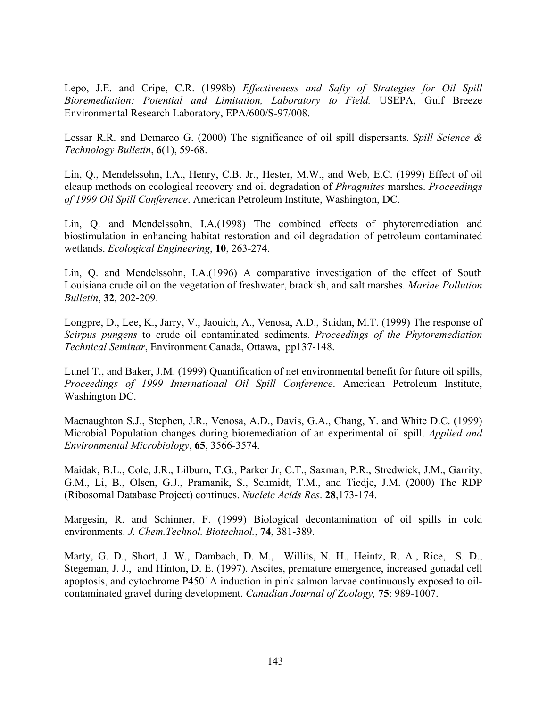Lepo, J.E. and Cripe, C.R. (1998b) *Effectiveness and Safty of Strategies for Oil Spill Bioremediation: Potential and Limitation, Laboratory to Field.* USEPA, Gulf Breeze Environmental Research Laboratory, EPA/600/S-97/008.

Lessar R.R. and Demarco G. (2000) The significance of oil spill dispersants. *Spill Science & Technology Bulletin*, **6**(1), 59-68.

Lin, Q., Mendelssohn, I.A., Henry, C.B. Jr., Hester, M.W., and Web, E.C. (1999) Effect of oil cleaup methods on ecological recovery and oil degradation of *Phragmites* marshes. *Proceedings of 1999 Oil Spill Conference*. American Petroleum Institute, Washington, DC.

Lin, Q. and Mendelssohn, I.A.(1998) The combined effects of phytoremediation and biostimulation in enhancing habitat restoration and oil degradation of petroleum contaminated wetlands. *Ecological Engineering*, **10**, 263-274.

Lin, Q. and Mendelssohn, I.A.(1996) A comparative investigation of the effect of South Louisiana crude oil on the vegetation of freshwater, brackish, and salt marshes. *Marine Pollution Bulletin*, **32**, 202-209.

Longpre, D., Lee, K., Jarry, V., Jaouich, A., Venosa, A.D., Suidan, M.T. (1999) The response of *Scirpus pungens* to crude oil contaminated sediments. *Proceedings of the Phytoremediation Technical Seminar*, Environment Canada, Ottawa, pp137-148.

Lunel T., and Baker, J.M. (1999) Quantification of net environmental benefit for future oil spills, *Proceedings of 1999 International Oil Spill Conference*. American Petroleum Institute, Washington DC.

Macnaughton S.J., Stephen, J.R., Venosa, A.D., Davis, G.A., Chang, Y. and White D.C. (1999) Microbial Population changes during bioremediation of an experimental oil spill. *Applied and Environmental Microbiology*, **65**, 3566-3574.

Maidak, B.L., Cole, J.R., Lilburn, T.G., Parker Jr, C.T., Saxman, P.R., Stredwick, J.M., Garrity, G.M., Li, B., Olsen, G.J., Pramanik, S., Schmidt, T.M., and Tiedje, J.M. (2000) The RDP (Ribosomal Database Project) continues. *Nucleic Acids Res*. **28**,173-174.

Margesin, R. and Schinner, F. (1999) Biological decontamination of oil spills in cold environments. *J. Chem.Technol. Biotechnol.*, **74**, 381-389.

Marty, G. D., Short, J. W., Dambach, D. M., Willits, N. H., Heintz, R. A., Rice, S. D., Stegeman, J. J., and Hinton, D. E. (1997). Ascites, premature emergence, increased gonadal cell apoptosis, and cytochrome P4501A induction in pink salmon larvae continuously exposed to oilcontaminated gravel during development. *Canadian Journal of Zoology,* **75**: 989-1007.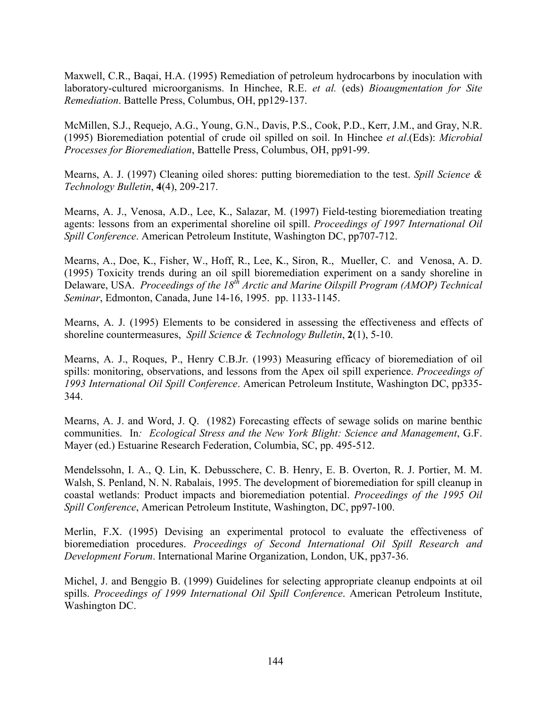Maxwell, C.R., Baqai, H.A. (1995) Remediation of petroleum hydrocarbons by inoculation with laboratory-cultured microorganisms. In Hinchee, R.E. *et al.* (eds) *Bioaugmentation for Site Remediation*. Battelle Press, Columbus, OH, pp129-137.

McMillen, S.J., Requejo, A.G., Young, G.N., Davis, P.S., Cook, P.D., Kerr, J.M., and Gray, N.R. (1995) Bioremediation potential of crude oil spilled on soil. In Hinchee *et al*.(Eds): *Microbial Processes for Bioremediation*, Battelle Press, Columbus, OH, pp91-99.

Mearns, A. J. (1997) Cleaning oiled shores: putting bioremediation to the test. *Spill Science & Technology Bulletin*, **4**(4), 209-217.

Mearns, A. J., Venosa, A.D., Lee, K., Salazar, M. (1997) Field-testing bioremediation treating agents: lessons from an experimental shoreline oil spill. *Proceedings of 1997 International Oil Spill Conference*. American Petroleum Institute, Washington DC, pp707-712.

Mearns, A., Doe, K., Fisher, W., Hoff, R., Lee, K., Siron, R., Mueller, C. and Venosa, A. D. (1995) Toxicity trends during an oil spill bioremediation experiment on a sandy shoreline in Delaware, USA. *Proceedings of the 18th Arctic and Marine Oilspill Program (AMOP) Technical Seminar*, Edmonton, Canada, June 14-16, 1995. pp. 1133-1145.

Mearns, A. J. (1995) Elements to be considered in assessing the effectiveness and effects of shoreline countermeasures, *Spill Science & Technology Bulletin*, **2**(1), 5-10.

Mearns, A. J., Roques, P., Henry C.B.Jr. (1993) Measuring efficacy of bioremediation of oil spills: monitoring, observations, and lessons from the Apex oil spill experience. *Proceedings of 1993 International Oil Spill Conference*. American Petroleum Institute, Washington DC, pp335- 344.

Mearns, A. J. and Word, J. Q. (1982) Forecasting effects of sewage solids on marine benthic communities. In*: Ecological Stress and the New York Blight: Science and Management*, G.F. Mayer (ed.) Estuarine Research Federation, Columbia, SC, pp. 495-512.

Mendelssohn, I. A., Q. Lin, K. Debusschere, C. B. Henry, E. B. Overton, R. J. Portier, M. M. Walsh, S. Penland, N. N. Rabalais, 1995. The development of bioremediation for spill cleanup in coastal wetlands: Product impacts and bioremediation potential. *Proceedings of the 1995 Oil Spill Conference*, American Petroleum Institute, Washington, DC, pp97-100.

Merlin, F.X. (1995) Devising an experimental protocol to evaluate the effectiveness of bioremediation procedures. *Proceedings of Second International Oil Spill Research and Development Forum*. International Marine Organization, London, UK, pp37-36.

Michel, J. and Benggio B. (1999) Guidelines for selecting appropriate cleanup endpoints at oil spills. *Proceedings of 1999 International Oil Spill Conference*. American Petroleum Institute, Washington DC.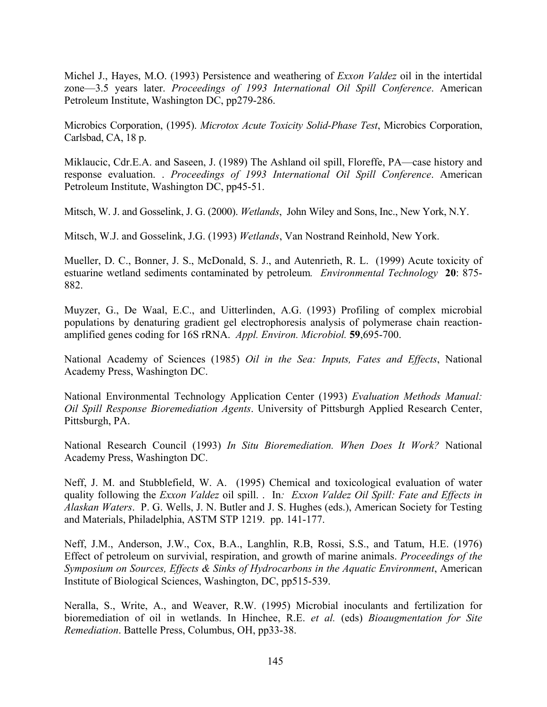Michel J., Hayes, M.O. (1993) Persistence and weathering of *Exxon Valdez* oil in the intertidal zone—3.5 years later. *Proceedings of 1993 International Oil Spill Conference*. American Petroleum Institute, Washington DC, pp279-286.

Microbics Corporation, (1995). *Microtox Acute Toxicity Solid-Phase Test*, Microbics Corporation, Carlsbad, CA, 18 p.

Miklaucic, Cdr.E.A. and Saseen, J. (1989) The Ashland oil spill, Floreffe, PA—case history and response evaluation. . *Proceedings of 1993 International Oil Spill Conference*. American Petroleum Institute, Washington DC, pp45-51.

Mitsch, W. J. and Gosselink, J. G. (2000). *Wetlands*, John Wiley and Sons, Inc., New York, N.Y.

Mitsch, W.J. and Gosselink, J.G. (1993) *Wetlands*, Van Nostrand Reinhold, New York.

Mueller, D. C., Bonner, J. S., McDonald, S. J., and Autenrieth, R. L. (1999) Acute toxicity of estuarine wetland sediments contaminated by petroleum*. Environmental Technology* **20**: 875- 882.

Muyzer, G., De Waal, E.C., and Uitterlinden, A.G. (1993) Profiling of complex microbial populations by denaturing gradient gel electrophoresis analysis of polymerase chain reactionamplified genes coding for 16S rRNA. *Appl. Environ. Microbiol.* **59**,695-700.

National Academy of Sciences (1985) *Oil in the Sea: Inputs, Fates and Effects*, National Academy Press, Washington DC.

National Environmental Technology Application Center (1993) *Evaluation Methods Manual: Oil Spill Response Bioremediation Agents*. University of Pittsburgh Applied Research Center, Pittsburgh, PA.

National Research Council (1993) *In Situ Bioremediation. When Does It Work?* National Academy Press, Washington DC.

Neff, J. M. and Stubblefield, W. A. (1995) Chemical and toxicological evaluation of water quality following the *Exxon Valdez* oil spill. . In*: Exxon Valdez Oil Spill: Fate and Effects in Alaskan Waters*. P. G. Wells, J. N. Butler and J. S. Hughes (eds.), American Society for Testing and Materials, Philadelphia, ASTM STP 1219. pp. 141-177.

Neff, J.M., Anderson, J.W., Cox, B.A., Langhlin, R.B, Rossi, S.S., and Tatum, H.E. (1976) Effect of petroleum on survivial, respiration, and growth of marine animals. *Proceedings of the Symposium on Sources, Effects & Sinks of Hydrocarbons in the Aquatic Environment*, American Institute of Biological Sciences, Washington, DC, pp515-539.

Neralla, S., Write, A., and Weaver, R.W. (1995) Microbial inoculants and fertilization for bioremediation of oil in wetlands. In Hinchee, R.E. *et al.* (eds) *Bioaugmentation for Site Remediation*. Battelle Press, Columbus, OH, pp33-38.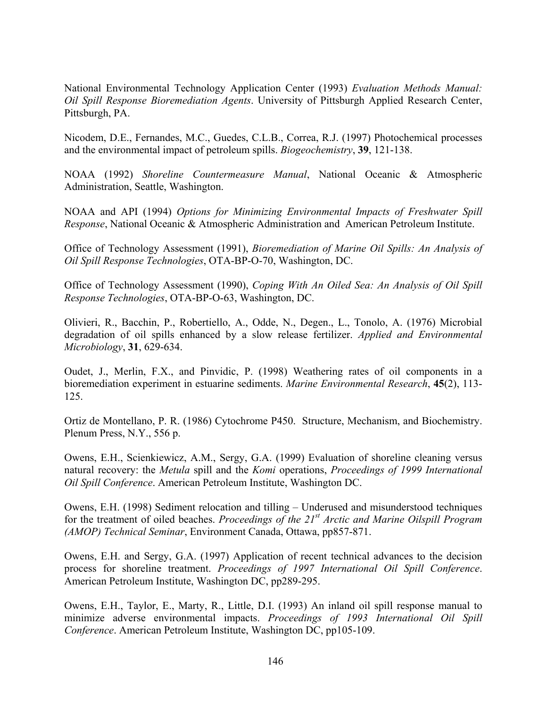National Environmental Technology Application Center (1993) *Evaluation Methods Manual: Oil Spill Response Bioremediation Agents*. University of Pittsburgh Applied Research Center, Pittsburgh, PA.

Nicodem, D.E., Fernandes, M.C., Guedes, C.L.B., Correa, R.J. (1997) Photochemical processes and the environmental impact of petroleum spills. *Biogeochemistry*, **39**, 121-138.

NOAA (1992) *Shoreline Countermeasure Manual*, National Oceanic & Atmospheric Administration, Seattle, Washington.

NOAA and API (1994) *Options for Minimizing Environmental Impacts of Freshwater Spill Response*, National Oceanic & Atmospheric Administration and American Petroleum Institute.

Office of Technology Assessment (1991), *Bioremediation of Marine Oil Spills: An Analysis of Oil Spill Response Technologies*, OTA-BP-O-70, Washington, DC.

Office of Technology Assessment (1990), *Coping With An Oiled Sea: An Analysis of Oil Spill Response Technologies*, OTA-BP-O-63, Washington, DC.

Olivieri, R., Bacchin, P., Robertiello, A., Odde, N., Degen., L., Tonolo, A. (1976) Microbial degradation of oil spills enhanced by a slow release fertilizer. *Applied and Environmental Microbiology*, **31**, 629-634.

Oudet, J., Merlin, F.X., and Pinvidic, P. (1998) Weathering rates of oil components in a bioremediation experiment in estuarine sediments. *Marine Environmental Research*, **45**(2), 113- 125.

Ortiz de Montellano, P. R. (1986) Cytochrome P450. Structure, Mechanism, and Biochemistry. Plenum Press, N.Y., 556 p.

Owens, E.H., Scienkiewicz, A.M., Sergy, G.A. (1999) Evaluation of shoreline cleaning versus natural recovery: the *Metula* spill and the *Komi* operations, *Proceedings of 1999 International Oil Spill Conference*. American Petroleum Institute, Washington DC.

Owens, E.H. (1998) Sediment relocation and tilling – Underused and misunderstood techniques for the treatment of oiled beaches. *Proceedings of the 21st Arctic and Marine Oilspill Program (AMOP) Technical Seminar*, Environment Canada, Ottawa, pp857-871.

Owens, E.H. and Sergy, G.A. (1997) Application of recent technical advances to the decision process for shoreline treatment. *Proceedings of 1997 International Oil Spill Conference*. American Petroleum Institute, Washington DC, pp289-295.

Owens, E.H., Taylor, E., Marty, R., Little, D.I. (1993) An inland oil spill response manual to minimize adverse environmental impacts. *Proceedings of 1993 International Oil Spill Conference*. American Petroleum Institute, Washington DC, pp105-109.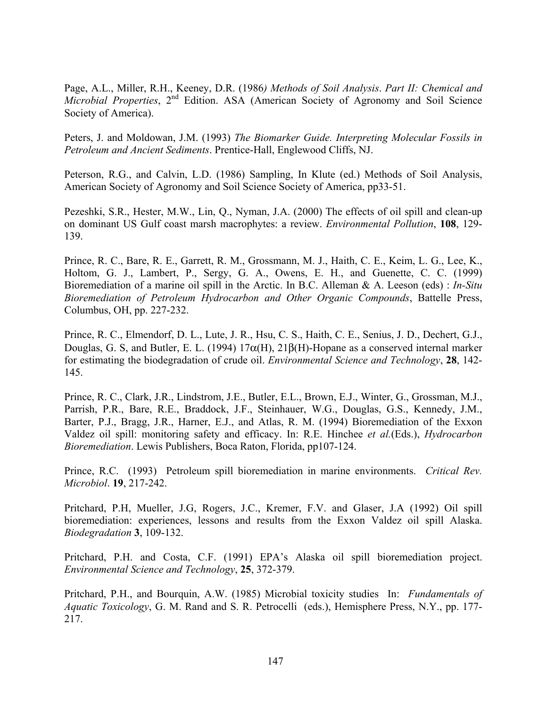Page, A.L., Miller, R.H., Keeney, D.R. (1986*) Methods of Soil Analysis*. *Part II: Chemical and Microbial Properties*, 2<sup>nd</sup> Edition. ASA (American Society of Agronomy and Soil Science Society of America).

Peters, J. and Moldowan, J.M. (1993) *The Biomarker Guide. Interpreting Molecular Fossils in Petroleum and Ancient Sediments*. Prentice-Hall, Englewood Cliffs, NJ.

Peterson, R.G., and Calvin, L.D. (1986) Sampling, In Klute (ed.) Methods of Soil Analysis, American Society of Agronomy and Soil Science Society of America, pp33-51.

Pezeshki, S.R., Hester, M.W., Lin, Q., Nyman, J.A. (2000) The effects of oil spill and clean-up on dominant US Gulf coast marsh macrophytes: a review. *Environmental Pollution*, **108**, 129- 139.

Prince, R. C., Bare, R. E., Garrett, R. M., Grossmann, M. J., Haith, C. E., Keim, L. G., Lee, K., Holtom, G. J., Lambert, P., Sergy, G. A., Owens, E. H., and Guenette, C. C. (1999) Bioremediation of a marine oil spill in the Arctic. In B.C. Alleman & A. Leeson (eds) : *In-Situ Bioremediation of Petroleum Hydrocarbon and Other Organic Compounds*, Battelle Press, Columbus, OH, pp. 227-232.

Prince, R. C., Elmendorf, D. L., Lute, J. R., Hsu, C. S., Haith, C. E., Senius, J. D., Dechert, G.J., Douglas, G. S, and Butler, E. L. (1994)  $17\alpha(H)$ ,  $21\beta(H)$ -Hopane as a conserved internal marker for estimating the biodegradation of crude oil. *Environmental Science and Technology*, **28**, 142- 145.

Prince, R. C., Clark, J.R., Lindstrom, J.E., Butler, E.L., Brown, E.J., Winter, G., Grossman, M.J., Parrish, P.R., Bare, R.E., Braddock, J.F., Steinhauer, W.G., Douglas, G.S., Kennedy, J.M., Barter, P.J., Bragg, J.R., Harner, E.J., and Atlas, R. M. (1994) Bioremediation of the Exxon Valdez oil spill: monitoring safety and efficacy. In: R.E. Hinchee *et al.*(Eds.), *Hydrocarbon Bioremediation*. Lewis Publishers, Boca Raton, Florida, pp107-124.

Prince, R.C. (1993) Petroleum spill bioremediation in marine environments. *Critical Rev. Microbiol*. **19**, 217-242.

Pritchard, P.H, Mueller, J.G, Rogers, J.C., Kremer, F.V. and Glaser, J.A (1992) Oil spill bioremediation: experiences, lessons and results from the Exxon Valdez oil spill Alaska. *Biodegradation* **3**, 109-132.

Pritchard, P.H. and Costa, C.F. (1991) EPA's Alaska oil spill bioremediation project. *Environmental Science and Technology*, **25**, 372-379.

Pritchard, P.H., and Bourquin, A.W. (1985) Microbial toxicity studies In: *Fundamentals of Aquatic Toxicology*, G. M. Rand and S. R. Petrocelli (eds.), Hemisphere Press, N.Y., pp. 177- 217.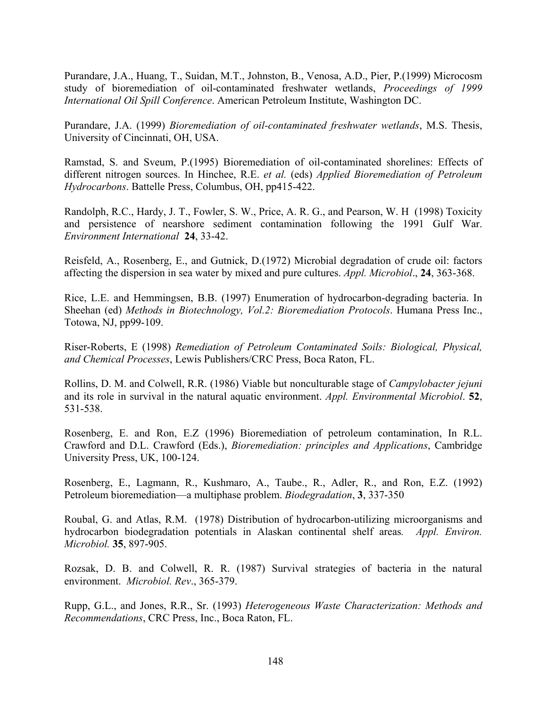Purandare, J.A., Huang, T., Suidan, M.T., Johnston, B., Venosa, A.D., Pier, P.(1999) Microcosm study of bioremediation of oil-contaminated freshwater wetlands, *Proceedings of 1999 International Oil Spill Conference*. American Petroleum Institute, Washington DC.

Purandare, J.A. (1999) *Bioremediation of oil-contaminated freshwater wetlands*, M.S. Thesis, University of Cincinnati, OH, USA.

Ramstad, S. and Sveum, P.(1995) Bioremediation of oil-contaminated shorelines: Effects of different nitrogen sources. In Hinchee, R.E. *et al.* (eds) *Applied Bioremediation of Petroleum Hydrocarbons*. Battelle Press, Columbus, OH, pp415-422.

Randolph, R.C., Hardy, J. T., Fowler, S. W., Price, A. R. G., and Pearson, W. H (1998) Toxicity and persistence of nearshore sediment contamination following the 1991 Gulf War. *Environment International* **24**, 33-42.

Reisfeld, A., Rosenberg, E., and Gutnick, D.(1972) Microbial degradation of crude oil: factors affecting the dispersion in sea water by mixed and pure cultures. *Appl. Microbiol*., **24**, 363-368.

Rice, L.E. and Hemmingsen, B.B. (1997) Enumeration of hydrocarbon-degrading bacteria. In Sheehan (ed) *Methods in Biotechnology, Vol.2: Bioremediation Protocols*. Humana Press Inc., Totowa, NJ, pp99-109.

Riser-Roberts, E (1998) *Remediation of Petroleum Contaminated Soils: Biological, Physical, and Chemical Processes*, Lewis Publishers/CRC Press, Boca Raton, FL.

Rollins, D. M. and Colwell, R.R. (1986) Viable but nonculturable stage of *Campylobacter jejuni*  and its role in survival in the natural aquatic environment. *Appl. Environmental Microbiol*. **52**, 531-538.

Rosenberg, E. and Ron, E.Z (1996) Bioremediation of petroleum contamination, In R.L. Crawford and D.L. Crawford (Eds.), *Bioremediation: principles and Applications*, Cambridge University Press, UK, 100-124.

Rosenberg, E., Lagmann, R., Kushmaro, A., Taube., R., Adler, R., and Ron, E.Z. (1992) Petroleum bioremediation—a multiphase problem. *Biodegradation*, **3**, 337-350

Roubal, G. and Atlas, R.M. (1978) Distribution of hydrocarbon-utilizing microorganisms and hydrocarbon biodegradation potentials in Alaskan continental shelf areas*. Appl. Environ. Microbiol.* **35**, 897-905.

Rozsak, D. B. and Colwell, R. R. (1987) Survival strategies of bacteria in the natural environment. *Microbiol. Rev*., 365-379.

Rupp, G.L., and Jones, R.R., Sr. (1993) *Heterogeneous Waste Characterization: Methods and Recommendations*, CRC Press, Inc., Boca Raton, FL.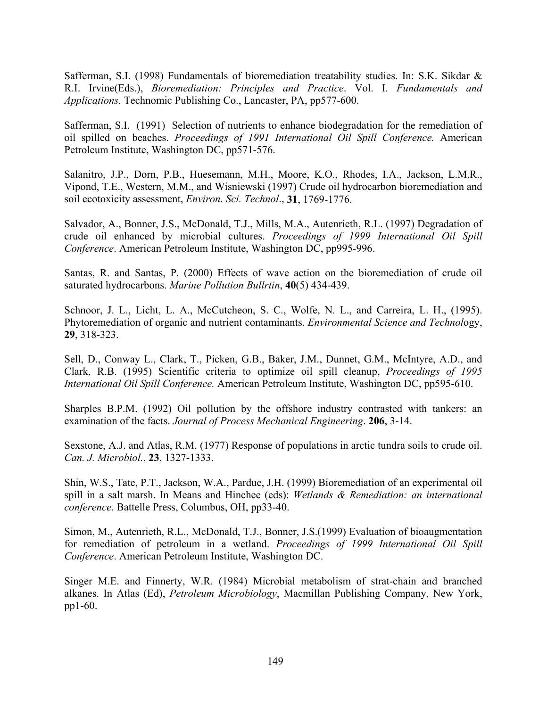Safferman, S.I. (1998) Fundamentals of bioremediation treatability studies. In: S.K. Sikdar & R.I. Irvine(Eds.), *Bioremediation: Principles and Practice*. Vol. I. *Fundamentals and Applications.* Technomic Publishing Co., Lancaster, PA, pp577-600.

Safferman, S.I. (1991) Selection of nutrients to enhance biodegradation for the remediation of oil spilled on beaches. *Proceedings of 1991 International Oil Spill Conference.* American Petroleum Institute, Washington DC, pp571-576.

Salanitro, J.P., Dorn, P.B., Huesemann, M.H., Moore, K.O., Rhodes, I.A., Jackson, L.M.R., Vipond, T.E., Western, M.M., and Wisniewski (1997) Crude oil hydrocarbon bioremediation and soil ecotoxicity assessment, *Environ. Sci. Technol*., **31**, 1769-1776.

Salvador, A., Bonner, J.S., McDonald, T.J., Mills, M.A., Autenrieth, R.L. (1997) Degradation of crude oil enhanced by microbial cultures. *Proceedings of 1999 International Oil Spill Conference*. American Petroleum Institute, Washington DC, pp995-996.

Santas, R. and Santas, P. (2000) Effects of wave action on the bioremediation of crude oil saturated hydrocarbons. *Marine Pollution Bullrtin*, **40**(5) 434-439.

Schnoor, J. L., Licht, L. A., McCutcheon, S. C., Wolfe, N. L., and Carreira, L. H., (1995). Phytoremediation of organic and nutrient contaminants. *Environmental Science and Technol*ogy, **29**, 318-323.

Sell, D., Conway L., Clark, T., Picken, G.B., Baker, J.M., Dunnet, G.M., McIntyre, A.D., and Clark, R.B. (1995) Scientific criteria to optimize oil spill cleanup, *Proceedings of 1995 International Oil Spill Conference.* American Petroleum Institute, Washington DC, pp595-610.

Sharples B.P.M. (1992) Oil pollution by the offshore industry contrasted with tankers: an examination of the facts. *Journal of Process Mechanical Engineering*. **206**, 3-14.

Sexstone, A.J. and Atlas, R.M. (1977) Response of populations in arctic tundra soils to crude oil. *Can. J. Microbiol.*, **23**, 1327-1333.

Shin, W.S., Tate, P.T., Jackson, W.A., Pardue, J.H. (1999) Bioremediation of an experimental oil spill in a salt marsh. In Means and Hinchee (eds): *Wetlands & Remediation: an international conference*. Battelle Press, Columbus, OH, pp33-40.

Simon, M., Autenrieth, R.L., McDonald, T.J., Bonner, J.S.(1999) Evaluation of bioaugmentation for remediation of petroleum in a wetland. *Proceedings of 1999 International Oil Spill Conference*. American Petroleum Institute, Washington DC.

Singer M.E. and Finnerty, W.R. (1984) Microbial metabolism of strat-chain and branched alkanes. In Atlas (Ed), *Petroleum Microbiology*, Macmillan Publishing Company, New York, pp1-60.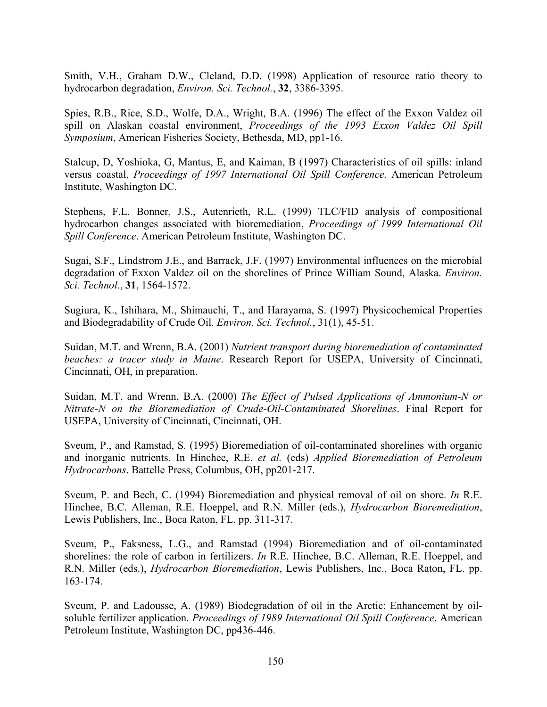Smith, V.H., Graham D.W., Cleland, D.D. (1998) Application of resource ratio theory to hydrocarbon degradation, *Environ. Sci. Technol.*, **32**, 3386-3395.

Spies, R.B., Rice, S.D., Wolfe, D.A., Wright, B.A. (1996) The effect of the Exxon Valdez oil spill on Alaskan coastal environment, *Proceedings of the 1993 Exxon Valdez Oil Spill Symposium*, American Fisheries Society, Bethesda, MD, pp1-16.

Stalcup, D, Yoshioka, G, Mantus, E, and Kaiman, B (1997) Characteristics of oil spills: inland versus coastal, *Proceedings of 1997 International Oil Spill Conference*. American Petroleum Institute, Washington DC.

Stephens, F.L. Bonner, J.S., Autenrieth, R.L. (1999) TLC/FID analysis of compositional hydrocarbon changes associated with bioremediation, *Proceedings of 1999 International Oil Spill Conference*. American Petroleum Institute, Washington DC.

Sugai, S.F., Lindstrom J.E., and Barrack, J.F. (1997) Environmental influences on the microbial degradation of Exxon Valdez oil on the shorelines of Prince William Sound, Alaska. *Environ. Sci. Technol*., **31**, 1564-1572.

Sugiura, K., Ishihara, M., Shimauchi, T., and Harayama, S. (1997) Physicochemical Properties and Biodegradability of Crude Oil*. Environ. Sci. Technol.*, 31(1), 45-51.

Suidan, M.T. and Wrenn, B.A. (2001) *Nutrient transport during bioremediation of contaminated beaches: a tracer study in Maine*. Research Report for USEPA, University of Cincinnati, Cincinnati, OH, in preparation.

Suidan, M.T. and Wrenn, B.A. (2000) *The Effect of Pulsed Applications of Ammonium-N or Nitrate-N on the Bioremediation of Crude-Oil-Contaminated Shorelines*. Final Report for USEPA, University of Cincinnati, Cincinnati, OH.

Sveum, P., and Ramstad, S. (1995) Bioremediation of oil-contaminated shorelines with organic and inorganic nutrients. In Hinchee, R.E. *et al.* (eds) *Applied Bioremediation of Petroleum Hydrocarbons*. Battelle Press, Columbus, OH, pp201-217.

Sveum, P. and Bech, C. (1994) Bioremediation and physical removal of oil on shore. *In* R.E. Hinchee, B.C. Alleman, R.E. Hoeppel, and R.N. Miller (eds.), *Hydrocarbon Bioremediation*, Lewis Publishers, Inc., Boca Raton, FL. pp. 311-317.

Sveum, P., Faksness, L.G., and Ramstad (1994) Bioremediation and of oil-contaminated shorelines: the role of carbon in fertilizers. *In* R.E. Hinchee, B.C. Alleman, R.E. Hoeppel, and R.N. Miller (eds.), *Hydrocarbon Bioremediation*, Lewis Publishers, Inc., Boca Raton, FL. pp. 163-174.

Sveum, P. and Ladousse, A. (1989) Biodegradation of oil in the Arctic: Enhancement by oilsoluble fertilizer application. *Proceedings of 1989 International Oil Spill Conference*. American Petroleum Institute, Washington DC, pp436-446.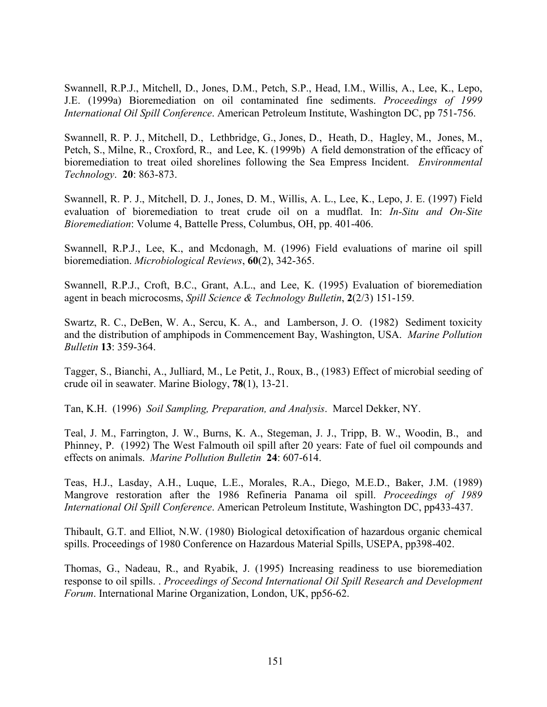Swannell, R.P.J., Mitchell, D., Jones, D.M., Petch, S.P., Head, I.M., Willis, A., Lee, K., Lepo, J.E. (1999a) Bioremediation on oil contaminated fine sediments. *Proceedings of 1999 International Oil Spill Conference*. American Petroleum Institute, Washington DC, pp 751-756.

Swannell, R. P. J., Mitchell, D., Lethbridge, G., Jones, D., Heath, D., Hagley, M., Jones, M., Petch, S., Milne, R., Croxford, R., and Lee, K. (1999b) A field demonstration of the efficacy of bioremediation to treat oiled shorelines following the Sea Empress Incident. *Environmental Technology*. **20**: 863-873.

Swannell, R. P. J., Mitchell, D. J., Jones, D. M., Willis, A. L., Lee, K., Lepo, J. E. (1997) Field evaluation of bioremediation to treat crude oil on a mudflat. In: *In-Situ and On-Site Bioremediation*: Volume 4, Battelle Press, Columbus, OH, pp. 401-406.

Swannell, R.P.J., Lee, K., and Mcdonagh, M. (1996) Field evaluations of marine oil spill bioremediation. *Microbiological Reviews*, **60**(2), 342-365.

Swannell, R.P.J., Croft, B.C., Grant, A.L., and Lee, K. (1995) Evaluation of bioremediation agent in beach microcosms, *Spill Science & Technology Bulletin*, **2**(2/3) 151-159.

Swartz, R. C., DeBen, W. A., Sercu, K. A., and Lamberson, J. O. (1982) Sediment toxicity and the distribution of amphipods in Commencement Bay, Washington, USA. *Marine Pollution Bulletin* **13**: 359-364.

Tagger, S., Bianchi, A., Julliard, M., Le Petit, J., Roux, B., (1983) Effect of microbial seeding of crude oil in seawater. Marine Biology, **78**(1), 13-21.

Tan, K.H. (1996) *Soil Sampling, Preparation, and Analysis*. Marcel Dekker, NY.

Teal, J. M., Farrington, J. W., Burns, K. A., Stegeman, J. J., Tripp, B. W., Woodin, B., and Phinney, P. (1992) The West Falmouth oil spill after 20 years: Fate of fuel oil compounds and effects on animals. *Marine Pollution Bulletin* **24**: 607-614.

Teas, H.J., Lasday, A.H., Luque, L.E., Morales, R.A., Diego, M.E.D., Baker, J.M. (1989) Mangrove restoration after the 1986 Refineria Panama oil spill. *Proceedings of 1989 International Oil Spill Conference*. American Petroleum Institute, Washington DC, pp433-437.

Thibault, G.T. and Elliot, N.W. (1980) Biological detoxification of hazardous organic chemical spills. Proceedings of 1980 Conference on Hazardous Material Spills, USEPA, pp398-402.

Thomas, G., Nadeau, R., and Ryabik, J. (1995) Increasing readiness to use bioremediation response to oil spills. . *Proceedings of Second International Oil Spill Research and Development Forum*. International Marine Organization, London, UK, pp56-62.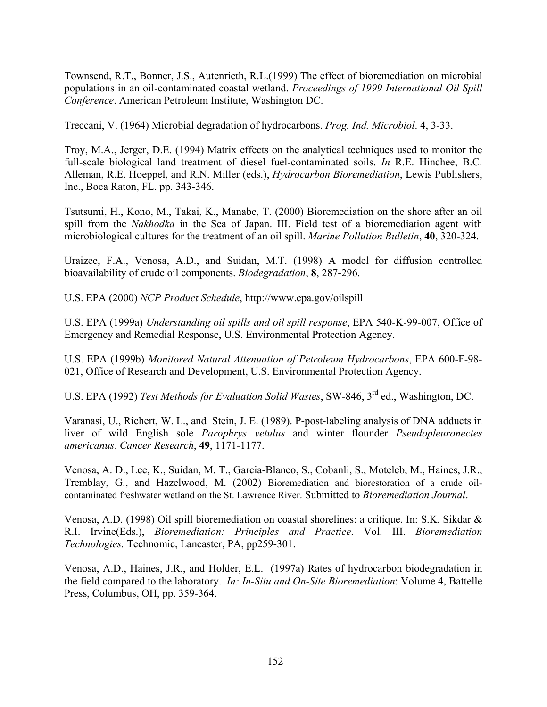Townsend, R.T., Bonner, J.S., Autenrieth, R.L.(1999) The effect of bioremediation on microbial populations in an oil-contaminated coastal wetland. *Proceedings of 1999 International Oil Spill Conference*. American Petroleum Institute, Washington DC.

Treccani, V. (1964) Microbial degradation of hydrocarbons. *Prog. Ind. Microbiol*. **4**, 3-33.

Troy, M.A., Jerger, D.E. (1994) Matrix effects on the analytical techniques used to monitor the full-scale biological land treatment of diesel fuel-contaminated soils. *In* R.E. Hinchee, B.C. Alleman, R.E. Hoeppel, and R.N. Miller (eds.), *Hydrocarbon Bioremediation*, Lewis Publishers, Inc., Boca Raton, FL. pp. 343-346.

Tsutsumi, H., Kono, M., Takai, K., Manabe, T. (2000) Bioremediation on the shore after an oil spill from the *Nakhodka* in the Sea of Japan. III. Field test of a bioremediation agent with microbiological cultures for the treatment of an oil spill. *Marine Pollution Bulletin*, **40**, 320-324.

Uraizee, F.A., Venosa, A.D., and Suidan, M.T. (1998) A model for diffusion controlled bioavailability of crude oil components. *Biodegradation*, **8**, 287-296.

U.S. EPA (2000) *NCP Product Schedule*, http://www.epa.gov/oilspill

U.S. EPA (1999a) *Understanding oil spills and oil spill response*, EPA 540-K-99-007, Office of Emergency and Remedial Response, U.S. Environmental Protection Agency.

U.S. EPA (1999b) *Monitored Natural Attenuation of Petroleum Hydrocarbons*, EPA 600-F-98- 021, Office of Research and Development, U.S. Environmental Protection Agency.

U.S. EPA (1992) *Test Methods for Evaluation Solid Wastes*, SW-846, 3rd ed., Washington, DC.

Varanasi, U., Richert, W. L., and Stein, J. E. (1989). P-post-labeling analysis of DNA adducts in liver of wild English sole *Parophrys vetulus* and winter flounder *Pseudopleuronectes americanus*. *Cancer Research*, **49**, 1171-1177.

Venosa, A. D., Lee, K., Suidan, M. T., Garcia-Blanco, S., Cobanli, S., Moteleb, M., Haines, J.R., Tremblay, G., and Hazelwood, M. (2002) Bioremediation and biorestoration of a crude oilcontaminated freshwater wetland on the St. Lawrence River. Submitted to *Bioremediation Journal*.

Venosa, A.D. (1998) Oil spill bioremediation on coastal shorelines: a critique. In: S.K. Sikdar & R.I. Irvine(Eds.), *Bioremediation: Principles and Practice*. Vol. III. *Bioremediation Technologies.* Technomic, Lancaster, PA, pp259-301.

Venosa, A.D., Haines, J.R., and Holder, E.L. (1997a) Rates of hydrocarbon biodegradation in the field compared to the laboratory. *In: In-Situ and On-Site Bioremediation*: Volume 4, Battelle Press, Columbus, OH, pp. 359-364.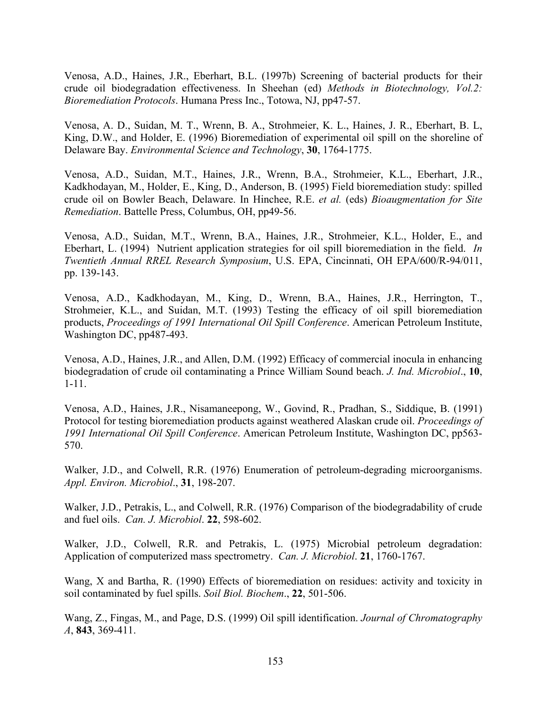Venosa, A.D., Haines, J.R., Eberhart, B.L. (1997b) Screening of bacterial products for their crude oil biodegradation effectiveness. In Sheehan (ed) *Methods in Biotechnology, Vol.2: Bioremediation Protocols*. Humana Press Inc., Totowa, NJ, pp47-57.

Venosa, A. D., Suidan, M. T., Wrenn, B. A., Strohmeier, K. L., Haines, J. R., Eberhart, B. L, King, D.W., and Holder, E. (1996) Bioremediation of experimental oil spill on the shoreline of Delaware Bay. *Environmental Science and Technology*, **30**, 1764-1775.

Venosa, A.D., Suidan, M.T., Haines, J.R., Wrenn, B.A., Strohmeier, K.L., Eberhart, J.R., Kadkhodayan, M., Holder, E., King, D., Anderson, B. (1995) Field bioremediation study: spilled crude oil on Bowler Beach, Delaware. In Hinchee, R.E. *et al.* (eds) *Bioaugmentation for Site Remediation*. Battelle Press, Columbus, OH, pp49-56.

Venosa, A.D., Suidan, M.T., Wrenn, B.A., Haines, J.R., Strohmeier, K.L., Holder, E., and Eberhart, L. (1994) Nutrient application strategies for oil spill bioremediation in the field. *In Twentieth Annual RREL Research Symposium*, U.S. EPA, Cincinnati, OH EPA/600/R-94/011, pp. 139-143.

Venosa, A.D., Kadkhodayan, M., King, D., Wrenn, B.A., Haines, J.R., Herrington, T., Strohmeier, K.L., and Suidan, M.T. (1993) Testing the efficacy of oil spill bioremediation products, *Proceedings of 1991 International Oil Spill Conference*. American Petroleum Institute, Washington DC, pp487-493.

Venosa, A.D., Haines, J.R., and Allen, D.M. (1992) Efficacy of commercial inocula in enhancing biodegradation of crude oil contaminating a Prince William Sound beach. *J. Ind. Microbiol*., **10**, 1-11.

Venosa, A.D., Haines, J.R., Nisamaneepong, W., Govind, R., Pradhan, S., Siddique, B. (1991) Protocol for testing bioremediation products against weathered Alaskan crude oil. *Proceedings of 1991 International Oil Spill Conference*. American Petroleum Institute, Washington DC, pp563- 570.

Walker, J.D., and Colwell, R.R. (1976) Enumeration of petroleum-degrading microorganisms. *Appl. Environ. Microbiol*., **31**, 198-207.

Walker, J.D., Petrakis, L., and Colwell, R.R. (1976) Comparison of the biodegradability of crude and fuel oils. *Can. J. Microbiol*. **22**, 598-602.

Walker, J.D., Colwell, R.R. and Petrakis, L. (1975) Microbial petroleum degradation: Application of computerized mass spectrometry. *Can. J. Microbiol*. **21**, 1760-1767.

Wang, X and Bartha, R. (1990) Effects of bioremediation on residues: activity and toxicity in soil contaminated by fuel spills. *Soil Biol. Biochem*., **22**, 501-506.

Wang, Z., Fingas, M., and Page, D.S. (1999) Oil spill identification. *Journal of Chromatography A*, **843**, 369-411.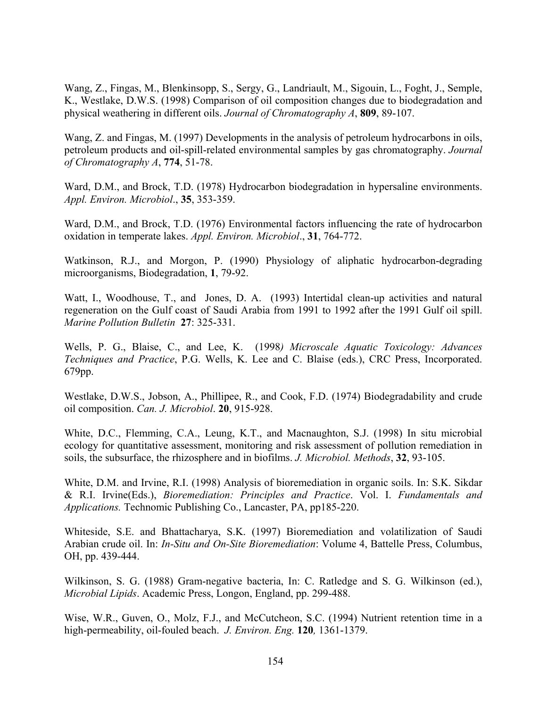Wang, Z., Fingas, M., Blenkinsopp, S., Sergy, G., Landriault, M., Sigouin, L., Foght, J., Semple, K., Westlake, D.W.S. (1998) Comparison of oil composition changes due to biodegradation and physical weathering in different oils. *Journal of Chromatography A*, **809**, 89-107.

Wang, Z. and Fingas, M. (1997) Developments in the analysis of petroleum hydrocarbons in oils, petroleum products and oil-spill-related environmental samples by gas chromatography. *Journal of Chromatography A*, **774**, 51-78.

Ward, D.M., and Brock, T.D. (1978) Hydrocarbon biodegradation in hypersaline environments. *Appl. Environ. Microbiol*., **35**, 353-359.

Ward, D.M., and Brock, T.D. (1976) Environmental factors influencing the rate of hydrocarbon oxidation in temperate lakes. *Appl. Environ. Microbiol*., **31**, 764-772.

Watkinson, R.J., and Morgon, P. (1990) Physiology of aliphatic hydrocarbon-degrading microorganisms, Biodegradation, **1**, 79-92.

Watt, I., Woodhouse, T., and Jones, D. A. (1993) Intertidal clean-up activities and natural regeneration on the Gulf coast of Saudi Arabia from 1991 to 1992 after the 1991 Gulf oil spill. *Marine Pollution Bulletin* **27**: 325-331.

Wells, P. G., Blaise, C., and Lee, K. (1998*) Microscale Aquatic Toxicology: Advances Techniques and Practice*, P.G. Wells, K. Lee and C. Blaise (eds.), CRC Press, Incorporated. 679pp.

Westlake, D.W.S., Jobson, A., Phillipee, R., and Cook, F.D. (1974) Biodegradability and crude oil composition. *Can. J. Microbiol*. **20**, 915-928.

White, D.C., Flemming, C.A., Leung, K.T., and Macnaughton, S.J. (1998) In situ microbial ecology for quantitative assessment, monitoring and risk assessment of pollution remediation in soils, the subsurface, the rhizosphere and in biofilms. *J. Microbiol. Methods*, **32**, 93-105.

White, D.M. and Irvine, R.I. (1998) Analysis of bioremediation in organic soils. In: S.K. Sikdar & R.I. Irvine(Eds.), *Bioremediation: Principles and Practice*. Vol. I. *Fundamentals and Applications.* Technomic Publishing Co., Lancaster, PA, pp185-220.

Whiteside, S.E. and Bhattacharya, S.K. (1997) Bioremediation and volatilization of Saudi Arabian crude oil. In: *In-Situ and On-Site Bioremediation*: Volume 4, Battelle Press, Columbus, OH, pp. 439-444.

Wilkinson, S. G. (1988) Gram-negative bacteria, In: C. Ratledge and S. G. Wilkinson (ed.), *Microbial Lipids*. Academic Press, Longon, England, pp. 299-488.

Wise, W.R., Guven, O., Molz, F.J., and McCutcheon, S.C. (1994) Nutrient retention time in a high-permeability, oil-fouled beach. *J. Environ. Eng.* **120***,* 1361-1379.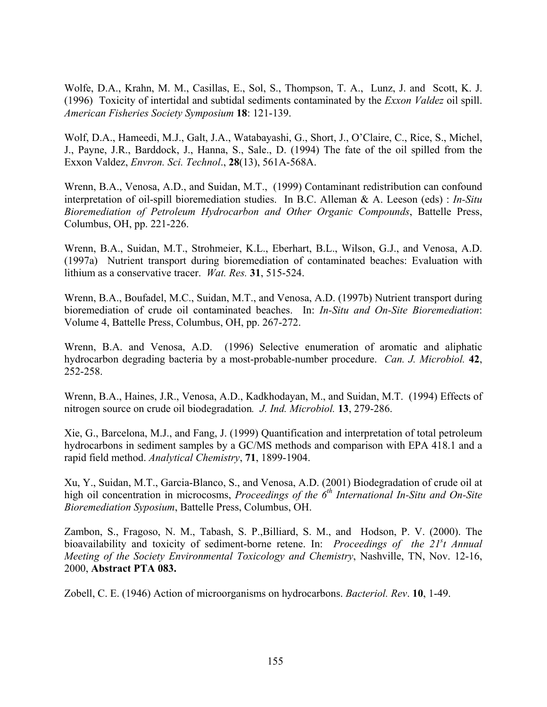Wolfe, D.A., Krahn, M. M., Casillas, E., Sol, S., Thompson, T. A., Lunz, J. and Scott, K. J. (1996) Toxicity of intertidal and subtidal sediments contaminated by the *Exxon Valdez* oil spill. *American Fisheries Society Symposium* **18**: 121-139.

Wolf, D.A., Hameedi, M.J., Galt, J.A., Watabayashi, G., Short, J., O'Claire, C., Rice, S., Michel, J., Payne, J.R., Barddock, J., Hanna, S., Sale., D. (1994) The fate of the oil spilled from the Exxon Valdez, *Envron. Sci. Technol*., **28**(13), 561A-568A.

Wrenn, B.A., Venosa, A.D., and Suidan, M.T., (1999) Contaminant redistribution can confound interpretation of oil-spill bioremediation studies. In B.C. Alleman & A. Leeson (eds) : *In-Situ Bioremediation of Petroleum Hydrocarbon and Other Organic Compounds*, Battelle Press, Columbus, OH, pp. 221-226.

Wrenn, B.A., Suidan, M.T., Strohmeier, K.L., Eberhart, B.L., Wilson, G.J., and Venosa, A.D. (1997a) Nutrient transport during bioremediation of contaminated beaches: Evaluation with lithium as a conservative tracer. *Wat. Res.* **31**, 515-524.

Wrenn, B.A., Boufadel, M.C., Suidan, M.T., and Venosa, A.D. (1997b) Nutrient transport during bioremediation of crude oil contaminated beaches. In: *In-Situ and On-Site Bioremediation*: Volume 4, Battelle Press, Columbus, OH, pp. 267-272.

Wrenn, B.A. and Venosa, A.D. (1996) Selective enumeration of aromatic and aliphatic hydrocarbon degrading bacteria by a most-probable-number procedure. *Can. J. Microbiol.* **42**, 252-258.

Wrenn, B.A., Haines, J.R., Venosa, A.D., Kadkhodayan, M., and Suidan, M.T. (1994) Effects of nitrogen source on crude oil biodegradation*. J. Ind. Microbiol.* **13**, 279-286.

Xie, G., Barcelona, M.J., and Fang, J. (1999) Quantification and interpretation of total petroleum hydrocarbons in sediment samples by a GC/MS methods and comparison with EPA 418.1 and a rapid field method. *Analytical Chemistry*, **71**, 1899-1904.

Xu, Y., Suidan, M.T., Garcia-Blanco, S., and Venosa, A.D. (2001) Biodegradation of crude oil at high oil concentration in microcosms, *Proceedings of the 6<sup>th</sup> International In-Situ and On-Site Bioremediation Syposium*, Battelle Press, Columbus, OH.

Zambon, S., Fragoso, N. M., Tabash, S. P.,Billiard, S. M., and Hodson, P. V. (2000). The bioavailability and toxicity of sediment-borne retene. In: *Proceedings of the 21<sup>s</sup>t Annual Meeting of the Society Environmental Toxicology and Chemistry*, Nashville, TN, Nov. 12-16, 2000, **Abstract PTA 083.** 

Zobell, C. E. (1946) Action of microorganisms on hydrocarbons. *Bacteriol. Rev*. **10**, 1-49.